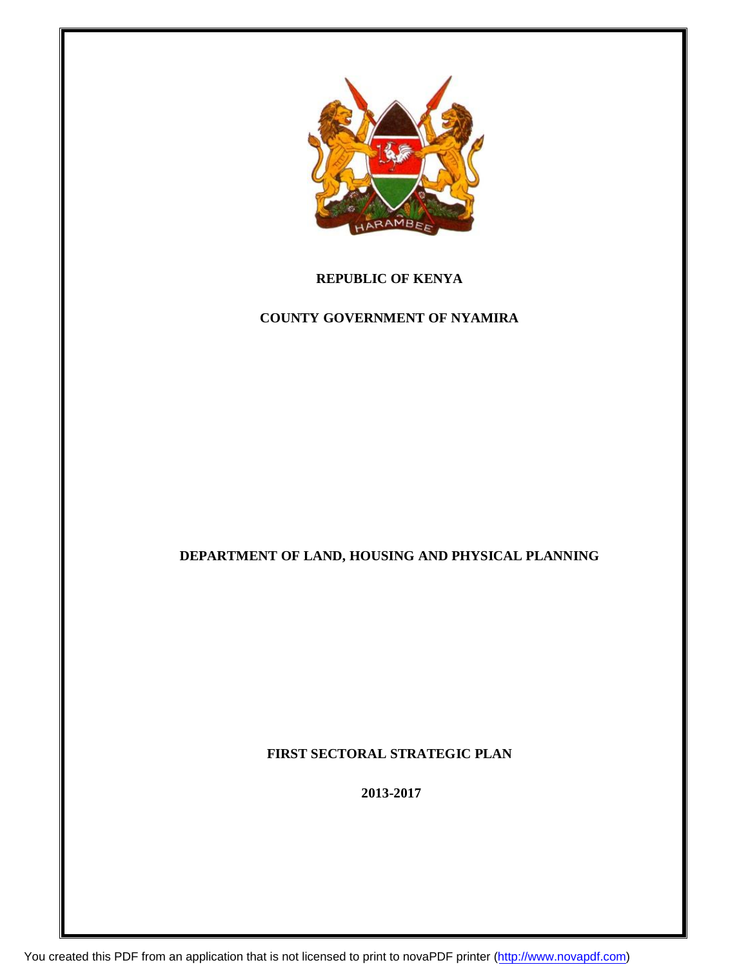

# **REPUBLIC OF KENYA**

# **COUNTY GOVERNMENT OF NYAMIRA**

# **DEPARTMENT OF LAND, HOUSING AND PHYSICAL PLANNING**

**FIRST SECTORAL STRATEGIC PLAN**

**2013-2017**

You created this PDF from an application that is not licensed to print to novaPDF printer ([http://www.novapdf.com\)](http://www.novapdf.com)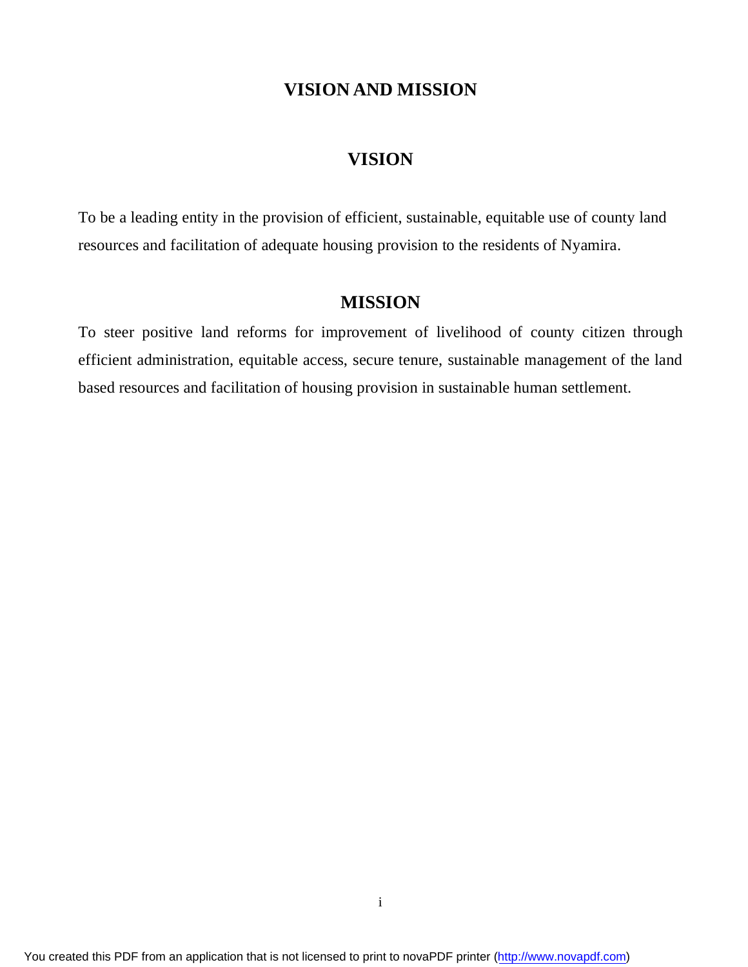# **VISION AND MISSION**

# **VISION**

To be a leading entity in the provision of efficient, sustainable, equitable use of county land resources and facilitation of adequate housing provision to the residents of Nyamira.

# **MISSION**

To steer positive land reforms for improvement of livelihood of county citizen through efficient administration, equitable access, secure tenure, sustainable management of the land based resources and facilitation of housing provision in sustainable human settlement.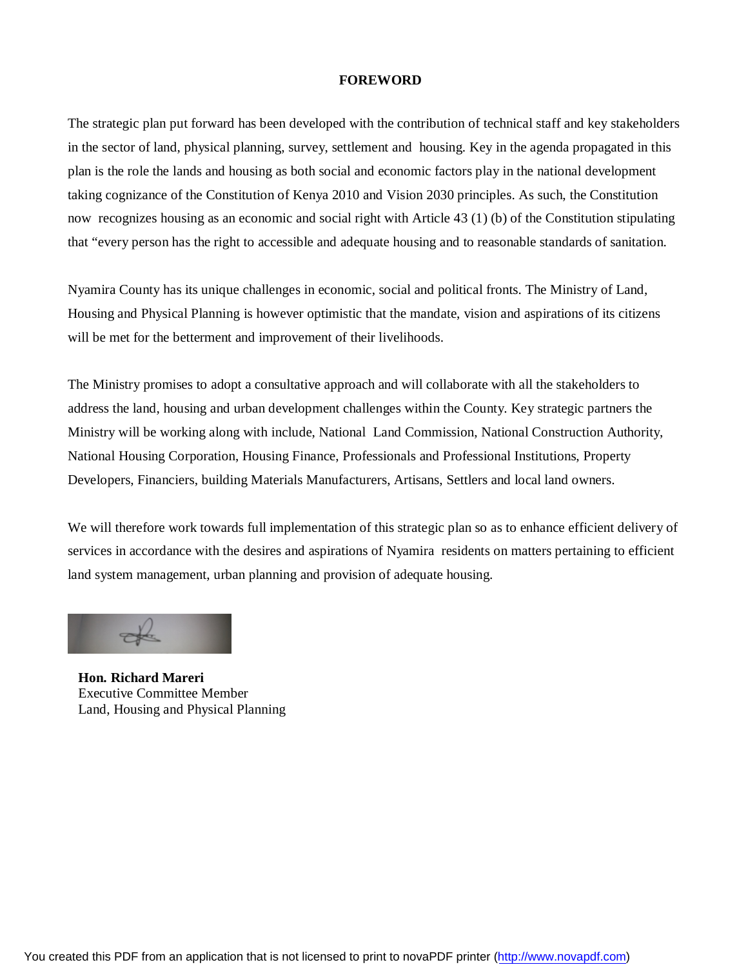### **FOREWORD**

The strategic plan put forward has been developed with the contribution of technical staff and key stakeholders in the sector of land, physical planning, survey, settlement and housing. Key in the agenda propagated in this plan is the role the lands and housing as both social and economic factors play in the national development taking cognizance of the Constitution of Kenya 2010 and Vision 2030 principles. As such, the Constitution now recognizes housing as an economic and social right with Article 43 (1) (b) of the Constitution stipulating that "every person has the right to accessible and adequate housing and to reasonable standards of sanitation.

Nyamira County has its unique challenges in economic, social and political fronts. The Ministry of Land, Housing and Physical Planning is however optimistic that the mandate, vision and aspirations of its citizens will be met for the betterment and improvement of their livelihoods.

The Ministry promises to adopt a consultative approach and will collaborate with all the stakeholders to address the land, housing and urban development challenges within the County. Key strategic partners the Ministry will be working along with include, National Land Commission, National Construction Authority, National Housing Corporation, Housing Finance, Professionals and Professional Institutions, Property Developers, Financiers, building Materials Manufacturers, Artisans, Settlers and local land owners.

We will therefore work towards full implementation of this strategic plan so as to enhance efficient delivery of services in accordance with the desires and aspirations of Nyamira residents on matters pertaining to efficient land system management, urban planning and provision of adequate housing.

**Hon. Richard Mareri** Executive Committee Member Land, Housing and Physical Planning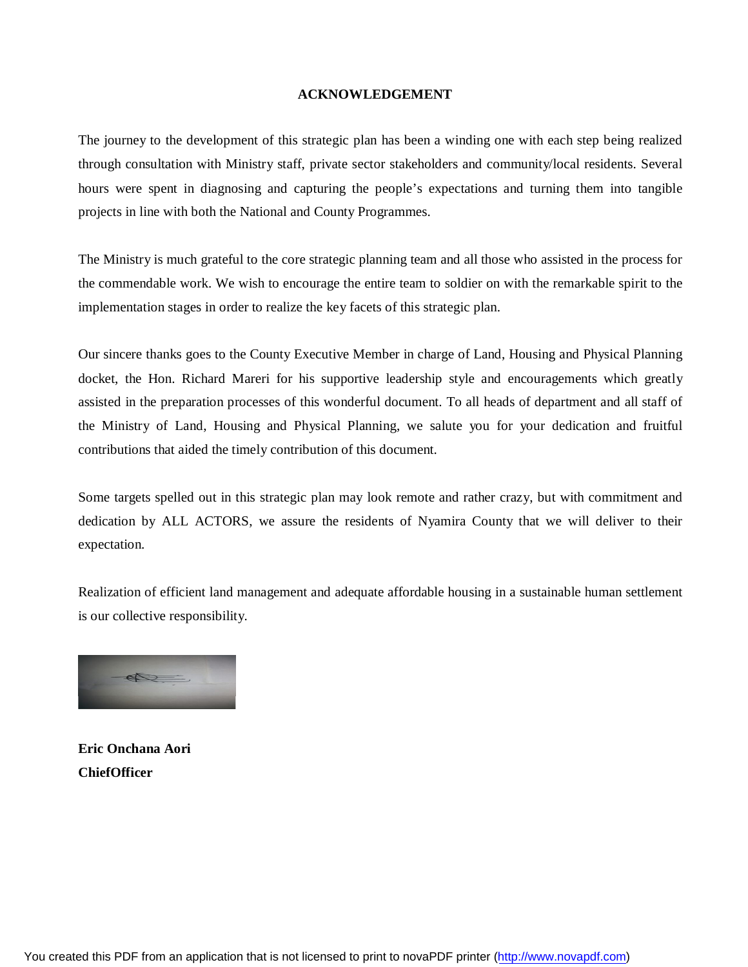### **ACKNOWLEDGEMENT**

The journey to the development of this strategic plan has been a winding one with each step being realized through consultation with Ministry staff, private sector stakeholders and community/local residents. Several hours were spent in diagnosing and capturing the people's expectations and turning them into tangible projects in line with both the National and County Programmes.

The Ministry is much grateful to the core strategic planning team and all those who assisted in the process for the commendable work. We wish to encourage the entire team to soldier on with the remarkable spirit to the implementation stages in order to realize the key facets of this strategic plan.

Our sincere thanks goes to the County Executive Member in charge of Land, Housing and Physical Planning docket, the Hon. Richard Mareri for his supportive leadership style and encouragements which greatly assisted in the preparation processes of this wonderful document. To all heads of department and all staff of the Ministry of Land, Housing and Physical Planning, we salute you for your dedication and fruitful contributions that aided the timely contribution of this document.

Some targets spelled out in this strategic plan may look remote and rather crazy, but with commitment and dedication by ALL ACTORS, we assure the residents of Nyamira County that we will deliver to their expectation.

Realization of efficient land management and adequate affordable housing in a sustainable human settlement is our collective responsibility.



**Eric Onchana Aori ChiefOfficer**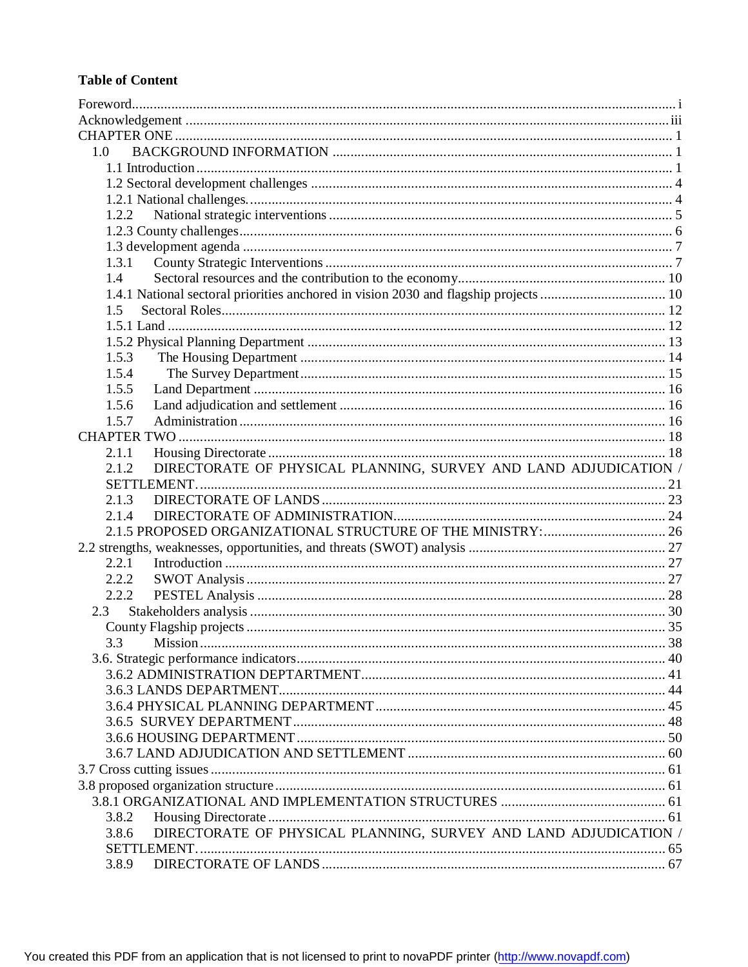# **Table of Content**

| 1.0                                                                       |  |
|---------------------------------------------------------------------------|--|
|                                                                           |  |
|                                                                           |  |
|                                                                           |  |
| 1.2.2                                                                     |  |
|                                                                           |  |
|                                                                           |  |
| 1.3.1                                                                     |  |
| 1.4                                                                       |  |
|                                                                           |  |
| 1.5                                                                       |  |
|                                                                           |  |
|                                                                           |  |
| 1.5.3                                                                     |  |
| 1.5.4                                                                     |  |
| 1.5.5                                                                     |  |
| 1.5.6                                                                     |  |
| 1.5.7                                                                     |  |
|                                                                           |  |
| 2.1.1                                                                     |  |
| DIRECTORATE OF PHYSICAL PLANNING, SURVEY AND LAND ADJUDICATION /<br>2.1.2 |  |
|                                                                           |  |
| 2.1.3                                                                     |  |
| 2.1.4                                                                     |  |
|                                                                           |  |
|                                                                           |  |
| 2.2.1                                                                     |  |
| 2.2.2                                                                     |  |
| 2.2.2                                                                     |  |
| 2.3                                                                       |  |
|                                                                           |  |
| 33 Mission                                                                |  |
|                                                                           |  |
|                                                                           |  |
|                                                                           |  |
|                                                                           |  |
|                                                                           |  |
|                                                                           |  |
|                                                                           |  |
|                                                                           |  |
|                                                                           |  |
|                                                                           |  |
| 3.8.2                                                                     |  |
| DIRECTORATE OF PHYSICAL PLANNING, SURVEY AND LAND ADJUDICATION /<br>3.8.6 |  |
|                                                                           |  |
| 3.8.9                                                                     |  |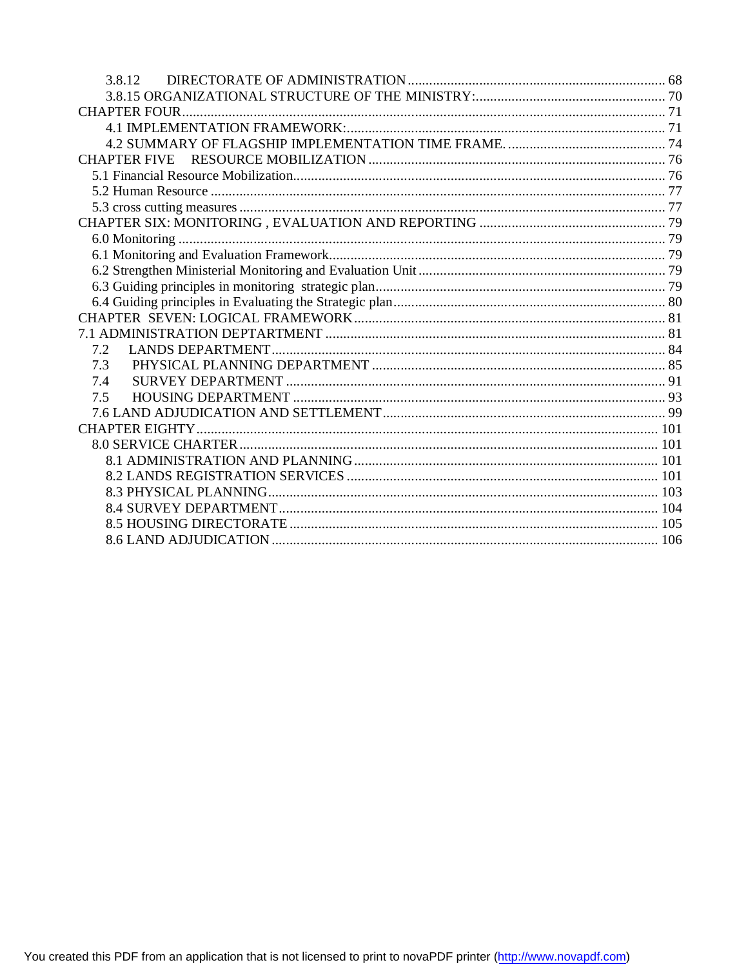| 3812                |  |
|---------------------|--|
|                     |  |
|                     |  |
|                     |  |
|                     |  |
| <b>CHAPTER FIVE</b> |  |
|                     |  |
|                     |  |
|                     |  |
|                     |  |
|                     |  |
|                     |  |
|                     |  |
|                     |  |
|                     |  |
|                     |  |
|                     |  |
| 7.2                 |  |
| 7.3                 |  |
| 7.4                 |  |
| 7.5                 |  |
|                     |  |
|                     |  |
|                     |  |
|                     |  |
|                     |  |
|                     |  |
|                     |  |
|                     |  |
|                     |  |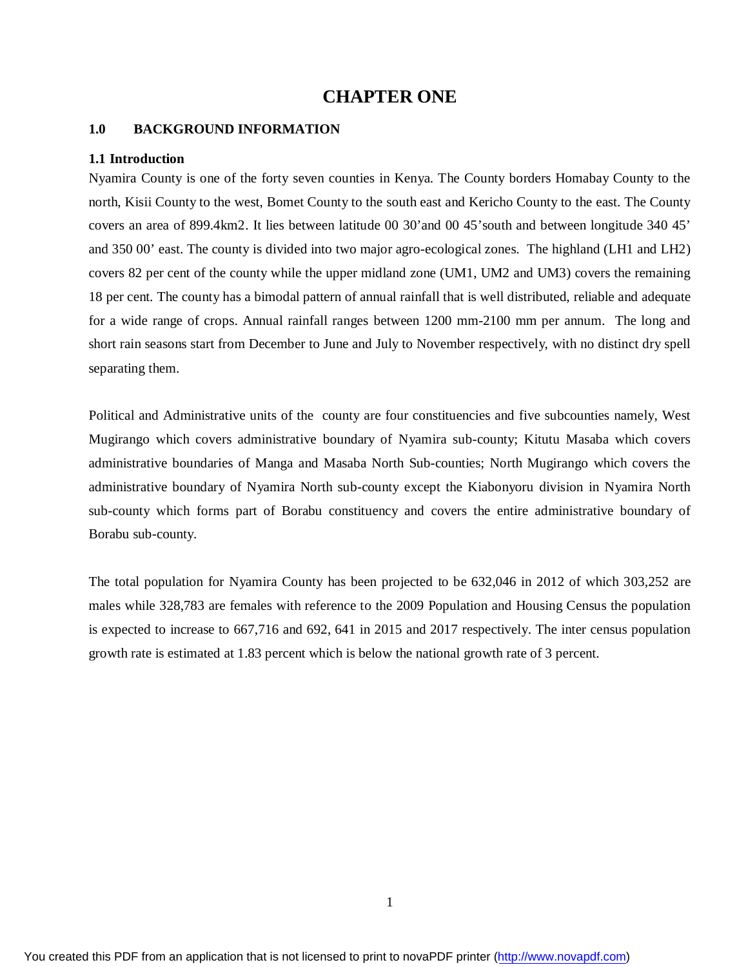# **CHAPTER ONE**

## **1.0 BACKGROUND INFORMATION**

## **1.1 Introduction**

Nyamira County is one of the forty seven counties in Kenya. The County borders Homabay County to the north, Kisii County to the west, Bomet County to the south east and Kericho County to the east. The County covers an area of 899.4km2. It lies between latitude 00 30'and 00 45'south and between longitude 340 45' and 350 00' east. The county is divided into two major agro-ecological zones. The highland (LH1 and LH2) covers 82 per cent of the county while the upper midland zone (UM1, UM2 and UM3) covers the remaining 18 per cent. The county has a bimodal pattern of annual rainfall that is well distributed, reliable and adequate for a wide range of crops. Annual rainfall ranges between 1200 mm-2100 mm per annum. The long and short rain seasons start from December to June and July to November respectively, with no distinct dry spell separating them.

Political and Administrative units of the county are four constituencies and five subcounties namely, West Mugirango which covers administrative boundary of Nyamira sub-county; Kitutu Masaba which covers administrative boundaries of Manga and Masaba North Sub-counties; North Mugirango which covers the administrative boundary of Nyamira North sub-county except the Kiabonyoru division in Nyamira North sub-county which forms part of Borabu constituency and covers the entire administrative boundary of Borabu sub-county.

The total population for Nyamira County has been projected to be 632,046 in 2012 of which 303,252 are males while 328,783 are females with reference to the 2009 Population and Housing Census the population is expected to increase to 667,716 and 692, 641 in 2015 and 2017 respectively. The inter census population growth rate is estimated at 1.83 percent which is below the national growth rate of 3 percent.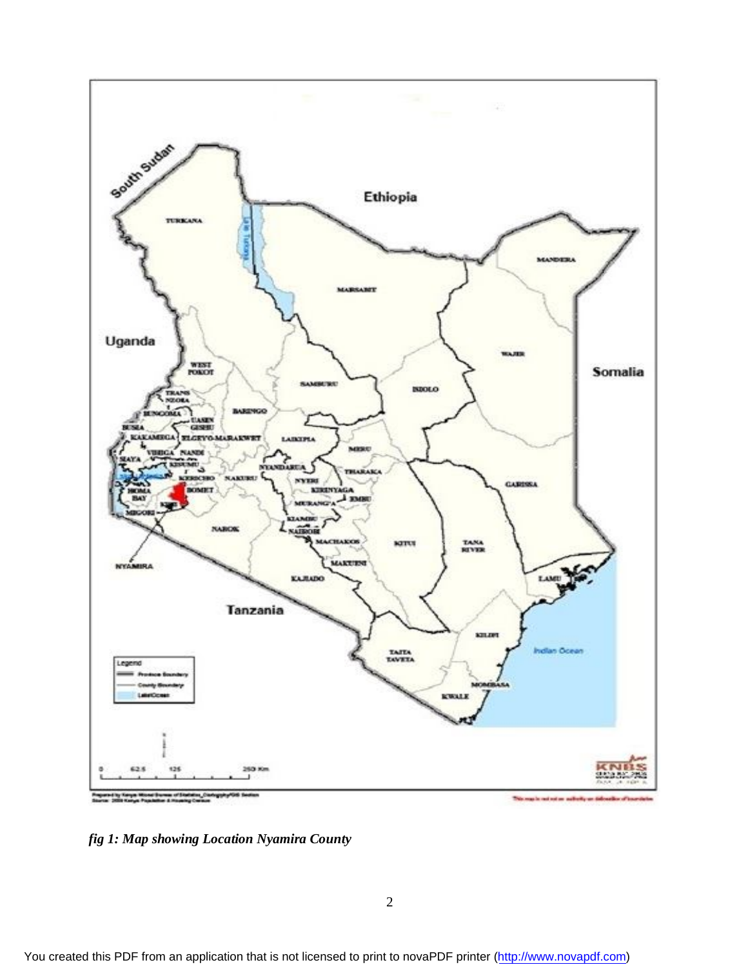

*fig 1: Map showing Location Nyamira County*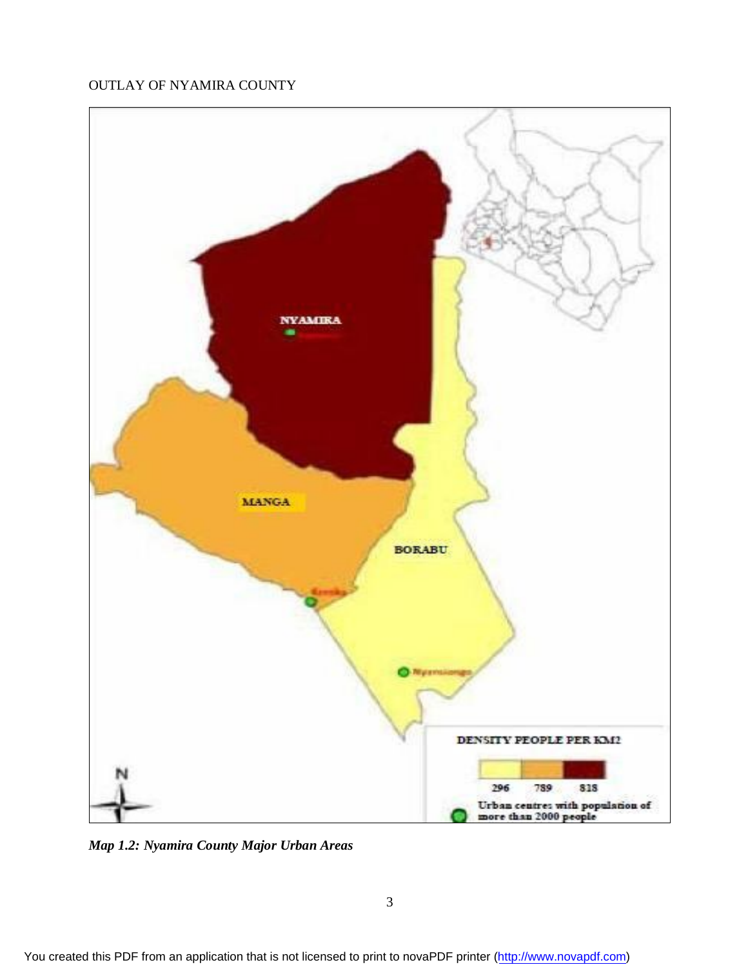## OUTLAY OF NYAMIRA COUNTY



*Map 1.2: Nyamira County Major Urban Areas*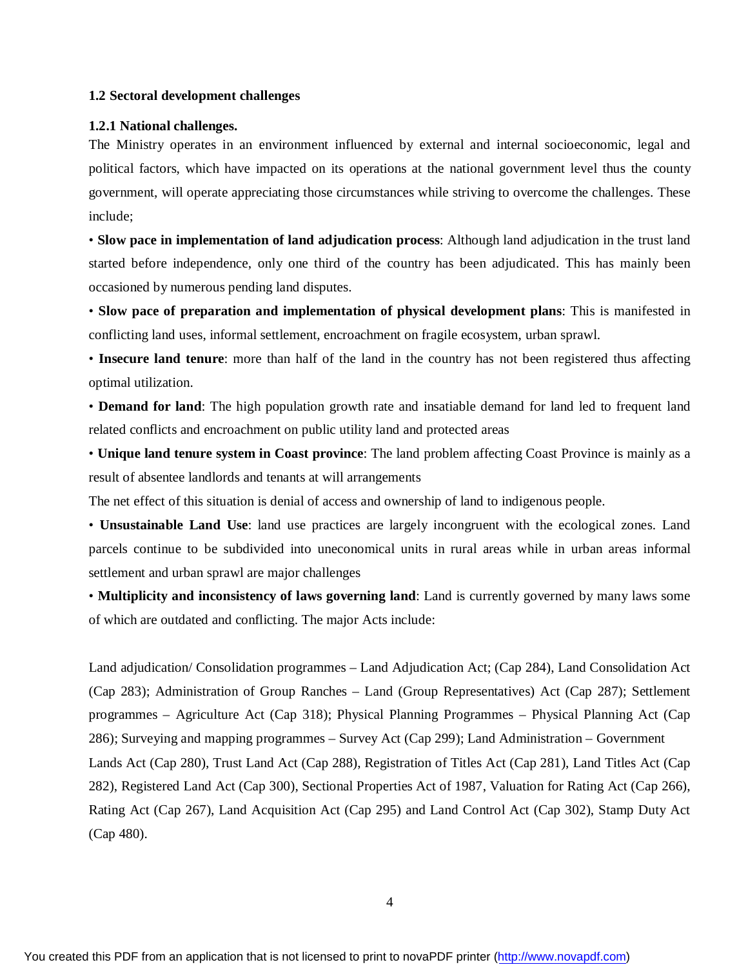#### **1.2 Sectoral development challenges**

#### **1.2.1 National challenges.**

The Ministry operates in an environment influenced by external and internal socioeconomic, legal and political factors, which have impacted on its operations at the national government level thus the county government, will operate appreciating those circumstances while striving to overcome the challenges. These include;

• **Slow pace in implementation of land adjudication process**: Although land adjudication in the trust land started before independence, only one third of the country has been adjudicated. This has mainly been occasioned by numerous pending land disputes.

• **Slow pace of preparation and implementation of physical development plans**: This is manifested in conflicting land uses, informal settlement, encroachment on fragile ecosystem, urban sprawl.

• **Insecure land tenure**: more than half of the land in the country has not been registered thus affecting optimal utilization.

• **Demand for land**: The high population growth rate and insatiable demand for land led to frequent land related conflicts and encroachment on public utility land and protected areas

• **Unique land tenure system in Coast province**: The land problem affecting Coast Province is mainly as a result of absentee landlords and tenants at will arrangements

The net effect of this situation is denial of access and ownership of land to indigenous people.

• **Unsustainable Land Use**: land use practices are largely incongruent with the ecological zones. Land parcels continue to be subdivided into uneconomical units in rural areas while in urban areas informal settlement and urban sprawl are major challenges

• **Multiplicity and inconsistency of laws governing land**: Land is currently governed by many laws some of which are outdated and conflicting. The major Acts include:

Land adjudication/ Consolidation programmes – Land Adjudication Act; (Cap 284), Land Consolidation Act (Cap 283); Administration of Group Ranches – Land (Group Representatives) Act (Cap 287); Settlement programmes – Agriculture Act (Cap 318); Physical Planning Programmes – Physical Planning Act (Cap 286); Surveying and mapping programmes – Survey Act (Cap 299); Land Administration – Government Lands Act (Cap 280), Trust Land Act (Cap 288), Registration of Titles Act (Cap 281), Land Titles Act (Cap 282), Registered Land Act (Cap 300), Sectional Properties Act of 1987, Valuation for Rating Act (Cap 266), Rating Act (Cap 267), Land Acquisition Act (Cap 295) and Land Control Act (Cap 302), Stamp Duty Act (Cap 480).

4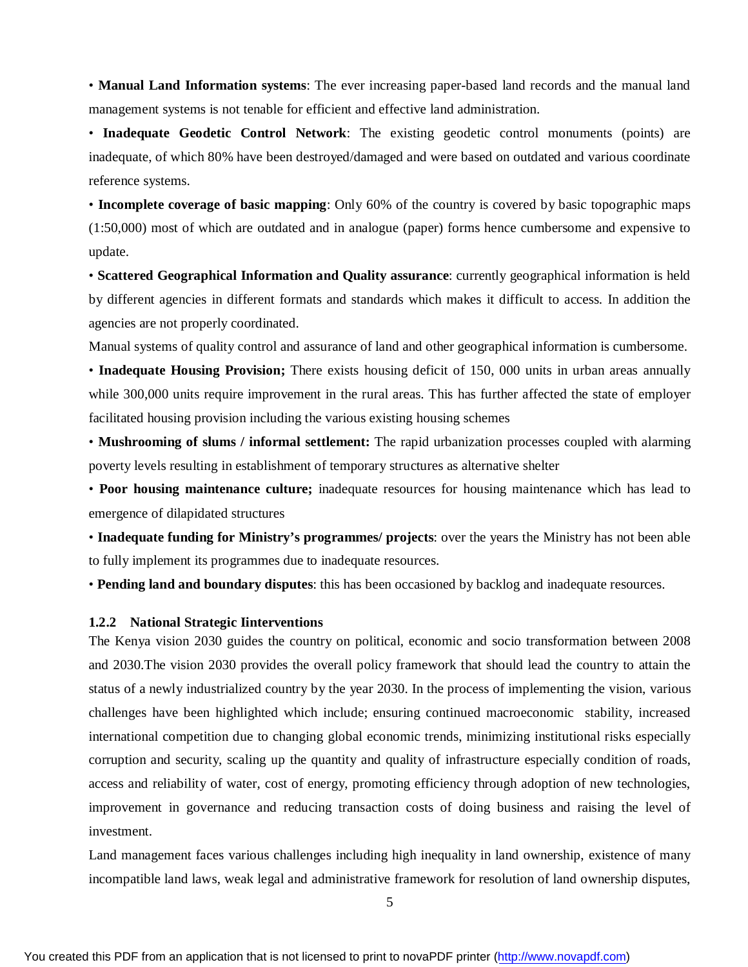• **Manual Land Information systems**: The ever increasing paper-based land records and the manual land management systems is not tenable for efficient and effective land administration.

• **Inadequate Geodetic Control Network**: The existing geodetic control monuments (points) are inadequate, of which 80% have been destroyed/damaged and were based on outdated and various coordinate reference systems.

• **Incomplete coverage of basic mapping**: Only 60% of the country is covered by basic topographic maps (1:50,000) most of which are outdated and in analogue (paper) forms hence cumbersome and expensive to update.

• **Scattered Geographical Information and Quality assurance**: currently geographical information is held by different agencies in different formats and standards which makes it difficult to access. In addition the agencies are not properly coordinated.

Manual systems of quality control and assurance of land and other geographical information is cumbersome.

• **Inadequate Housing Provision;** There exists housing deficit of 150, 000 units in urban areas annually while 300,000 units require improvement in the rural areas. This has further affected the state of employer facilitated housing provision including the various existing housing schemes

• **Mushrooming of slums / informal settlement:** The rapid urbanization processes coupled with alarming poverty levels resulting in establishment of temporary structures as alternative shelter

• **Poor housing maintenance culture;** inadequate resources for housing maintenance which has lead to emergence of dilapidated structures

• **Inadequate funding for Ministry's programmes/ projects**: over the years the Ministry has not been able to fully implement its programmes due to inadequate resources.

• **Pending land and boundary disputes**: this has been occasioned by backlog and inadequate resources.

#### **1.2.2 National Strategic Iinterventions**

The Kenya vision 2030 guides the country on political, economic and socio transformation between 2008 and 2030.The vision 2030 provides the overall policy framework that should lead the country to attain the status of a newly industrialized country by the year 2030. In the process of implementing the vision, various challenges have been highlighted which include; ensuring continued macroeconomic stability, increased international competition due to changing global economic trends, minimizing institutional risks especially corruption and security, scaling up the quantity and quality of infrastructure especially condition of roads, access and reliability of water, cost of energy, promoting efficiency through adoption of new technologies, improvement in governance and reducing transaction costs of doing business and raising the level of investment.

Land management faces various challenges including high inequality in land ownership, existence of many incompatible land laws, weak legal and administrative framework for resolution of land ownership disputes,

5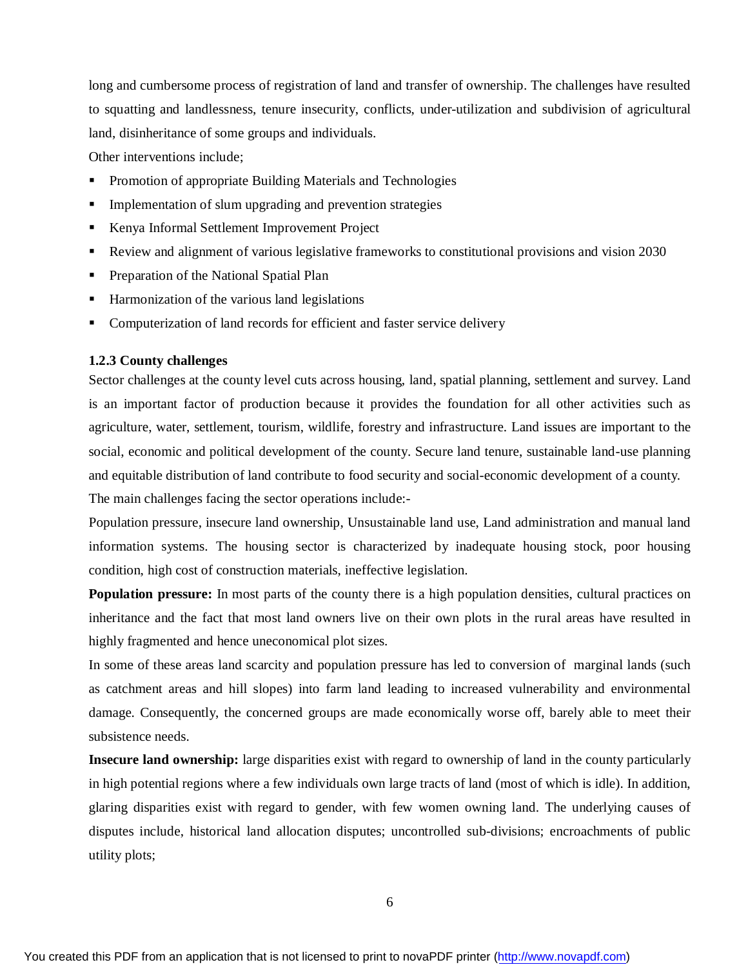long and cumbersome process of registration of land and transfer of ownership. The challenges have resulted to squatting and landlessness, tenure insecurity, conflicts, under-utilization and subdivision of agricultural land, disinheritance of some groups and individuals.

Other interventions include;

- Promotion of appropriate Building Materials and Technologies
- **Implementation of slum upgrading and prevention strategies**
- Kenya Informal Settlement Improvement Project
- Review and alignment of various legislative frameworks to constitutional provisions and vision 2030
- **•** Preparation of the National Spatial Plan
- Harmonization of the various land legislations
- Computerization of land records for efficient and faster service delivery

#### **1.2.3 County challenges**

Sector challenges at the county level cuts across housing, land, spatial planning, settlement and survey. Land is an important factor of production because it provides the foundation for all other activities such as agriculture, water, settlement, tourism, wildlife, forestry and infrastructure. Land issues are important to the social, economic and political development of the county. Secure land tenure, sustainable land-use planning and equitable distribution of land contribute to food security and social-economic development of a county.

The main challenges facing the sector operations include:-

Population pressure, insecure land ownership, Unsustainable land use, Land administration and manual land information systems. The housing sector is characterized by inadequate housing stock, poor housing condition, high cost of construction materials, ineffective legislation.

**Population pressure:** In most parts of the county there is a high population densities, cultural practices on inheritance and the fact that most land owners live on their own plots in the rural areas have resulted in highly fragmented and hence uneconomical plot sizes.

In some of these areas land scarcity and population pressure has led to conversion of marginal lands (such as catchment areas and hill slopes) into farm land leading to increased vulnerability and environmental damage. Consequently, the concerned groups are made economically worse off, barely able to meet their subsistence needs.

**Insecure land ownership:** large disparities exist with regard to ownership of land in the county particularly in high potential regions where a few individuals own large tracts of land (most of which is idle). In addition, glaring disparities exist with regard to gender, with few women owning land. The underlying causes of disputes include, historical land allocation disputes; uncontrolled sub-divisions; encroachments of public utility plots;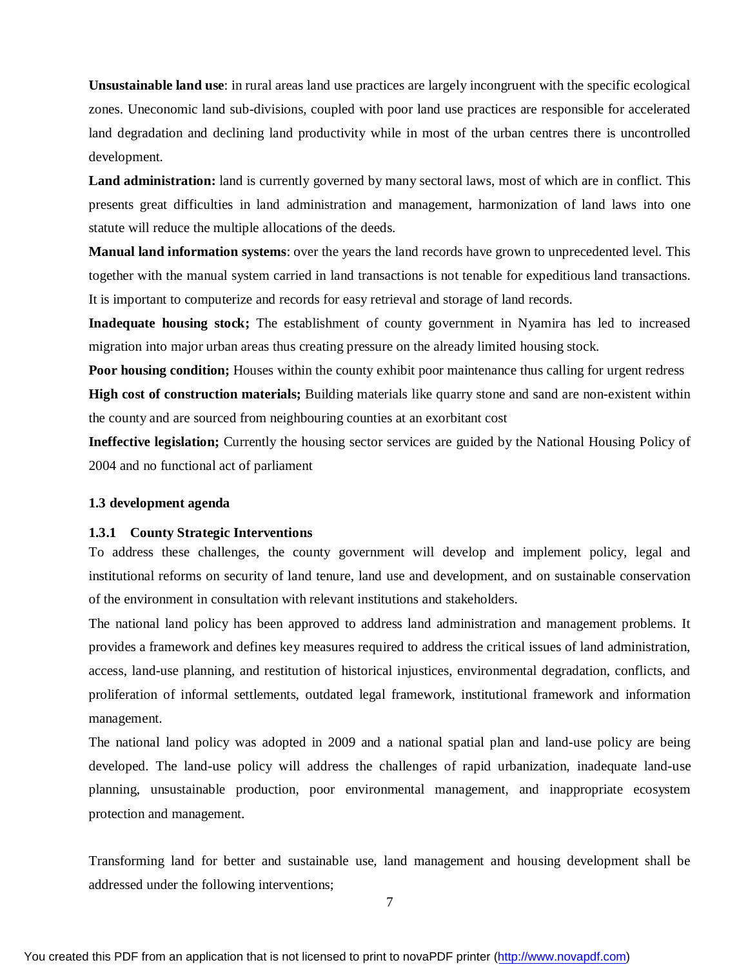**Unsustainable land use**: in rural areas land use practices are largely incongruent with the specific ecological zones. Uneconomic land sub-divisions, coupled with poor land use practices are responsible for accelerated land degradation and declining land productivity while in most of the urban centres there is uncontrolled development.

**Land administration:** land is currently governed by many sectoral laws, most of which are in conflict. This presents great difficulties in land administration and management, harmonization of land laws into one statute will reduce the multiple allocations of the deeds.

**Manual land information systems**: over the years the land records have grown to unprecedented level. This together with the manual system carried in land transactions is not tenable for expeditious land transactions. It is important to computerize and records for easy retrieval and storage of land records.

**Inadequate housing stock;** The establishment of county government in Nyamira has led to increased migration into major urban areas thus creating pressure on the already limited housing stock.

**Poor housing condition;** Houses within the county exhibit poor maintenance thus calling for urgent redress **High cost of construction materials;** Building materials like quarry stone and sand are non-existent within the county and are sourced from neighbouring counties at an exorbitant cost

**Ineffective legislation;** Currently the housing sector services are guided by the National Housing Policy of 2004 and no functional act of parliament

#### **1.3 development agenda**

## **1.3.1 County Strategic Interventions**

To address these challenges, the county government will develop and implement policy, legal and institutional reforms on security of land tenure, land use and development, and on sustainable conservation of the environment in consultation with relevant institutions and stakeholders.

The national land policy has been approved to address land administration and management problems. It provides a framework and defines key measures required to address the critical issues of land administration, access, land-use planning, and restitution of historical injustices, environmental degradation, conflicts, and proliferation of informal settlements, outdated legal framework, institutional framework and information management.

The national land policy was adopted in 2009 and a national spatial plan and land-use policy are being developed. The land-use policy will address the challenges of rapid urbanization, inadequate land-use planning, unsustainable production, poor environmental management, and inappropriate ecosystem protection and management.

Transforming land for better and sustainable use, land management and housing development shall be addressed under the following interventions;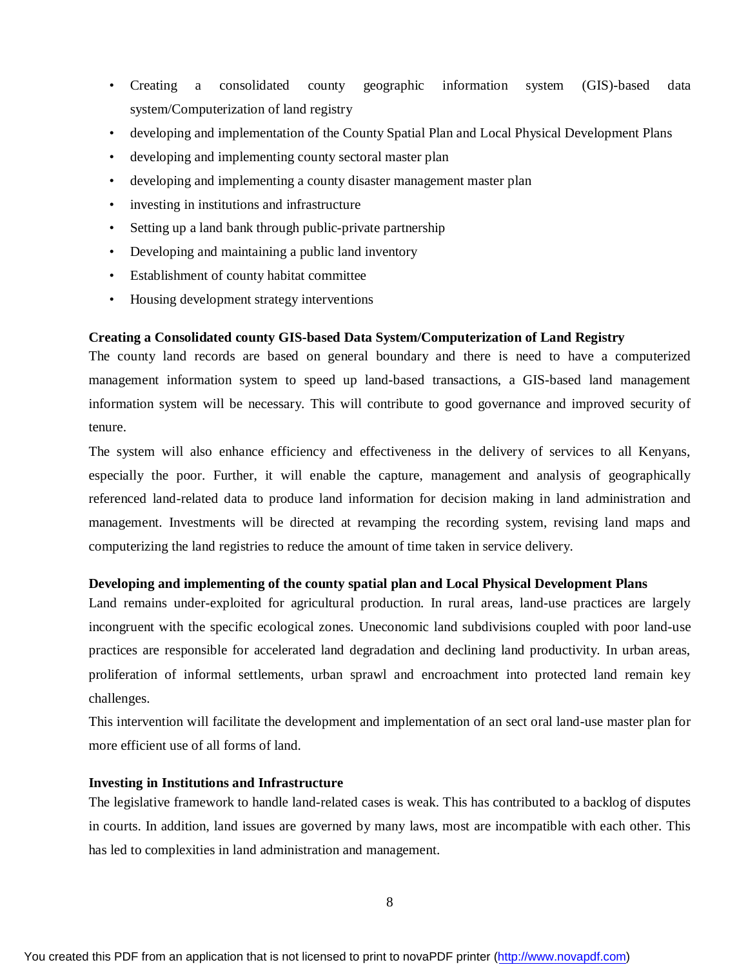- Creating a consolidated county geographic information system (GIS)-based data system/Computerization of land registry
- developing and implementation of the County Spatial Plan and Local Physical Development Plans
- developing and implementing county sectoral master plan
- developing and implementing a county disaster management master plan
- investing in institutions and infrastructure
- Setting up a land bank through public-private partnership
- Developing and maintaining a public land inventory
- Establishment of county habitat committee
- Housing development strategy interventions

## **Creating a Consolidated county GIS-based Data System/Computerization of Land Registry**

The county land records are based on general boundary and there is need to have a computerized management information system to speed up land-based transactions, a GIS-based land management information system will be necessary. This will contribute to good governance and improved security of tenure.

The system will also enhance efficiency and effectiveness in the delivery of services to all Kenyans, especially the poor. Further, it will enable the capture, management and analysis of geographically referenced land-related data to produce land information for decision making in land administration and management. Investments will be directed at revamping the recording system, revising land maps and computerizing the land registries to reduce the amount of time taken in service delivery.

## **Developing and implementing of the county spatial plan and Local Physical Development Plans**

Land remains under-exploited for agricultural production. In rural areas, land-use practices are largely incongruent with the specific ecological zones. Uneconomic land subdivisions coupled with poor land-use practices are responsible for accelerated land degradation and declining land productivity. In urban areas, proliferation of informal settlements, urban sprawl and encroachment into protected land remain key challenges.

This intervention will facilitate the development and implementation of an sect oral land-use master plan for more efficient use of all forms of land.

### **Investing in Institutions and Infrastructure**

The legislative framework to handle land-related cases is weak. This has contributed to a backlog of disputes in courts. In addition, land issues are governed by many laws, most are incompatible with each other. This has led to complexities in land administration and management.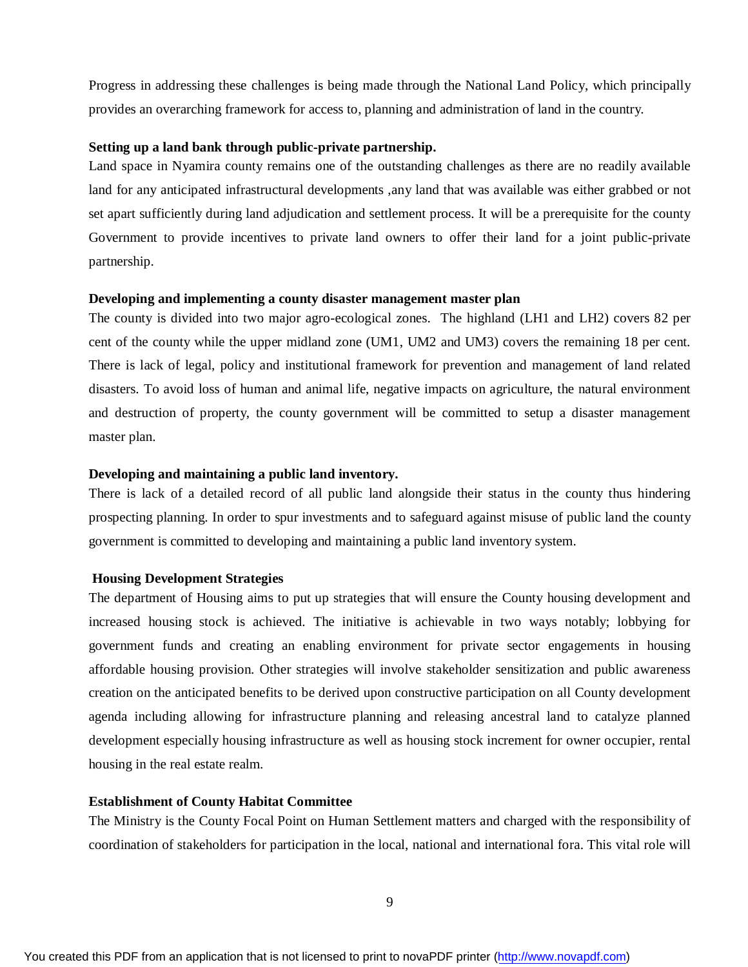Progress in addressing these challenges is being made through the National Land Policy, which principally provides an overarching framework for access to, planning and administration of land in the country.

#### **Setting up a land bank through public-private partnership.**

Land space in Nyamira county remains one of the outstanding challenges as there are no readily available land for any anticipated infrastructural developments ,any land that was available was either grabbed or not set apart sufficiently during land adjudication and settlement process. It will be a prerequisite for the county Government to provide incentives to private land owners to offer their land for a joint public-private partnership.

## **Developing and implementing a county disaster management master plan**

The county is divided into two major agro-ecological zones. The highland (LH1 and LH2) covers 82 per cent of the county while the upper midland zone (UM1, UM2 and UM3) covers the remaining 18 per cent. There is lack of legal, policy and institutional framework for prevention and management of land related disasters. To avoid loss of human and animal life, negative impacts on agriculture, the natural environment and destruction of property, the county government will be committed to setup a disaster management master plan.

#### **Developing and maintaining a public land inventory.**

There is lack of a detailed record of all public land alongside their status in the county thus hindering prospecting planning. In order to spur investments and to safeguard against misuse of public land the county government is committed to developing and maintaining a public land inventory system.

## **Housing Development Strategies**

The department of Housing aims to put up strategies that will ensure the County housing development and increased housing stock is achieved. The initiative is achievable in two ways notably; lobbying for government funds and creating an enabling environment for private sector engagements in housing affordable housing provision. Other strategies will involve stakeholder sensitization and public awareness creation on the anticipated benefits to be derived upon constructive participation on all County development agenda including allowing for infrastructure planning and releasing ancestral land to catalyze planned development especially housing infrastructure as well as housing stock increment for owner occupier, rental housing in the real estate realm.

## **Establishment of County Habitat Committee**

The Ministry is the County Focal Point on Human Settlement matters and charged with the responsibility of coordination of stakeholders for participation in the local, national and international fora. This vital role will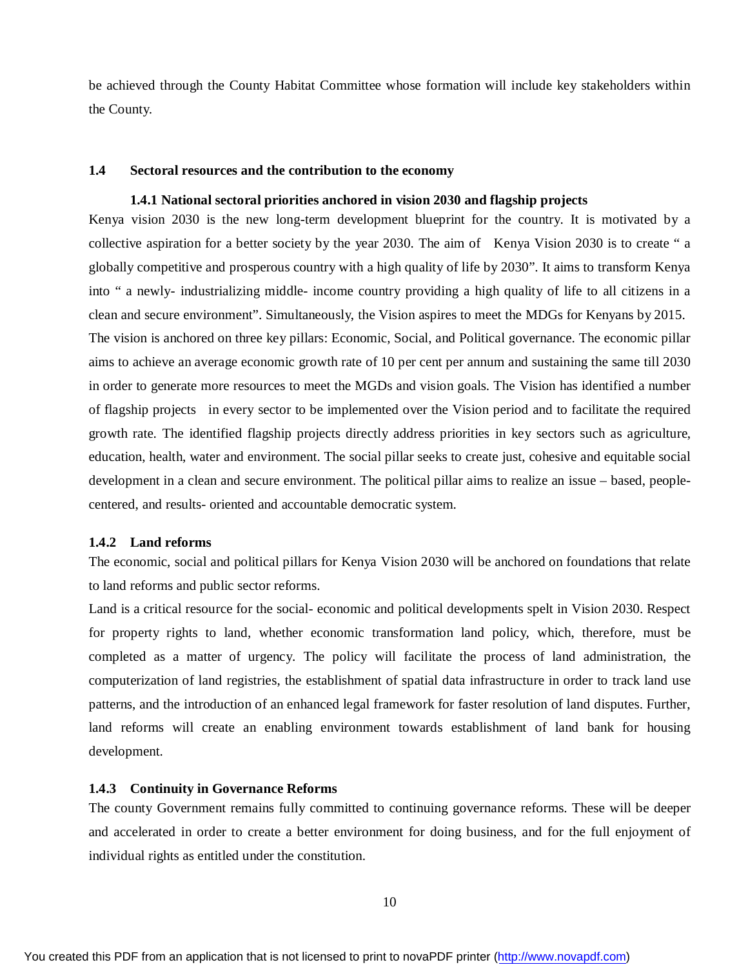be achieved through the County Habitat Committee whose formation will include key stakeholders within the County.

## **1.4 Sectoral resources and the contribution to the economy**

#### **1.4.1 National sectoral priorities anchored in vision 2030 and flagship projects**

Kenya vision 2030 is the new long-term development blueprint for the country. It is motivated by a collective aspiration for a better society by the year 2030. The aim of Kenya Vision 2030 is to create " a globally competitive and prosperous country with a high quality of life by 2030". It aims to transform Kenya into " a newly- industrializing middle- income country providing a high quality of life to all citizens in a clean and secure environment". Simultaneously, the Vision aspires to meet the MDGs for Kenyans by 2015. The vision is anchored on three key pillars: Economic, Social, and Political governance. The economic pillar aims to achieve an average economic growth rate of 10 per cent per annum and sustaining the same till 2030 in order to generate more resources to meet the MGDs and vision goals. The Vision has identified a number of flagship projects in every sector to be implemented over the Vision period and to facilitate the required growth rate. The identified flagship projects directly address priorities in key sectors such as agriculture, education, health, water and environment. The social pillar seeks to create just, cohesive and equitable social development in a clean and secure environment. The political pillar aims to realize an issue – based, peoplecentered, and results- oriented and accountable democratic system.

#### **1.4.2 Land reforms**

The economic, social and political pillars for Kenya Vision 2030 will be anchored on foundations that relate to land reforms and public sector reforms.

Land is a critical resource for the social- economic and political developments spelt in Vision 2030. Respect for property rights to land, whether economic transformation land policy, which, therefore, must be completed as a matter of urgency. The policy will facilitate the process of land administration, the computerization of land registries, the establishment of spatial data infrastructure in order to track land use patterns, and the introduction of an enhanced legal framework for faster resolution of land disputes. Further, land reforms will create an enabling environment towards establishment of land bank for housing development.

#### **1.4.3 Continuity in Governance Reforms**

The county Government remains fully committed to continuing governance reforms. These will be deeper and accelerated in order to create a better environment for doing business, and for the full enjoyment of individual rights as entitled under the constitution.

10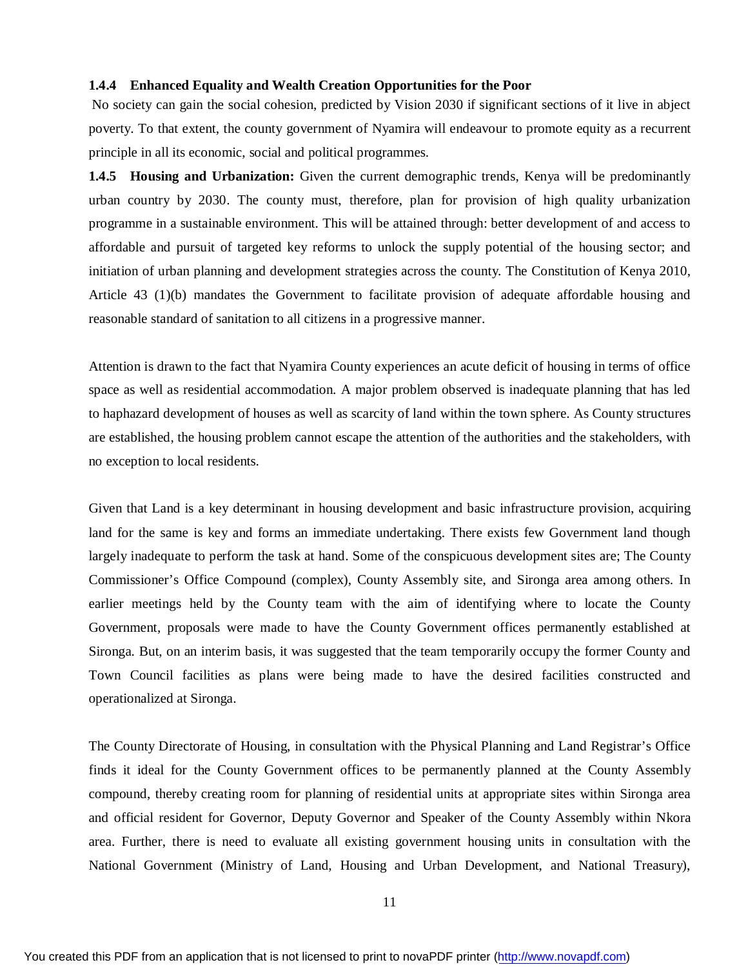#### **1.4.4 Enhanced Equality and Wealth Creation Opportunities for the Poor**

No society can gain the social cohesion, predicted by Vision 2030 if significant sections of it live in abject poverty. To that extent, the county government of Nyamira will endeavour to promote equity as a recurrent principle in all its economic, social and political programmes.

**1.4.5 Housing and Urbanization:** Given the current demographic trends, Kenya will be predominantly urban country by 2030. The county must, therefore, plan for provision of high quality urbanization programme in a sustainable environment. This will be attained through: better development of and access to affordable and pursuit of targeted key reforms to unlock the supply potential of the housing sector; and initiation of urban planning and development strategies across the county. The Constitution of Kenya 2010, Article 43 (1)(b) mandates the Government to facilitate provision of adequate affordable housing and reasonable standard of sanitation to all citizens in a progressive manner.

Attention is drawn to the fact that Nyamira County experiences an acute deficit of housing in terms of office space as well as residential accommodation. A major problem observed is inadequate planning that has led to haphazard development of houses as well as scarcity of land within the town sphere. As County structures are established, the housing problem cannot escape the attention of the authorities and the stakeholders, with no exception to local residents.

Given that Land is a key determinant in housing development and basic infrastructure provision, acquiring land for the same is key and forms an immediate undertaking. There exists few Government land though largely inadequate to perform the task at hand. Some of the conspicuous development sites are; The County Commissioner's Office Compound (complex), County Assembly site, and Sironga area among others. In earlier meetings held by the County team with the aim of identifying where to locate the County Government, proposals were made to have the County Government offices permanently established at Sironga. But, on an interim basis, it was suggested that the team temporarily occupy the former County and Town Council facilities as plans were being made to have the desired facilities constructed and operationalized at Sironga.

The County Directorate of Housing, in consultation with the Physical Planning and Land Registrar's Office finds it ideal for the County Government offices to be permanently planned at the County Assembly compound, thereby creating room for planning of residential units at appropriate sites within Sironga area and official resident for Governor, Deputy Governor and Speaker of the County Assembly within Nkora area. Further, there is need to evaluate all existing government housing units in consultation with the National Government (Ministry of Land, Housing and Urban Development, and National Treasury),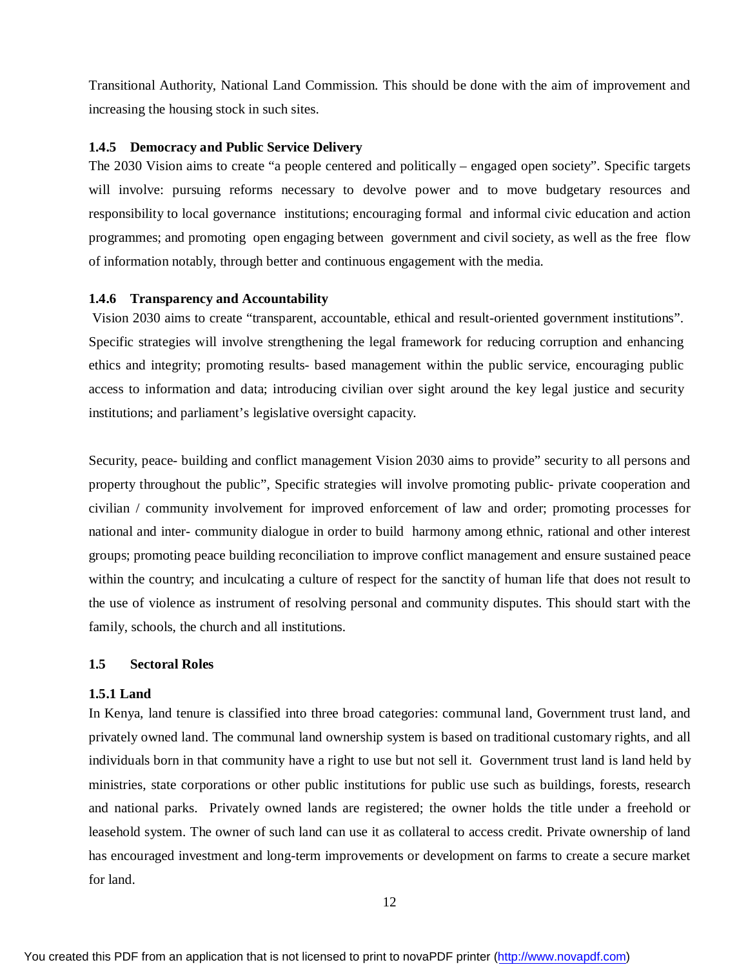Transitional Authority, National Land Commission. This should be done with the aim of improvement and increasing the housing stock in such sites.

#### **1.4.5 Democracy and Public Service Delivery**

The 2030 Vision aims to create "a people centered and politically – engaged open society". Specific targets will involve: pursuing reforms necessary to devolve power and to move budgetary resources and responsibility to local governance institutions; encouraging formal and informal civic education and action programmes; and promoting open engaging between government and civil society, as well as the free flow of information notably, through better and continuous engagement with the media.

#### **1.4.6 Transparency and Accountability**

Vision 2030 aims to create "transparent, accountable, ethical and result-oriented government institutions". Specific strategies will involve strengthening the legal framework for reducing corruption and enhancing ethics and integrity; promoting results- based management within the public service, encouraging public access to information and data; introducing civilian over sight around the key legal justice and security institutions; and parliament's legislative oversight capacity.

Security, peace- building and conflict management Vision 2030 aims to provide" security to all persons and property throughout the public", Specific strategies will involve promoting public- private cooperation and civilian / community involvement for improved enforcement of law and order; promoting processes for national and inter- community dialogue in order to build harmony among ethnic, rational and other interest groups; promoting peace building reconciliation to improve conflict management and ensure sustained peace within the country; and inculcating a culture of respect for the sanctity of human life that does not result to the use of violence as instrument of resolving personal and community disputes. This should start with the family, schools, the church and all institutions.

## **1.5 Sectoral Roles**

#### **1.5.1 Land**

In Kenya, land tenure is classified into three broad categories: communal land, Government trust land, and privately owned land. The communal land ownership system is based on traditional customary rights, and all individuals born in that community have a right to use but not sell it. Government trust land is land held by ministries, state corporations or other public institutions for public use such as buildings, forests, research and national parks. Privately owned lands are registered; the owner holds the title under a freehold or leasehold system. The owner of such land can use it as collateral to access credit. Private ownership of land has encouraged investment and long-term improvements or development on farms to create a secure market for land.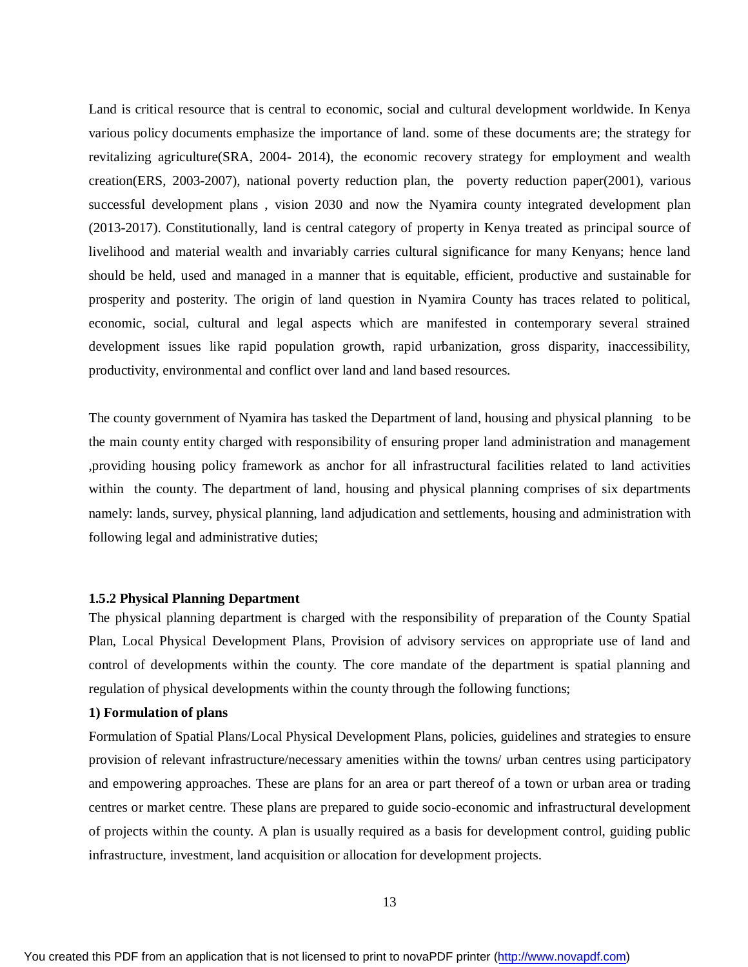Land is critical resource that is central to economic, social and cultural development worldwide. In Kenya various policy documents emphasize the importance of land. some of these documents are; the strategy for revitalizing agriculture(SRA, 2004- 2014), the economic recovery strategy for employment and wealth creation(ERS, 2003-2007), national poverty reduction plan, the poverty reduction paper(2001), various successful development plans , vision 2030 and now the Nyamira county integrated development plan (2013-2017). Constitutionally, land is central category of property in Kenya treated as principal source of livelihood and material wealth and invariably carries cultural significance for many Kenyans; hence land should be held, used and managed in a manner that is equitable, efficient, productive and sustainable for prosperity and posterity. The origin of land question in Nyamira County has traces related to political, economic, social, cultural and legal aspects which are manifested in contemporary several strained development issues like rapid population growth, rapid urbanization, gross disparity, inaccessibility, productivity, environmental and conflict over land and land based resources.

The county government of Nyamira has tasked the Department of land, housing and physical planning to be the main county entity charged with responsibility of ensuring proper land administration and management ,providing housing policy framework as anchor for all infrastructural facilities related to land activities within the county. The department of land, housing and physical planning comprises of six departments namely: lands, survey, physical planning, land adjudication and settlements, housing and administration with following legal and administrative duties;

### **1.5.2 Physical Planning Department**

The physical planning department is charged with the responsibility of preparation of the County Spatial Plan, Local Physical Development Plans, Provision of advisory services on appropriate use of land and control of developments within the county. The core mandate of the department is spatial planning and regulation of physical developments within the county through the following functions;

## **1) Formulation of plans**

Formulation of Spatial Plans/Local Physical Development Plans, policies, guidelines and strategies to ensure provision of relevant infrastructure/necessary amenities within the towns/ urban centres using participatory and empowering approaches. These are plans for an area or part thereof of a town or urban area or trading centres or market centre. These plans are prepared to guide socio-economic and infrastructural development of projects within the county. A plan is usually required as a basis for development control, guiding public infrastructure, investment, land acquisition or allocation for development projects.

13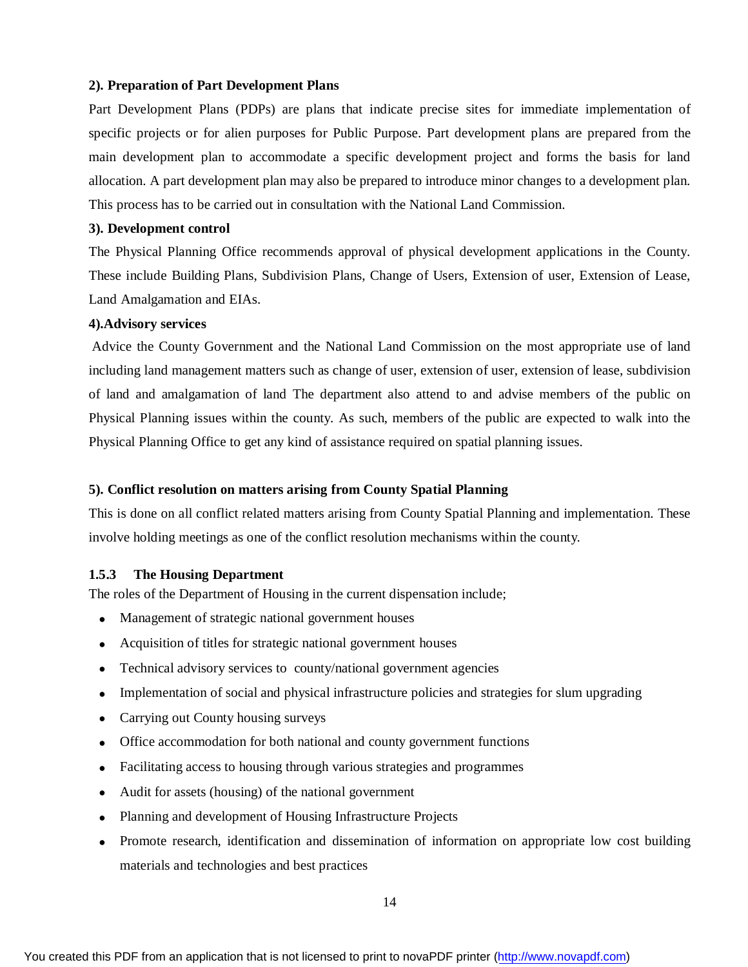#### **2). Preparation of Part Development Plans**

Part Development Plans (PDPs) are plans that indicate precise sites for immediate implementation of specific projects or for alien purposes for Public Purpose. Part development plans are prepared from the main development plan to accommodate a specific development project and forms the basis for land allocation. A part development plan may also be prepared to introduce minor changes to a development plan. This process has to be carried out in consultation with the National Land Commission.

### **3). Development control**

The Physical Planning Office recommends approval of physical development applications in the County. These include Building Plans, Subdivision Plans, Change of Users, Extension of user, Extension of Lease, Land Amalgamation and EIAs.

#### **4).Advisory services**

Advice the County Government and the National Land Commission on the most appropriate use of land including land management matters such as change of user, extension of user, extension of lease, subdivision of land and amalgamation of land The department also attend to and advise members of the public on Physical Planning issues within the county. As such, members of the public are expected to walk into the Physical Planning Office to get any kind of assistance required on spatial planning issues.

## **5). Conflict resolution on matters arising from County Spatial Planning**

This is done on all conflict related matters arising from County Spatial Planning and implementation. These involve holding meetings as one of the conflict resolution mechanisms within the county.

#### **1.5.3 The Housing Department**

The roles of the Department of Housing in the current dispensation include;

- Management of strategic national government houses
- Acquisition of titles for strategic national government houses
- Technical advisory services to county/national government agencies
- Implementation of social and physical infrastructure policies and strategies for slum upgrading
- Carrying out County housing surveys
- Office accommodation for both national and county government functions
- Facilitating access to housing through various strategies and programmes
- Audit for assets (housing) of the national government
- Planning and development of Housing Infrastructure Projects
- Promote research, identification and dissemination of information on appropriate low cost building materials and technologies and best practices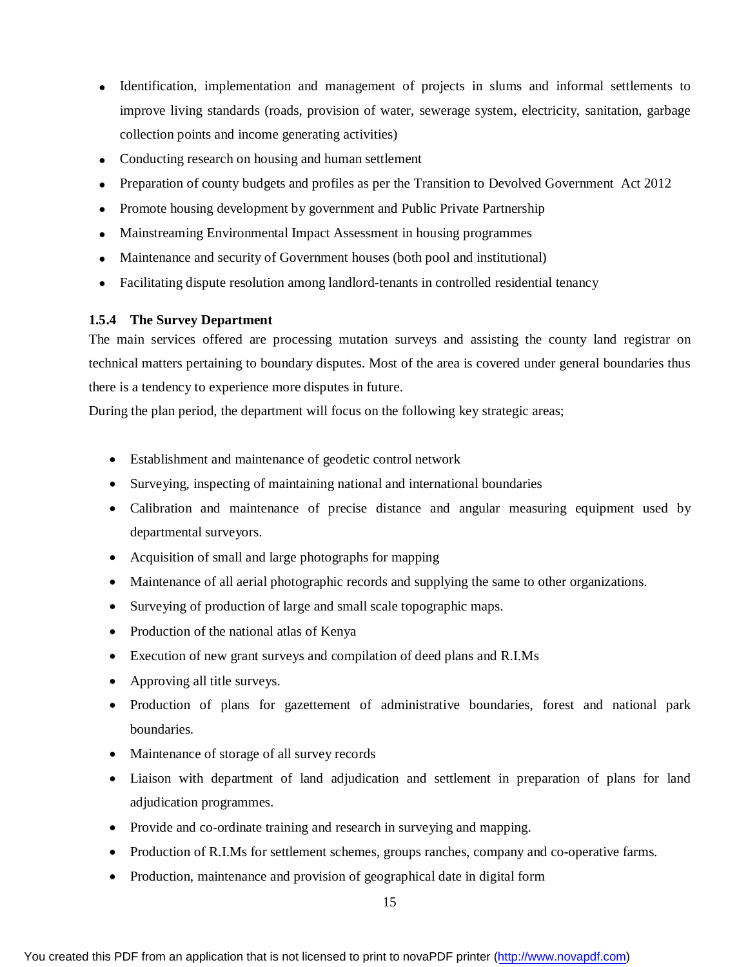- Identification, implementation and management of projects in slums and informal settlements to improve living standards (roads, provision of water, sewerage system, electricity, sanitation, garbage collection points and income generating activities)
- Conducting research on housing and human settlement
- Preparation of county budgets and profiles as per the Transition to Devolved Government Act 2012
- Promote housing development by government and Public Private Partnership
- Mainstreaming Environmental Impact Assessment in housing programmes
- Maintenance and security of Government houses (both pool and institutional)
- Facilitating dispute resolution among landlord-tenants in controlled residential tenancy

## **1.5.4 The Survey Department**

The main services offered are processing mutation surveys and assisting the county land registrar on technical matters pertaining to boundary disputes. Most of the area is covered under general boundaries thus there is a tendency to experience more disputes in future.

During the plan period, the department will focus on the following key strategic areas;

- Establishment and maintenance of geodetic control network
- Surveying, inspecting of maintaining national and international boundaries
- Calibration and maintenance of precise distance and angular measuring equipment used by departmental surveyors.
- Acquisition of small and large photographs for mapping
- Maintenance of all aerial photographic records and supplying the same to other organizations.
- Surveying of production of large and small scale topographic maps.
- Production of the national atlas of Kenya
- Execution of new grant surveys and compilation of deed plans and R.I.Ms
- Approving all title surveys.
- Production of plans for gazettement of administrative boundaries, forest and national park **boundaries**
- Maintenance of storage of all survey records
- Liaison with department of land adjudication and settlement in preparation of plans for land adjudication programmes.
- Provide and co-ordinate training and research in surveying and mapping.
- Production of R.I.Ms for settlement schemes, groups ranches, company and co-operative farms.
- Production, maintenance and provision of geographical date in digital form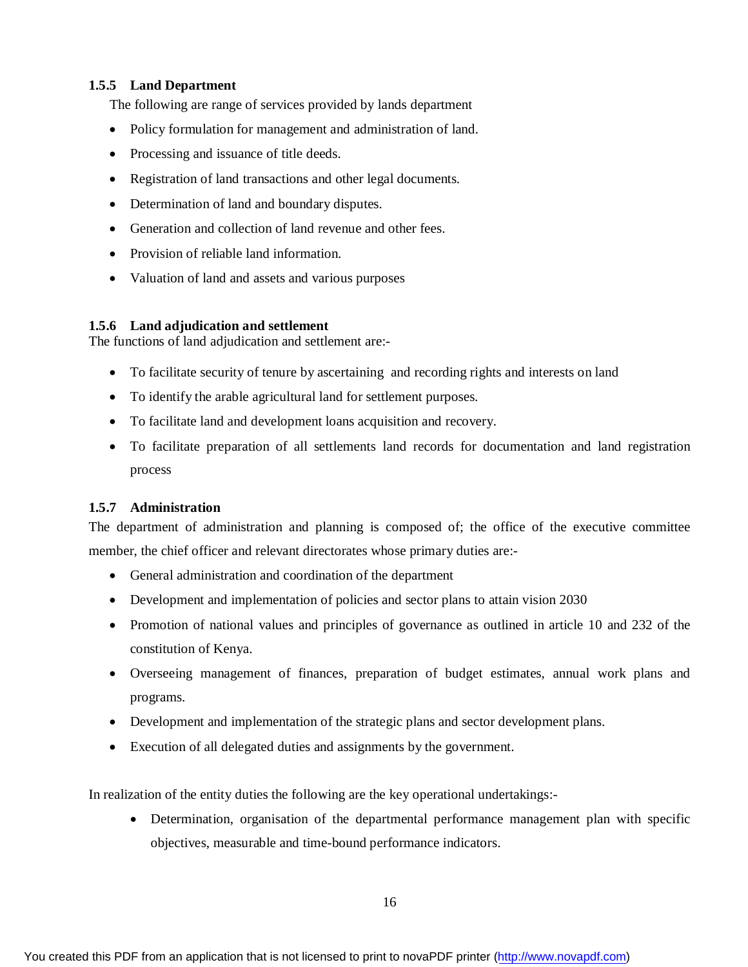## **1.5.5 Land Department**

The following are range of services provided by lands department

- Policy formulation for management and administration of land.
- Processing and issuance of title deeds.
- Registration of land transactions and other legal documents.
- Determination of land and boundary disputes.
- Generation and collection of land revenue and other fees.
- Provision of reliable land information.
- Valuation of land and assets and various purposes

## **1.5.6 Land adjudication and settlement**

The functions of land adjudication and settlement are:-

- To facilitate security of tenure by ascertaining and recording rights and interests on land
- To identify the arable agricultural land for settlement purposes.
- To facilitate land and development loans acquisition and recovery.
- To facilitate preparation of all settlements land records for documentation and land registration process

## **1.5.7 Administration**

The department of administration and planning is composed of; the office of the executive committee member, the chief officer and relevant directorates whose primary duties are:-

- General administration and coordination of the department
- Development and implementation of policies and sector plans to attain vision 2030
- Promotion of national values and principles of governance as outlined in article 10 and 232 of the constitution of Kenya.
- Overseeing management of finances, preparation of budget estimates, annual work plans and programs.
- Development and implementation of the strategic plans and sector development plans.
- Execution of all delegated duties and assignments by the government.

In realization of the entity duties the following are the key operational undertakings:-

 Determination, organisation of the departmental performance management plan with specific objectives, measurable and time-bound performance indicators.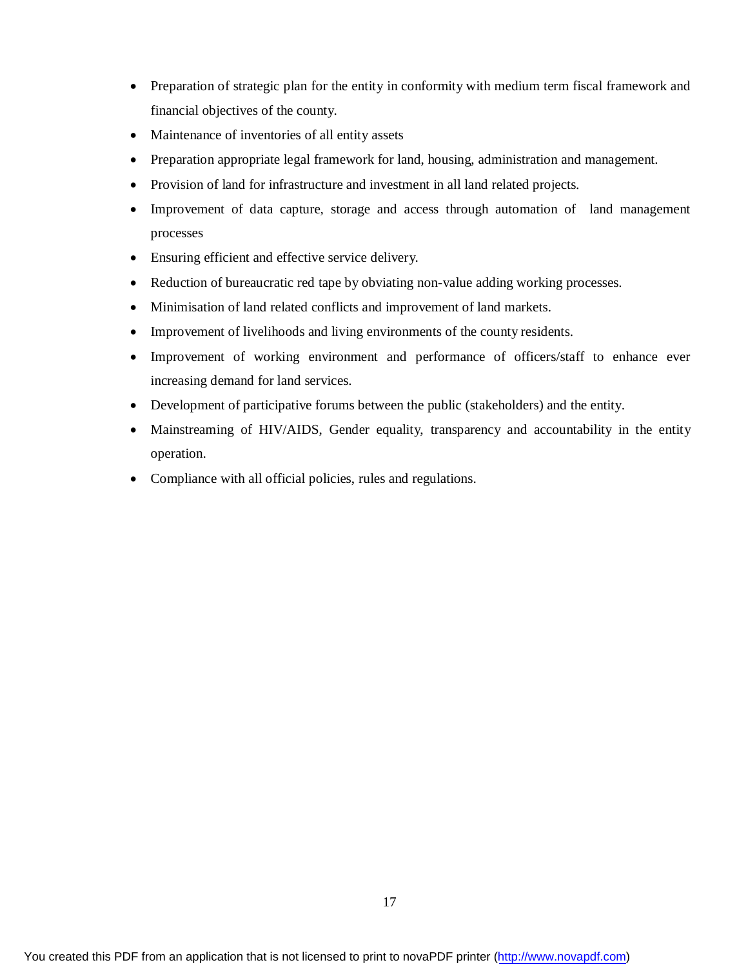- Preparation of strategic plan for the entity in conformity with medium term fiscal framework and financial objectives of the county.
- Maintenance of inventories of all entity assets
- Preparation appropriate legal framework for land, housing, administration and management.
- Provision of land for infrastructure and investment in all land related projects.
- Improvement of data capture, storage and access through automation of land management processes
- Ensuring efficient and effective service delivery.
- Reduction of bureaucratic red tape by obviating non-value adding working processes.
- Minimisation of land related conflicts and improvement of land markets.
- Improvement of livelihoods and living environments of the county residents.
- Improvement of working environment and performance of officers/staff to enhance ever increasing demand for land services.
- Development of participative forums between the public (stakeholders) and the entity.
- Mainstreaming of HIV/AIDS, Gender equality, transparency and accountability in the entity operation.
- Compliance with all official policies, rules and regulations.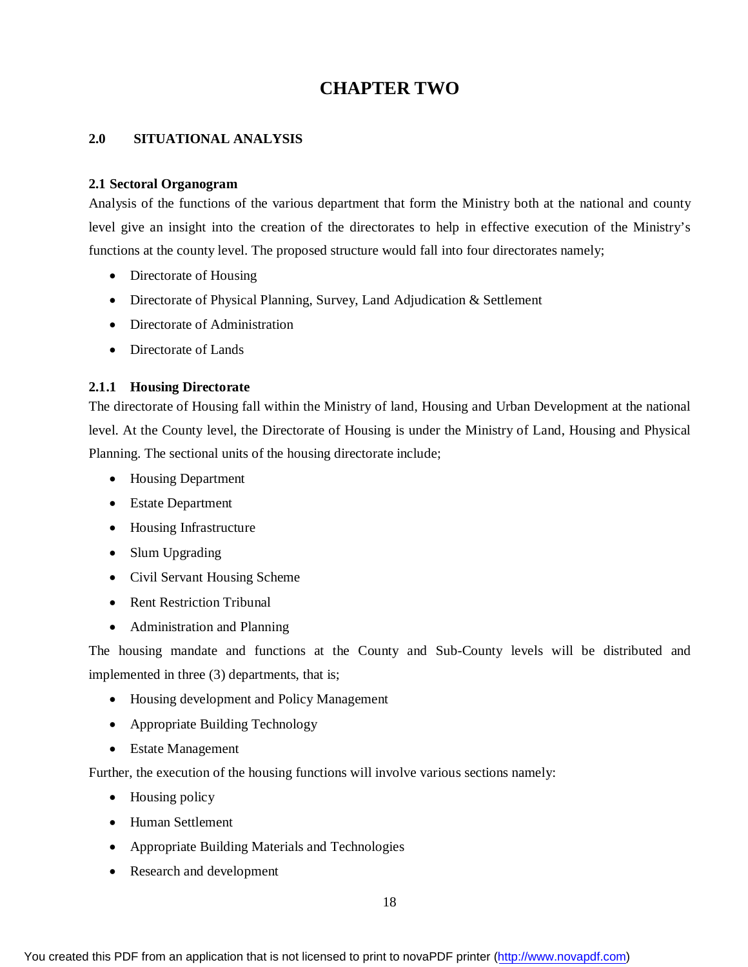# **CHAPTER TWO**

## **2.0 SITUATIONAL ANALYSIS**

## **2.1 Sectoral Organogram**

Analysis of the functions of the various department that form the Ministry both at the national and county level give an insight into the creation of the directorates to help in effective execution of the Ministry's functions at the county level. The proposed structure would fall into four directorates namely;

- Directorate of Housing
- Directorate of Physical Planning, Survey, Land Adjudication & Settlement
- Directorate of Administration
- Directorate of Lands

## **2.1.1 Housing Directorate**

The directorate of Housing fall within the Ministry of land, Housing and Urban Development at the national level. At the County level, the Directorate of Housing is under the Ministry of Land, Housing and Physical Planning. The sectional units of the housing directorate include;

- Housing Department
- Estate Department
- Housing Infrastructure
- Slum Upgrading
- Civil Servant Housing Scheme
- Rent Restriction Tribunal
- Administration and Planning

The housing mandate and functions at the County and Sub-County levels will be distributed and implemented in three (3) departments, that is;

- Housing development and Policy Management
- Appropriate Building Technology
- Estate Management

Further, the execution of the housing functions will involve various sections namely:

- Housing policy
- Human Settlement
- Appropriate Building Materials and Technologies
- Research and development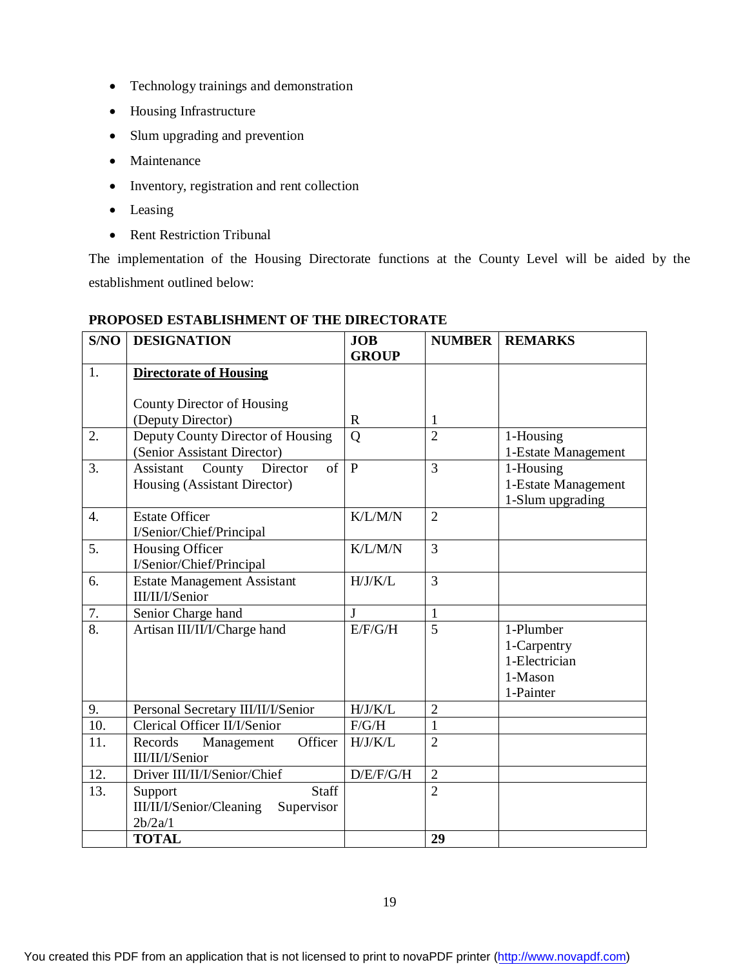- Technology trainings and demonstration
- Housing Infrastructure
- Slum upgrading and prevention
- Maintenance
- Inventory, registration and rent collection
- Leasing
- Rent Restriction Tribunal

The implementation of the Housing Directorate functions at the County Level will be aided by the establishment outlined below:

| S/NO              | <b>DESIGNATION</b>                          | <b>JOB</b>     | <b>NUMBER</b>  | <b>REMARKS</b>      |
|-------------------|---------------------------------------------|----------------|----------------|---------------------|
|                   |                                             | <b>GROUP</b>   |                |                     |
| 1.                | <b>Directorate of Housing</b>               |                |                |                     |
|                   |                                             |                |                |                     |
|                   | County Director of Housing                  |                |                |                     |
|                   | (Deputy Director)                           | $\mathbb{R}$   | 1              |                     |
| 2.                | Deputy County Director of Housing           | $\overline{Q}$ | $\overline{2}$ | 1-Housing           |
|                   | (Senior Assistant Director)                 |                |                | 1-Estate Management |
| 3.                | $\sigma$<br>Assistant<br>County<br>Director | $\overline{P}$ | 3              | 1-Housing           |
|                   | Housing (Assistant Director)                |                |                | 1-Estate Management |
|                   |                                             |                |                | 1-Slum upgrading    |
| 4.                | <b>Estate Officer</b>                       | K/L/M/N        | $\overline{2}$ |                     |
|                   | I/Senior/Chief/Principal                    |                |                |                     |
| 5.                | Housing Officer                             | K/L/M/N        | 3              |                     |
|                   | I/Senior/Chief/Principal                    |                |                |                     |
| 6.                | <b>Estate Management Assistant</b>          | H/J/K/L        | 3              |                     |
|                   | III/II/I/Senior                             |                |                |                     |
| 7.                | Senior Charge hand                          | $\mathbf{J}$   | $\mathbf{1}$   |                     |
| $\overline{8}$ .  | Artisan III/II/I/Charge hand                | E/F/G/H        | 5              | 1-Plumber           |
|                   |                                             |                |                | 1-Carpentry         |
|                   |                                             |                |                | 1-Electrician       |
|                   |                                             |                |                | 1-Mason             |
|                   |                                             |                |                | 1-Painter           |
| 9.                | Personal Secretary III/II/I/Senior          | H/J/K/L        | $\overline{2}$ |                     |
| $\overline{10}$ . | Clerical Officer II/I/Senior                | F/G/H          | 1              |                     |
| 11.               | Officer<br>Records<br>Management            | H/J/K/L        | $\overline{2}$ |                     |
|                   | III/II/I/Senior                             |                |                |                     |
| 12.               | Driver III/II/I/Senior/Chief                | D/E/F/G/H      | $\overline{2}$ |                     |
| 13.               | Staff<br>Support                            |                | $\overline{2}$ |                     |
|                   | Supervisor<br>III/II/I/Senior/Cleaning      |                |                |                     |
|                   | 2b/2a/1                                     |                |                |                     |
|                   | <b>TOTAL</b>                                |                | 29             |                     |

## **PROPOSED ESTABLISHMENT OF THE DIRECTORATE**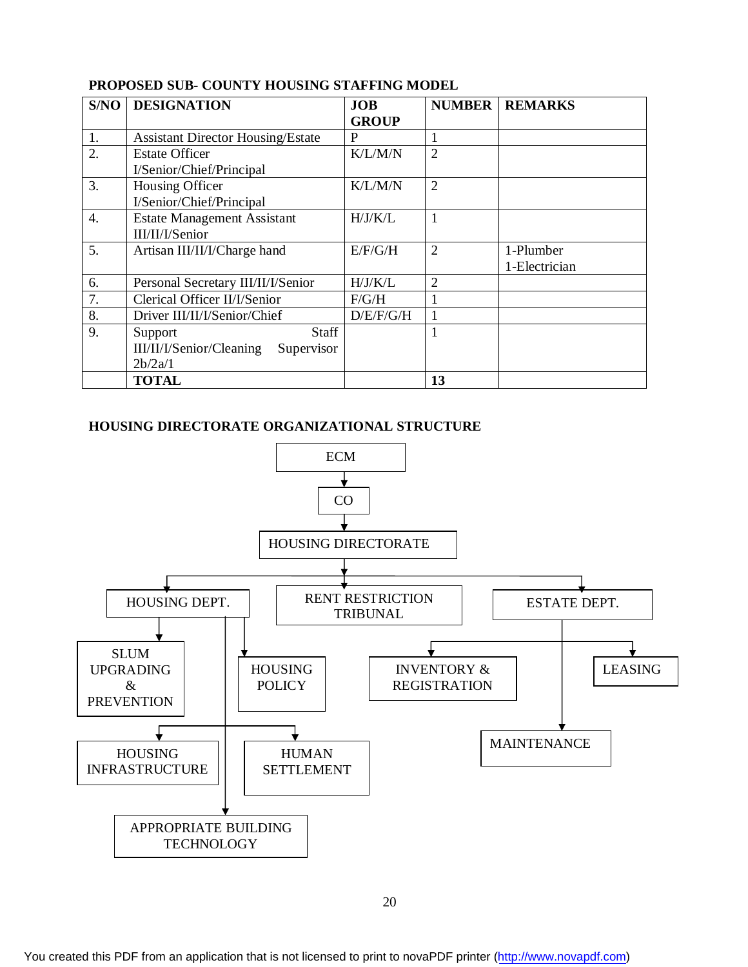| S/NO             | <b>DESIGNATION</b>                       | <b>JOB</b><br><b>GROUP</b> | <b>NUMBER</b>  | <b>REMARKS</b> |
|------------------|------------------------------------------|----------------------------|----------------|----------------|
| 1.               | <b>Assistant Director Housing/Estate</b> | P                          |                |                |
| 2.               | <b>Estate Officer</b>                    | K/L/M/N                    | $\overline{2}$ |                |
|                  | I/Senior/Chief/Principal                 |                            |                |                |
| 3.               | Housing Officer                          | K/L/M/N                    | $\overline{2}$ |                |
|                  | I/Senior/Chief/Principal                 |                            |                |                |
| $\overline{4}$ . | <b>Estate Management Assistant</b>       | H/J/K/L                    | 1              |                |
|                  | III/II/I/Senior                          |                            |                |                |
| 5.               | Artisan III/II/I/Charge hand             | E/F/G/H                    | $\overline{2}$ | 1-Plumber      |
|                  |                                          |                            |                | 1-Electrician  |
| 6.               | Personal Secretary III/II/I/Senior       | H/J/K/L                    | $\overline{2}$ |                |
| 7.               | Clerical Officer II/I/Senior             | F/G/H                      |                |                |
| 8.               | Driver III/II/I/Senior/Chief             | D/E/F/G/H                  | 1              |                |
| 9.               | <b>Staff</b><br>Support                  |                            |                |                |
|                  | III/II/I/Senior/Cleaning<br>Supervisor   |                            |                |                |
|                  | 2b/2a/1                                  |                            |                |                |
|                  | <b>TOTAL</b>                             |                            | 13             |                |

## **PROPOSED SUB- COUNTY HOUSING STAFFING MODEL**

## **HOUSING DIRECTORATE ORGANIZATIONAL STRUCTURE**



You created this PDF from an application that is not licensed to print to novaPDF printer ([http://www.novapdf.com\)](http://www.novapdf.com)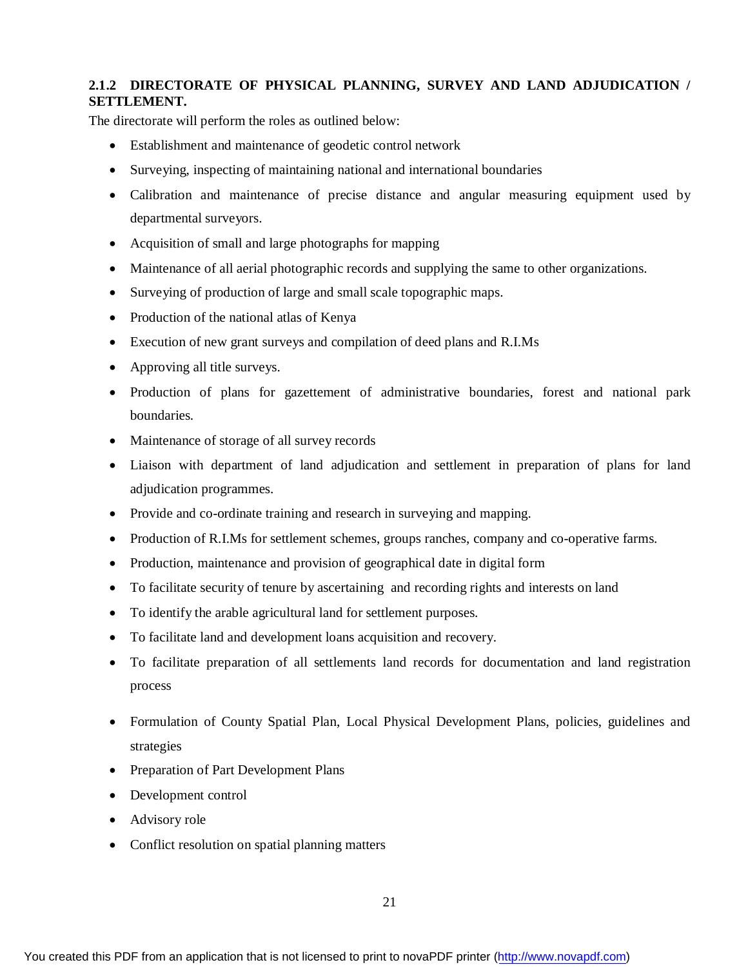# **2.1.2 DIRECTORATE OF PHYSICAL PLANNING, SURVEY AND LAND ADJUDICATION / SETTLEMENT.**

The directorate will perform the roles as outlined below:

- Establishment and maintenance of geodetic control network
- Surveying, inspecting of maintaining national and international boundaries
- Calibration and maintenance of precise distance and angular measuring equipment used by departmental surveyors.
- Acquisition of small and large photographs for mapping
- Maintenance of all aerial photographic records and supplying the same to other organizations.
- Surveying of production of large and small scale topographic maps.
- Production of the national atlas of Kenya
- Execution of new grant surveys and compilation of deed plans and R.I.Ms
- Approving all title surveys.
- Production of plans for gazettement of administrative boundaries, forest and national park boundaries.
- Maintenance of storage of all survey records
- Liaison with department of land adjudication and settlement in preparation of plans for land adjudication programmes.
- Provide and co-ordinate training and research in surveying and mapping.
- Production of R.I.Ms for settlement schemes, groups ranches, company and co-operative farms.
- Production, maintenance and provision of geographical date in digital form
- To facilitate security of tenure by ascertaining and recording rights and interests on land
- To identify the arable agricultural land for settlement purposes.
- To facilitate land and development loans acquisition and recovery.
- To facilitate preparation of all settlements land records for documentation and land registration process
- Formulation of County Spatial Plan, Local Physical Development Plans, policies, guidelines and strategies
- Preparation of Part Development Plans
- Development control
- Advisory role
- Conflict resolution on spatial planning matters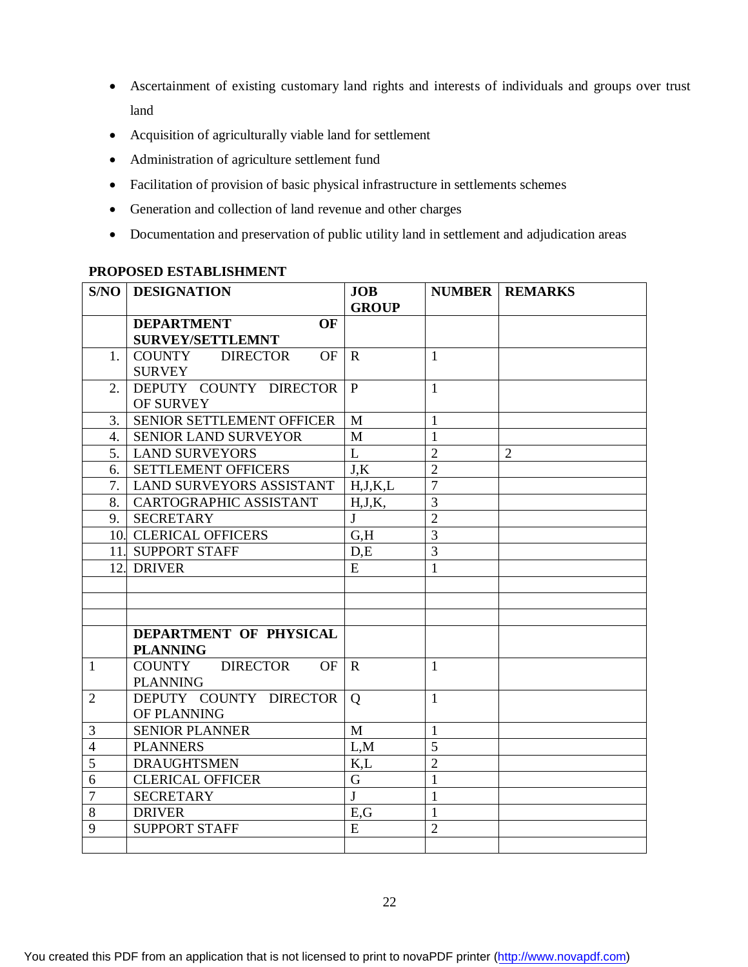- Ascertainment of existing customary land rights and interests of individuals and groups over trust land
- Acquisition of agriculturally viable land for settlement
- Administration of agriculture settlement fund
- Facilitation of provision of basic physical infrastructure in settlements schemes
- Generation and collection of land revenue and other charges
- Documentation and preservation of public utility land in settlement and adjudication areas

## **PROPOSED ESTABLISHMENT**

| S/NO           | <b>DESIGNATION</b>                     | <b>JOB</b>     |                | <b>NUMBER   REMARKS</b> |
|----------------|----------------------------------------|----------------|----------------|-------------------------|
|                |                                        | <b>GROUP</b>   |                |                         |
|                | <b>DEPARTMENT</b><br><b>OF</b>         |                |                |                         |
|                | <b>SURVEY/SETTLEMNT</b>                |                |                |                         |
| 1.             | COUNTY<br><b>DIRECTOR</b><br><b>OF</b> | $\mathbf R$    | $\mathbf{1}$   |                         |
|                | <b>SURVEY</b>                          |                |                |                         |
| 2.             | DEPUTY COUNTY DIRECTOR                 | $\mathbf{P}$   | $\mathbf{1}$   |                         |
|                | OF SURVEY                              |                |                |                         |
| 3.             | SENIOR SETTLEMENT OFFICER              | M              | $\mathbf{1}$   |                         |
| 4.             | <b>SENIOR LAND SURVEYOR</b>            | M              | $\mathbf{1}$   |                         |
| 5.             | <b>LAND SURVEYORS</b>                  | $\overline{L}$ | $\overline{2}$ | $\overline{2}$          |
| 6.             | SETTLEMENT OFFICERS                    | J,K            | $\overline{2}$ |                         |
| 7.             | <b>LAND SURVEYORS ASSISTANT</b>        | H,J,K,L        | $\overline{7}$ |                         |
| 8.             | CARTOGRAPHIC ASSISTANT                 | H, J, K,       | 3              |                         |
| 9.             | <b>SECRETARY</b>                       | J              | $\overline{2}$ |                         |
|                | 10. CLERICAL OFFICERS                  | G.H            | $\overline{3}$ |                         |
|                | 11. SUPPORT STAFF                      | D,E            | 3              |                         |
|                | 12. DRIVER                             | E              | $\mathbf{1}$   |                         |
|                |                                        |                |                |                         |
|                |                                        |                |                |                         |
|                |                                        |                |                |                         |
|                | DEPARTMENT OF PHYSICAL                 |                |                |                         |
|                | <b>PLANNING</b>                        |                |                |                         |
| 1              | <b>DIRECTOR</b><br>COUNTY<br><b>OF</b> | $\mathbf R$    | $\mathbf{1}$   |                         |
|                | <b>PLANNING</b>                        |                |                |                         |
| $\overline{2}$ | DEPUTY COUNTY DIRECTOR                 | Q              | $\mathbf{1}$   |                         |
|                | OF PLANNING                            |                |                |                         |
| 3              | <b>SENIOR PLANNER</b>                  | M              | $\mathbf{1}$   |                         |
| $\overline{4}$ | <b>PLANNERS</b>                        | L,M            | 5              |                         |
| 5              | <b>DRAUGHTSMEN</b>                     | K,L            | $\overline{2}$ |                         |
| 6              | <b>CLERICAL OFFICER</b>                | G              | $\mathbf{1}$   |                         |
| $\overline{7}$ | <b>SECRETARY</b>                       | $\mathbf{J}$   | $\mathbf{1}$   |                         |
| 8              | <b>DRIVER</b>                          | E,G            | $\mathbf{1}$   |                         |
| 9              | <b>SUPPORT STAFF</b>                   | E              | $\overline{2}$ |                         |
|                |                                        |                |                |                         |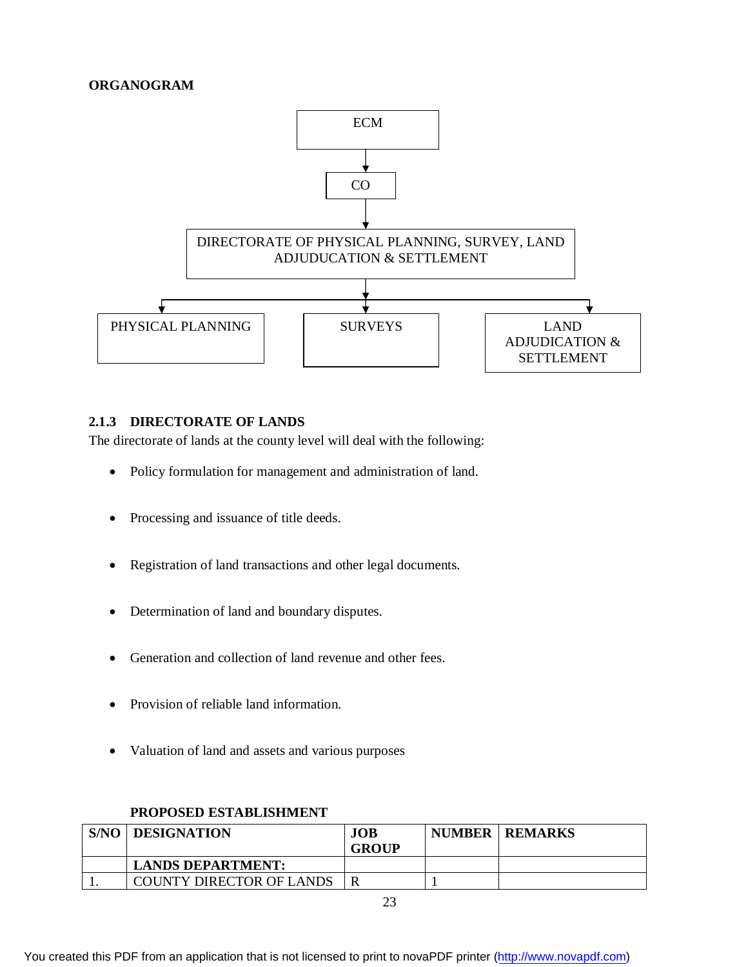## **ORGANOGRAM**



## **2.1.3 DIRECTORATE OF LANDS**

The directorate of lands at the county level will deal with the following:

- Policy formulation for management and administration of land.
- Processing and issuance of title deeds.
- Registration of land transactions and other legal documents.
- Determination of land and boundary disputes.
- Generation and collection of land revenue and other fees.
- Provision of reliable land information.
- Valuation of land and assets and various purposes

| <b>S/NO   DESIGNATION</b> | <b>JOB</b><br><b>GROUP</b> | <b>NUMBER   REMARKS</b> |
|---------------------------|----------------------------|-------------------------|
| <b>LANDS DEPARTMENT:</b>  |                            |                         |
| COUNTY DIRECTOR OF LANDS  | R                          |                         |

## **PROPOSED ESTABLISHMENT**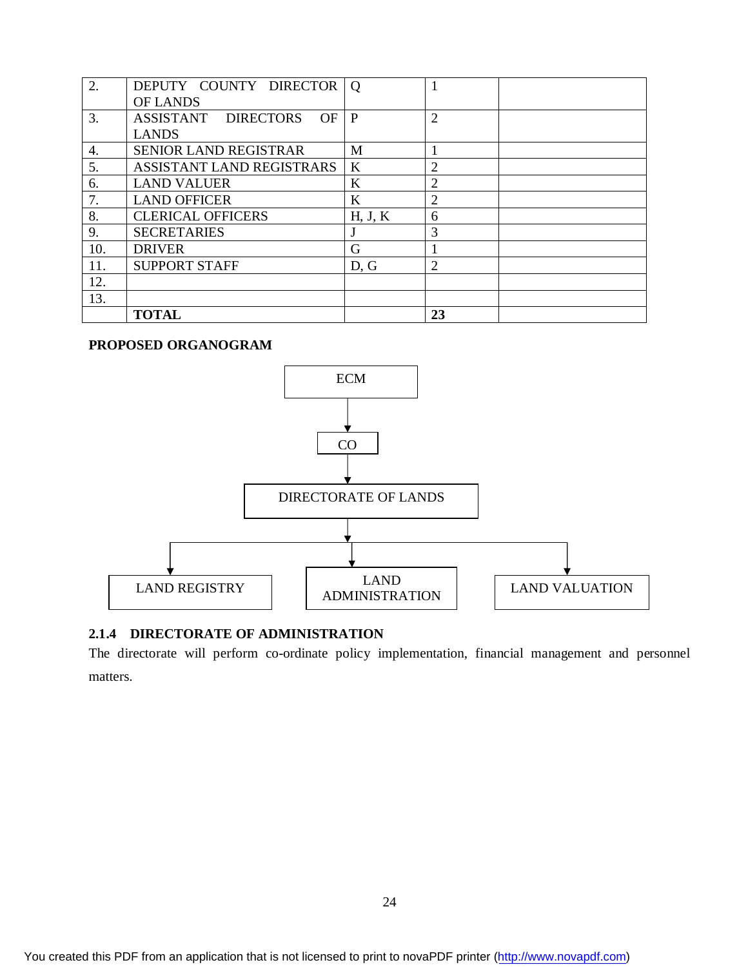| 2.  | DEPUTY COUNTY DIRECTOR       | O       |                |
|-----|------------------------------|---------|----------------|
|     | OF LANDS                     |         |                |
| 3.  | ASSISTANT DIRECTORS<br>OF    | P       | $\overline{2}$ |
|     | <b>LANDS</b>                 |         |                |
| 4.  | <b>SENIOR LAND REGISTRAR</b> | M       |                |
| 5.  | ASSISTANT LAND REGISTRARS    | K       | $\overline{2}$ |
| 6.  | <b>LAND VALUER</b>           | K       | $\overline{2}$ |
| 7.  | <b>LAND OFFICER</b>          | K       | $\overline{2}$ |
| 8.  | <b>CLERICAL OFFICERS</b>     | H, J, K | 6              |
| 9.  | <b>SECRETARIES</b>           |         | 3              |
| 10. | <b>DRIVER</b>                | G       |                |
| 11. | <b>SUPPORT STAFF</b>         | D, G    | $\overline{2}$ |
| 12. |                              |         |                |
| 13. |                              |         |                |
|     | <b>TOTAL</b>                 |         | 23             |

## **PROPOSED ORGANOGRAM**



## **2.1.4 DIRECTORATE OF ADMINISTRATION**

The directorate will perform co-ordinate policy implementation, financial management and personnel matters.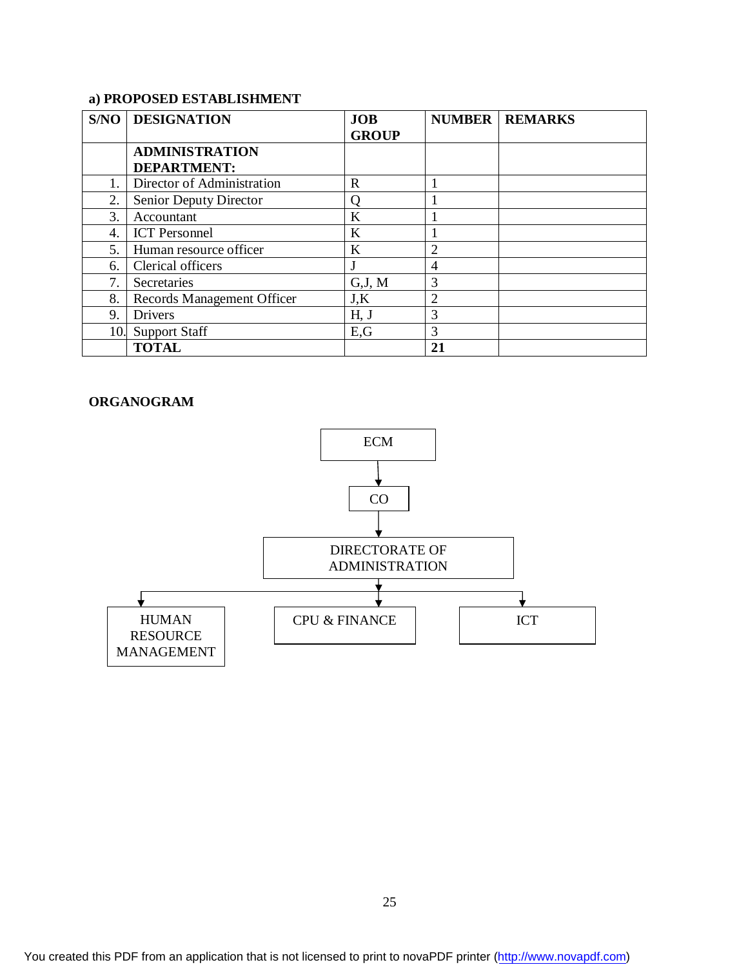## **a) PROPOSED ESTABLISHMENT**

| S/NO | <b>DESIGNATION</b>                | <b>JOB</b>   | <b>NUMBER</b>  | <b>REMARKS</b> |
|------|-----------------------------------|--------------|----------------|----------------|
|      |                                   | <b>GROUP</b> |                |                |
|      | <b>ADMINISTRATION</b>             |              |                |                |
|      | <b>DEPARTMENT:</b>                |              |                |                |
|      | Director of Administration        | R            |                |                |
| 2.   | Senior Deputy Director            |              |                |                |
| 3.   | Accountant                        | K            |                |                |
| 4.   | <b>ICT</b> Personnel              | K            |                |                |
| 5.   | Human resource officer            | K            | $\overline{2}$ |                |
| 6.   | Clerical officers                 |              | 4              |                |
| 7.   | Secretaries                       | G, J, M      | 3              |                |
| 8.   | <b>Records Management Officer</b> | J,K          | $\overline{2}$ |                |
| 9.   | Drivers                           | H, J         | 3              |                |
| 10.  | <b>Support Staff</b>              | E,G          | 3              |                |
|      | <b>TOTAL</b>                      |              | 21             |                |

## **ORGANOGRAM**

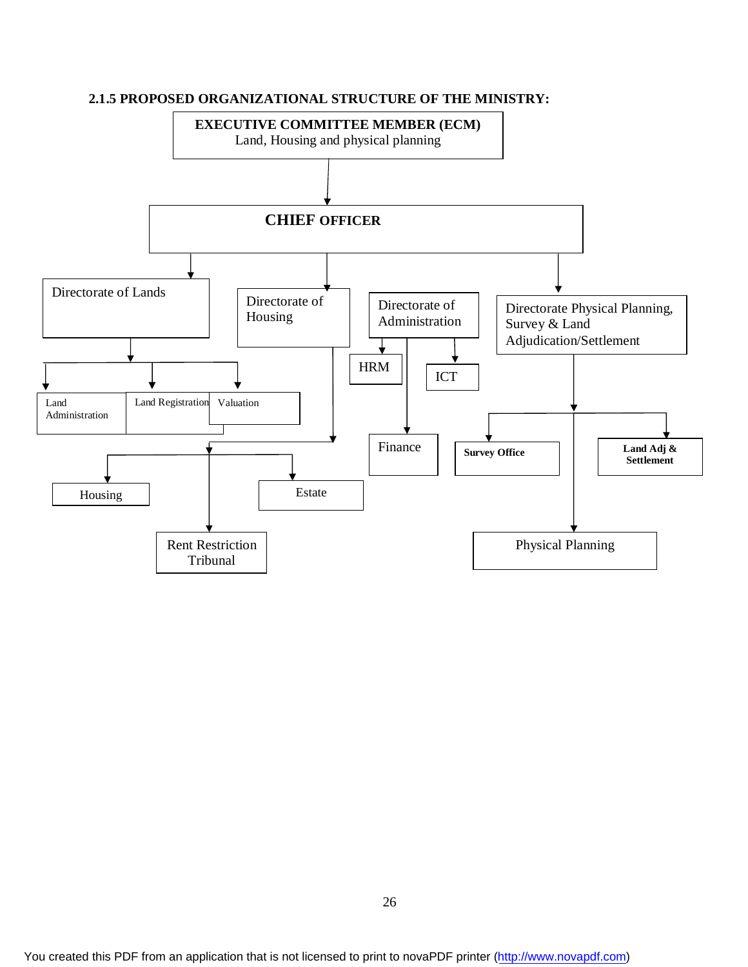

### **2.1.5 PROPOSED ORGANIZATIONAL STRUCTURE OF THE MINISTRY:**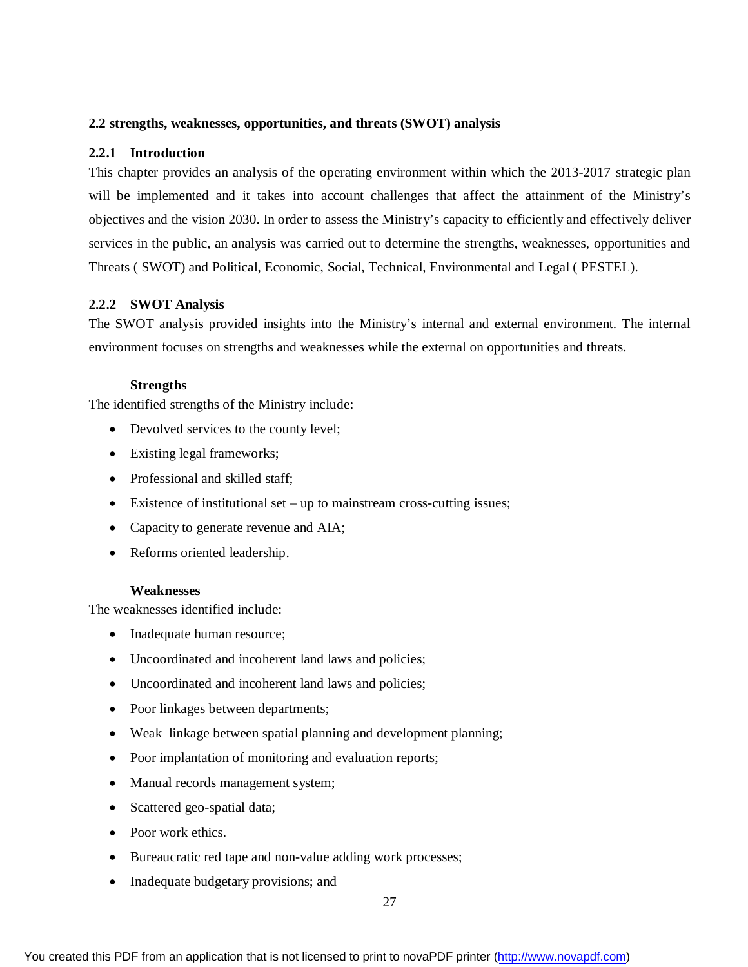## **2.2 strengths, weaknesses, opportunities, and threats (SWOT) analysis**

## **2.2.1 Introduction**

This chapter provides an analysis of the operating environment within which the 2013-2017 strategic plan will be implemented and it takes into account challenges that affect the attainment of the Ministry's objectives and the vision 2030. In order to assess the Ministry's capacity to efficiently and effectively deliver services in the public, an analysis was carried out to determine the strengths, weaknesses, opportunities and Threats ( SWOT) and Political, Economic, Social, Technical, Environmental and Legal ( PESTEL).

## **2.2.2 SWOT Analysis**

The SWOT analysis provided insights into the Ministry's internal and external environment. The internal environment focuses on strengths and weaknesses while the external on opportunities and threats.

#### **Strengths**

The identified strengths of the Ministry include:

- Devolved services to the county level;
- Existing legal frameworks;
- Professional and skilled staff;
- Existence of institutional set up to mainstream cross-cutting issues;
- Capacity to generate revenue and AIA;
- Reforms oriented leadership.

#### **Weaknesses**

The weaknesses identified include:

- Inadequate human resource;
- Uncoordinated and incoherent land laws and policies;
- Uncoordinated and incoherent land laws and policies;
- Poor linkages between departments;
- Weak linkage between spatial planning and development planning;
- Poor implantation of monitoring and evaluation reports;
- Manual records management system;
- Scattered geo-spatial data;
- Poor work ethics.
- Bureaucratic red tape and non-value adding work processes;
- Inadequate budgetary provisions; and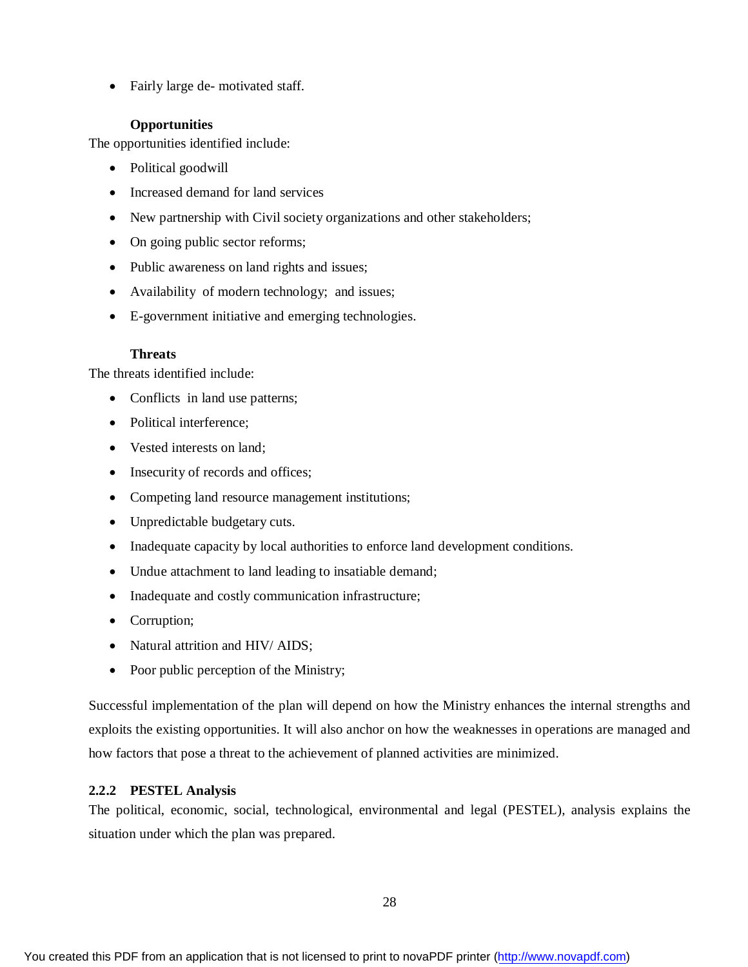• Fairly large de- motivated staff.

## **Opportunities**

The opportunities identified include:

- Political goodwill
- Increased demand for land services
- New partnership with Civil society organizations and other stakeholders;
- On going public sector reforms;
- Public awareness on land rights and issues;
- Availability of modern technology; and issues;
- E-government initiative and emerging technologies.

## **Threats**

The threats identified include:

- Conflicts in land use patterns;
- Political interference;
- Vested interests on land:
- Insecurity of records and offices;
- Competing land resource management institutions;
- Unpredictable budgetary cuts.
- Inadequate capacity by local authorities to enforce land development conditions.
- Undue attachment to land leading to insatiable demand;
- Inadequate and costly communication infrastructure;
- Corruption;
- Natural attrition and HIV/ AIDS;
- Poor public perception of the Ministry;

Successful implementation of the plan will depend on how the Ministry enhances the internal strengths and exploits the existing opportunities. It will also anchor on how the weaknesses in operations are managed and how factors that pose a threat to the achievement of planned activities are minimized.

## **2.2.2 PESTEL Analysis**

The political, economic, social, technological, environmental and legal (PESTEL), analysis explains the situation under which the plan was prepared.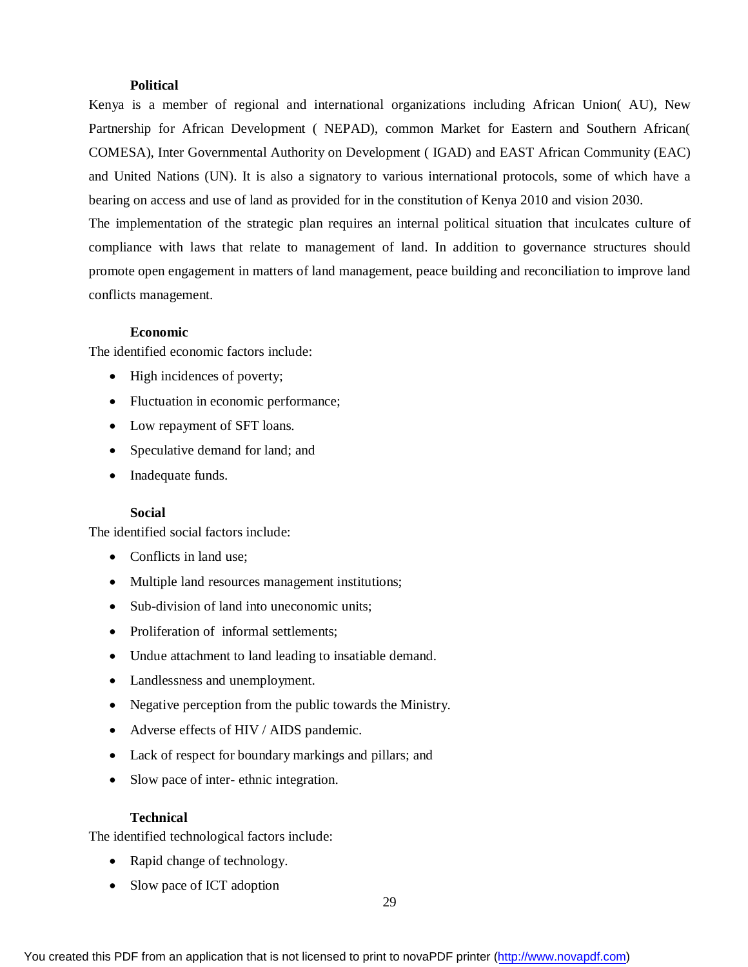#### **Political**

Kenya is a member of regional and international organizations including African Union( AU), New Partnership for African Development ( NEPAD), common Market for Eastern and Southern African( COMESA), Inter Governmental Authority on Development ( IGAD) and EAST African Community (EAC) and United Nations (UN). It is also a signatory to various international protocols, some of which have a bearing on access and use of land as provided for in the constitution of Kenya 2010 and vision 2030.

The implementation of the strategic plan requires an internal political situation that inculcates culture of compliance with laws that relate to management of land. In addition to governance structures should promote open engagement in matters of land management, peace building and reconciliation to improve land conflicts management.

#### **Economic**

The identified economic factors include:

- High incidences of poverty;
- Fluctuation in economic performance;
- Low repayment of SFT loans.
- Speculative demand for land; and
- Inadequate funds.

### **Social**

The identified social factors include:

- Conflicts in land use;
- Multiple land resources management institutions;
- Sub-division of land into uneconomic units:
- Proliferation of informal settlements;
- Undue attachment to land leading to insatiable demand.
- Landlessness and unemployment.
- Negative perception from the public towards the Ministry.
- Adverse effects of HIV / AIDS pandemic.
- Lack of respect for boundary markings and pillars; and
- Slow pace of inter- ethnic integration.

#### **Technical**

The identified technological factors include:

- Rapid change of technology.
- Slow pace of ICT adoption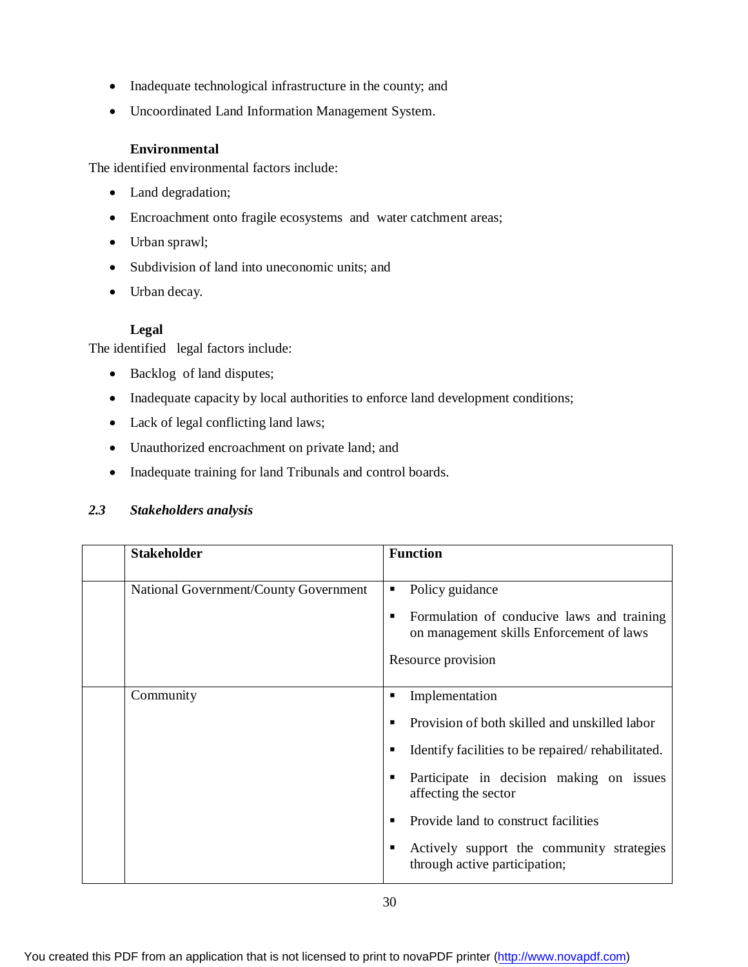- Inadequate technological infrastructure in the county; and
- Uncoordinated Land Information Management System.

## **Environmental**

The identified environmental factors include:

- Land degradation;
- Encroachment onto fragile ecosystems and water catchment areas;
- Urban sprawl;
- Subdivision of land into uneconomic units; and
- Urban decay.

## **Legal**

The identified legal factors include:

- Backlog of land disputes;
- Inadequate capacity by local authorities to enforce land development conditions;
- Lack of legal conflicting land laws;
- Unauthorized encroachment on private land; and
- Inadequate training for land Tribunals and control boards.

# *2.3 Stakeholders analysis*

| <b>Stakeholder</b>                    | <b>Function</b>                                                                                                                                                                                                                                                                                                                              |
|---------------------------------------|----------------------------------------------------------------------------------------------------------------------------------------------------------------------------------------------------------------------------------------------------------------------------------------------------------------------------------------------|
| National Government/County Government | Policy guidance<br>٠<br>Formulation of conducive laws and training<br>٠<br>on management skills Enforcement of laws<br>Resource provision                                                                                                                                                                                                    |
| Community                             | Implementation<br>٠<br>Provision of both skilled and unskilled labor<br>п<br>Identify facilities to be repaired/rehabilitated.<br>٠<br>Participate in decision making on issues<br>٠<br>affecting the sector<br>Provide land to construct facilities<br>п<br>Actively support the community strategies<br>п<br>through active participation; |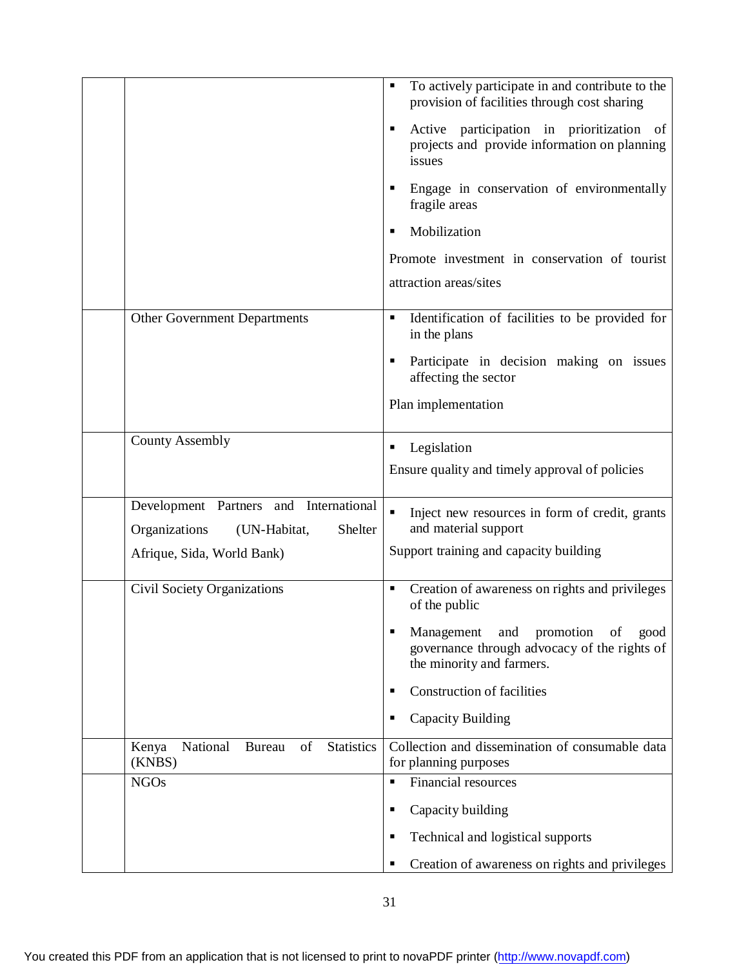|                             |                                          | To actively participate in and contribute to the<br>٠<br>provision of facilities through cost sharing                     |
|-----------------------------|------------------------------------------|---------------------------------------------------------------------------------------------------------------------------|
|                             |                                          | Active participation in prioritization<br>٠<br>- of<br>projects and provide information on planning<br>issues             |
|                             |                                          | Engage in conservation of environmentally<br>fragile areas                                                                |
|                             |                                          | Mobilization<br>٠                                                                                                         |
|                             |                                          | Promote investment in conservation of tourist                                                                             |
|                             |                                          | attraction areas/sites                                                                                                    |
|                             | <b>Other Government Departments</b>      | Identification of facilities to be provided for<br>٠<br>in the plans                                                      |
|                             |                                          | Participate in decision making on issues<br>affecting the sector                                                          |
|                             |                                          | Plan implementation                                                                                                       |
| <b>County Assembly</b>      |                                          | Legislation                                                                                                               |
|                             |                                          | Ensure quality and timely approval of policies                                                                            |
|                             | Development Partners and International   | Inject new resources in form of credit, grants                                                                            |
| Organizations               | Shelter<br>(UN-Habitat,                  | and material support                                                                                                      |
| Afrique, Sida, World Bank)  |                                          | Support training and capacity building                                                                                    |
| Civil Society Organizations |                                          | Creation of awareness on rights and privileges<br>٠<br>of the public                                                      |
|                             |                                          | promotion<br>Management<br>and<br>good<br>of<br>governance through advocacy of the rights of<br>the minority and farmers. |
|                             |                                          | <b>Construction of facilities</b><br>٠                                                                                    |
|                             |                                          | Capacity Building<br>п                                                                                                    |
| National<br>Kenya<br>(KNBS) | <b>Statistics</b><br>of<br><b>Bureau</b> | Collection and dissemination of consumable data<br>for planning purposes                                                  |
| <b>NGOs</b>                 |                                          | Financial resources<br>٠                                                                                                  |
|                             |                                          | Capacity building<br>٠                                                                                                    |
|                             |                                          | Technical and logistical supports<br>٠                                                                                    |
|                             |                                          | Creation of awareness on rights and privileges                                                                            |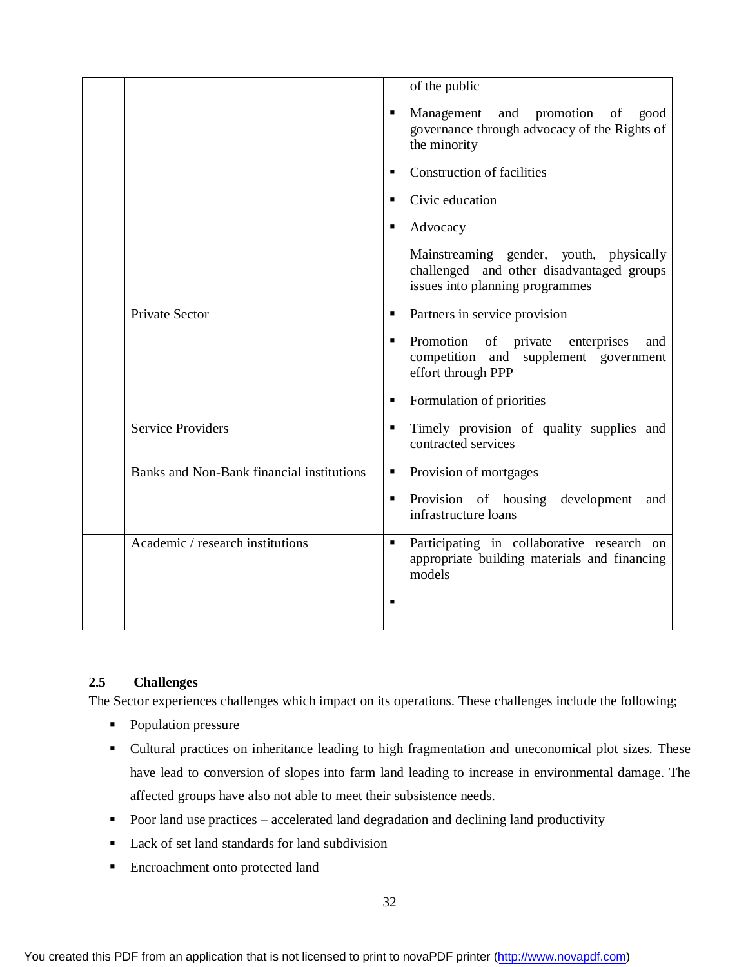|                                           | of the public                                                                                                           |
|-------------------------------------------|-------------------------------------------------------------------------------------------------------------------------|
|                                           | and promotion of good<br>Management<br>governance through advocacy of the Rights of<br>the minority                     |
|                                           | <b>Construction of facilities</b>                                                                                       |
|                                           | Civic education                                                                                                         |
|                                           | Advocacy<br>٠                                                                                                           |
|                                           | Mainstreaming gender, youth, physically<br>challenged and other disadvantaged groups<br>issues into planning programmes |
| <b>Private Sector</b>                     | Partners in service provision<br>٠                                                                                      |
|                                           | Promotion<br>of private<br>enterprises<br>and<br>٠<br>competition and supplement government<br>effort through PPP       |
|                                           | Formulation of priorities<br>٠                                                                                          |
| <b>Service Providers</b>                  | Timely provision of quality supplies and<br>٠<br>contracted services                                                    |
| Banks and Non-Bank financial institutions | Provision of mortgages<br>$\blacksquare$                                                                                |
|                                           | Provision of housing development<br>٠<br>and<br>infrastructure loans                                                    |
| Academic / research institutions          | Participating in collaborative research on<br>٠<br>appropriate building materials and financing<br>models               |
|                                           | $\blacksquare$                                                                                                          |
|                                           |                                                                                                                         |

## **2.5 Challenges**

The Sector experiences challenges which impact on its operations. These challenges include the following;

- Population pressure
- Cultural practices on inheritance leading to high fragmentation and uneconomical plot sizes. These have lead to conversion of slopes into farm land leading to increase in environmental damage. The affected groups have also not able to meet their subsistence needs.
- Poor land use practices accelerated land degradation and declining land productivity
- **Lack of set land standards for land subdivision**
- **Encroachment onto protected land**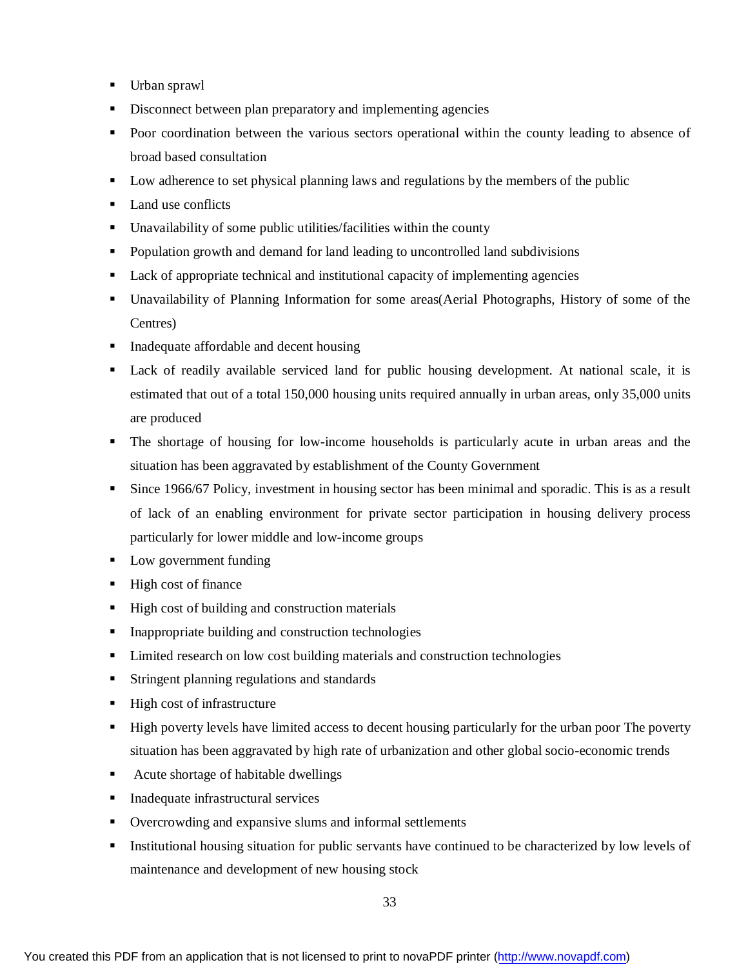- Urban sprawl
- Disconnect between plan preparatory and implementing agencies
- Poor coordination between the various sectors operational within the county leading to absence of broad based consultation
- **Low adherence to set physical planning laws and regulations by the members of the public**
- Land use conflicts
- Unavailability of some public utilities/facilities within the county
- Population growth and demand for land leading to uncontrolled land subdivisions
- **Lack of appropriate technical and institutional capacity of implementing agencies**
- Unavailability of Planning Information for some areas(Aerial Photographs, History of some of the Centres)
- **Inadequate affordable and decent housing**
- Lack of readily available serviced land for public housing development. At national scale, it is estimated that out of a total 150,000 housing units required annually in urban areas, only 35,000 units are produced
- The shortage of housing for low-income households is particularly acute in urban areas and the situation has been aggravated by establishment of the County Government
- Since 1966/67 Policy, investment in housing sector has been minimal and sporadic. This is as a result of lack of an enabling environment for private sector participation in housing delivery process particularly for lower middle and low-income groups
- Low government funding
- High cost of finance
- High cost of building and construction materials
- **Inappropriate building and construction technologies**
- **EXECUTE:** Limited research on low cost building materials and construction technologies
- Stringent planning regulations and standards
- High cost of infrastructure
- High poverty levels have limited access to decent housing particularly for the urban poor The poverty situation has been aggravated by high rate of urbanization and other global socio-economic trends
- Acute shortage of habitable dwellings
- **Inadequate infrastructural services**
- Overcrowding and expansive slums and informal settlements
- **Institutional housing situation for public servants have continued to be characterized by low levels of** maintenance and development of new housing stock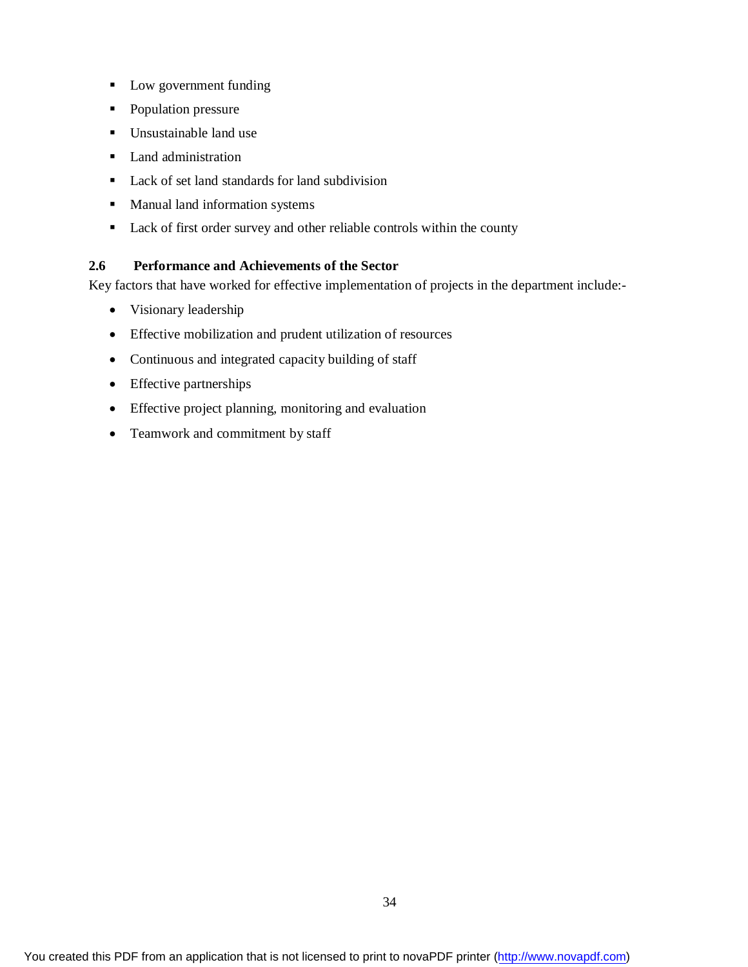- Low government funding
- Population pressure
- **Unsustainable land use**
- Land administration
- **Lack of set land standards for land subdivision**
- Manual land information systems
- Lack of first order survey and other reliable controls within the county

## **2.6 Performance and Achievements of the Sector**

Key factors that have worked for effective implementation of projects in the department include:-

- Visionary leadership
- Effective mobilization and prudent utilization of resources
- Continuous and integrated capacity building of staff
- Effective partnerships
- Effective project planning, monitoring and evaluation
- Teamwork and commitment by staff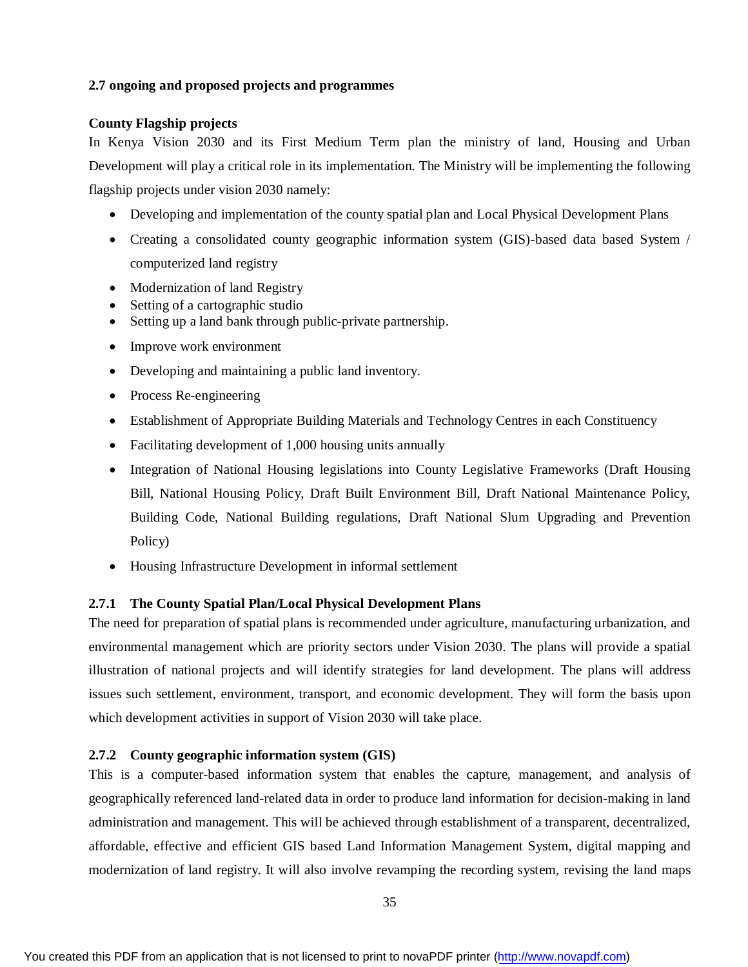## **2.7 ongoing and proposed projects and programmes**

### **County Flagship projects**

In Kenya Vision 2030 and its First Medium Term plan the ministry of land, Housing and Urban Development will play a critical role in its implementation. The Ministry will be implementing the following flagship projects under vision 2030 namely:

- Developing and implementation of the county spatial plan and Local Physical Development Plans
- Creating a consolidated county geographic information system (GIS)-based data based System / computerized land registry
- Modernization of land Registry
- Setting of a cartographic studio
- Setting up a land bank through public-private partnership.
- Improve work environment
- Developing and maintaining a public land inventory.
- Process Re-engineering
- Establishment of Appropriate Building Materials and Technology Centres in each Constituency
- Facilitating development of 1,000 housing units annually
- Integration of National Housing legislations into County Legislative Frameworks (Draft Housing Bill, National Housing Policy, Draft Built Environment Bill, Draft National Maintenance Policy, Building Code, National Building regulations, Draft National Slum Upgrading and Prevention Policy)
- Housing Infrastructure Development in informal settlement

### **2.7.1 The County Spatial Plan/Local Physical Development Plans**

The need for preparation of spatial plans is recommended under agriculture, manufacturing urbanization, and environmental management which are priority sectors under Vision 2030. The plans will provide a spatial illustration of national projects and will identify strategies for land development. The plans will address issues such settlement, environment, transport, and economic development. They will form the basis upon which development activities in support of Vision 2030 will take place.

## **2.7.2 County geographic information system (GIS)**

This is a computer-based information system that enables the capture, management, and analysis of geographically referenced land-related data in order to produce land information for decision-making in land administration and management. This will be achieved through establishment of a transparent, decentralized, affordable, effective and efficient GIS based Land Information Management System, digital mapping and modernization of land registry. It will also involve revamping the recording system, revising the land maps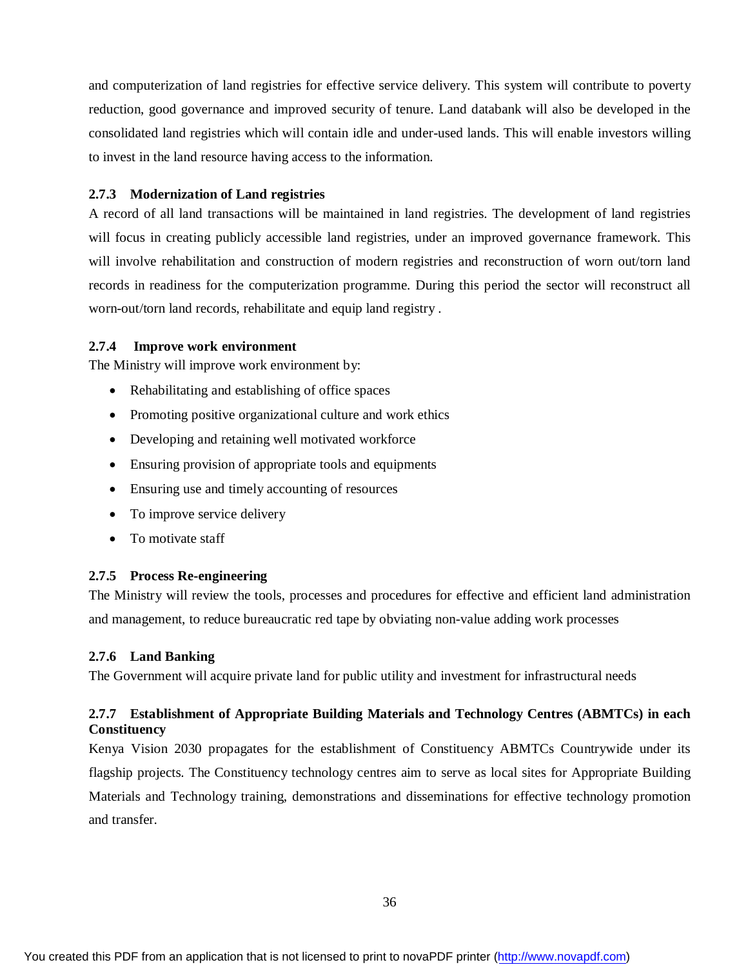and computerization of land registries for effective service delivery. This system will contribute to poverty reduction, good governance and improved security of tenure. Land databank will also be developed in the consolidated land registries which will contain idle and under-used lands. This will enable investors willing to invest in the land resource having access to the information.

#### **2.7.3 Modernization of Land registries**

A record of all land transactions will be maintained in land registries. The development of land registries will focus in creating publicly accessible land registries, under an improved governance framework. This will involve rehabilitation and construction of modern registries and reconstruction of worn out/torn land records in readiness for the computerization programme. During this period the sector will reconstruct all worn-out/torn land records, rehabilitate and equip land registry .

#### **2.7.4 Improve work environment**

The Ministry will improve work environment by:

- Rehabilitating and establishing of office spaces
- Promoting positive organizational culture and work ethics
- Developing and retaining well motivated workforce
- Ensuring provision of appropriate tools and equipments
- Ensuring use and timely accounting of resources
- To improve service delivery
- To motivate staff

### **2.7.5 Process Re-engineering**

The Ministry will review the tools, processes and procedures for effective and efficient land administration and management, to reduce bureaucratic red tape by obviating non-value adding work processes

### **2.7.6 Land Banking**

The Government will acquire private land for public utility and investment for infrastructural needs

## **2.7.7 Establishment of Appropriate Building Materials and Technology Centres (ABMTCs) in each Constituency**

Kenya Vision 2030 propagates for the establishment of Constituency ABMTCs Countrywide under its flagship projects. The Constituency technology centres aim to serve as local sites for Appropriate Building Materials and Technology training, demonstrations and disseminations for effective technology promotion and transfer.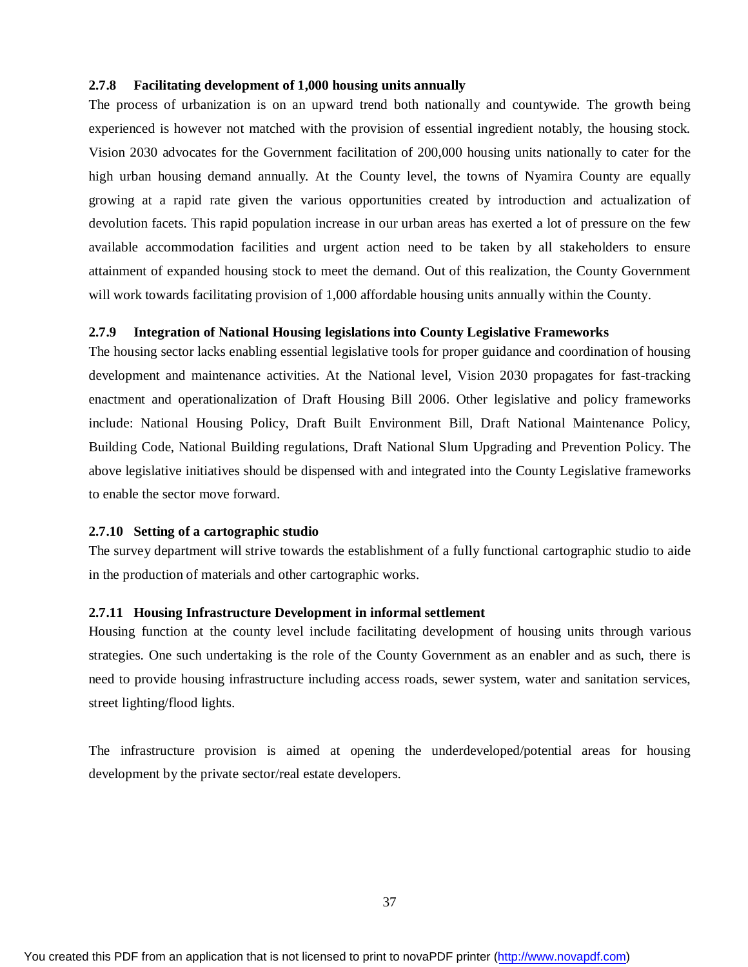#### **2.7.8 Facilitating development of 1,000 housing units annually**

The process of urbanization is on an upward trend both nationally and countywide. The growth being experienced is however not matched with the provision of essential ingredient notably, the housing stock. Vision 2030 advocates for the Government facilitation of 200,000 housing units nationally to cater for the high urban housing demand annually. At the County level, the towns of Nyamira County are equally growing at a rapid rate given the various opportunities created by introduction and actualization of devolution facets. This rapid population increase in our urban areas has exerted a lot of pressure on the few available accommodation facilities and urgent action need to be taken by all stakeholders to ensure attainment of expanded housing stock to meet the demand. Out of this realization, the County Government will work towards facilitating provision of 1,000 affordable housing units annually within the County.

#### **2.7.9 Integration of National Housing legislations into County Legislative Frameworks**

The housing sector lacks enabling essential legislative tools for proper guidance and coordination of housing development and maintenance activities. At the National level, Vision 2030 propagates for fast-tracking enactment and operationalization of Draft Housing Bill 2006. Other legislative and policy frameworks include: National Housing Policy, Draft Built Environment Bill, Draft National Maintenance Policy, Building Code, National Building regulations, Draft National Slum Upgrading and Prevention Policy. The above legislative initiatives should be dispensed with and integrated into the County Legislative frameworks to enable the sector move forward.

### **2.7.10 Setting of a cartographic studio**

The survey department will strive towards the establishment of a fully functional cartographic studio to aide in the production of materials and other cartographic works.

#### **2.7.11 Housing Infrastructure Development in informal settlement**

Housing function at the county level include facilitating development of housing units through various strategies. One such undertaking is the role of the County Government as an enabler and as such, there is need to provide housing infrastructure including access roads, sewer system, water and sanitation services, street lighting/flood lights.

The infrastructure provision is aimed at opening the underdeveloped/potential areas for housing development by the private sector/real estate developers.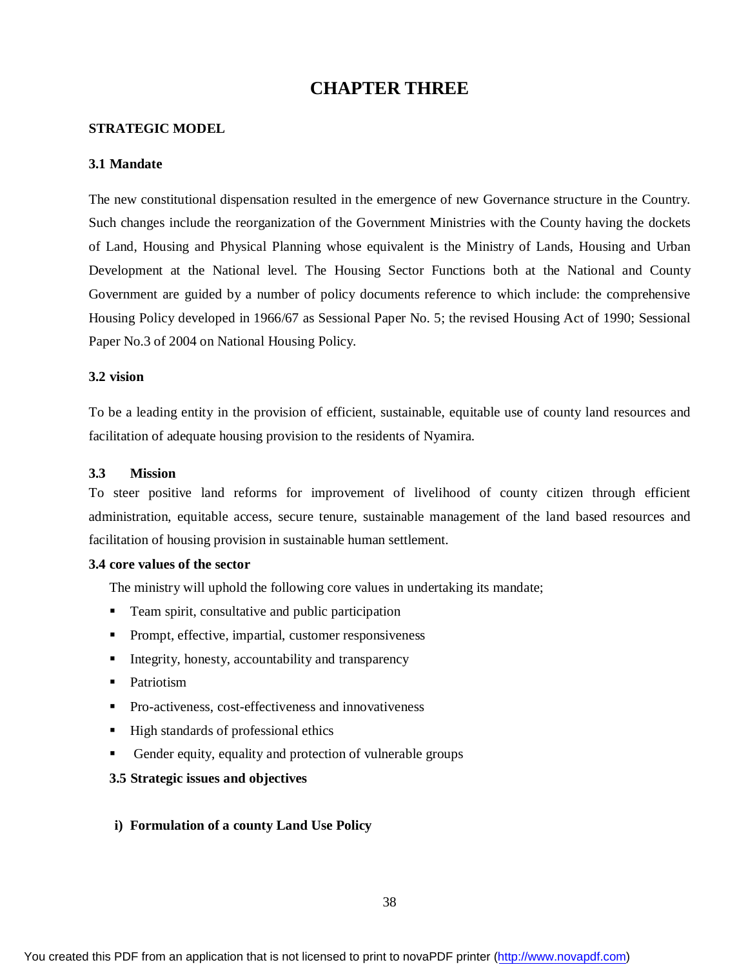# **CHAPTER THREE**

#### **STRATEGIC MODEL**

#### **3.1 Mandate**

The new constitutional dispensation resulted in the emergence of new Governance structure in the Country. Such changes include the reorganization of the Government Ministries with the County having the dockets of Land, Housing and Physical Planning whose equivalent is the Ministry of Lands, Housing and Urban Development at the National level. The Housing Sector Functions both at the National and County Government are guided by a number of policy documents reference to which include: the comprehensive Housing Policy developed in 1966/67 as Sessional Paper No. 5; the revised Housing Act of 1990; Sessional Paper No.3 of 2004 on National Housing Policy.

#### **3.2 vision**

To be a leading entity in the provision of efficient, sustainable, equitable use of county land resources and facilitation of adequate housing provision to the residents of Nyamira.

#### **3.3 Mission**

To steer positive land reforms for improvement of livelihood of county citizen through efficient administration, equitable access, secure tenure, sustainable management of the land based resources and facilitation of housing provision in sustainable human settlement.

## **3.4 core values of the sector**

The ministry will uphold the following core values in undertaking its mandate;

- **Team spirit, consultative and public participation**
- **Prompt, effective, impartial, customer responsiveness**
- Integrity, honesty, accountability and transparency
- Patriotism
- **Pro-activeness, cost-effectiveness and innovativeness**
- **High standards of professional ethics**
- Gender equity, equality and protection of vulnerable groups

### **3.5 Strategic issues and objectives**

#### **i) Formulation of a county Land Use Policy**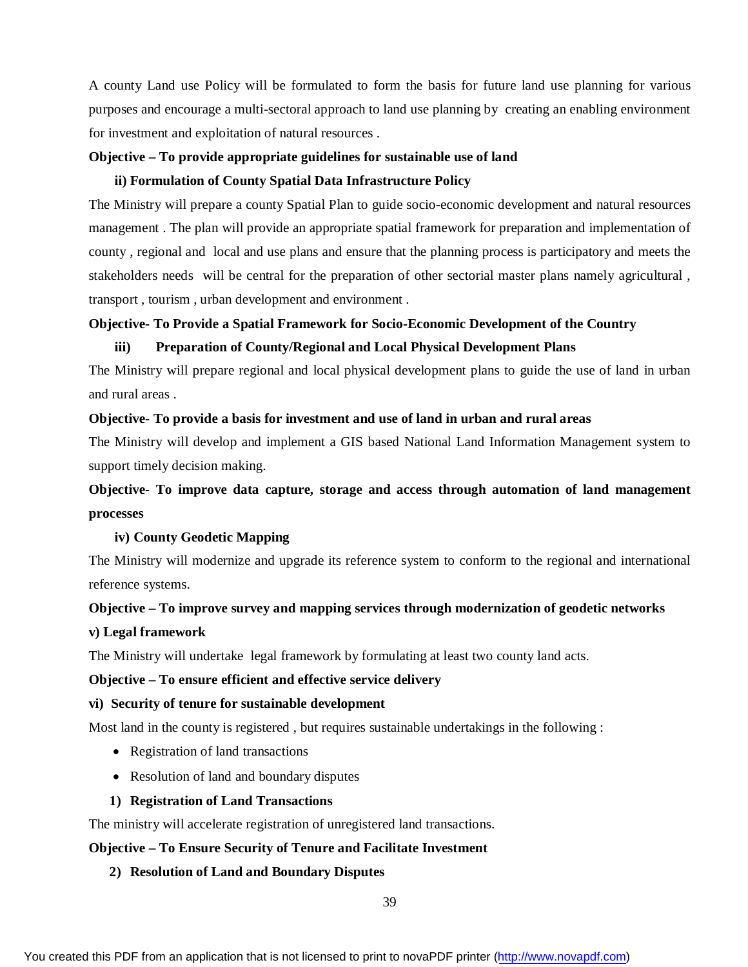A county Land use Policy will be formulated to form the basis for future land use planning for various purposes and encourage a multi-sectoral approach to land use planning by creating an enabling environment for investment and exploitation of natural resources .

# **Objective – To provide appropriate guidelines for sustainable use of land**

## **ii) Formulation of County Spatial Data Infrastructure Policy**

The Ministry will prepare a county Spatial Plan to guide socio-economic development and natural resources management . The plan will provide an appropriate spatial framework for preparation and implementation of county , regional and local and use plans and ensure that the planning process is participatory and meets the stakeholders needs will be central for the preparation of other sectorial master plans namely agricultural , transport , tourism , urban development and environment .

### **Objective- To Provide a Spatial Framework for Socio-Economic Development of the Country**

### **iii) Preparation of County/Regional and Local Physical Development Plans**

The Ministry will prepare regional and local physical development plans to guide the use of land in urban and rural areas .

#### **Objective- To provide a basis for investment and use of land in urban and rural areas**

The Ministry will develop and implement a GIS based National Land Information Management system to support timely decision making.

# **Objective- To improve data capture, storage and access through automation of land management processes**

### **iv) County Geodetic Mapping**

The Ministry will modernize and upgrade its reference system to conform to the regional and international reference systems.

# **Objective – To improve survey and mapping services through modernization of geodetic networks v) Legal framework**

The Ministry will undertake legal framework by formulating at least two county land acts.

#### **Objective – To ensure efficient and effective service delivery**

#### **vi) Security of tenure for sustainable development**

Most land in the county is registered , but requires sustainable undertakings in the following :

- Registration of land transactions
- Resolution of land and boundary disputes

#### **1) Registration of Land Transactions**

The ministry will accelerate registration of unregistered land transactions.

#### **Objective – To Ensure Security of Tenure and Facilitate Investment**

#### **2) Resolution of Land and Boundary Disputes**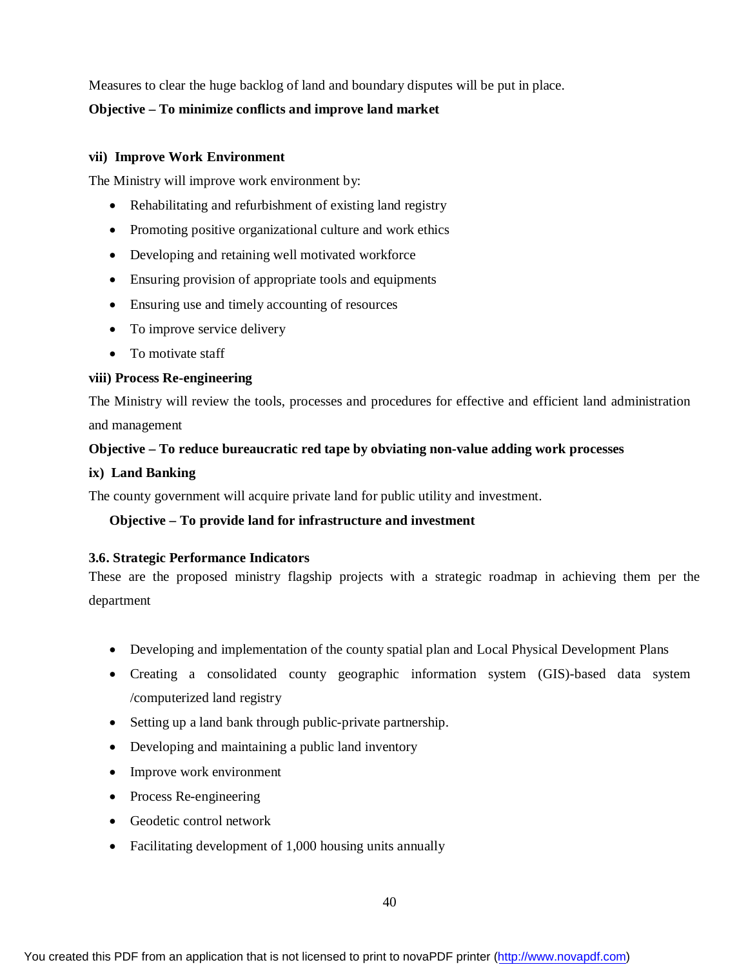Measures to clear the huge backlog of land and boundary disputes will be put in place.

## **Objective – To minimize conflicts and improve land market**

## **vii) Improve Work Environment**

The Ministry will improve work environment by:

- Rehabilitating and refurbishment of existing land registry
- Promoting positive organizational culture and work ethics
- Developing and retaining well motivated workforce
- Ensuring provision of appropriate tools and equipments
- Ensuring use and timely accounting of resources
- To improve service delivery
- To motivate staff

## **viii) Process Re-engineering**

The Ministry will review the tools, processes and procedures for effective and efficient land administration and management

## **Objective – To reduce bureaucratic red tape by obviating non-value adding work processes**

## **ix) Land Banking**

The county government will acquire private land for public utility and investment.

## **Objective – To provide land for infrastructure and investment**

## **3.6. Strategic Performance Indicators**

These are the proposed ministry flagship projects with a strategic roadmap in achieving them per the department

- Developing and implementation of the county spatial plan and Local Physical Development Plans
- Creating a consolidated county geographic information system (GIS)-based data system /computerized land registry
- Setting up a land bank through public-private partnership.
- Developing and maintaining a public land inventory
- Improve work environment
- Process Re-engineering
- Geodetic control network
- Facilitating development of 1,000 housing units annually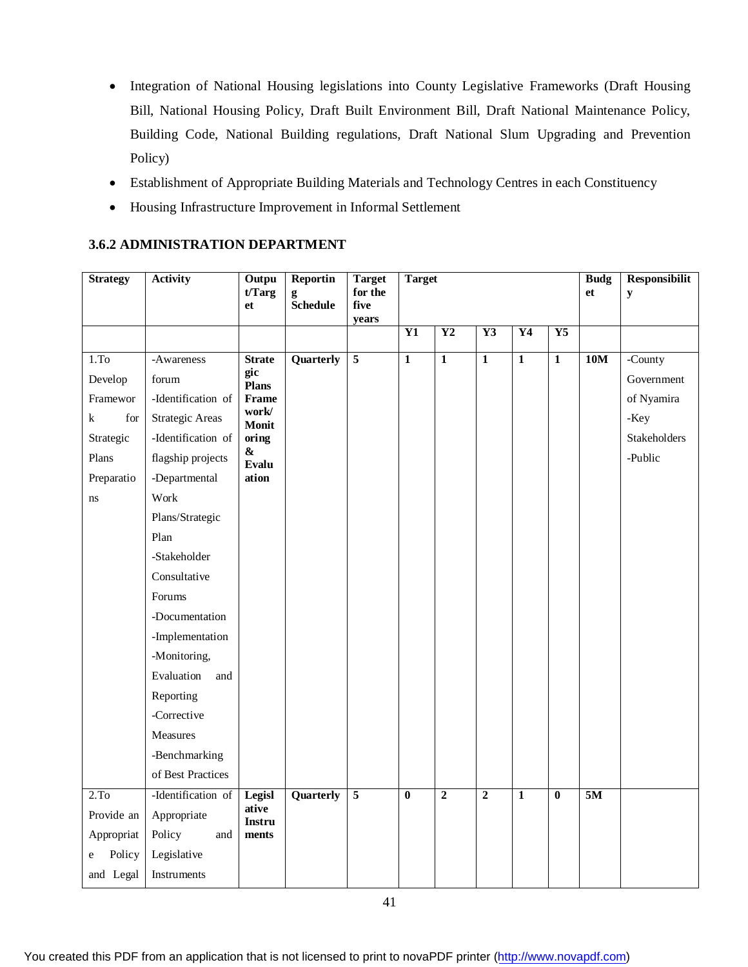- Integration of National Housing legislations into County Legislative Frameworks (Draft Housing Bill, National Housing Policy, Draft Built Environment Bill, Draft National Maintenance Policy, Building Code, National Building regulations, Draft National Slum Upgrading and Prevention Policy)
- Establishment of Appropriate Building Materials and Technology Centres in each Constituency
- Housing Infrastructure Improvement in Informal Settlement

| <b>Strategy</b>     | <b>Activity</b>    | Outpu<br>t/Targ<br>et | <b>Reportin</b><br>Schedule | <b>Target</b><br>for the<br>five<br>years | <b>Target</b>           |                 |                 |                 | <b>Budg</b><br>et       | Responsibilit<br>y |              |
|---------------------|--------------------|-----------------------|-----------------------------|-------------------------------------------|-------------------------|-----------------|-----------------|-----------------|-------------------------|--------------------|--------------|
|                     |                    |                       |                             |                                           | $\overline{Y1}$         | $\overline{Y2}$ | $\overline{Y3}$ | $\overline{Y4}$ | $\overline{Y5}$         |                    |              |
| $1.\overline{To}$   | -Awareness         | <b>Strate</b>         | Quarterly                   | $\overline{5}$                            | $\overline{1}$          | $\overline{1}$  | $\overline{1}$  | $\overline{1}$  | $\overline{1}$          | 10M                | -County      |
| Develop             | forum              | gic<br><b>Plans</b>   |                             |                                           |                         |                 |                 |                 |                         |                    | Government   |
| Framewor            | -Identification of | Frame                 |                             |                                           |                         |                 |                 |                 |                         |                    | of Nyamira   |
| for<br>k            | Strategic Areas    | work/<br><b>Monit</b> |                             |                                           |                         |                 |                 |                 |                         |                    | -Key         |
| Strategic           | -Identification of | oring                 |                             |                                           |                         |                 |                 |                 |                         |                    | Stakeholders |
| Plans               | flagship projects  | &<br>Evalu            |                             |                                           |                         |                 |                 |                 |                         |                    | -Public      |
| Preparatio          | -Departmental      | ation                 |                             |                                           |                         |                 |                 |                 |                         |                    |              |
| $\bf ns$            | Work               |                       |                             |                                           |                         |                 |                 |                 |                         |                    |              |
|                     | Plans/Strategic    |                       |                             |                                           |                         |                 |                 |                 |                         |                    |              |
|                     | Plan               |                       |                             |                                           |                         |                 |                 |                 |                         |                    |              |
|                     | -Stakeholder       |                       |                             |                                           |                         |                 |                 |                 |                         |                    |              |
|                     | Consultative       |                       |                             |                                           |                         |                 |                 |                 |                         |                    |              |
|                     | Forums             |                       |                             |                                           |                         |                 |                 |                 |                         |                    |              |
|                     | -Documentation     |                       |                             |                                           |                         |                 |                 |                 |                         |                    |              |
|                     | -Implementation    |                       |                             |                                           |                         |                 |                 |                 |                         |                    |              |
|                     | -Monitoring,       |                       |                             |                                           |                         |                 |                 |                 |                         |                    |              |
|                     | Evaluation<br>and  |                       |                             |                                           |                         |                 |                 |                 |                         |                    |              |
|                     | Reporting          |                       |                             |                                           |                         |                 |                 |                 |                         |                    |              |
|                     | -Corrective        |                       |                             |                                           |                         |                 |                 |                 |                         |                    |              |
|                     | <b>Measures</b>    |                       |                             |                                           |                         |                 |                 |                 |                         |                    |              |
|                     | -Benchmarking      |                       |                             |                                           |                         |                 |                 |                 |                         |                    |              |
|                     | of Best Practices  |                       |                             |                                           |                         |                 |                 |                 |                         |                    |              |
| 2.To                | -Identification of | Legisl                | Quarterly                   | $\overline{5}$                            | $\overline{\mathbf{0}}$ | $\overline{2}$  | $\overline{2}$  | $\overline{1}$  | $\overline{\mathbf{0}}$ | 5M                 |              |
| Provide an          | Appropriate        | ative<br>Instru       |                             |                                           |                         |                 |                 |                 |                         |                    |              |
| Appropriat          | Policy<br>and      | ments                 |                             |                                           |                         |                 |                 |                 |                         |                    |              |
| Policy<br>${\rm e}$ | Legislative        |                       |                             |                                           |                         |                 |                 |                 |                         |                    |              |
| and Legal           | Instruments        |                       |                             |                                           |                         |                 |                 |                 |                         |                    |              |

## **3.6.2 ADMINISTRATION DEPARTMENT**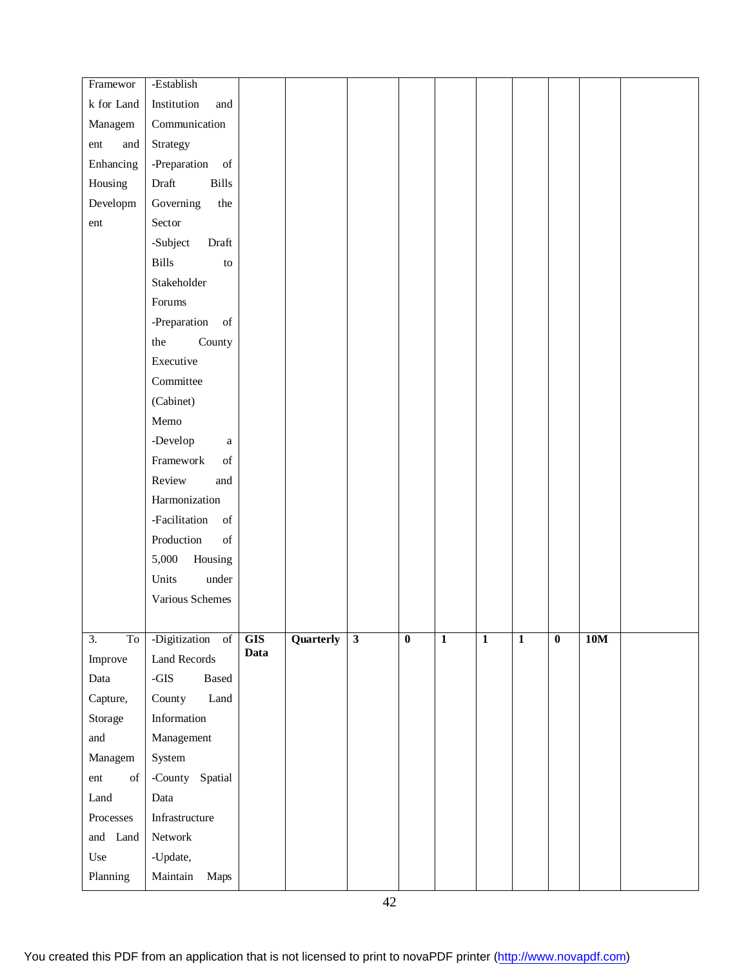| Framewor                           | -Establish                                                                                                          |                    |           |                         |                         |                |                |                |                         |     |  |
|------------------------------------|---------------------------------------------------------------------------------------------------------------------|--------------------|-----------|-------------------------|-------------------------|----------------|----------------|----------------|-------------------------|-----|--|
| k for Land                         | Institution<br>and                                                                                                  |                    |           |                         |                         |                |                |                |                         |     |  |
| Managem                            | Communication                                                                                                       |                    |           |                         |                         |                |                |                |                         |     |  |
| and<br>ent                         | Strategy                                                                                                            |                    |           |                         |                         |                |                |                |                         |     |  |
| Enhancing                          | -Preparation<br>of                                                                                                  |                    |           |                         |                         |                |                |                |                         |     |  |
| Housing                            | Bills<br>Draft                                                                                                      |                    |           |                         |                         |                |                |                |                         |     |  |
| Developm                           | Governing<br>the                                                                                                    |                    |           |                         |                         |                |                |                |                         |     |  |
| ent                                | Sector                                                                                                              |                    |           |                         |                         |                |                |                |                         |     |  |
|                                    | -Subject<br>Draft                                                                                                   |                    |           |                         |                         |                |                |                |                         |     |  |
|                                    | Bills<br>to                                                                                                         |                    |           |                         |                         |                |                |                |                         |     |  |
|                                    | Stakeholder                                                                                                         |                    |           |                         |                         |                |                |                |                         |     |  |
|                                    | Forums                                                                                                              |                    |           |                         |                         |                |                |                |                         |     |  |
|                                    | -Preparation<br>$% \left( \left( \mathcal{A},\mathcal{A}\right) \right) =\left( \mathcal{A},\mathcal{A}\right)$ of  |                    |           |                         |                         |                |                |                |                         |     |  |
|                                    | the<br>County                                                                                                       |                    |           |                         |                         |                |                |                |                         |     |  |
|                                    | Executive                                                                                                           |                    |           |                         |                         |                |                |                |                         |     |  |
|                                    | Committee                                                                                                           |                    |           |                         |                         |                |                |                |                         |     |  |
|                                    | (Cabinet)                                                                                                           |                    |           |                         |                         |                |                |                |                         |     |  |
|                                    | Memo                                                                                                                |                    |           |                         |                         |                |                |                |                         |     |  |
|                                    | -Develop<br>$\mathbf{a}$                                                                                            |                    |           |                         |                         |                |                |                |                         |     |  |
|                                    | Framework<br>$% \left( \left( \mathcal{A},\mathcal{A}\right) \right) =\left( \mathcal{A},\mathcal{A}\right)$ of     |                    |           |                         |                         |                |                |                |                         |     |  |
|                                    | Review<br>and                                                                                                       |                    |           |                         |                         |                |                |                |                         |     |  |
|                                    | Harmonization                                                                                                       |                    |           |                         |                         |                |                |                |                         |     |  |
|                                    | -Facilitation<br>$% \left( \left( \mathcal{A},\mathcal{A}\right) \right) =\left( \mathcal{A},\mathcal{A}\right)$ of |                    |           |                         |                         |                |                |                |                         |     |  |
|                                    | Production<br>$% \left( \left( \mathcal{A},\mathcal{A}\right) \right) =\left( \mathcal{A},\mathcal{A}\right)$ of    |                    |           |                         |                         |                |                |                |                         |     |  |
|                                    | 5,000<br>Housing                                                                                                    |                    |           |                         |                         |                |                |                |                         |     |  |
|                                    | Units<br>under                                                                                                      |                    |           |                         |                         |                |                |                |                         |     |  |
|                                    | Various Schemes                                                                                                     |                    |           |                         |                         |                |                |                |                         |     |  |
|                                    |                                                                                                                     |                    |           |                         |                         |                |                |                |                         |     |  |
| $\overline{3}$ .<br>T <sub>0</sub> | -Digitization<br>$\overline{\text{of}}$                                                                             | <b>GIS</b><br>Data | Quarterly | $\overline{\mathbf{3}}$ | $\overline{\mathbf{0}}$ | $\overline{1}$ | $\overline{1}$ | $\overline{1}$ | $\overline{\mathbf{0}}$ | 10M |  |
| Improve                            | Land Records                                                                                                        |                    |           |                         |                         |                |                |                |                         |     |  |
| Data                               | $\mbox{{\sc--}}\mbox{{\sc GIS}}$<br>Based                                                                           |                    |           |                         |                         |                |                |                |                         |     |  |
| Capture,                           | County<br>Land                                                                                                      |                    |           |                         |                         |                |                |                |                         |     |  |
| Storage                            | Information                                                                                                         |                    |           |                         |                         |                |                |                |                         |     |  |
| and                                | Management                                                                                                          |                    |           |                         |                         |                |                |                |                         |     |  |
| Managem                            | System                                                                                                              |                    |           |                         |                         |                |                |                |                         |     |  |
| $\sigma$<br>ent                    | -County Spatial                                                                                                     |                    |           |                         |                         |                |                |                |                         |     |  |
| Land                               | Data                                                                                                                |                    |           |                         |                         |                |                |                |                         |     |  |
| Processes                          | Infrastructure                                                                                                      |                    |           |                         |                         |                |                |                |                         |     |  |
| and Land                           | Network                                                                                                             |                    |           |                         |                         |                |                |                |                         |     |  |
| Use                                | -Update,                                                                                                            |                    |           |                         |                         |                |                |                |                         |     |  |
| Planning                           | Maintain<br>Maps                                                                                                    |                    |           |                         |                         |                |                |                |                         |     |  |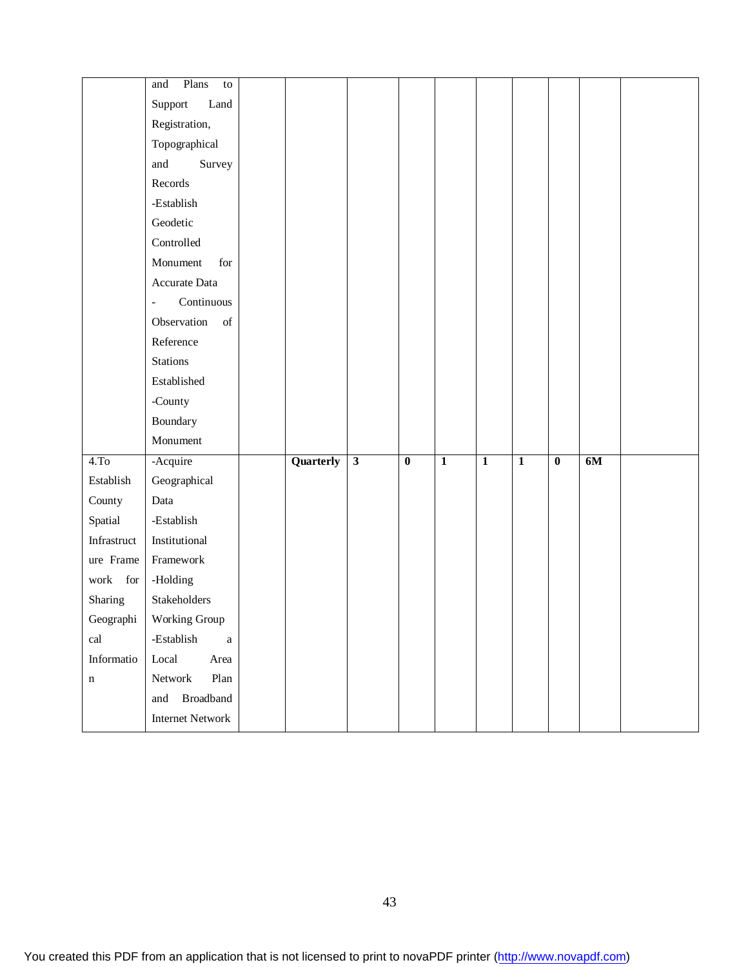|                  | Plans<br>and<br>$\mathop{\mathrm{to}}$                                                                            |           |                         |                         |                |                |                |                         |    |  |
|------------------|-------------------------------------------------------------------------------------------------------------------|-----------|-------------------------|-------------------------|----------------|----------------|----------------|-------------------------|----|--|
|                  | Support<br>Land                                                                                                   |           |                         |                         |                |                |                |                         |    |  |
|                  | Registration,                                                                                                     |           |                         |                         |                |                |                |                         |    |  |
|                  | Topographical                                                                                                     |           |                         |                         |                |                |                |                         |    |  |
|                  | Survey<br>and                                                                                                     |           |                         |                         |                |                |                |                         |    |  |
|                  | Records                                                                                                           |           |                         |                         |                |                |                |                         |    |  |
|                  | -Establish                                                                                                        |           |                         |                         |                |                |                |                         |    |  |
|                  | Geodetic                                                                                                          |           |                         |                         |                |                |                |                         |    |  |
|                  | Controlled                                                                                                        |           |                         |                         |                |                |                |                         |    |  |
|                  | Monument<br>$\operatorname{for}$                                                                                  |           |                         |                         |                |                |                |                         |    |  |
|                  | Accurate Data                                                                                                     |           |                         |                         |                |                |                |                         |    |  |
|                  | Continuous<br>$\overline{\phantom{0}}$                                                                            |           |                         |                         |                |                |                |                         |    |  |
|                  | Observation<br>$% \left( \left( \mathcal{A},\mathcal{A}\right) \right) =\left( \mathcal{A},\mathcal{A}\right)$ of |           |                         |                         |                |                |                |                         |    |  |
|                  | Reference                                                                                                         |           |                         |                         |                |                |                |                         |    |  |
|                  | <b>Stations</b>                                                                                                   |           |                         |                         |                |                |                |                         |    |  |
|                  | Established                                                                                                       |           |                         |                         |                |                |                |                         |    |  |
|                  | -County                                                                                                           |           |                         |                         |                |                |                |                         |    |  |
|                  | Boundary                                                                                                          |           |                         |                         |                |                |                |                         |    |  |
|                  | Monument                                                                                                          |           |                         |                         |                |                |                |                         |    |  |
| 4.T <sub>0</sub> | -Acquire                                                                                                          | Quarterly | $\overline{\mathbf{3}}$ | $\overline{\mathbf{0}}$ | $\overline{1}$ | $\overline{1}$ | $\overline{1}$ | $\overline{\mathbf{0}}$ | 6M |  |
| Establish        | Geographical                                                                                                      |           |                         |                         |                |                |                |                         |    |  |
| County           | Data                                                                                                              |           |                         |                         |                |                |                |                         |    |  |
| Spatial          | -Establish                                                                                                        |           |                         |                         |                |                |                |                         |    |  |
| Infrastruct      | Institutional                                                                                                     |           |                         |                         |                |                |                |                         |    |  |
| ure Frame        |                                                                                                                   |           |                         |                         |                |                |                |                         |    |  |
|                  | Framework                                                                                                         |           |                         |                         |                |                |                |                         |    |  |
| work for         | -Holding                                                                                                          |           |                         |                         |                |                |                |                         |    |  |
| Sharing          | Stakeholders                                                                                                      |           |                         |                         |                |                |                |                         |    |  |
| Geographi        | Working Group                                                                                                     |           |                         |                         |                |                |                |                         |    |  |
| cal              | -Establish<br>$\alpha$                                                                                            |           |                         |                         |                |                |                |                         |    |  |
| Informatio       | Local<br>Area                                                                                                     |           |                         |                         |                |                |                |                         |    |  |
| $\mathbf n$      | Network Plan                                                                                                      |           |                         |                         |                |                |                |                         |    |  |
|                  | and Broadband                                                                                                     |           |                         |                         |                |                |                |                         |    |  |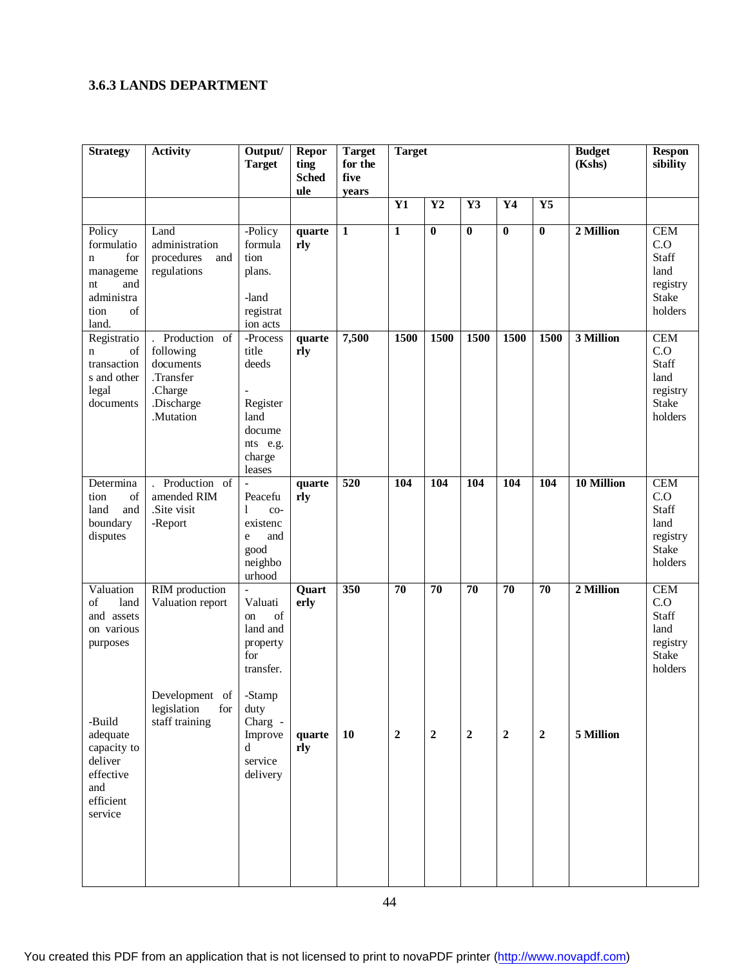## **3.6.3 LANDS DEPARTMENT**

| <b>Strategy</b>                                                                                          | <b>Activity</b>                                                                              | Output/<br><b>Target</b>                                                                 | <b>Repor</b><br>ting<br><b>Sched</b><br>ule | <b>Target</b><br>for the<br>five<br>years | <b>Target</b>    |                         |                         |                         |                 | <b>Budget</b><br>(Kshs) | <b>Respon</b><br>sibility                                                        |
|----------------------------------------------------------------------------------------------------------|----------------------------------------------------------------------------------------------|------------------------------------------------------------------------------------------|---------------------------------------------|-------------------------------------------|------------------|-------------------------|-------------------------|-------------------------|-----------------|-------------------------|----------------------------------------------------------------------------------|
|                                                                                                          |                                                                                              |                                                                                          |                                             |                                           | Y1               | Y2                      | Y3                      | Y4                      | Y5              |                         |                                                                                  |
| Policy<br>formulatio<br>for<br>$\mathbf n$<br>manageme<br>and<br>nt<br>administra<br>of<br>tion<br>land. | Land<br>administration<br>procedures<br>and<br>regulations                                   | -Policy<br>formula<br>tion<br>plans.<br>-land<br>registrat<br>ion acts                   | quarte<br>rly                               | $\mathbf{1}$                              | $\mathbf{1}$     | $\overline{\mathbf{0}}$ | $\overline{\mathbf{0}}$ | $\overline{\mathbf{0}}$ | $\bf{0}$        | 2 Million               | <b>CEM</b><br>C.O<br>Staff<br>land<br>registry<br><b>Stake</b><br>holders        |
| Registratio<br>of<br>n<br>transaction<br>s and other<br>legal<br>documents                               | . Production of<br>following<br>documents<br>.Transfer<br>.Charge<br>.Discharge<br>.Mutation | -Process<br>title<br>deeds<br>Register<br>land<br>docume<br>nts e.g.<br>charge<br>leases | quarte<br>rly                               | 7,500                                     | 1500             | 1500                    | 1500                    | 1500                    | 1500            | 3 Million               | <b>CEM</b><br>C.O<br>Staff<br>land<br>registry<br><b>Stake</b><br>holders        |
| Determina<br>tion<br>of<br>land<br>and<br>boundary<br>disputes                                           | Production of<br>amended RIM<br>Site visit.<br>-Report                                       | Peacefu<br>1<br>co-<br>existenc<br>and<br>$\rm e$<br>good<br>neighbo<br>urhood           | quarte<br>rly                               | 520                                       | 104              | 104                     | 104                     | 104                     | 104             | <b>10 Million</b>       | <b>CEM</b><br>C.O<br><b>Staff</b><br>land<br>registry<br><b>Stake</b><br>holders |
| Valuation<br>of<br>land<br>and assets<br>on various<br>purposes                                          | RIM production<br>Valuation report<br>Development of                                         | Valuati<br>of<br><sub>on</sub><br>land and<br>property<br>for<br>transfer.<br>-Stamp     | Quart<br>erly                               | 350                                       | 70               | 70                      | $\overline{70}$         | $\overline{70}$         | $\overline{70}$ | 2 Million               | <b>CEM</b><br>C.O<br>Staff<br>land<br>registry<br><b>Stake</b><br>holders        |
| -Build<br>adequate<br>capacity to<br>deliver<br>effective<br>and<br>efficient<br>service                 | legislation<br>for<br>staff training                                                         | duty<br>Charg -<br>Improve<br>$\mathbf d$<br>service<br>delivery                         | quarte<br>rly                               | 10                                        | $\boldsymbol{2}$ | $\overline{2}$          | $\overline{2}$          | $\overline{2}$          | $\overline{2}$  | 5 Million               |                                                                                  |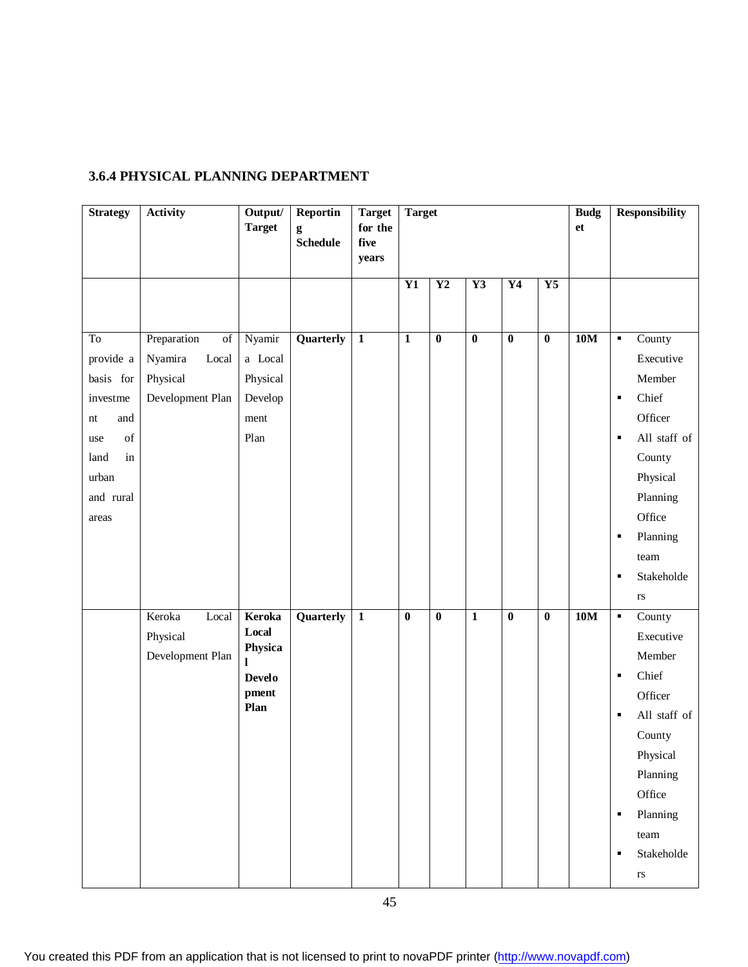| <b>3.6.4 PHYSICAL PLANNING DEPARTMENT</b> |  |
|-------------------------------------------|--|
|                                           |  |

| <b>Strategy</b> | <b>Activity</b>   | Output/<br><b>Target</b> | Reportin<br>g<br><b>Schedule</b> | <b>Target</b><br>for the<br>five<br>years | <b>Target</b>           |                         |                         |                         | <b>Budg</b><br>et       |     | <b>Responsibility</b> |                        |
|-----------------|-------------------|--------------------------|----------------------------------|-------------------------------------------|-------------------------|-------------------------|-------------------------|-------------------------|-------------------------|-----|-----------------------|------------------------|
|                 |                   |                          |                                  |                                           | $\overline{Y1}$         | $\overline{Y2}$         | $\overline{Y3}$         | $\overline{Y4}$         | $\overline{Y5}$         |     |                       |                        |
|                 |                   |                          |                                  |                                           |                         |                         |                         |                         |                         |     |                       |                        |
| To              | Preparation<br>of | Nyamir                   | Quarterly                        | $\overline{1}$                            | $\overline{1}$          | $\overline{\mathbf{0}}$ | $\overline{\mathbf{0}}$ | $\overline{\mathbf{0}}$ | $\overline{\mathbf{0}}$ | 10M | ٠                     | County                 |
| provide a       | Nyamira<br>Local  | a Local                  |                                  |                                           |                         |                         |                         |                         |                         |     |                       | Executive              |
| basis for       | Physical          | Physical                 |                                  |                                           |                         |                         |                         |                         |                         |     |                       | Member                 |
| investme        | Development Plan  | Develop                  |                                  |                                           |                         |                         |                         |                         |                         |     | ٠                     | Chief                  |
| and<br>nt       |                   | ment                     |                                  |                                           |                         |                         |                         |                         |                         |     |                       | Officer                |
| of<br>use       |                   | Plan                     |                                  |                                           |                         |                         |                         |                         |                         |     | ٠                     | All staff of           |
| land<br>in      |                   |                          |                                  |                                           |                         |                         |                         |                         |                         |     |                       | County                 |
| urban           |                   |                          |                                  |                                           |                         |                         |                         |                         |                         |     |                       | Physical               |
| and rural       |                   |                          |                                  |                                           |                         |                         |                         |                         |                         |     |                       | Planning               |
| areas           |                   |                          |                                  |                                           |                         |                         |                         |                         |                         |     |                       | Office                 |
|                 |                   |                          |                                  |                                           |                         |                         |                         |                         |                         |     | ٠                     | Planning               |
|                 |                   |                          |                                  |                                           |                         |                         |                         |                         |                         |     |                       | team                   |
|                 |                   |                          |                                  |                                           |                         |                         |                         |                         |                         |     | в                     | Stakeholde             |
|                 |                   |                          |                                  |                                           |                         |                         |                         |                         |                         |     |                       | $\mathbf{r}\mathbf{s}$ |
|                 | Keroka<br>Local   | <b>Keroka</b><br>Local   | Quarterly                        | $\overline{1}$                            | $\overline{\mathbf{0}}$ | $\overline{\mathbf{0}}$ | $\overline{1}$          | $\overline{\mathbf{0}}$ | $\overline{\mathbf{0}}$ | 10M | ٠                     | County                 |
|                 | Physical          | Physica                  |                                  |                                           |                         |                         |                         |                         |                         |     |                       | Executive              |
|                 | Development Plan  | 1                        |                                  |                                           |                         |                         |                         |                         |                         |     |                       | Member                 |
|                 |                   | <b>Develo</b>            |                                  |                                           |                         |                         |                         |                         |                         |     | ٠                     | Chief                  |
|                 |                   | pment<br>Plan            |                                  |                                           |                         |                         |                         |                         |                         |     |                       | Officer                |
|                 |                   |                          |                                  |                                           |                         |                         |                         |                         |                         |     | ٠                     | All staff of           |
|                 |                   |                          |                                  |                                           |                         |                         |                         |                         |                         |     |                       | County                 |
|                 |                   |                          |                                  |                                           |                         |                         |                         |                         |                         |     |                       | Physical               |
|                 |                   |                          |                                  |                                           |                         |                         |                         |                         |                         |     |                       | Planning               |
|                 |                   |                          |                                  |                                           |                         |                         |                         |                         |                         |     |                       | Office                 |
|                 |                   |                          |                                  |                                           |                         |                         |                         |                         |                         |     | ٠                     | Planning               |
|                 |                   |                          |                                  |                                           |                         |                         |                         |                         |                         |     |                       | team                   |
|                 |                   |                          |                                  |                                           |                         |                         |                         |                         |                         |     | ٠                     | Stakeholde             |
|                 |                   |                          |                                  |                                           |                         |                         |                         |                         |                         |     |                       | $\mathbf{r}\mathbf{s}$ |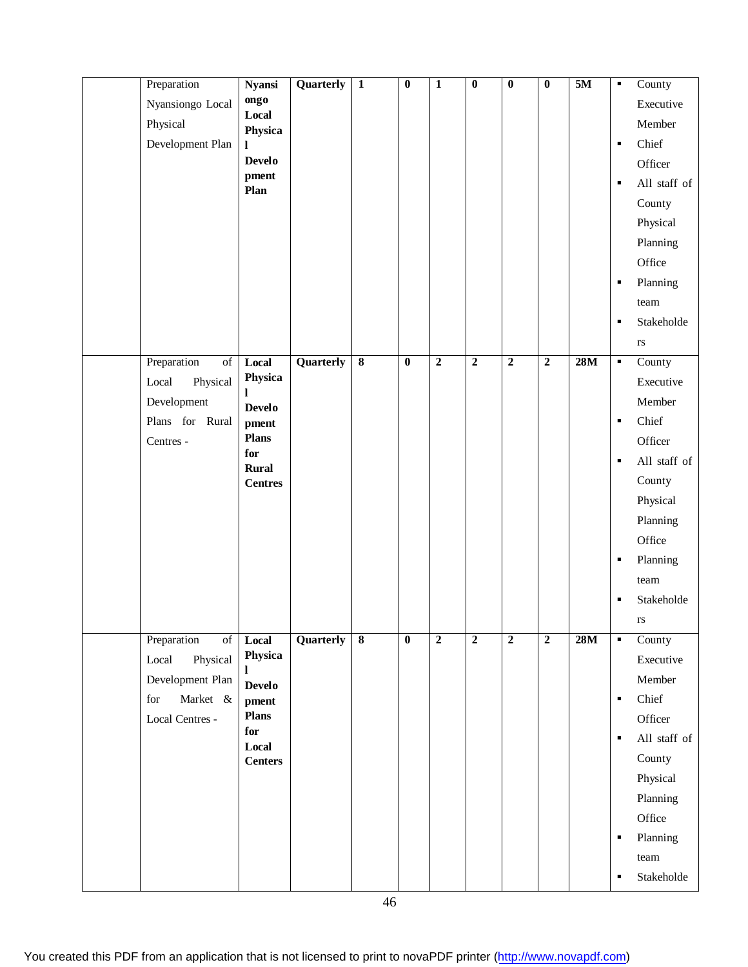| Preparation                                                                                                       | <b>Nyansi</b>       | Quarterly | $\overline{1}$          | $\bf{0}$                | $\mathbf{1}$   | $\boldsymbol{0}$ | $\pmb{0}$      | $\bf{0}$       | 5M  | ٠ | County                 |
|-------------------------------------------------------------------------------------------------------------------|---------------------|-----------|-------------------------|-------------------------|----------------|------------------|----------------|----------------|-----|---|------------------------|
| Nyansiongo Local                                                                                                  | ongo                |           |                         |                         |                |                  |                |                |     |   | Executive              |
| Physical                                                                                                          | Local<br>Physica    |           |                         |                         |                |                  |                |                |     |   | Member                 |
| Development Plan                                                                                                  | 1                   |           |                         |                         |                |                  |                |                |     | ٠ | Chief                  |
|                                                                                                                   | <b>Develo</b>       |           |                         |                         |                |                  |                |                |     |   | Officer                |
|                                                                                                                   | pment<br>Plan       |           |                         |                         |                |                  |                |                |     | ٠ | All staff of           |
|                                                                                                                   |                     |           |                         |                         |                |                  |                |                |     |   | County                 |
|                                                                                                                   |                     |           |                         |                         |                |                  |                |                |     |   | Physical               |
|                                                                                                                   |                     |           |                         |                         |                |                  |                |                |     |   | Planning               |
|                                                                                                                   |                     |           |                         |                         |                |                  |                |                |     |   | Office                 |
|                                                                                                                   |                     |           |                         |                         |                |                  |                |                |     | ٠ | Planning               |
|                                                                                                                   |                     |           |                         |                         |                |                  |                |                |     |   | team                   |
|                                                                                                                   |                     |           |                         |                         |                |                  |                |                |     | ٠ | Stakeholde             |
|                                                                                                                   |                     |           |                         |                         |                |                  |                |                |     |   | $\mathbf{r}\mathbf{s}$ |
| Preparation<br>$\overline{\text{of}}$                                                                             | Local               | Quarterly | $\overline{\mathbf{8}}$ | $\bf{0}$                | $\overline{2}$ | $\overline{2}$   | $\overline{2}$ | $\overline{2}$ | 28M | ٠ | County                 |
| Physical<br>Local                                                                                                 | Physica<br>1        |           |                         |                         |                |                  |                |                |     |   | Executive              |
| Development                                                                                                       | <b>Develo</b>       |           |                         |                         |                |                  |                |                |     |   | Member                 |
| Plans for Rural                                                                                                   | pment               |           |                         |                         |                |                  |                |                |     | ٠ | Chief                  |
| Centres -                                                                                                         | <b>Plans</b><br>for |           |                         |                         |                |                  |                |                |     |   | Officer                |
|                                                                                                                   | <b>Rural</b>        |           |                         |                         |                |                  |                |                |     | ٠ | All staff of           |
|                                                                                                                   | <b>Centres</b>      |           |                         |                         |                |                  |                |                |     |   | County                 |
|                                                                                                                   |                     |           |                         |                         |                |                  |                |                |     |   | Physical               |
|                                                                                                                   |                     |           |                         |                         |                |                  |                |                |     |   | Planning               |
|                                                                                                                   |                     |           |                         |                         |                |                  |                |                |     |   | Office                 |
|                                                                                                                   |                     |           |                         |                         |                |                  |                |                |     | ٠ | Planning               |
|                                                                                                                   |                     |           |                         |                         |                |                  |                |                |     |   | team                   |
|                                                                                                                   |                     |           |                         |                         |                |                  |                |                |     | ٠ | Stakeholde             |
|                                                                                                                   |                     |           |                         |                         |                |                  |                |                |     |   | rs                     |
| Preparation<br>$% \left( \left( \mathcal{A},\mathcal{A}\right) \right) =\left( \mathcal{A},\mathcal{A}\right)$ of | Local               | Quarterly | $\overline{\mathbf{8}}$ | $\overline{\mathbf{0}}$ | $\overline{2}$ | $\overline{2}$   | $\overline{2}$ | $\overline{2}$ | 28M | ٠ | County                 |
| Physical<br>Local                                                                                                 | Physica<br>1        |           |                         |                         |                |                  |                |                |     |   | Executive              |
| Development Plan                                                                                                  | <b>Develo</b>       |           |                         |                         |                |                  |                |                |     |   | Member                 |
| Market &<br>for                                                                                                   | pment               |           |                         |                         |                |                  |                |                |     | ٠ | Chief                  |
| Local Centres -                                                                                                   | <b>Plans</b><br>for |           |                         |                         |                |                  |                |                |     |   | Officer                |
|                                                                                                                   | Local               |           |                         |                         |                |                  |                |                |     | ٠ | All staff of           |
|                                                                                                                   | <b>Centers</b>      |           |                         |                         |                |                  |                |                |     |   | County                 |
|                                                                                                                   |                     |           |                         |                         |                |                  |                |                |     |   | Physical               |
|                                                                                                                   |                     |           |                         |                         |                |                  |                |                |     |   | Planning               |
|                                                                                                                   |                     |           |                         |                         |                |                  |                |                |     |   | Office                 |
|                                                                                                                   |                     |           |                         |                         |                |                  |                |                |     | ٠ | Planning               |
|                                                                                                                   |                     |           |                         |                         |                |                  |                |                |     |   | team                   |
|                                                                                                                   |                     |           |                         |                         |                |                  |                |                |     | ٠ | Stakeholde             |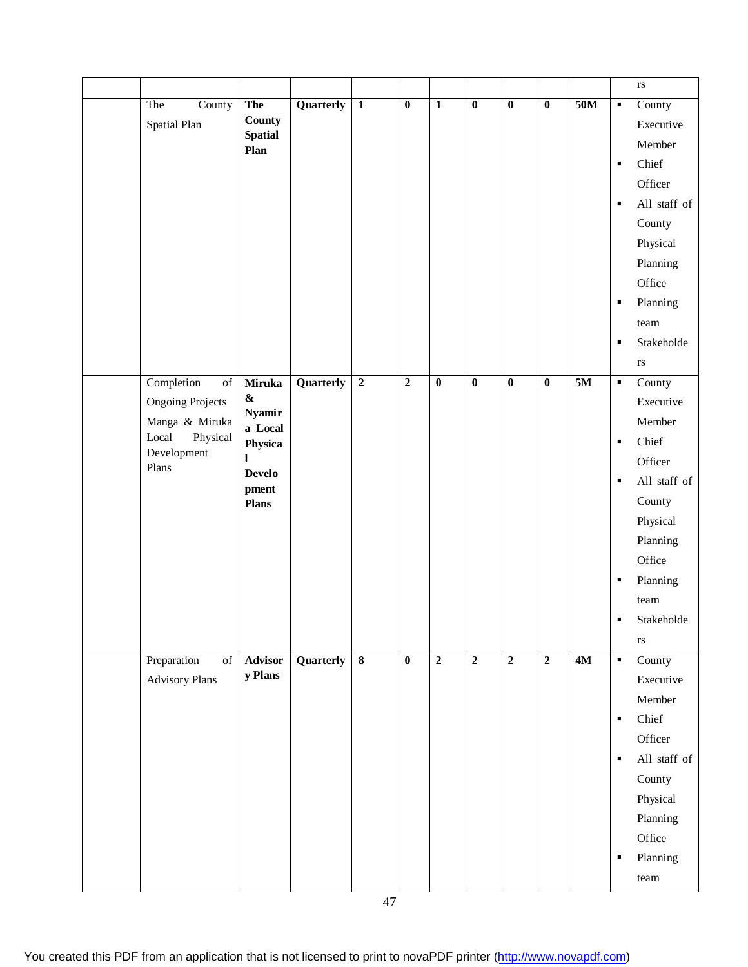|                                      |                       |           |                         |                         |                         |                         |                         |                         |     |                | $\mathbf{r}\mathbf{s}$           |
|--------------------------------------|-----------------------|-----------|-------------------------|-------------------------|-------------------------|-------------------------|-------------------------|-------------------------|-----|----------------|----------------------------------|
|                                      |                       |           |                         |                         |                         |                         |                         |                         |     |                |                                  |
| The<br>County                        | The<br>County         | Quarterly | $\overline{1}$          | $\overline{\mathbf{0}}$ | $\overline{1}$          | $\overline{\mathbf{0}}$ | $\overline{\mathbf{0}}$ | $\overline{\mathbf{0}}$ | 50M | ٠              | County                           |
| <b>Spatial Plan</b>                  | <b>Spatial</b>        |           |                         |                         |                         |                         |                         |                         |     |                | Executive                        |
|                                      | Plan                  |           |                         |                         |                         |                         |                         |                         |     |                | Member                           |
|                                      |                       |           |                         |                         |                         |                         |                         |                         |     | ٠              | Chief                            |
|                                      |                       |           |                         |                         |                         |                         |                         |                         |     |                | Officer                          |
|                                      |                       |           |                         |                         |                         |                         |                         |                         |     | ٠              | All staff of                     |
|                                      |                       |           |                         |                         |                         |                         |                         |                         |     |                | County                           |
|                                      |                       |           |                         |                         |                         |                         |                         |                         |     |                | Physical                         |
|                                      |                       |           |                         |                         |                         |                         |                         |                         |     |                | Planning                         |
|                                      |                       |           |                         |                         |                         |                         |                         |                         |     |                | Office                           |
|                                      |                       |           |                         |                         |                         |                         |                         |                         |     | ٠              | Planning                         |
|                                      |                       |           |                         |                         |                         |                         |                         |                         |     |                | team                             |
|                                      |                       |           |                         |                         |                         |                         |                         |                         |     | ٠              | Stakeholde                       |
|                                      |                       |           |                         |                         |                         |                         |                         |                         |     |                | $\mathbf{r}\mathbf{s}$           |
| Completion<br>$\overline{\text{of}}$ | Miruka                | Quarterly | $\overline{2}$          | $\overline{2}$          | $\overline{\mathbf{0}}$ | $\boldsymbol{0}$        | $\overline{\mathbf{0}}$ | $\overline{\mathbf{0}}$ | 5M  | $\blacksquare$ | County                           |
| <b>Ongoing Projects</b>              | $\pmb{\&}$            |           |                         |                         |                         |                         |                         |                         |     |                | Executive                        |
| Manga & Miruka                       | <b>Nyamir</b>         |           |                         |                         |                         |                         |                         |                         |     |                | Member                           |
| Local<br>Physical                    | a Local<br>Physica    |           |                         |                         |                         |                         |                         |                         |     | ٠              | Chief                            |
| Development                          | 1                     |           |                         |                         |                         |                         |                         |                         |     |                | Officer                          |
| Plans                                | <b>Develo</b>         |           |                         |                         |                         |                         |                         |                         |     | ٠              | All staff of                     |
|                                      | pment<br><b>Plans</b> |           |                         |                         |                         |                         |                         |                         |     |                | County                           |
|                                      |                       |           |                         |                         |                         |                         |                         |                         |     |                | Physical                         |
|                                      |                       |           |                         |                         |                         |                         |                         |                         |     |                | Planning                         |
|                                      |                       |           |                         |                         |                         |                         |                         |                         |     |                | Office                           |
|                                      |                       |           |                         |                         |                         |                         |                         |                         |     | ٠              | Planning                         |
|                                      |                       |           |                         |                         |                         |                         |                         |                         |     |                | team                             |
|                                      |                       |           |                         |                         |                         |                         |                         |                         |     | ٠              | Stakeholde                       |
|                                      |                       |           |                         |                         |                         |                         |                         |                         |     |                |                                  |
| Preparation<br>of                    | <b>Advisor</b>        | Quarterly | $\overline{\mathbf{8}}$ | $\overline{\mathbf{0}}$ | $\overline{2}$          | $\overline{2}$          | $\overline{2}$          | $\overline{2}$          | 4M  | Ξ              | $\mathbf{r}\mathbf{s}$<br>County |
|                                      | y Plans               |           |                         |                         |                         |                         |                         |                         |     |                | Executive                        |
| <b>Advisory Plans</b>                |                       |           |                         |                         |                         |                         |                         |                         |     |                |                                  |
|                                      |                       |           |                         |                         |                         |                         |                         |                         |     |                | Member                           |
|                                      |                       |           |                         |                         |                         |                         |                         |                         |     | $\blacksquare$ | Chief                            |
|                                      |                       |           |                         |                         |                         |                         |                         |                         |     |                | Officer                          |
|                                      |                       |           |                         |                         |                         |                         |                         |                         |     | ٠              | All staff of                     |
|                                      |                       |           |                         |                         |                         |                         |                         |                         |     |                | County                           |
|                                      |                       |           |                         |                         |                         |                         |                         |                         |     |                | Physical                         |
|                                      |                       |           |                         |                         |                         |                         |                         |                         |     |                | Planning                         |
|                                      |                       |           |                         |                         |                         |                         |                         |                         |     |                | Office                           |
|                                      |                       |           |                         |                         |                         |                         |                         |                         |     | ٠              | Planning                         |
|                                      |                       |           |                         |                         |                         |                         |                         |                         |     |                | team                             |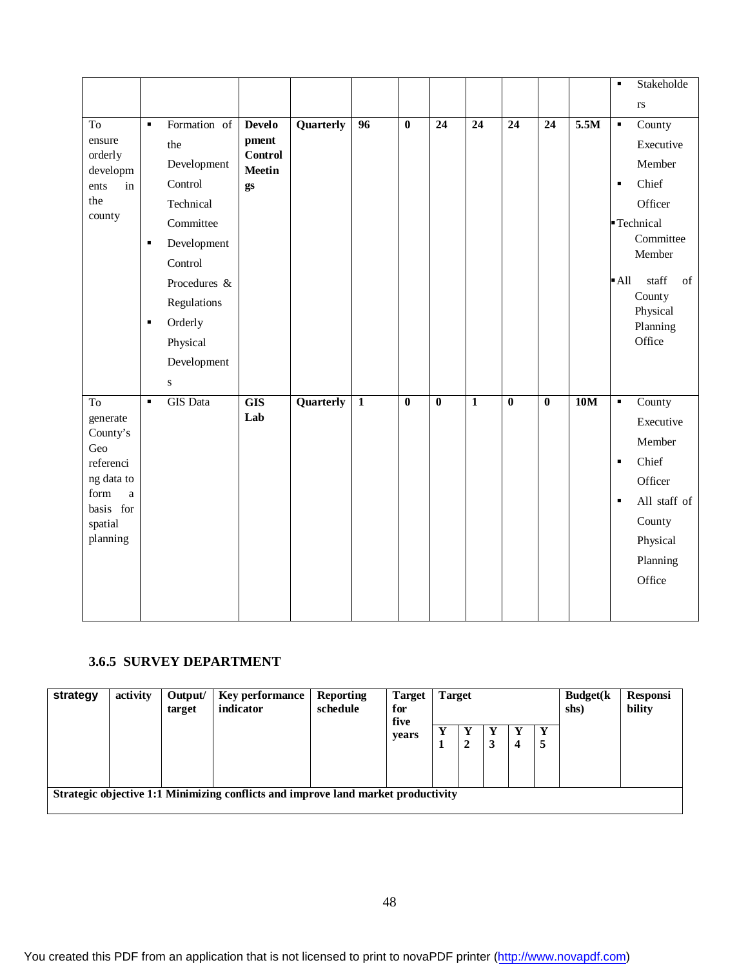|                                                                                                                                      |                                       |                                                                                                                                                                                     |                                                                 |           |                 |                         |                         |                 |                         |                         |      | $\blacksquare$                | Stakeholde<br>$\mathbf{r}\mathbf{s}$                                                                                                               |
|--------------------------------------------------------------------------------------------------------------------------------------|---------------------------------------|-------------------------------------------------------------------------------------------------------------------------------------------------------------------------------------|-----------------------------------------------------------------|-----------|-----------------|-------------------------|-------------------------|-----------------|-------------------------|-------------------------|------|-------------------------------|----------------------------------------------------------------------------------------------------------------------------------------------------|
| ${\bf To}$<br>ensure<br>orderly<br>developm<br>ents<br>in<br>the<br>county                                                           | $\blacksquare$<br>٠<br>$\blacksquare$ | Formation of<br>the<br>Development<br>Control<br>Technical<br>Committee<br>Development<br>Control<br>Procedures &<br>Regulations<br>Orderly<br>Physical<br>Development<br>${\bf S}$ | <b>Develo</b><br>pment<br><b>Control</b><br><b>Meetin</b><br>gs | Quarterly | $\overline{96}$ | $\overline{\mathbf{0}}$ | $\overline{24}$         | $\overline{24}$ | $\overline{24}$         | $\overline{24}$         | 5.5M | $\blacksquare$<br>٠<br>$-All$ | County<br>Executive<br>Member<br>Chief<br>Officer<br>- Technical<br>Committee<br>Member<br>staff<br>of<br>County<br>Physical<br>Planning<br>Office |
| T <sub>o</sub><br>generate<br>County's<br>Geo<br>referenci<br>ng data to<br>form<br>$\mathbf{a}$<br>basis for<br>spatial<br>planning | $\blacksquare$                        | <b>GIS</b> Data                                                                                                                                                                     | <b>GIS</b><br>Lab                                               | Quarterly | $\overline{1}$  | $\overline{\mathbf{0}}$ | $\overline{\mathbf{0}}$ | $\overline{1}$  | $\overline{\mathbf{0}}$ | $\overline{\mathbf{0}}$ | 10M  | $\blacksquare$<br>٠<br>٠      | County<br>Executive<br>Member<br>Chief<br>Officer<br>All staff of<br>County<br>Physical<br>Planning<br>Office                                      |

# **3.6.5 SURVEY DEPARTMENT**

| strategy | activity | Output/<br>target | <b>Key performance</b><br>indicator                                               | <b>Reporting</b><br>schedule | <b>Target</b><br>for<br>five | <b>Target</b> |  |   |   |   | <b>Budget</b> (k<br>shs) | <b>Responsi</b><br>bility |
|----------|----------|-------------------|-----------------------------------------------------------------------------------|------------------------------|------------------------------|---------------|--|---|---|---|--------------------------|---------------------------|
|          |          |                   |                                                                                   |                              | years                        | Y             |  | 3 | 4 | 5 |                          |                           |
|          |          |                   | Strategic objective 1:1 Minimizing conflicts and improve land market productivity |                              |                              |               |  |   |   |   |                          |                           |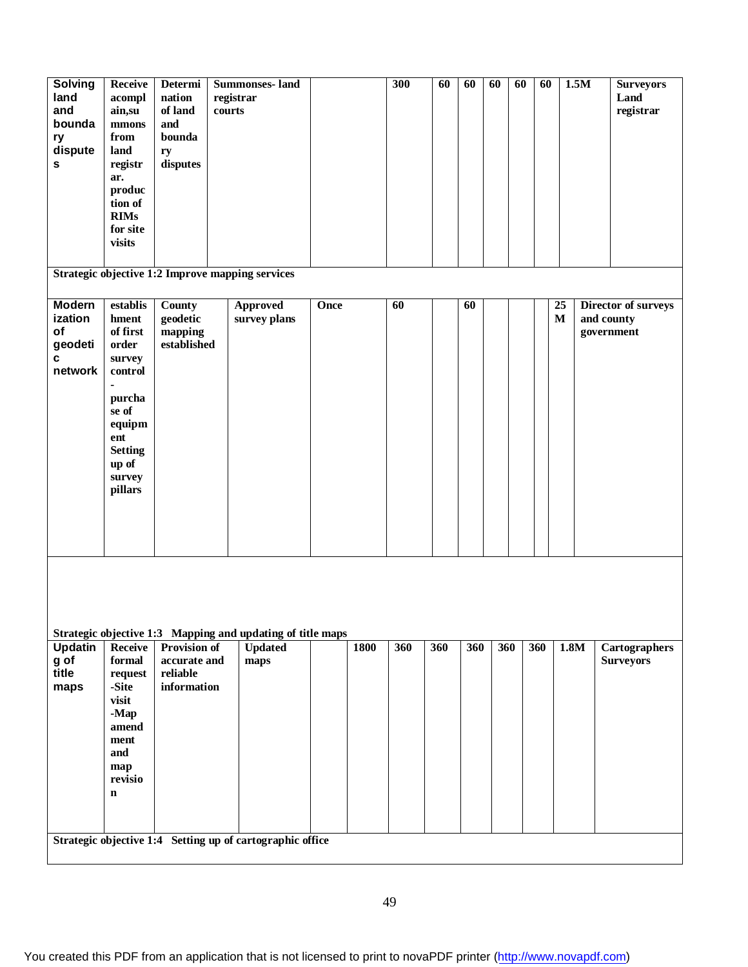| <b>Solving</b><br>land<br>and<br>bounda<br>ry<br>dispute<br>s | Receive<br>acompl<br>ain,su<br>$\mathbf{mmons}$<br>from<br>land<br>registr<br>ar.<br>produc<br>tion of<br><b>RIMs</b><br>for site<br>visits     | Determi<br>nation<br>of land<br>and<br>bounda<br>ry<br>disputes | registrar<br>courts | Summonses-land                                             |             |             | 300 | 60  | 60  | $\overline{60}$  | 60 | 60               | 1.5M              | <b>Surveyors</b><br>Land<br>registrar                  |
|---------------------------------------------------------------|-------------------------------------------------------------------------------------------------------------------------------------------------|-----------------------------------------------------------------|---------------------|------------------------------------------------------------|-------------|-------------|-----|-----|-----|------------------|----|------------------|-------------------|--------------------------------------------------------|
|                                                               |                                                                                                                                                 |                                                                 |                     | Strategic objective 1:2 Improve mapping services           |             |             |     |     |     |                  |    |                  |                   |                                                        |
| <b>Modern</b><br>ization<br>of<br>geodeti<br>C<br>network     | establis<br>hment<br>of first<br>order<br>survey<br>control<br>purcha<br>se of<br>equipm<br>ent<br><b>Setting</b><br>up of<br>survey<br>pillars | County<br>geodetic<br>mapping<br>established                    |                     | <b>Approved</b><br>survey plans                            | <b>Once</b> |             | 60  |     | 60  |                  |    |                  | 25<br>$\mathbf M$ | <b>Director of surveys</b><br>and county<br>government |
|                                                               |                                                                                                                                                 |                                                                 |                     | Strategic objective 1:3 Mapping and updating of title maps |             |             |     |     |     |                  |    |                  |                   |                                                        |
| <b>Updatin</b><br>g of<br>title<br>maps                       | <b>Receive</b><br>formal<br>request<br>-Site<br>visit<br>-Map<br>amend<br>ment<br>and<br>map<br>revisio<br>n                                    | Provision of<br>accurate and<br>reliable<br>information         |                     | <b>Updated</b><br>maps                                     |             | <b>1800</b> | 360 | 360 | 360 | $\overline{360}$ |    | $\overline{360}$ | 1.8M              | Cartographers<br><b>Surveyors</b>                      |
|                                                               |                                                                                                                                                 |                                                                 |                     | Strategic objective 1:4 Setting up of cartographic office  |             |             |     |     |     |                  |    |                  |                   |                                                        |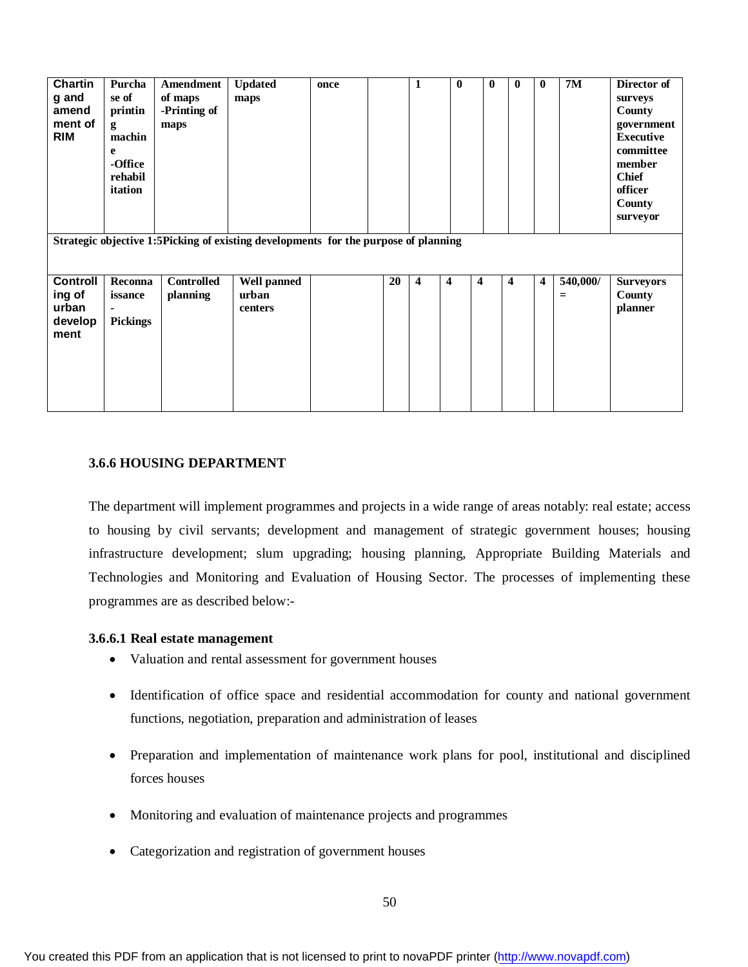| <b>Chartin</b><br>g and<br>amend<br>ment of<br><b>RIM</b> | Purcha<br>se of<br>printin<br>g<br>machin<br>e<br>-Office<br>rehabil<br>itation | Amendment<br>of maps<br>-Printing of<br>maps | <b>Updated</b><br>maps                                                              | once |    | 1 | $\bf{0}$                | $\mathbf{0}$ | $\bf{0}$                | $\bf{0}$                | <b>7M</b>       | Director of<br>surveys<br>County<br>government<br><b>Executive</b><br>committee<br>member<br><b>Chief</b><br>officer<br>County<br>surveyor |
|-----------------------------------------------------------|---------------------------------------------------------------------------------|----------------------------------------------|-------------------------------------------------------------------------------------|------|----|---|-------------------------|--------------|-------------------------|-------------------------|-----------------|--------------------------------------------------------------------------------------------------------------------------------------------|
|                                                           |                                                                                 |                                              | Strategic objective 1:5Picking of existing developments for the purpose of planning |      |    |   |                         |              |                         |                         |                 |                                                                                                                                            |
| <b>Controll</b><br>ing of<br>urban<br>develop<br>ment     | Reconna<br>issance<br><b>Pickings</b>                                           | <b>Controlled</b><br>planning                | Well panned<br>urban<br>centers                                                     |      | 20 | 4 | $\overline{\mathbf{4}}$ | 4            | $\overline{\mathbf{4}}$ | $\overline{\mathbf{4}}$ | 540,000/<br>$=$ | <b>Surveyors</b><br>County<br>planner                                                                                                      |

## **3.6.6 HOUSING DEPARTMENT**

The department will implement programmes and projects in a wide range of areas notably: real estate; access to housing by civil servants; development and management of strategic government houses; housing infrastructure development; slum upgrading; housing planning, Appropriate Building Materials and Technologies and Monitoring and Evaluation of Housing Sector. The processes of implementing these programmes are as described below:-

### **3.6.6.1 Real estate management**

- Valuation and rental assessment for government houses
- Identification of office space and residential accommodation for county and national government functions, negotiation, preparation and administration of leases
- Preparation and implementation of maintenance work plans for pool, institutional and disciplined forces houses
- Monitoring and evaluation of maintenance projects and programmes
- Categorization and registration of government houses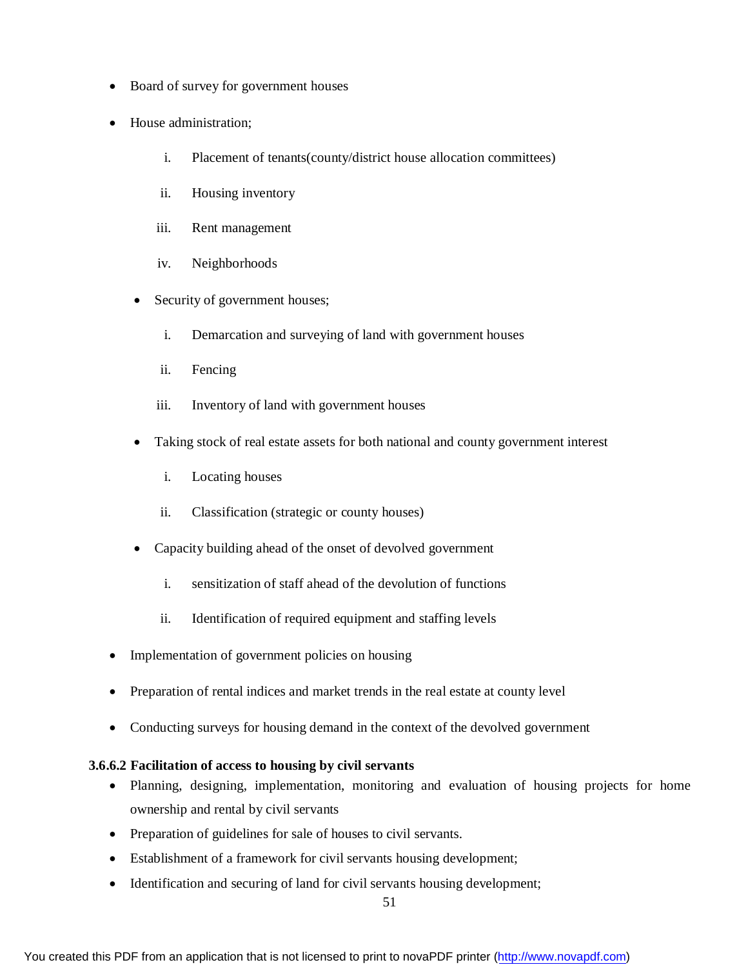- Board of survey for government houses
- House administration;
	- i. Placement of tenants(county/district house allocation committees)
	- ii. Housing inventory
	- iii. Rent management
	- iv. Neighborhoods
	- Security of government houses;
		- i. Demarcation and surveying of land with government houses
		- ii. Fencing
		- iii. Inventory of land with government houses
	- Taking stock of real estate assets for both national and county government interest
		- i. Locating houses
		- ii. Classification (strategic or county houses)
	- Capacity building ahead of the onset of devolved government
		- i. sensitization of staff ahead of the devolution of functions
		- ii. Identification of required equipment and staffing levels
- Implementation of government policies on housing
- Preparation of rental indices and market trends in the real estate at county level
- Conducting surveys for housing demand in the context of the devolved government

### **3.6.6.2 Facilitation of access to housing by civil servants**

- Planning, designing, implementation, monitoring and evaluation of housing projects for home ownership and rental by civil servants
- Preparation of guidelines for sale of houses to civil servants.
- Establishment of a framework for civil servants housing development;
- Identification and securing of land for civil servants housing development;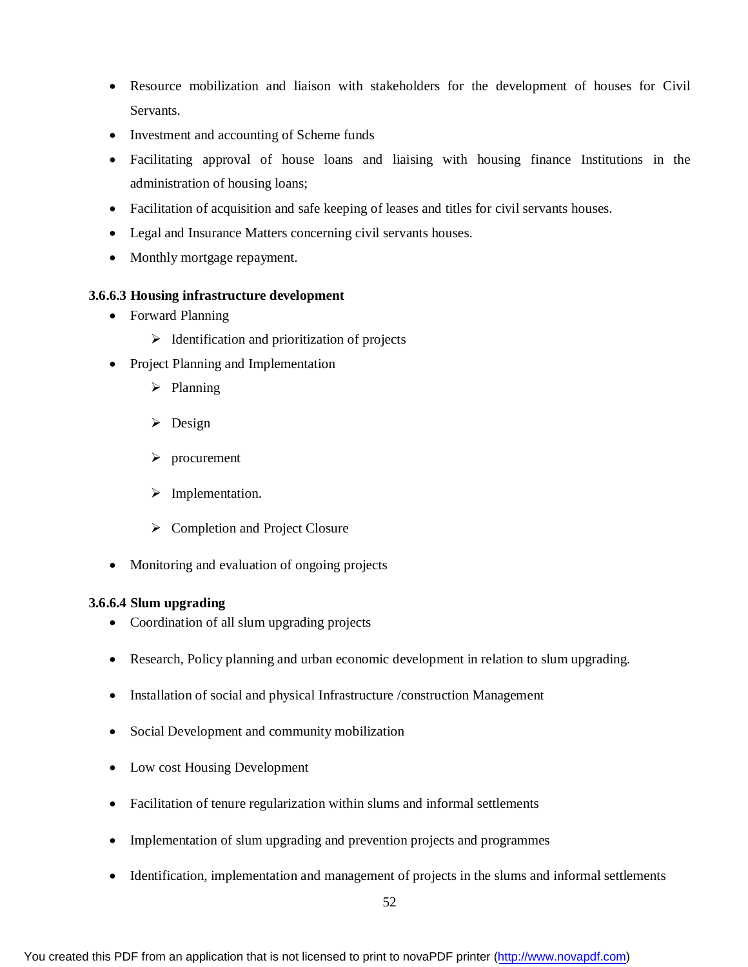- Resource mobilization and liaison with stakeholders for the development of houses for Civil **Servants**.
- Investment and accounting of Scheme funds
- Facilitating approval of house loans and liaising with housing finance Institutions in the administration of housing loans;
- Facilitation of acquisition and safe keeping of leases and titles for civil servants houses.
- Legal and Insurance Matters concerning civil servants houses.
- Monthly mortgage repayment.

## **3.6.6.3 Housing infrastructure development**

- Forward Planning
	- $\triangleright$  Identification and prioritization of projects
- Project Planning and Implementation
	- $\triangleright$  Planning
	- $\triangleright$  Design
	- $\triangleright$  procurement
	- > Implementation.
	- $\triangleright$  Completion and Project Closure
- Monitoring and evaluation of ongoing projects

### **3.6.6.4 Slum upgrading**

- Coordination of all slum upgrading projects
- Research, Policy planning and urban economic development in relation to slum upgrading.
- Installation of social and physical Infrastructure /construction Management
- Social Development and community mobilization
- Low cost Housing Development
- Facilitation of tenure regularization within slums and informal settlements
- Implementation of slum upgrading and prevention projects and programmes
- Identification, implementation and management of projects in the slums and informal settlements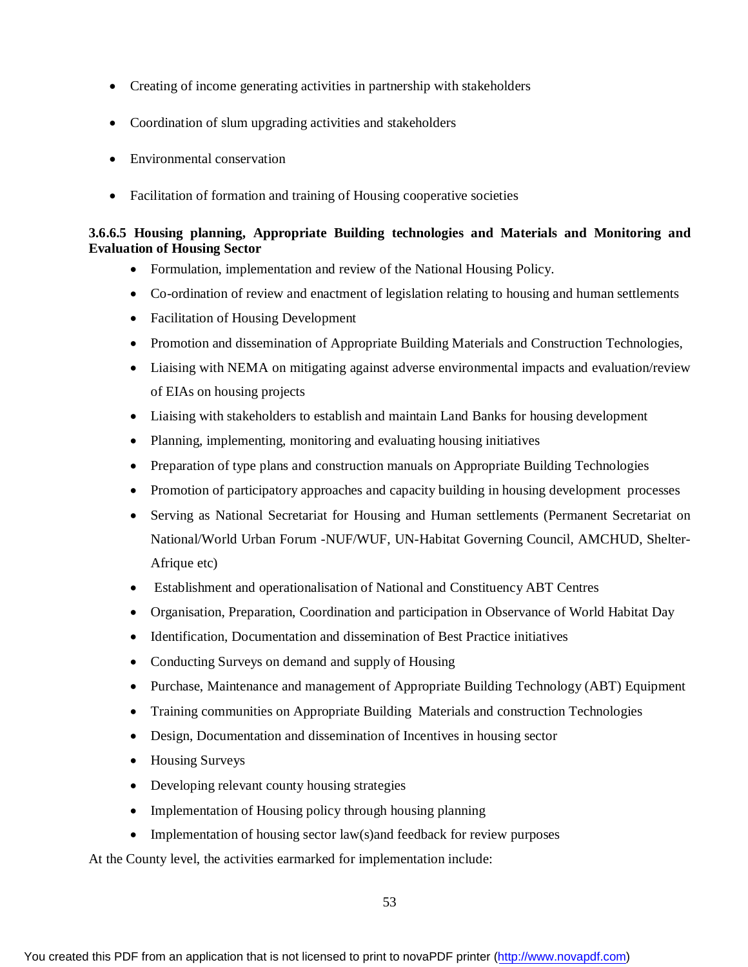- Creating of income generating activities in partnership with stakeholders
- Coordination of slum upgrading activities and stakeholders
- Environmental conservation
- Facilitation of formation and training of Housing cooperative societies

## **3.6.6.5 Housing planning, Appropriate Building technologies and Materials and Monitoring and Evaluation of Housing Sector**

- Formulation, implementation and review of the National Housing Policy.
- Co-ordination of review and enactment of legislation relating to housing and human settlements
- Facilitation of Housing Development
- Promotion and dissemination of Appropriate Building Materials and Construction Technologies,
- Liaising with NEMA on mitigating against adverse environmental impacts and evaluation/review of EIAs on housing projects
- Liaising with stakeholders to establish and maintain Land Banks for housing development
- Planning, implementing, monitoring and evaluating housing initiatives
- Preparation of type plans and construction manuals on Appropriate Building Technologies
- Promotion of participatory approaches and capacity building in housing development processes
- Serving as National Secretariat for Housing and Human settlements (Permanent Secretariat on National/World Urban Forum -NUF/WUF, UN-Habitat Governing Council, AMCHUD, Shelter-Afrique etc)
- Establishment and operationalisation of National and Constituency ABT Centres
- Organisation, Preparation, Coordination and participation in Observance of World Habitat Day
- Identification, Documentation and dissemination of Best Practice initiatives
- Conducting Surveys on demand and supply of Housing
- Purchase, Maintenance and management of Appropriate Building Technology (ABT) Equipment
- Training communities on Appropriate Building Materials and construction Technologies
- Design, Documentation and dissemination of Incentives in housing sector
- Housing Surveys
- Developing relevant county housing strategies
- Implementation of Housing policy through housing planning
- Implementation of housing sector law(s) and feedback for review purposes

At the County level, the activities earmarked for implementation include: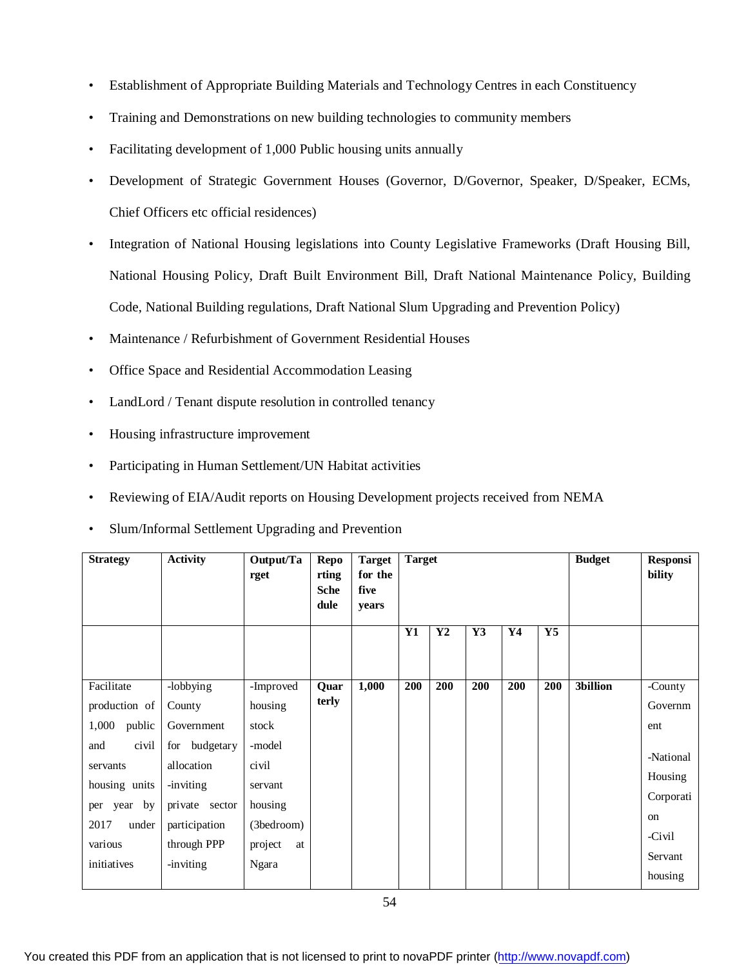- Establishment of Appropriate Building Materials and Technology Centres in each Constituency
- Training and Demonstrations on new building technologies to community members
- Facilitating development of 1,000 Public housing units annually
- Development of Strategic Government Houses (Governor, D/Governor, Speaker, D/Speaker, ECMs, Chief Officers etc official residences)
- Integration of National Housing legislations into County Legislative Frameworks (Draft Housing Bill, National Housing Policy, Draft Built Environment Bill, Draft National Maintenance Policy, Building Code, National Building regulations, Draft National Slum Upgrading and Prevention Policy)
- Maintenance / Refurbishment of Government Residential Houses
- Office Space and Residential Accommodation Leasing
- LandLord / Tenant dispute resolution in controlled tenancy
- Housing infrastructure improvement
- Participating in Human Settlement/UN Habitat activities
- Reviewing of EIA/Audit reports on Housing Development projects received from NEMA
- Slum/Informal Settlement Upgrading and Prevention

| <b>Strategy</b> | <b>Activity</b> | Output/Ta<br>rget | <b>Repo</b><br>rting<br>Sche<br>dule | <b>Target</b><br>for the<br>five<br>years | <b>Target</b> |     |     |                |     | <b>Budget</b>   | <b>Responsi</b><br>bility |
|-----------------|-----------------|-------------------|--------------------------------------|-------------------------------------------|---------------|-----|-----|----------------|-----|-----------------|---------------------------|
|                 |                 |                   |                                      |                                           | Y1            | Y2  | Y3  | Y <sub>4</sub> | Y5  |                 |                           |
|                 |                 |                   |                                      |                                           |               |     |     |                |     |                 |                           |
| Facilitate      | -lobbying       | -Improved         | Quar                                 | 1,000                                     | 200           | 200 | 200 | <b>200</b>     | 200 | <b>3billion</b> | -County                   |
| production of   | County          | housing           | terly                                |                                           |               |     |     |                |     |                 | Governm                   |
| 1,000<br>public | Government      | stock             |                                      |                                           |               |     |     |                |     |                 | ent                       |
| civil<br>and    | for budgetary   | -model            |                                      |                                           |               |     |     |                |     |                 |                           |
| servants        | allocation      | civil             |                                      |                                           |               |     |     |                |     |                 | -National                 |
| housing units   | -inviting       | servant           |                                      |                                           |               |     |     |                |     |                 | Housing                   |
| per year by     | private sector  | housing           |                                      |                                           |               |     |     |                |     |                 | Corporati                 |
| 2017<br>under   | participation   | (3bedroom)        |                                      |                                           |               |     |     |                |     |                 | <sub>on</sub>             |
| various         | through PPP     | project<br>at     |                                      |                                           |               |     |     |                |     |                 | -Civil                    |
| initiatives     | -inviting       | Ngara             |                                      |                                           |               |     |     |                |     |                 | Servant                   |
|                 |                 |                   |                                      |                                           |               |     |     |                |     |                 | housing                   |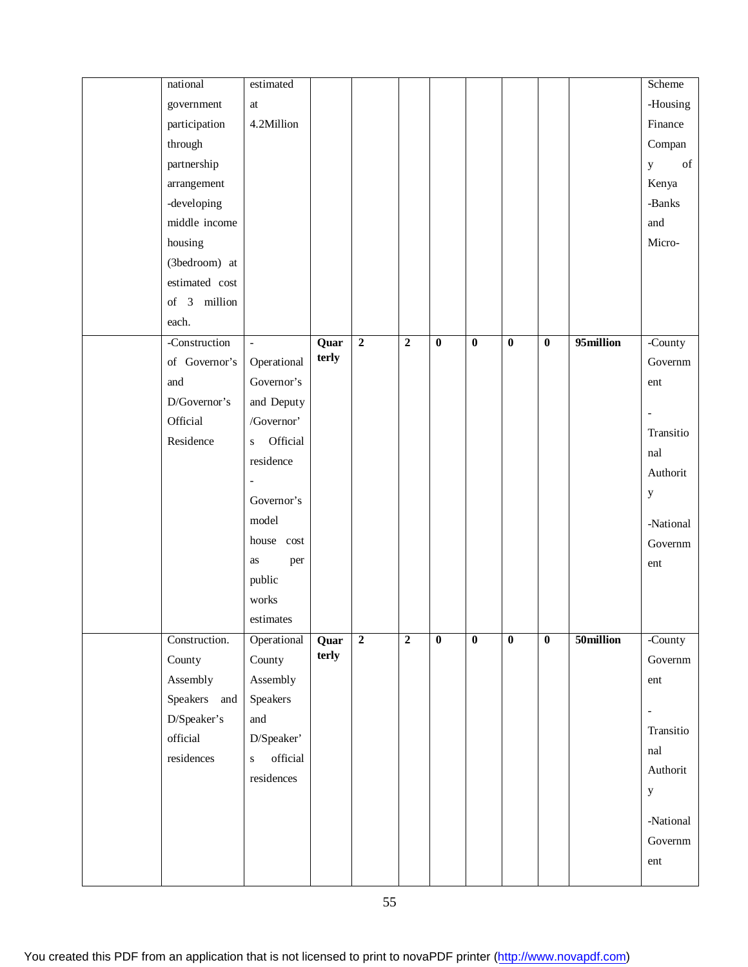| national       | estimated               |       |                |                |                         |                         |                         |                         |           | Scheme                                                                                                            |
|----------------|-------------------------|-------|----------------|----------------|-------------------------|-------------------------|-------------------------|-------------------------|-----------|-------------------------------------------------------------------------------------------------------------------|
| government     | at                      |       |                |                |                         |                         |                         |                         |           | -Housing                                                                                                          |
| participation  | 4.2Million              |       |                |                |                         |                         |                         |                         |           | Finance                                                                                                           |
| through        |                         |       |                |                |                         |                         |                         |                         |           | Compan                                                                                                            |
| partnership    |                         |       |                |                |                         |                         |                         |                         |           | $% \left( \left( \mathcal{A},\mathcal{A}\right) \right) =\left( \mathcal{A},\mathcal{A}\right)$ of<br>$\mathbf y$ |
| arrangement    |                         |       |                |                |                         |                         |                         |                         |           | Kenya                                                                                                             |
| -developing    |                         |       |                |                |                         |                         |                         |                         |           | -Banks                                                                                                            |
| middle income  |                         |       |                |                |                         |                         |                         |                         |           | and                                                                                                               |
| housing        |                         |       |                |                |                         |                         |                         |                         |           | Micro-                                                                                                            |
| (3bedroom) at  |                         |       |                |                |                         |                         |                         |                         |           |                                                                                                                   |
| estimated cost |                         |       |                |                |                         |                         |                         |                         |           |                                                                                                                   |
| of 3 million   |                         |       |                |                |                         |                         |                         |                         |           |                                                                                                                   |
| each.          |                         |       |                |                |                         |                         |                         |                         |           |                                                                                                                   |
| -Construction  | $\omega$                | Quar  | $\overline{2}$ | $\overline{2}$ | $\overline{\mathbf{0}}$ | $\overline{\mathbf{0}}$ | $\pmb{0}$               | $\overline{\mathbf{0}}$ | 95million | -County                                                                                                           |
| of Governor's  | Operational             | terly |                |                |                         |                         |                         |                         |           | Governm                                                                                                           |
| and            | Governor's              |       |                |                |                         |                         |                         |                         |           | ent                                                                                                               |
| D/Governor's   | and Deputy              |       |                |                |                         |                         |                         |                         |           |                                                                                                                   |
| Official       | /Governor'              |       |                |                |                         |                         |                         |                         |           | $\qquad \qquad \blacksquare$                                                                                      |
| Residence      | Official<br>${\bf S}^-$ |       |                |                |                         |                         |                         |                         |           | Transitio                                                                                                         |
|                | residence               |       |                |                |                         |                         |                         |                         |           | nal                                                                                                               |
|                |                         |       |                |                |                         |                         |                         |                         |           | Authorit                                                                                                          |
|                | Governor's              |       |                |                |                         |                         |                         |                         |           | $\mathbf y$                                                                                                       |
|                | model                   |       |                |                |                         |                         |                         |                         |           | -National                                                                                                         |
|                | house cost              |       |                |                |                         |                         |                         |                         |           | Governm                                                                                                           |
|                | per<br>as               |       |                |                |                         |                         |                         |                         |           | ent                                                                                                               |
|                | public                  |       |                |                |                         |                         |                         |                         |           |                                                                                                                   |
|                | works                   |       |                |                |                         |                         |                         |                         |           |                                                                                                                   |
|                | estimates               |       |                |                |                         |                         |                         |                         |           |                                                                                                                   |
| Construction.  | Operational             | Quar  | $\overline{2}$ | $\overline{2}$ | $\overline{\mathbf{0}}$ | $\overline{\mathbf{0}}$ | $\overline{\mathbf{0}}$ | $\overline{\mathbf{0}}$ | 50million | -County                                                                                                           |
| County         | County                  | terly |                |                |                         |                         |                         |                         |           | Governm                                                                                                           |
| Assembly       | Assembly                |       |                |                |                         |                         |                         |                         |           | ent                                                                                                               |
| Speakers and   | Speakers                |       |                |                |                         |                         |                         |                         |           |                                                                                                                   |
| D/Speaker's    | and                     |       |                |                |                         |                         |                         |                         |           | Transitio                                                                                                         |
| official       | D/Speaker'              |       |                |                |                         |                         |                         |                         |           | $\operatorname{nal}$                                                                                              |
| residences     | official<br>${\bf S}$   |       |                |                |                         |                         |                         |                         |           | Authorit                                                                                                          |
|                | residences              |       |                |                |                         |                         |                         |                         |           |                                                                                                                   |
|                |                         |       |                |                |                         |                         |                         |                         |           | $\mathbf y$                                                                                                       |
|                |                         |       |                |                |                         |                         |                         |                         |           | -National                                                                                                         |
|                |                         |       |                |                |                         |                         |                         |                         |           | Governm                                                                                                           |
|                |                         |       |                |                |                         |                         |                         |                         |           | ent                                                                                                               |
|                |                         |       |                |                |                         |                         |                         |                         |           |                                                                                                                   |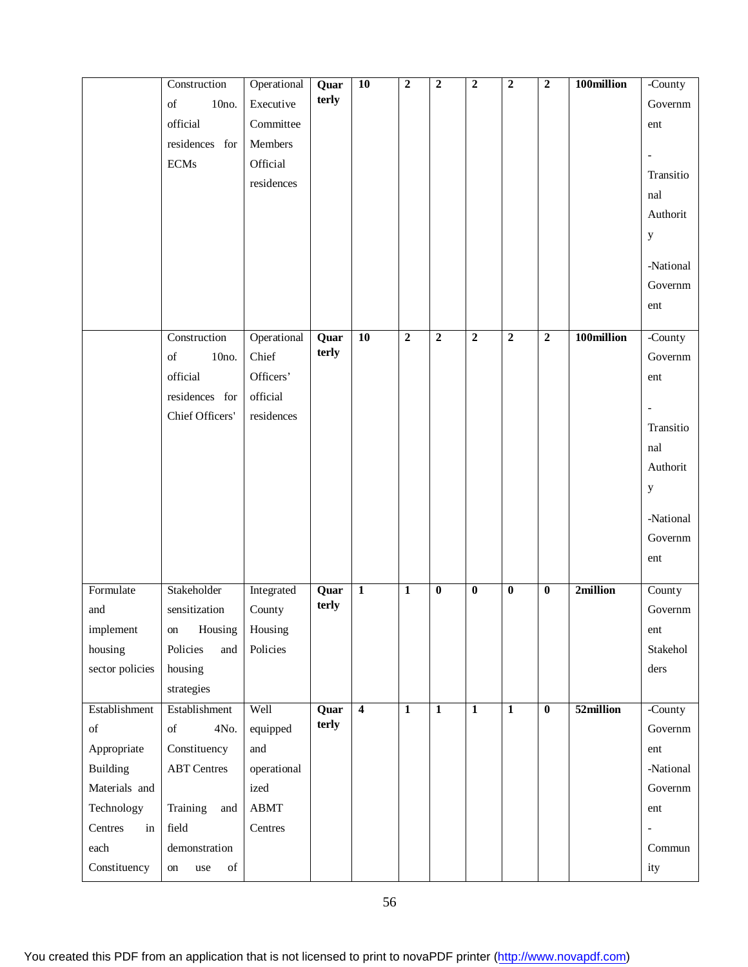|                                                                                                    | Construction                                                                                                    | Operational         | Quar          | $\overline{10}$ | $\boldsymbol{2}$ | $\boldsymbol{2}$ | $\mathbf 2$      | $\mathbf 2$    | $\boldsymbol{2}$        | 100million | -County                               |
|----------------------------------------------------------------------------------------------------|-----------------------------------------------------------------------------------------------------------------|---------------------|---------------|-----------------|------------------|------------------|------------------|----------------|-------------------------|------------|---------------------------------------|
|                                                                                                    | of<br>10no.                                                                                                     | Executive           | terly         |                 |                  |                  |                  |                |                         |            | Governm                               |
|                                                                                                    | official                                                                                                        | Committee           |               |                 |                  |                  |                  |                |                         |            | ent                                   |
|                                                                                                    | residences for                                                                                                  | Members             |               |                 |                  |                  |                  |                |                         |            |                                       |
|                                                                                                    | <b>ECMs</b>                                                                                                     | Official            |               |                 |                  |                  |                  |                |                         |            |                                       |
|                                                                                                    |                                                                                                                 | residences          |               |                 |                  |                  |                  |                |                         |            | Transitio                             |
|                                                                                                    |                                                                                                                 |                     |               |                 |                  |                  |                  |                |                         |            | nal                                   |
|                                                                                                    |                                                                                                                 |                     |               |                 |                  |                  |                  |                |                         |            | Authorit                              |
|                                                                                                    |                                                                                                                 |                     |               |                 |                  |                  |                  |                |                         |            | $\mathbf y$                           |
|                                                                                                    |                                                                                                                 |                     |               |                 |                  |                  |                  |                |                         |            | -National                             |
|                                                                                                    |                                                                                                                 |                     |               |                 |                  |                  |                  |                |                         |            | Governm                               |
|                                                                                                    |                                                                                                                 |                     |               |                 |                  |                  |                  |                |                         |            | ent                                   |
|                                                                                                    |                                                                                                                 |                     |               |                 |                  |                  |                  |                |                         |            |                                       |
|                                                                                                    | Construction                                                                                                    | Operational         | Quar          | 10              | $\overline{2}$   | $\overline{2}$   | $\overline{2}$   | $\overline{2}$ | $\overline{2}$          | 100million | -County                               |
|                                                                                                    | $% \left( \left( \mathcal{A},\mathcal{A}\right) \right) =\left( \mathcal{A},\mathcal{A}\right)$ of<br>10no.     | Chief               | terly         |                 |                  |                  |                  |                |                         |            | Governm                               |
|                                                                                                    | official                                                                                                        | Officers'           |               |                 |                  |                  |                  |                |                         |            | ent                                   |
|                                                                                                    | residences for                                                                                                  | official            |               |                 |                  |                  |                  |                |                         |            |                                       |
|                                                                                                    | Chief Officers'                                                                                                 | residences          |               |                 |                  |                  |                  |                |                         |            | $\overline{\phantom{a}}$<br>Transitio |
|                                                                                                    |                                                                                                                 |                     |               |                 |                  |                  |                  |                |                         |            | nal                                   |
|                                                                                                    |                                                                                                                 |                     |               |                 |                  |                  |                  |                |                         |            | Authorit                              |
|                                                                                                    |                                                                                                                 |                     |               |                 |                  |                  |                  |                |                         |            |                                       |
|                                                                                                    |                                                                                                                 |                     |               |                 |                  |                  |                  |                |                         |            | $\mathbf y$                           |
|                                                                                                    |                                                                                                                 |                     |               |                 |                  |                  |                  |                |                         |            | -National                             |
|                                                                                                    |                                                                                                                 |                     |               |                 |                  |                  |                  |                |                         |            | Governm                               |
|                                                                                                    |                                                                                                                 |                     |               |                 |                  |                  |                  |                |                         |            | ent                                   |
|                                                                                                    | Stakeholder                                                                                                     |                     |               |                 |                  |                  |                  |                |                         | 2million   |                                       |
| Formulate                                                                                          |                                                                                                                 | Integrated          | Quar<br>terly | $\overline{1}$  | $\mathbf{1}$     | $\bf{0}$         | $\boldsymbol{0}$ | $\pmb{0}$      | $\bf{0}$                |            | County                                |
| and                                                                                                | sensitization                                                                                                   | County              |               |                 |                  |                  |                  |                |                         |            | Governm                               |
| implement                                                                                          | Housing<br>on<br>Policies                                                                                       | Housing<br>Policies |               |                 |                  |                  |                  |                |                         |            | ent                                   |
| housing<br>sector policies                                                                         | and<br>housing                                                                                                  |                     |               |                 |                  |                  |                  |                |                         |            | Stakehol<br>ders                      |
|                                                                                                    | strategies                                                                                                      |                     |               |                 |                  |                  |                  |                |                         |            |                                       |
| Establishment                                                                                      | Establishment                                                                                                   | Well                | Quar          | $\overline{4}$  | $\overline{1}$   | $\overline{1}$   | $\overline{1}$   | $\overline{1}$ | $\overline{\mathbf{0}}$ | 52million  | -County                               |
| $% \left( \left( \mathcal{A},\mathcal{A}\right) \right) =\left( \mathcal{A},\mathcal{A}\right)$ of | $% \left( \left( \mathcal{A},\mathcal{A}\right) \right) =\left( \mathcal{A},\mathcal{A}\right)$ of<br>4No.      | equipped            | terly         |                 |                  |                  |                  |                |                         |            | Governm                               |
| Appropriate                                                                                        | Constituency                                                                                                    | and                 |               |                 |                  |                  |                  |                |                         |            |                                       |
|                                                                                                    |                                                                                                                 |                     |               |                 |                  |                  |                  |                |                         |            | ent<br>-National                      |
| Building<br>Materials and                                                                          | <b>ABT</b> Centres                                                                                              | operational<br>ized |               |                 |                  |                  |                  |                |                         |            |                                       |
| Technology                                                                                         | Training<br>and                                                                                                 | ABMT                |               |                 |                  |                  |                  |                |                         |            | Governm                               |
| Centres<br>$\operatorname{in}$                                                                     | $\operatorname{field}$                                                                                          | Centres             |               |                 |                  |                  |                  |                |                         |            | ent                                   |
| each                                                                                               | demonstration                                                                                                   |                     |               |                 |                  |                  |                  |                |                         |            | Commun                                |
|                                                                                                    |                                                                                                                 |                     |               |                 |                  |                  |                  |                |                         |            |                                       |
| Constituency                                                                                       | $% \left( \left( \mathcal{A},\mathcal{A}\right) \right) =\left( \mathcal{A},\mathcal{A}\right)$ of<br>use<br>on |                     |               |                 |                  |                  |                  |                |                         |            | ity                                   |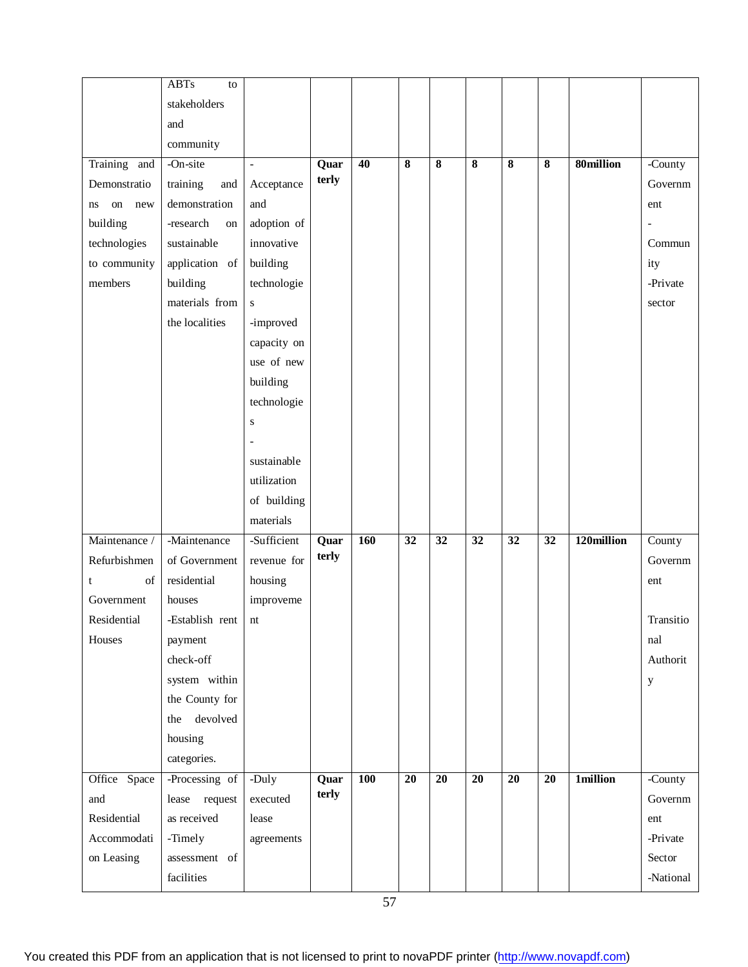|                      | <b>ABTs</b><br>to |             |       |            |                 |                         |                    |                         |                    |                 |             |
|----------------------|-------------------|-------------|-------|------------|-----------------|-------------------------|--------------------|-------------------------|--------------------|-----------------|-------------|
|                      | stakeholders      |             |       |            |                 |                         |                    |                         |                    |                 |             |
|                      | and               |             |       |            |                 |                         |                    |                         |                    |                 |             |
|                      | community         |             |       |            |                 |                         |                    |                         |                    |                 |             |
| Training and         | -On-site          | $\equiv$    | Quar  | 40         | 8               | $\overline{\mathbf{8}}$ | $\overline{\bf 8}$ | $\overline{\mathbf{8}}$ | $\overline{\bf 8}$ | 80million       | -County     |
| Demonstratio         | training<br>and   | Acceptance  | terly |            |                 |                         |                    |                         |                    |                 | Governm     |
| $\,$ on<br>new<br>ns | demonstration     | and         |       |            |                 |                         |                    |                         |                    |                 | ent         |
| building             | -research<br>on   | adoption of |       |            |                 |                         |                    |                         |                    |                 |             |
| technologies         | sustainable       | innovative  |       |            |                 |                         |                    |                         |                    |                 | Commun      |
| to community         | application of    | building    |       |            |                 |                         |                    |                         |                    |                 | ity         |
| members              | building          | technologie |       |            |                 |                         |                    |                         |                    |                 | -Private    |
|                      | materials from    | ${\bf S}$   |       |            |                 |                         |                    |                         |                    |                 | sector      |
|                      | the localities    | -improved   |       |            |                 |                         |                    |                         |                    |                 |             |
|                      |                   | capacity on |       |            |                 |                         |                    |                         |                    |                 |             |
|                      |                   | use of new  |       |            |                 |                         |                    |                         |                    |                 |             |
|                      |                   | building    |       |            |                 |                         |                    |                         |                    |                 |             |
|                      |                   | technologie |       |            |                 |                         |                    |                         |                    |                 |             |
|                      |                   | ${\bf S}$   |       |            |                 |                         |                    |                         |                    |                 |             |
|                      |                   |             |       |            |                 |                         |                    |                         |                    |                 |             |
|                      |                   | sustainable |       |            |                 |                         |                    |                         |                    |                 |             |
|                      |                   | utilization |       |            |                 |                         |                    |                         |                    |                 |             |
|                      |                   | of building |       |            |                 |                         |                    |                         |                    |                 |             |
|                      |                   | materials   |       |            |                 |                         |                    |                         |                    |                 |             |
| Maintenance /        | -Maintenance      | -Sufficient | Quar  | <b>160</b> | 32              | $\overline{32}$         | $\overline{32}$    | $\overline{32}$         | 32                 | 120million      | County      |
| Refurbishmen         | of Government     | revenue for | terly |            |                 |                         |                    |                         |                    |                 | Governm     |
| of<br>t              | residential       | housing     |       |            |                 |                         |                    |                         |                    |                 | ent         |
| Government           | houses            | improveme   |       |            |                 |                         |                    |                         |                    |                 |             |
| Residential          | -Establish rent   | nt          |       |            |                 |                         |                    |                         |                    |                 | Transitio   |
| Houses               | payment           |             |       |            |                 |                         |                    |                         |                    |                 | nal         |
|                      | check-off         |             |       |            |                 |                         |                    |                         |                    |                 | Authorit    |
|                      | system within     |             |       |            |                 |                         |                    |                         |                    |                 | $\mathbf y$ |
|                      | the County for    |             |       |            |                 |                         |                    |                         |                    |                 |             |
|                      | devolved<br>the   |             |       |            |                 |                         |                    |                         |                    |                 |             |
|                      | housing           |             |       |            |                 |                         |                    |                         |                    |                 |             |
|                      | categories.       |             |       |            |                 |                         |                    |                         |                    |                 |             |
| Office Space         |                   | -Duly       | Quar  | <b>100</b> | $\overline{20}$ | 20                      | $\overline{20}$    | $\overline{20}$         | $\overline{20}$    | <b>1million</b> | -County     |
|                      | -Processing of    |             |       |            |                 |                         |                    |                         |                    |                 |             |
| and                  | lease request     | executed    | terly |            |                 |                         |                    |                         |                    |                 | Governm     |
| Residential          | as received       | lease       |       |            |                 |                         |                    |                         |                    |                 | ent         |
| Accommodati          | -Timely           | agreements  |       |            |                 |                         |                    |                         |                    |                 | -Private    |
| on Leasing           | assessment of     |             |       |            |                 |                         |                    |                         |                    |                 | Sector      |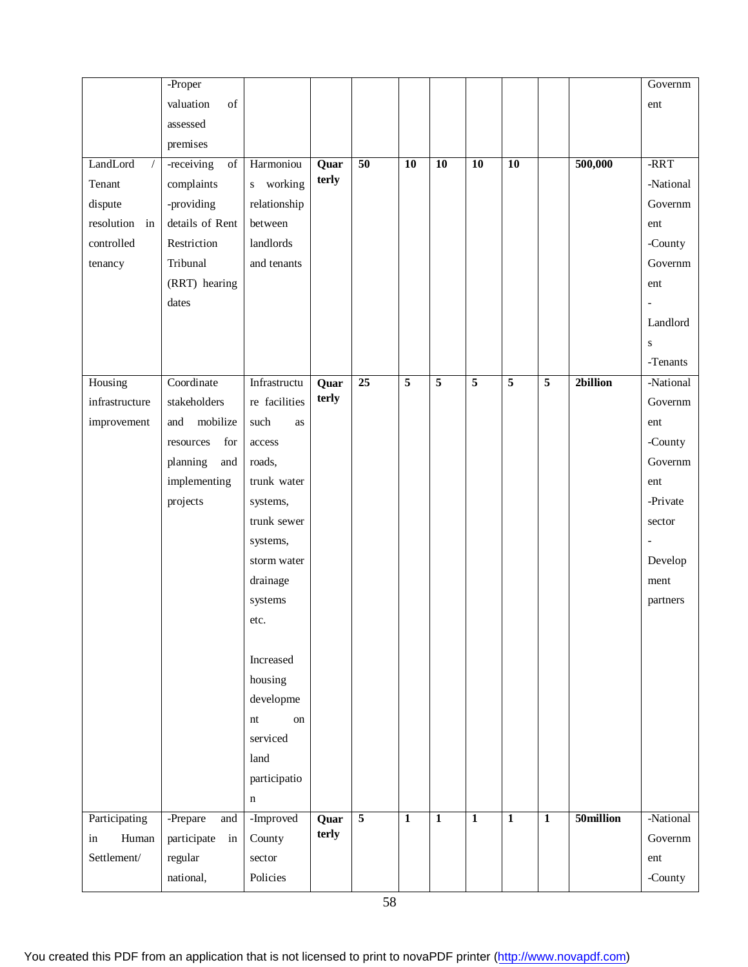|                              | -Proper                                                                                                         |                        |       |                 |                |                 |                 |                 |             |           | Governm   |
|------------------------------|-----------------------------------------------------------------------------------------------------------------|------------------------|-------|-----------------|----------------|-----------------|-----------------|-----------------|-------------|-----------|-----------|
|                              | $% \left( \left( \mathcal{A},\mathcal{A}\right) \right) =\left( \mathcal{A},\mathcal{A}\right)$ of<br>valuation |                        |       |                 |                |                 |                 |                 |             |           | ent       |
|                              | assessed                                                                                                        |                        |       |                 |                |                 |                 |                 |             |           |           |
|                              | premises                                                                                                        |                        |       |                 |                |                 |                 |                 |             |           |           |
| LandLord                     | -receiving<br>of                                                                                                | Harmoniou              | Quar  | $\overline{50}$ | 10             | $\overline{10}$ | $\overline{10}$ | $\overline{10}$ |             | 500,000   | -RRT      |
| Tenant                       | complaints                                                                                                      | working<br>${\bf S}^-$ | terly |                 |                |                 |                 |                 |             |           | -National |
| dispute                      | -providing                                                                                                      | relationship           |       |                 |                |                 |                 |                 |             |           | Governm   |
| resolution in                | details of Rent                                                                                                 | between                |       |                 |                |                 |                 |                 |             |           | ent       |
| controlled                   | Restriction                                                                                                     | landlords              |       |                 |                |                 |                 |                 |             |           | -County   |
| tenancy                      | Tribunal                                                                                                        | and tenants            |       |                 |                |                 |                 |                 |             |           | Governm   |
|                              | (RRT) hearing                                                                                                   |                        |       |                 |                |                 |                 |                 |             |           | ent       |
|                              | dates                                                                                                           |                        |       |                 |                |                 |                 |                 |             |           |           |
|                              |                                                                                                                 |                        |       |                 |                |                 |                 |                 |             |           | Landlord  |
|                              |                                                                                                                 |                        |       |                 |                |                 |                 |                 |             |           | S         |
|                              |                                                                                                                 |                        |       |                 |                |                 |                 |                 |             |           | -Tenants  |
| Housing                      | Coordinate                                                                                                      | Infrastructu           | Quar  | $\overline{25}$ | $\overline{5}$ | 5               | 5               | $\overline{5}$  | 5           | 2billion  | -National |
| infrastructure               | stakeholders                                                                                                    | re facilities          | terly |                 |                |                 |                 |                 |             |           | Governm   |
| improvement                  | mobilize<br>and                                                                                                 | such<br>as             |       |                 |                |                 |                 |                 |             |           | ent       |
|                              | resources<br>for                                                                                                | access                 |       |                 |                |                 |                 |                 |             |           | -County   |
|                              | planning<br>and                                                                                                 | roads,                 |       |                 |                |                 |                 |                 |             |           | Governm   |
|                              | implementing                                                                                                    | trunk water            |       |                 |                |                 |                 |                 |             |           | ent       |
|                              | projects                                                                                                        | systems,               |       |                 |                |                 |                 |                 |             |           | -Private  |
|                              |                                                                                                                 | trunk sewer            |       |                 |                |                 |                 |                 |             |           | sector    |
|                              |                                                                                                                 | systems,               |       |                 |                |                 |                 |                 |             |           |           |
|                              |                                                                                                                 | storm water            |       |                 |                |                 |                 |                 |             |           | Develop   |
|                              |                                                                                                                 | drainage               |       |                 |                |                 |                 |                 |             |           | ment      |
|                              |                                                                                                                 | systems                |       |                 |                |                 |                 |                 |             |           | partners  |
|                              |                                                                                                                 | etc.                   |       |                 |                |                 |                 |                 |             |           |           |
|                              |                                                                                                                 |                        |       |                 |                |                 |                 |                 |             |           |           |
|                              |                                                                                                                 | Increased              |       |                 |                |                 |                 |                 |             |           |           |
|                              |                                                                                                                 | housing                |       |                 |                |                 |                 |                 |             |           |           |
|                              |                                                                                                                 | developme              |       |                 |                |                 |                 |                 |             |           |           |
|                              |                                                                                                                 | nt<br>$\,$ on          |       |                 |                |                 |                 |                 |             |           |           |
|                              |                                                                                                                 | serviced               |       |                 |                |                 |                 |                 |             |           |           |
|                              |                                                                                                                 | land                   |       |                 |                |                 |                 |                 |             |           |           |
|                              |                                                                                                                 | participatio           |       |                 |                |                 |                 |                 |             |           |           |
|                              |                                                                                                                 | $\mathbf n$            |       |                 |                |                 |                 |                 |             |           |           |
| Participating                | -Prepare<br>and                                                                                                 | -Improved              | Quar  | $\overline{5}$  | $\overline{1}$ | $\overline{1}$  | $\overline{1}$  | $\overline{1}$  | $\mathbf 1$ | 50million | -National |
| Human<br>$\operatorname{in}$ | participate<br>in                                                                                               | County                 | terly |                 |                |                 |                 |                 |             |           | Governm   |
| Settlement/                  | regular                                                                                                         | sector                 |       |                 |                |                 |                 |                 |             |           | ent       |
|                              | national,                                                                                                       | Policies               |       |                 |                |                 |                 |                 |             |           | -County   |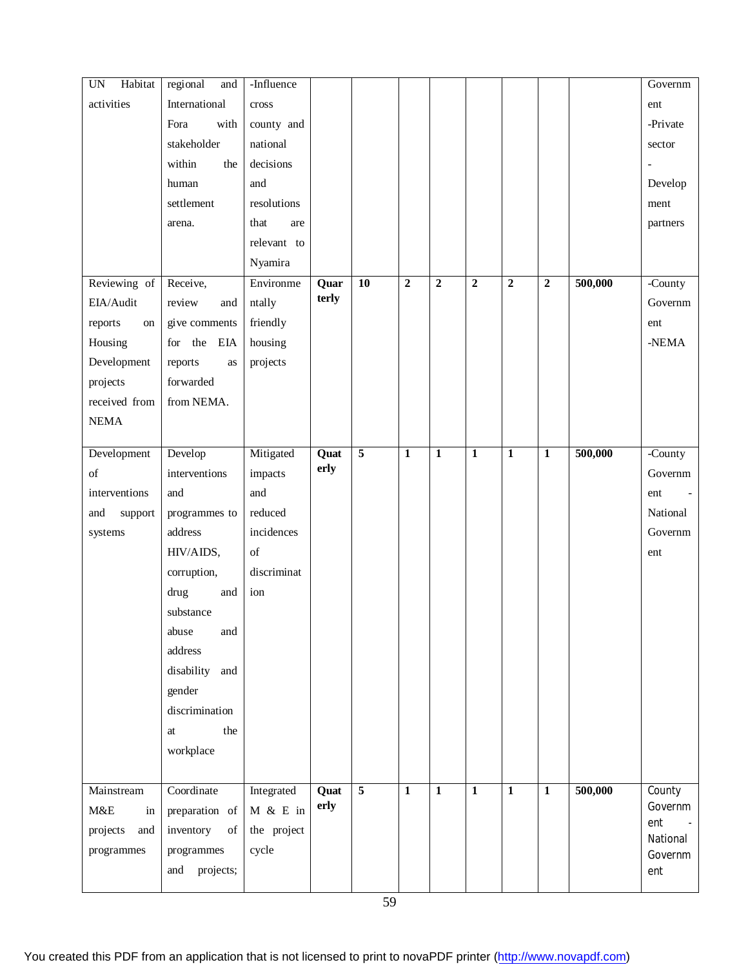| Habitat<br>$\ensuremath{\text{UN}}$ | regional<br>and   | -Influence  |              |                 |                |                  |                |                |                  |         | Governm                  |
|-------------------------------------|-------------------|-------------|--------------|-----------------|----------------|------------------|----------------|----------------|------------------|---------|--------------------------|
| activities                          | International     | cross       |              |                 |                |                  |                |                |                  |         | ent                      |
|                                     | Fora<br>with      | county and  |              |                 |                |                  |                |                |                  |         | -Private                 |
|                                     | stakeholder       | national    |              |                 |                |                  |                |                |                  |         | sector                   |
|                                     | within<br>the     | decisions   |              |                 |                |                  |                |                |                  |         |                          |
|                                     | human             | and         |              |                 |                |                  |                |                |                  |         | Develop                  |
|                                     | settlement        | resolutions |              |                 |                |                  |                |                |                  |         | ment                     |
|                                     | arena.            | that<br>are |              |                 |                |                  |                |                |                  |         | partners                 |
|                                     |                   | relevant to |              |                 |                |                  |                |                |                  |         |                          |
|                                     |                   | Nyamira     |              |                 |                |                  |                |                |                  |         |                          |
| Reviewing of                        | Receive,          | Environme   | Quar         | $\overline{10}$ | $\overline{2}$ | $\boldsymbol{2}$ | $\overline{2}$ | $\mathbf 2$    | $\boldsymbol{2}$ | 500,000 | -County                  |
| EIA/Audit                           | review<br>and     | ntally      | terly        |                 |                |                  |                |                |                  |         | Governm                  |
| reports<br>on                       | give comments     | friendly    |              |                 |                |                  |                |                |                  |         | ent                      |
| Housing                             | for the EIA       | housing     |              |                 |                |                  |                |                |                  |         | -NEMA                    |
| Development                         | reports<br>as     | projects    |              |                 |                |                  |                |                |                  |         |                          |
| projects                            | forwarded         |             |              |                 |                |                  |                |                |                  |         |                          |
| received from                       | from NEMA.        |             |              |                 |                |                  |                |                |                  |         |                          |
| <b>NEMA</b>                         |                   |             |              |                 |                |                  |                |                |                  |         |                          |
|                                     |                   |             |              |                 |                |                  |                |                |                  |         |                          |
| Development                         | Develop           | Mitigated   | Quat<br>erly | 5               | $\overline{1}$ | $\overline{1}$   | $\overline{1}$ | $\overline{1}$ | $\overline{1}$   | 500,000 | -County                  |
| of                                  | interventions     | impacts     |              |                 |                |                  |                |                |                  |         | Governm                  |
| interventions                       | and               | and         |              |                 |                |                  |                |                |                  |         | ent                      |
| and<br>support                      | programmes to     | reduced     |              |                 |                |                  |                |                |                  |         | National                 |
| systems                             | address           | incidences  |              |                 |                |                  |                |                |                  |         | Governm                  |
|                                     | HIV/AIDS,         | of          |              |                 |                |                  |                |                |                  |         | ent                      |
|                                     | corruption,       | discriminat |              |                 |                |                  |                |                |                  |         |                          |
|                                     | drug<br>and       | ion         |              |                 |                |                  |                |                |                  |         |                          |
|                                     | substance         |             |              |                 |                |                  |                |                |                  |         |                          |
|                                     | abuse<br>and      |             |              |                 |                |                  |                |                |                  |         |                          |
|                                     | address           |             |              |                 |                |                  |                |                |                  |         |                          |
|                                     | disability<br>and |             |              |                 |                |                  |                |                |                  |         |                          |
|                                     | gender            |             |              |                 |                |                  |                |                |                  |         |                          |
|                                     | discrimination    |             |              |                 |                |                  |                |                |                  |         |                          |
|                                     | the<br>at         |             |              |                 |                |                  |                |                |                  |         |                          |
|                                     | workplace         |             |              |                 |                |                  |                |                |                  |         |                          |
|                                     |                   |             |              |                 |                |                  |                |                |                  |         |                          |
| Mainstream                          | Coordinate        | Integrated  | Quat         | $\overline{5}$  | $\overline{1}$ | $\overline{1}$   | $\overline{1}$ | $\overline{1}$ | $\overline{1}$   | 500,000 | County                   |
| M&E<br>in                           | preparation of    | $M \& E$ in | erly         |                 |                |                  |                |                |                  |         | Governm<br>ent<br>$\sim$ |
| projects<br>and                     | inventory<br>of   | the project |              |                 |                |                  |                |                |                  |         | National                 |
| programmes                          |                   |             |              |                 |                |                  |                |                |                  |         |                          |
|                                     | programmes        | cycle       |              |                 |                |                  |                |                |                  |         | Governm                  |
|                                     | projects;<br>and  |             |              |                 |                |                  |                |                |                  |         | ent                      |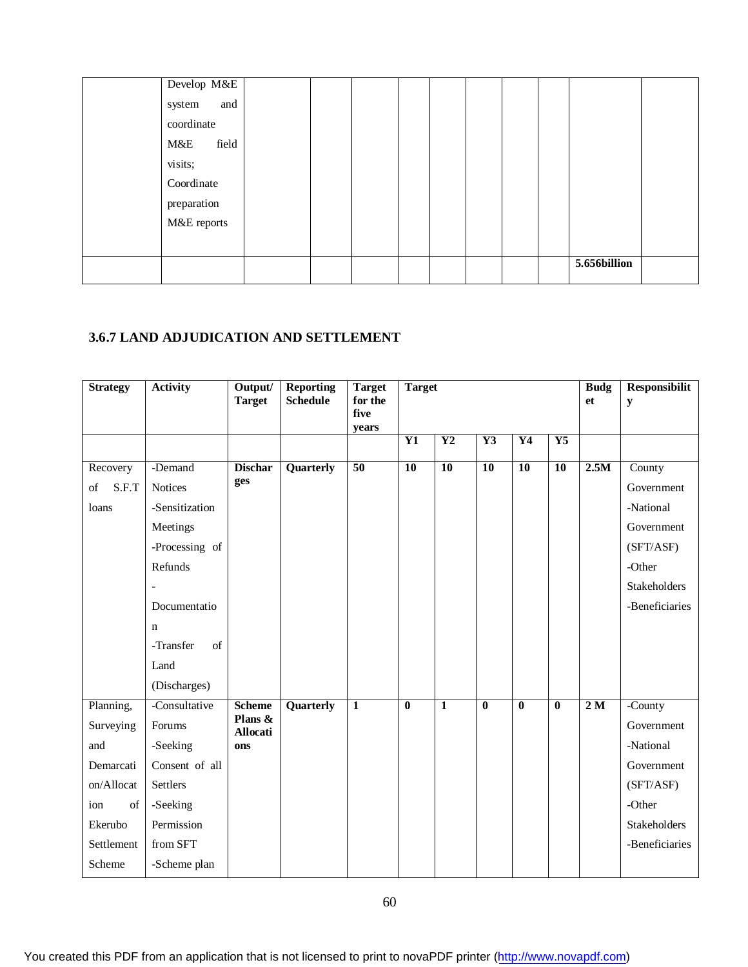| Develop M&E   |  |  |  |  |              |  |
|---------------|--|--|--|--|--------------|--|
| and<br>system |  |  |  |  |              |  |
| coordinate    |  |  |  |  |              |  |
| field<br>M&E  |  |  |  |  |              |  |
| visits;       |  |  |  |  |              |  |
| Coordinate    |  |  |  |  |              |  |
| preparation   |  |  |  |  |              |  |
| M&E reports   |  |  |  |  |              |  |
|               |  |  |  |  |              |  |
|               |  |  |  |  | 5.656billion |  |
|               |  |  |  |  |              |  |

## **3.6.7 LAND ADJUDICATION AND SETTLEMENT**

| <b>Strategy</b>                                                                             | <b>Activity</b>                                                                                                                                                            | Output/<br><b>Target</b>          | <b>Reporting</b><br><b>Schedule</b> | <b>Target</b><br>for the<br>five<br>years | <b>Target</b>   |                 |                 |                 |                 | <b>Budg</b><br>et | <b>Responsibilit</b><br>y                                                                                       |
|---------------------------------------------------------------------------------------------|----------------------------------------------------------------------------------------------------------------------------------------------------------------------------|-----------------------------------|-------------------------------------|-------------------------------------------|-----------------|-----------------|-----------------|-----------------|-----------------|-------------------|-----------------------------------------------------------------------------------------------------------------|
|                                                                                             |                                                                                                                                                                            |                                   |                                     |                                           | $\overline{Y1}$ | $\overline{Y2}$ | Y3              | $\overline{Y4}$ | $\overline{Y5}$ |                   |                                                                                                                 |
| Recovery<br>S.F.T<br>of<br>loans                                                            | -Demand<br><b>Notices</b><br>-Sensitization<br>Meetings<br>-Processing of<br>Refunds<br>$\overline{\phantom{a}}$<br>Documentatio<br>$\mathbf n$<br>-Transfer<br>of<br>Land | <b>Dischar</b><br>ges             | Quarterly                           | 50                                        | $\overline{10}$ | $\overline{10}$ | $\overline{10}$ | $\overline{10}$ | $\overline{10}$ | 2.5M              | County<br>Government<br>-National<br>Government<br>(SFT/ASF)<br>-Other<br><b>Stakeholders</b><br>-Beneficiaries |
| Planning,                                                                                   | (Discharges)<br>-Consultative                                                                                                                                              | <b>Scheme</b>                     | Quarterly                           | $\mathbf{1}$                              | $\mathbf{0}$    | $\overline{1}$  | $\bf{0}$        | $\bf{0}$        | $\bf{0}$        | 2 <sub>M</sub>    | -County                                                                                                         |
| Surveying<br>and<br>Demarcati<br>on/Allocat<br>ion<br>of<br>Ekerubo<br>Settlement<br>Scheme | Forums<br>-Seeking<br>Consent of all<br><b>Settlers</b><br>-Seeking<br>Permission<br>from SFT<br>-Scheme plan                                                              | Plans &<br><b>Allocati</b><br>ons |                                     |                                           |                 |                 |                 |                 |                 |                   | Government<br>-National<br>Government<br>(SFT/ASF)<br>-Other<br>Stakeholders<br>-Beneficiaries                  |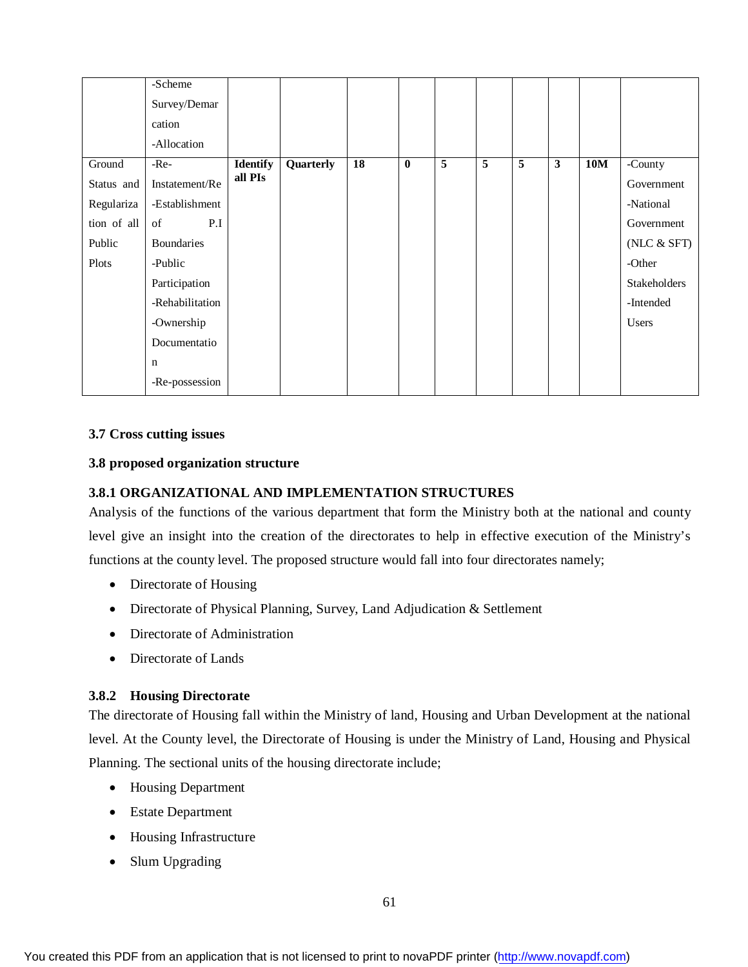|             | $\overline{-S}$ cheme |                 |           |    |          |                |                |                |   |            |              |
|-------------|-----------------------|-----------------|-----------|----|----------|----------------|----------------|----------------|---|------------|--------------|
|             | Survey/Demar          |                 |           |    |          |                |                |                |   |            |              |
|             | cation                |                 |           |    |          |                |                |                |   |            |              |
|             | -Allocation           |                 |           |    |          |                |                |                |   |            |              |
| Ground      | $-Re-$                | <b>Identify</b> | Quarterly | 18 | $\bf{0}$ | $\overline{5}$ | $\overline{5}$ | $\overline{5}$ | 3 | <b>10M</b> | -County      |
| Status and  | Instatement/Re        | all PIs         |           |    |          |                |                |                |   |            | Government   |
| Regulariza  | -Establishment        |                 |           |    |          |                |                |                |   |            | -National    |
| tion of all | P.I<br>of             |                 |           |    |          |                |                |                |   |            | Government   |
| Public      | Boundaries            |                 |           |    |          |                |                |                |   |            | (NLC & SFT)  |
| Plots       | -Public               |                 |           |    |          |                |                |                |   |            | -Other       |
|             | Participation         |                 |           |    |          |                |                |                |   |            | Stakeholders |
|             | -Rehabilitation       |                 |           |    |          |                |                |                |   |            | -Intended    |
|             | -Ownership            |                 |           |    |          |                |                |                |   |            | Users        |
|             | Documentatio          |                 |           |    |          |                |                |                |   |            |              |
|             | $\mathbf n$           |                 |           |    |          |                |                |                |   |            |              |
|             | -Re-possession        |                 |           |    |          |                |                |                |   |            |              |

#### **3.7 Cross cutting issues**

#### **3.8 proposed organization structure**

## **3.8.1 ORGANIZATIONAL AND IMPLEMENTATION STRUCTURES**

Analysis of the functions of the various department that form the Ministry both at the national and county level give an insight into the creation of the directorates to help in effective execution of the Ministry's functions at the county level. The proposed structure would fall into four directorates namely;

- Directorate of Housing
- Directorate of Physical Planning, Survey, Land Adjudication & Settlement
- Directorate of Administration
- Directorate of Lands

### **3.8.2 Housing Directorate**

The directorate of Housing fall within the Ministry of land, Housing and Urban Development at the national level. At the County level, the Directorate of Housing is under the Ministry of Land, Housing and Physical Planning. The sectional units of the housing directorate include;

- Housing Department
- Estate Department
- Housing Infrastructure
- Slum Upgrading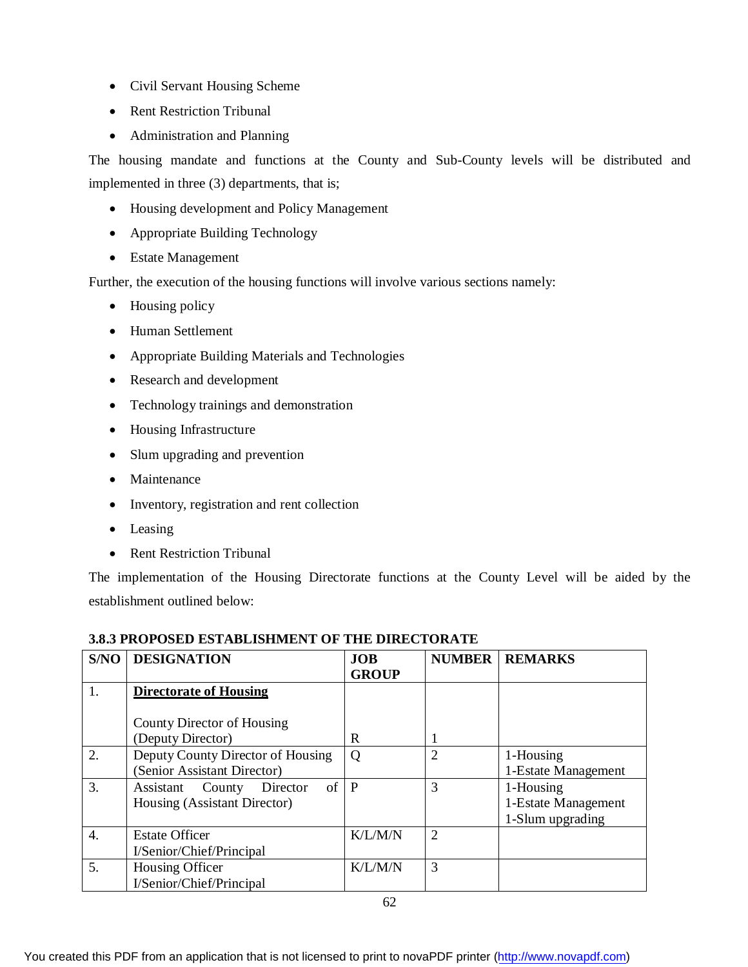- Civil Servant Housing Scheme
- Rent Restriction Tribunal
- Administration and Planning

The housing mandate and functions at the County and Sub-County levels will be distributed and implemented in three (3) departments, that is;

- Housing development and Policy Management
- Appropriate Building Technology
- Estate Management

Further, the execution of the housing functions will involve various sections namely:

- Housing policy
- Human Settlement
- Appropriate Building Materials and Technologies
- Research and development
- Technology trainings and demonstration
- Housing Infrastructure
- Slum upgrading and prevention
- Maintenance
- Inventory, registration and rent collection
- Leasing
- Rent Restriction Tribunal

The implementation of the Housing Directorate functions at the County Level will be aided by the establishment outlined below:

| S/NO             | <b>DESIGNATION</b>                              | <b>JOB</b><br><b>GROUP</b> | <b>NUMBER</b>  | <b>REMARKS</b>      |
|------------------|-------------------------------------------------|----------------------------|----------------|---------------------|
| 1.               | <b>Directorate of Housing</b>                   |                            |                |                     |
|                  | County Director of Housing<br>(Deputy Director) | R                          |                |                     |
| 2.               | Deputy County Director of Housing               | Q                          | $\overline{2}$ | 1-Housing           |
|                  | (Senior Assistant Director)                     |                            |                | 1-Estate Management |
| 3.               | of<br>Assistant<br>Director<br>County           | $\mathbf{P}$               | 3              | 1-Housing           |
|                  | Housing (Assistant Director)                    |                            |                | 1-Estate Management |
|                  |                                                 |                            |                | 1-Slum upgrading    |
| $\overline{4}$ . | <b>Estate Officer</b>                           | K/L/M/N                    | $\overline{2}$ |                     |
|                  | I/Senior/Chief/Principal                        |                            |                |                     |
| 5.               | Housing Officer                                 | K/L/M/N                    | 3              |                     |
|                  | I/Senior/Chief/Principal                        |                            |                |                     |

### **3.8.3 PROPOSED ESTABLISHMENT OF THE DIRECTORATE**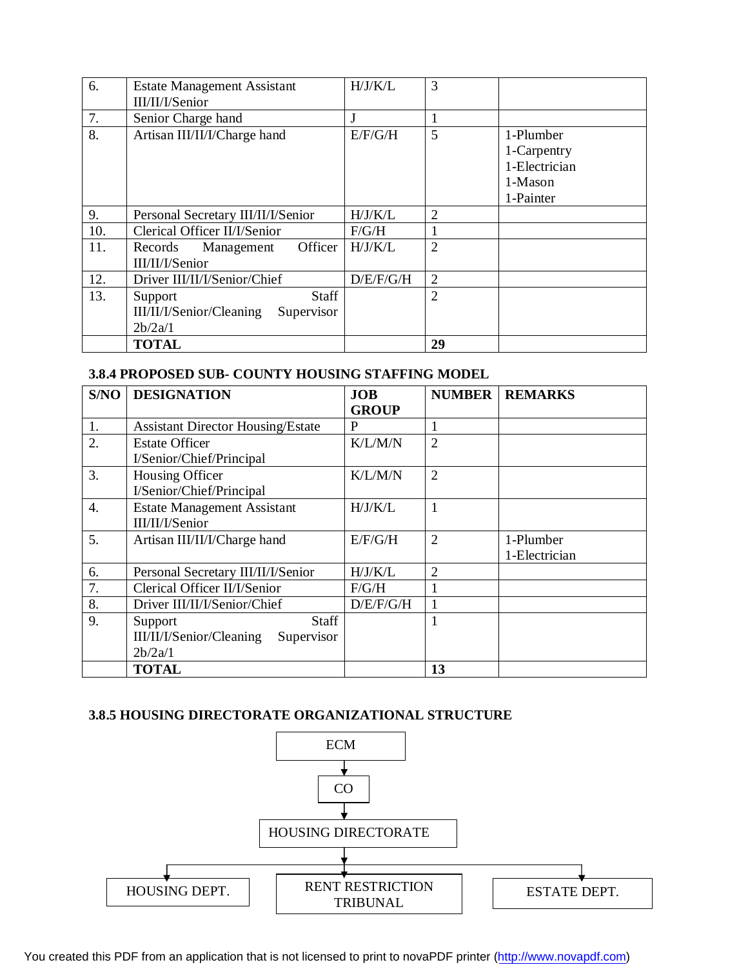| 6.  | <b>Estate Management Assistant</b>     | H/J/K/L   | 3              |               |
|-----|----------------------------------------|-----------|----------------|---------------|
|     | III/II/I/Senior                        |           |                |               |
| 7.  | Senior Charge hand                     |           |                |               |
| 8.  | Artisan III/II/I/Charge hand           | E/F/G/H   | 5              | 1-Plumber     |
|     |                                        |           |                | 1-Carpentry   |
|     |                                        |           |                | 1-Electrician |
|     |                                        |           |                | 1-Mason       |
|     |                                        |           |                | 1-Painter     |
| 9.  | Personal Secretary III/II/I/Senior     | H/J/K/L   | $\overline{2}$ |               |
| 10. | Clerical Officer II/I/Senior           | F/G/H     |                |               |
| 11. | Officer<br>Management<br>Records       | H/J/K/L   | $\overline{2}$ |               |
|     | III/II/I/Senior                        |           |                |               |
| 12. | Driver III/II/I/Senior/Chief           | D/E/F/G/H | $\overline{2}$ |               |
| 13. | <b>Staff</b><br>Support                |           | $\overline{2}$ |               |
|     | III/II/I/Senior/Cleaning<br>Supervisor |           |                |               |
|     | 2b/2a/1                                |           |                |               |
|     | <b>TOTAL</b>                           |           | 29             |               |

## **3.8.4 PROPOSED SUB- COUNTY HOUSING STAFFING MODEL**

| S/NO | <b>DESIGNATION</b>                       | <b>JOB</b>   | <b>NUMBER</b>  | <b>REMARKS</b> |
|------|------------------------------------------|--------------|----------------|----------------|
|      |                                          | <b>GROUP</b> |                |                |
| 1.   | <b>Assistant Director Housing/Estate</b> | P            |                |                |
| 2.   | <b>Estate Officer</b>                    | K/L/M/N      | $\overline{2}$ |                |
|      | I/Senior/Chief/Principal                 |              |                |                |
| 3.   | Housing Officer                          | K/L/M/N      | $\overline{2}$ |                |
|      | I/Senior/Chief/Principal                 |              |                |                |
| 4.   | <b>Estate Management Assistant</b>       | H/J/K/L      | $\mathbf{1}$   |                |
|      | III/II/I/Senior                          |              |                |                |
| 5.   | Artisan III/II/I/Charge hand             | E/F/G/H      | $\overline{2}$ | 1-Plumber      |
|      |                                          |              |                | 1-Electrician  |
| 6.   | Personal Secretary III/II/I/Senior       | H/J/K/L      | $\overline{2}$ |                |
| 7.   | Clerical Officer II/I/Senior             | F/G/H        |                |                |
| 8.   | Driver III/II/I/Senior/Chief             | D/E/F/G/H    |                |                |
| 9.   | <b>Staff</b><br>Support                  |              |                |                |
|      | III/II/I/Senior/Cleaning<br>Supervisor   |              |                |                |
|      | 2b/2a/1                                  |              |                |                |
|      | <b>TOTAL</b>                             |              | 13             |                |

## **3.8.5 HOUSING DIRECTORATE ORGANIZATIONAL STRUCTURE**



You created this PDF from an application that is not licensed to print to novaPDF printer ([http://www.novapdf.com\)](http://www.novapdf.com)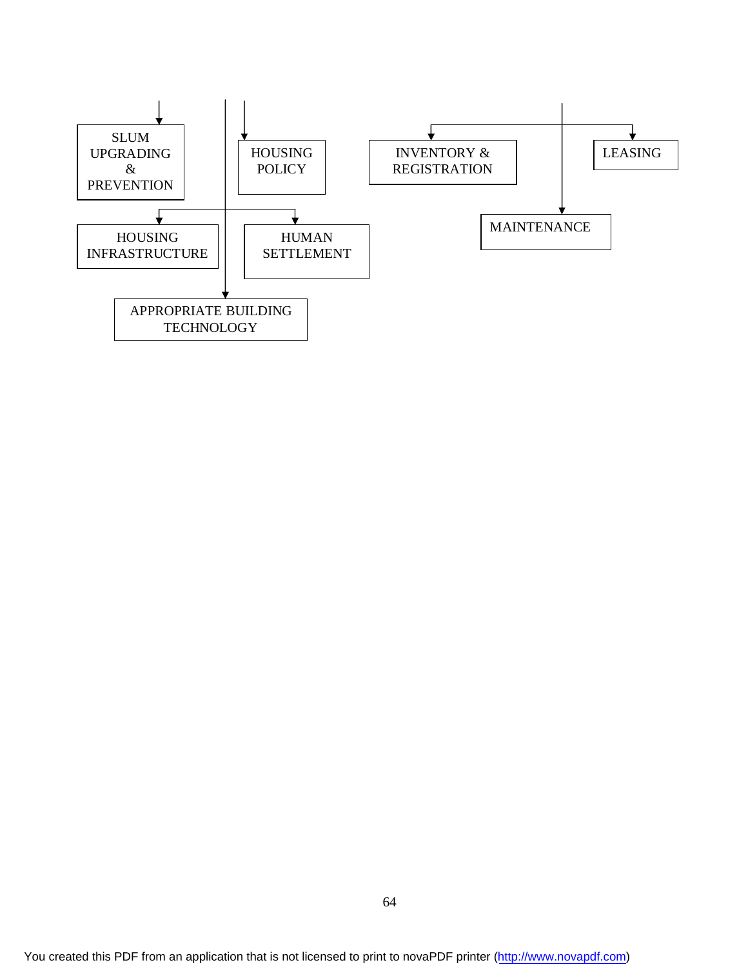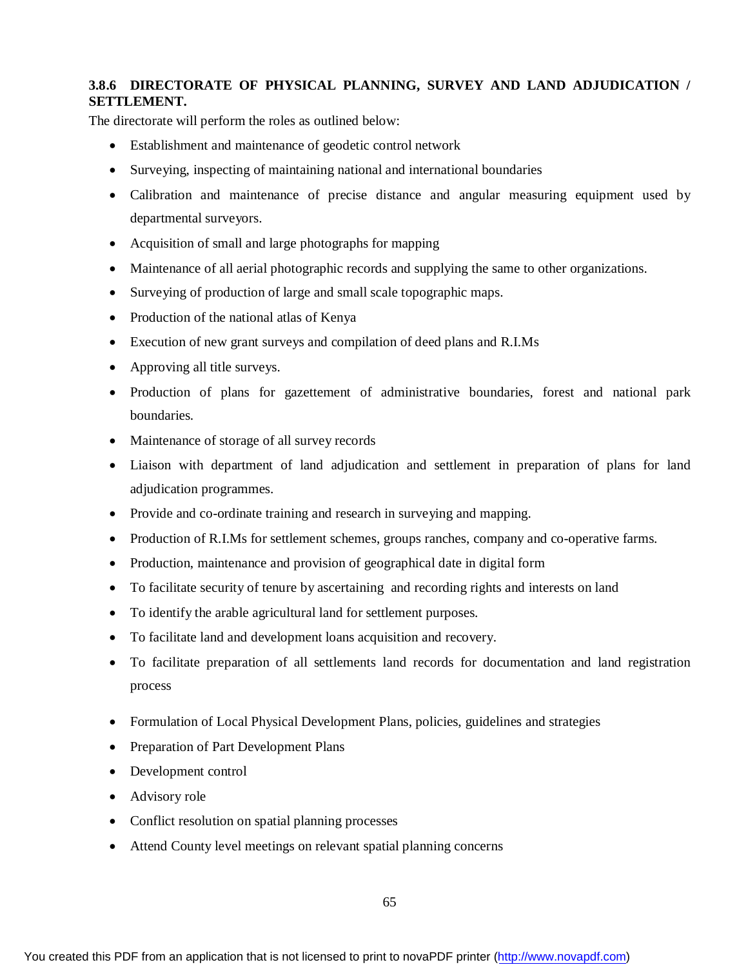## **3.8.6 DIRECTORATE OF PHYSICAL PLANNING, SURVEY AND LAND ADJUDICATION / SETTLEMENT.**

The directorate will perform the roles as outlined below:

- Establishment and maintenance of geodetic control network
- Surveying, inspecting of maintaining national and international boundaries
- Calibration and maintenance of precise distance and angular measuring equipment used by departmental surveyors.
- Acquisition of small and large photographs for mapping
- Maintenance of all aerial photographic records and supplying the same to other organizations.
- Surveying of production of large and small scale topographic maps.
- Production of the national atlas of Kenya
- Execution of new grant surveys and compilation of deed plans and R.I.Ms
- Approving all title surveys.
- Production of plans for gazettement of administrative boundaries, forest and national park boundaries.
- Maintenance of storage of all survey records
- Liaison with department of land adjudication and settlement in preparation of plans for land adjudication programmes.
- Provide and co-ordinate training and research in surveying and mapping.
- Production of R.I.Ms for settlement schemes, groups ranches, company and co-operative farms.
- Production, maintenance and provision of geographical date in digital form
- To facilitate security of tenure by ascertaining and recording rights and interests on land
- To identify the arable agricultural land for settlement purposes.
- To facilitate land and development loans acquisition and recovery.
- To facilitate preparation of all settlements land records for documentation and land registration process
- Formulation of Local Physical Development Plans, policies, guidelines and strategies
- Preparation of Part Development Plans
- Development control
- Advisory role
- Conflict resolution on spatial planning processes
- Attend County level meetings on relevant spatial planning concerns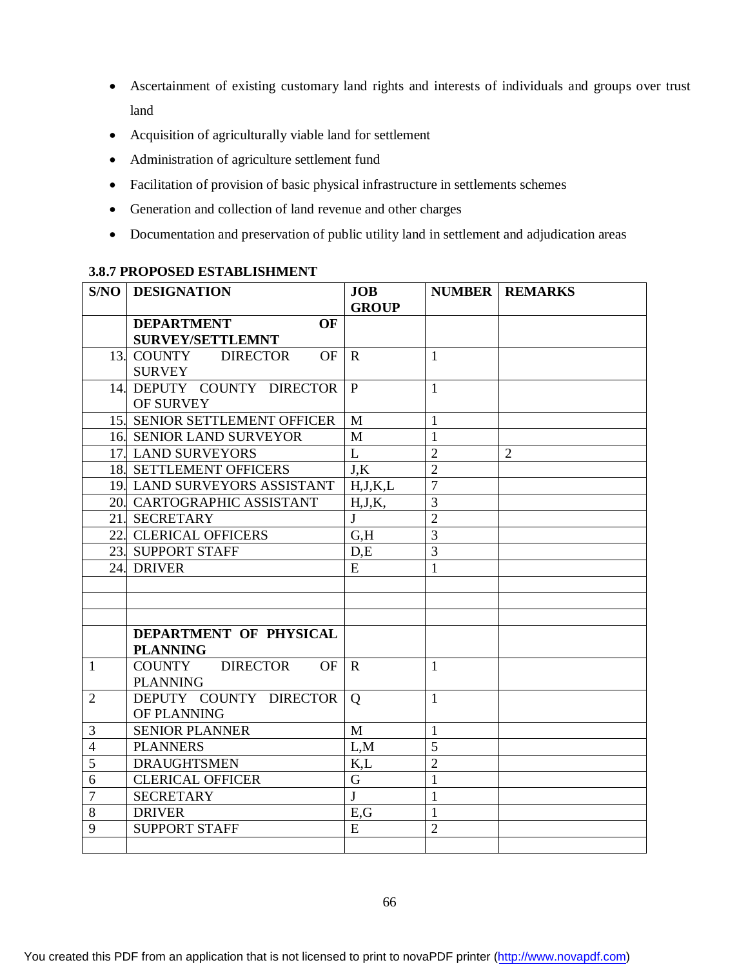- Ascertainment of existing customary land rights and interests of individuals and groups over trust land
- Acquisition of agriculturally viable land for settlement
- Administration of agriculture settlement fund
- Facilitation of provision of basic physical infrastructure in settlements schemes
- Generation and collection of land revenue and other charges
- Documentation and preservation of public utility land in settlement and adjudication areas

## **3.8.7 PROPOSED ESTABLISHMENT**

| S/NO           | <b>DESIGNATION</b>                   | <b>JOB</b>   |                | <b>NUMBER   REMARKS</b> |
|----------------|--------------------------------------|--------------|----------------|-------------------------|
|                |                                      | <b>GROUP</b> |                |                         |
|                | <b>DEPARTMENT</b><br><b>OF</b>       |              |                |                         |
|                | <b>SURVEY/SETTLEMNT</b>              |              |                |                         |
|                | 13. COUNTY DIRECTOR<br><b>OF</b>     | $\mathbf R$  | $\mathbf{1}$   |                         |
|                | <b>SURVEY</b>                        |              |                |                         |
|                | 14. DEPUTY COUNTY DIRECTOR           | $\mathbf{P}$ | $\mathbf{1}$   |                         |
|                | OF SURVEY                            |              |                |                         |
|                | <b>15. SENIOR SETTLEMENT OFFICER</b> | M            | $\mathbf{1}$   |                         |
|                | <b>16. SENIOR LAND SURVEYOR</b>      | M            | $\mathbf{1}$   |                         |
|                | <b>17. LAND SURVEYORS</b>            | L            | $\overline{2}$ | $\overline{2}$          |
|                | <b>18. SETTLEMENT OFFICERS</b>       | J,K          | $\overline{2}$ |                         |
|                | 19. LAND SURVEYORS ASSISTANT         | H,J,K,L      | $\overline{7}$ |                         |
|                | 20. CARTOGRAPHIC ASSISTANT           | H, J, K,     | 3              |                         |
|                | 21. SECRETARY                        | J            | $\overline{2}$ |                         |
|                | 22. CLERICAL OFFICERS                | G,H          | 3              |                         |
|                | 23. SUPPORT STAFF                    | D.E          | 3              |                         |
|                | 24. DRIVER                           | E            | $\mathbf{1}$   |                         |
|                |                                      |              |                |                         |
|                |                                      |              |                |                         |
|                |                                      |              |                |                         |
|                | DEPARTMENT OF PHYSICAL               |              |                |                         |
|                | <b>PLANNING</b>                      |              |                |                         |
| 1              | COUNTY DIRECTOR<br>OF                | $\mathbf R$  | $\mathbf{1}$   |                         |
|                | <b>PLANNING</b>                      |              |                |                         |
| $\overline{2}$ | DEPUTY COUNTY DIRECTOR               | $\mathbf Q$  | $\mathbf{1}$   |                         |
|                | OF PLANNING                          |              |                |                         |
| 3              | <b>SENIOR PLANNER</b>                | M            | $\mathbf{1}$   |                         |
| $\overline{4}$ | <b>PLANNERS</b>                      | L.M          | 5              |                         |
| 5              | <b>DRAUGHTSMEN</b>                   | K,L          | $\overline{2}$ |                         |
| $\overline{6}$ | <b>CLERICAL OFFICER</b>              | G            | $\mathbf{1}$   |                         |
| $\tau$         | <b>SECRETARY</b>                     | J            | $\mathbf{1}$   |                         |
| 8              | <b>DRIVER</b>                        | E,G          | $\mathbf{1}$   |                         |
| 9              | <b>SUPPORT STAFF</b>                 | E            | $\overline{2}$ |                         |
|                |                                      |              |                |                         |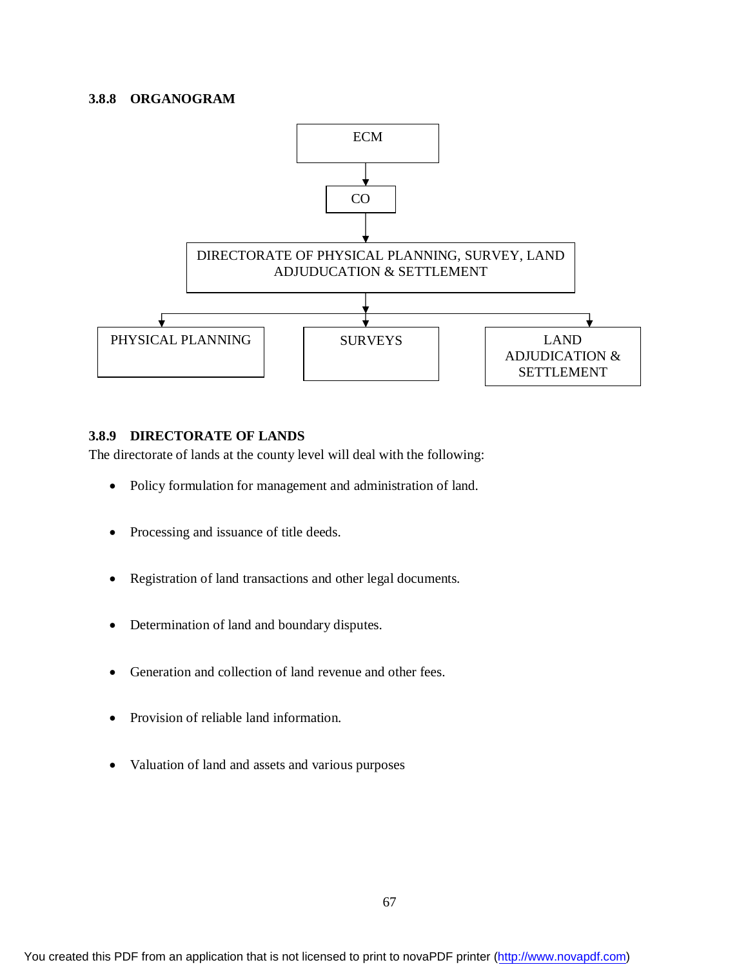#### **3.8.8 ORGANOGRAM**



#### **3.8.9 DIRECTORATE OF LANDS**

The directorate of lands at the county level will deal with the following:

- Policy formulation for management and administration of land.
- Processing and issuance of title deeds.
- Registration of land transactions and other legal documents.
- Determination of land and boundary disputes.
- Generation and collection of land revenue and other fees.
- Provision of reliable land information.
- Valuation of land and assets and various purposes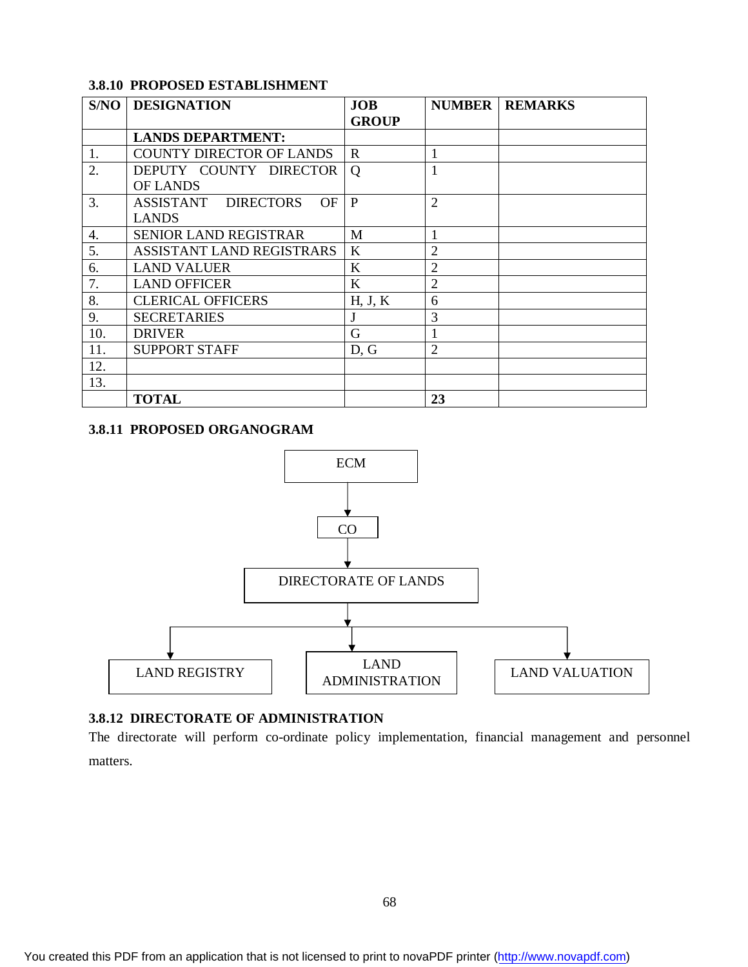#### **3.8.10 PROPOSED ESTABLISHMENT**

| S/NO             | <b>DESIGNATION</b>              | <b>JOB</b>   | <b>NUMBER</b>  | <b>REMARKS</b> |
|------------------|---------------------------------|--------------|----------------|----------------|
|                  |                                 | <b>GROUP</b> |                |                |
|                  | <b>LANDS DEPARTMENT:</b>        |              |                |                |
| 1.               | <b>COUNTY DIRECTOR OF LANDS</b> | $\mathbb{R}$ |                |                |
| 2.               | DEPUTY COUNTY DIRECTOR          | $\mathbf Q$  | 1              |                |
|                  | <b>OF LANDS</b>                 |              |                |                |
| 3.               | ASSISTANT DIRECTORS<br>OF.      | $\mathbf{P}$ | $\overline{2}$ |                |
|                  | <b>LANDS</b>                    |              |                |                |
| $\overline{4}$ . | <b>SENIOR LAND REGISTRAR</b>    | M            |                |                |
| 5.               | ASSISTANT LAND REGISTRARS       | K            | $\overline{2}$ |                |
| 6.               | <b>LAND VALUER</b>              | K            | $\overline{2}$ |                |
| 7.               | <b>LAND OFFICER</b>             | K            | $\overline{2}$ |                |
| 8.               | <b>CLERICAL OFFICERS</b>        | H, J, K      | 6              |                |
| 9.               | <b>SECRETARIES</b>              | J            | 3              |                |
| 10.              | <b>DRIVER</b>                   | G            | $\mathbf{1}$   |                |
| 11.              | <b>SUPPORT STAFF</b>            | D, G         | $\overline{2}$ |                |
| 12.              |                                 |              |                |                |
| 13.              |                                 |              |                |                |
|                  | <b>TOTAL</b>                    |              | 23             |                |

#### **3.8.11 PROPOSED ORGANOGRAM**



# **3.8.12 DIRECTORATE OF ADMINISTRATION**

The directorate will perform co-ordinate policy implementation, financial management and personnel matters.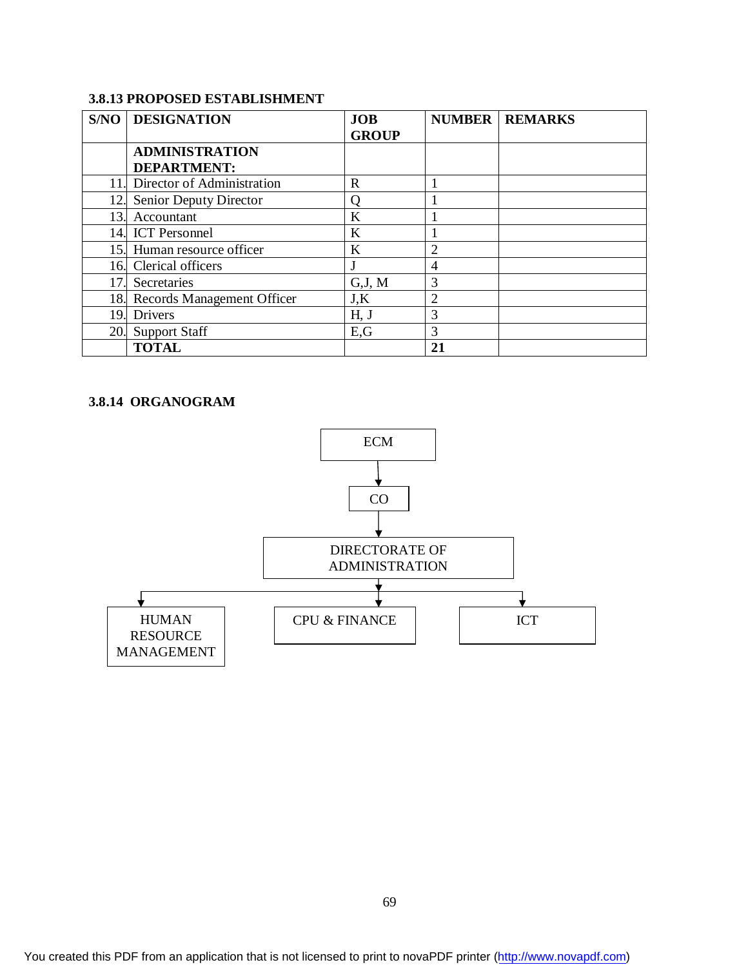#### **3.8.13 PROPOSED ESTABLISHMENT**

| S/NO | <b>DESIGNATION</b>                | <b>JOB</b>   | <b>NUMBER</b>  | <b>REMARKS</b> |
|------|-----------------------------------|--------------|----------------|----------------|
|      |                                   | <b>GROUP</b> |                |                |
|      | <b>ADMINISTRATION</b>             |              |                |                |
|      | <b>DEPARTMENT:</b>                |              |                |                |
| 11.l | Director of Administration        | R            |                |                |
| 12.  | Senior Deputy Director            | Ų            |                |                |
| 13.  | Accountant                        | K            |                |                |
|      | 14. ICT Personnel                 | K            |                |                |
|      | 15. Human resource officer        | K            | $\overline{2}$ |                |
| 16.  | Clerical officers                 |              | 4              |                |
| 17.  | Secretaries                       | G, J, M      | 3              |                |
| 18.  | <b>Records Management Officer</b> | J,K          | $\overline{2}$ |                |
| 19.  | Drivers                           | H, J         | 3              |                |
| 20.  | <b>Support Staff</b>              | E,G          | 3              |                |
|      | <b>TOTAL</b>                      |              | 21             |                |

#### **3.8.14 ORGANOGRAM**

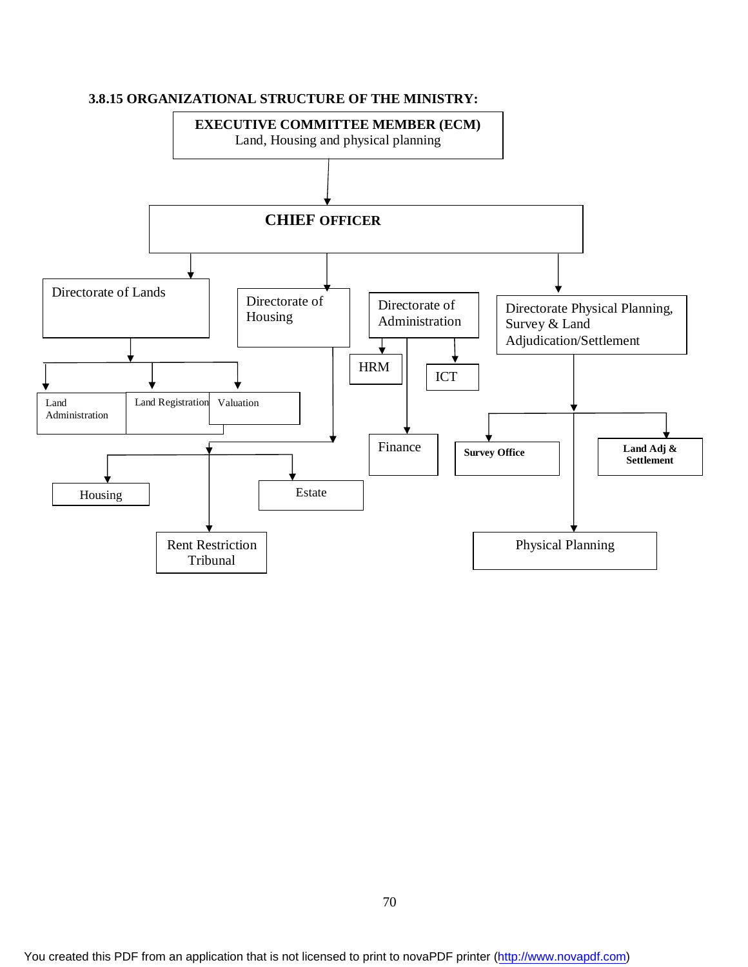

#### **3.8.15 ORGANIZATIONAL STRUCTURE OF THE MINISTRY:**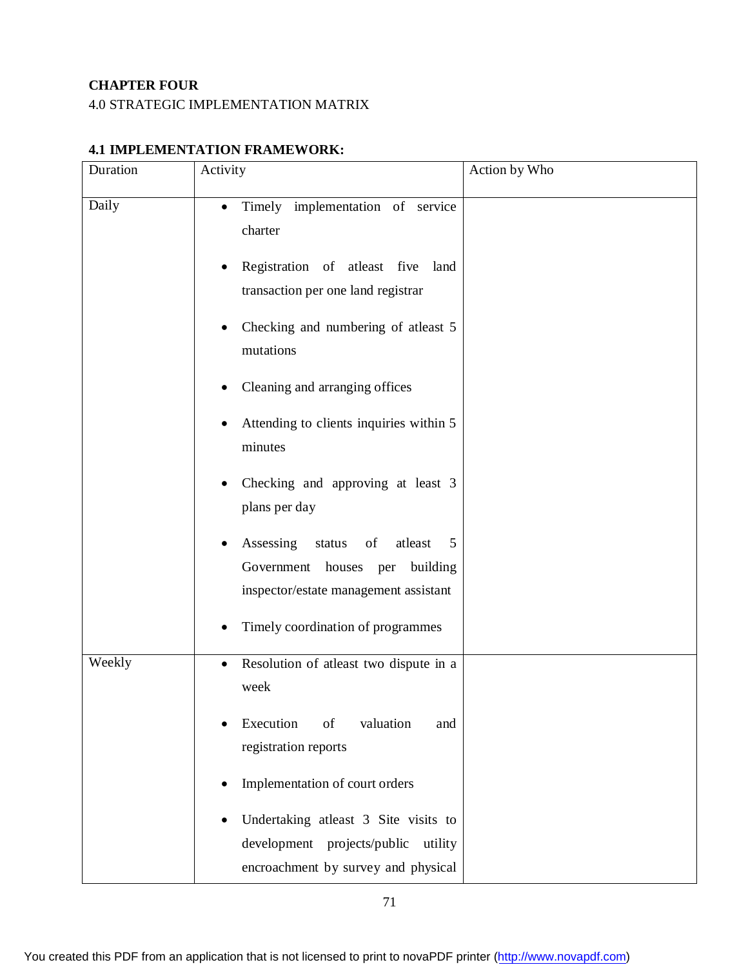# **CHAPTER FOUR**

4.0 STRATEGIC IMPLEMENTATION MATRIX

| Duration | Activity                                                                                                              | Action by Who |
|----------|-----------------------------------------------------------------------------------------------------------------------|---------------|
| Daily    | Timely implementation of service<br>$\bullet$<br>charter                                                              |               |
|          | Registration of atleast five<br>land<br>transaction per one land registrar                                            |               |
|          | Checking and numbering of atleast 5<br>mutations                                                                      |               |
|          | Cleaning and arranging offices                                                                                        |               |
|          | Attending to clients inquiries within 5<br>minutes                                                                    |               |
|          | Checking and approving at least 3<br>$\bullet$<br>plans per day                                                       |               |
|          | Assessing<br>status of<br>atleast<br>5<br>Government<br>houses per building<br>inspector/estate management assistant  |               |
|          | Timely coordination of programmes                                                                                     |               |
| Weekly   | Resolution of atleast two dispute in a<br>٠<br>week                                                                   |               |
|          | Execution<br>valuation<br>of<br>and<br>registration reports                                                           |               |
|          | Implementation of court orders<br>$\bullet$                                                                           |               |
|          | Undertaking atleast 3 Site visits to<br>development projects/public<br>utility<br>encroachment by survey and physical |               |

# **4.1 IMPLEMENTATION FRAMEWORK:**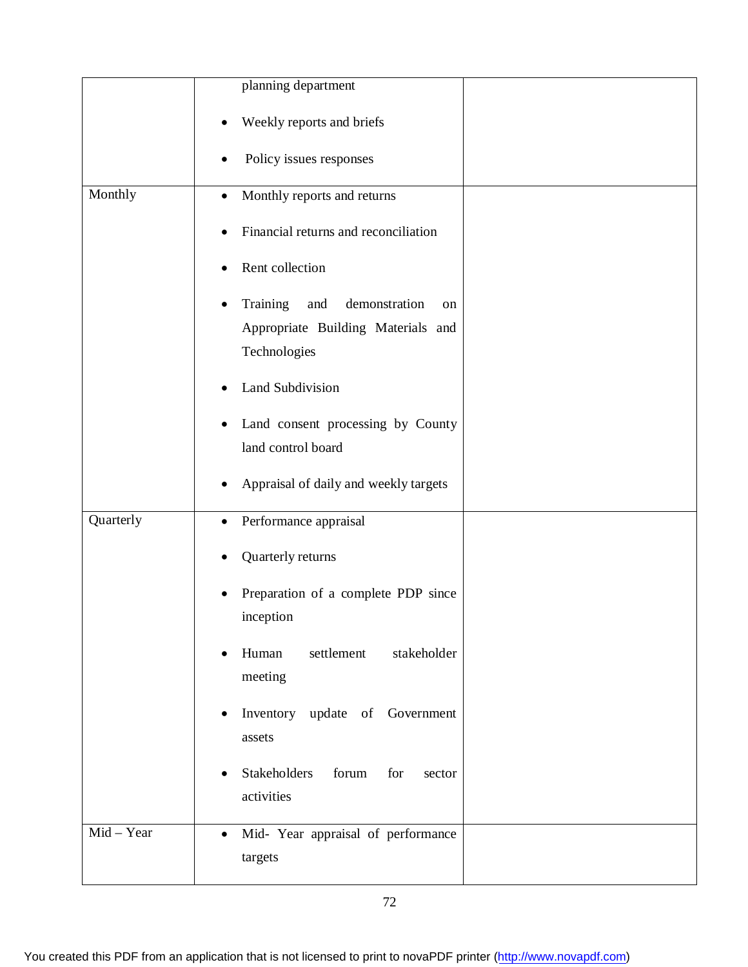|            | planning department                                 |  |
|------------|-----------------------------------------------------|--|
|            | Weekly reports and briefs<br>$\bullet$              |  |
|            | Policy issues responses                             |  |
| Monthly    | Monthly reports and returns<br>$\bullet$            |  |
|            | Financial returns and reconciliation                |  |
|            | Rent collection<br>$\bullet$                        |  |
|            | Training<br>demonstration<br>and<br>on<br>٠         |  |
|            | Appropriate Building Materials and                  |  |
|            | Technologies                                        |  |
|            | Land Subdivision                                    |  |
|            | Land consent processing by County<br>٠              |  |
|            | land control board                                  |  |
|            | Appraisal of daily and weekly targets<br>٠          |  |
| Quarterly  | Performance appraisal<br>$\bullet$                  |  |
|            | Quarterly returns                                   |  |
|            | Preparation of a complete PDP since                 |  |
|            | inception                                           |  |
|            | Human<br>settlement<br>stakeholder<br>$\bullet$     |  |
|            | meeting                                             |  |
|            | Inventory update of Government<br>$\bullet$         |  |
|            | assets                                              |  |
|            | Stakeholders<br>forum<br>for<br>sector<br>$\bullet$ |  |
|            | activities                                          |  |
| Mid - Year | Mid- Year appraisal of performance<br>$\bullet$     |  |
|            | targets                                             |  |
|            |                                                     |  |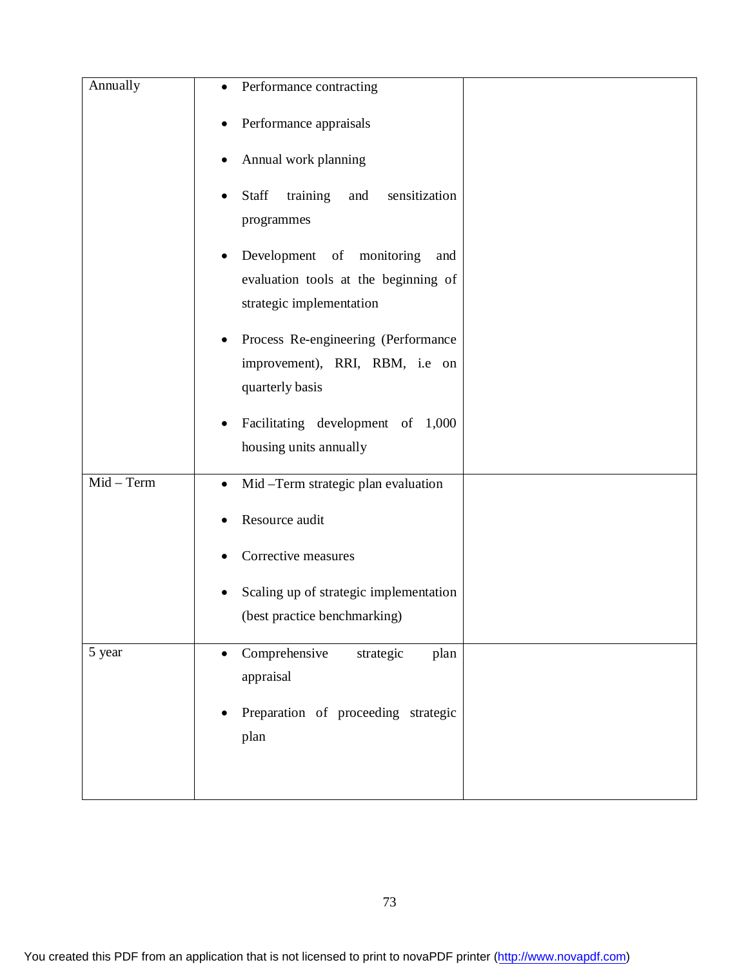| Annually   | Performance contracting<br>$\bullet$             |  |
|------------|--------------------------------------------------|--|
|            |                                                  |  |
|            | Performance appraisals                           |  |
|            |                                                  |  |
|            | Annual work planning                             |  |
|            | sensitization<br>training<br>and<br>Staff        |  |
|            |                                                  |  |
|            | programmes                                       |  |
|            | Development of monitoring<br>and<br>٠            |  |
|            | evaluation tools at the beginning of             |  |
|            | strategic implementation                         |  |
|            |                                                  |  |
|            | Process Re-engineering (Performance<br>$\bullet$ |  |
|            | improvement), RRI, RBM, i.e on                   |  |
|            | quarterly basis                                  |  |
|            |                                                  |  |
|            | Facilitating development of 1,000                |  |
|            | housing units annually                           |  |
| $Mid-Term$ | Mid-Term strategic plan evaluation<br>$\bullet$  |  |
|            |                                                  |  |
|            | Resource audit                                   |  |
|            | Corrective measures                              |  |
|            |                                                  |  |
|            | Scaling up of strategic implementation           |  |
|            | (best practice benchmarking)                     |  |
|            |                                                  |  |
| 5 year     | Comprehensive<br>strategic<br>plan<br>$\bullet$  |  |
|            | appraisal                                        |  |
|            |                                                  |  |
|            | Preparation of proceeding strategic              |  |
|            | plan                                             |  |
|            |                                                  |  |
|            |                                                  |  |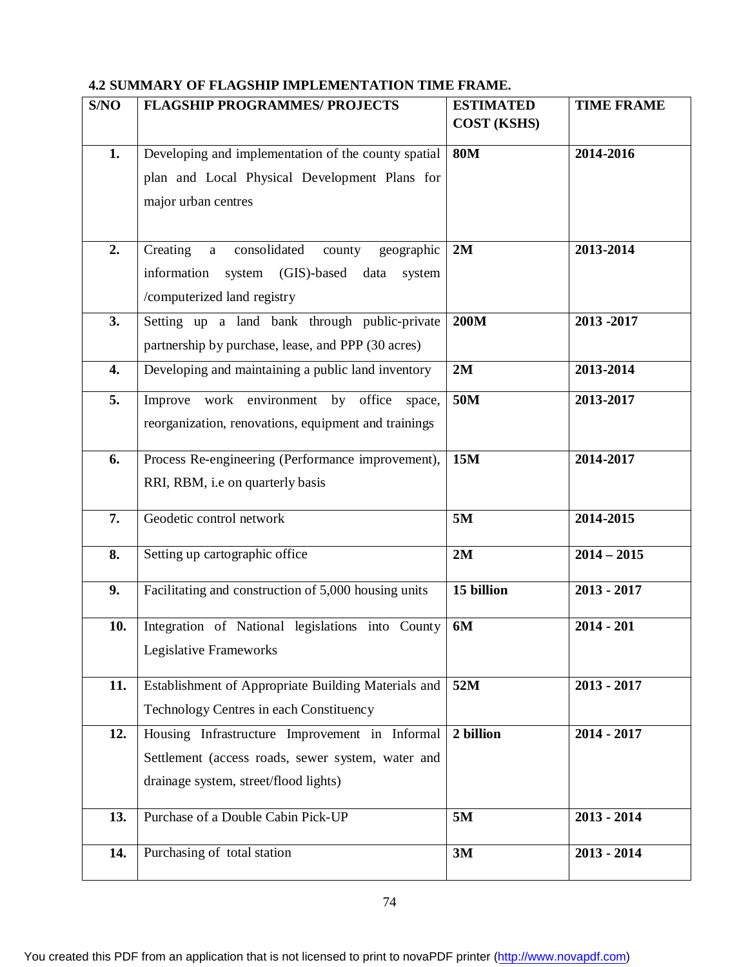# **4.2 SUMMARY OF FLAGSHIP IMPLEMENTATION TIME FRAME.**

| S/NO | <b>FLAGSHIP PROGRAMMES/ PROJECTS</b>                             | <b>ESTIMATED</b>   | <b>TIME FRAME</b> |
|------|------------------------------------------------------------------|--------------------|-------------------|
|      |                                                                  | <b>COST (KSHS)</b> |                   |
| 1.   | Developing and implementation of the county spatial              | <b>80M</b>         | 2014-2016         |
|      | plan and Local Physical Development Plans for                    |                    |                   |
|      | major urban centres                                              |                    |                   |
|      |                                                                  |                    |                   |
| 2.   | Creating<br>consolidated<br>county<br>geographic<br>$\mathbf{a}$ | 2M                 | 2013-2014         |
|      | information system (GIS)-based data<br>system                    |                    |                   |
|      | /computerized land registry                                      |                    |                   |
| 3.   | Setting up a land bank through public-private                    | <b>200M</b>        | 2013 - 2017       |
|      | partnership by purchase, lease, and PPP (30 acres)               |                    |                   |
| 4.   | Developing and maintaining a public land inventory               | 2M                 | 2013-2014         |
| 5.   | Improve work environment by office space,                        | 50M                | 2013-2017         |
|      | reorganization, renovations, equipment and trainings             |                    |                   |
| 6.   | Process Re-engineering (Performance improvement),                | <b>15M</b>         | 2014-2017         |
|      | RRI, RBM, i.e on quarterly basis                                 |                    |                   |
| 7.   | Geodetic control network                                         | 5M                 | 2014-2015         |
|      |                                                                  |                    |                   |
| 8.   | Setting up cartographic office                                   | 2M                 | $2014 - 2015$     |
| 9.   | Facilitating and construction of 5,000 housing units             | 15 billion         | $2013 - 2017$     |
| 10.  | Integration of National legislations into County                 | 6M                 | $2014 - 201$      |
|      | Legislative Frameworks                                           |                    |                   |
| 11.  | Establishment of Appropriate Building Materials and              | 52M                | $2013 - 2017$     |
|      | Technology Centres in each Constituency                          |                    |                   |
| 12.  | Housing Infrastructure Improvement in Informal                   | 2 billion          | $2014 - 2017$     |
|      | Settlement (access roads, sewer system, water and                |                    |                   |
|      | drainage system, street/flood lights)                            |                    |                   |
|      |                                                                  |                    |                   |
| 13.  | Purchase of a Double Cabin Pick-UP                               | 5M                 | $2013 - 2014$     |
| 14.  | Purchasing of total station                                      | 3M                 | $2013 - 2014$     |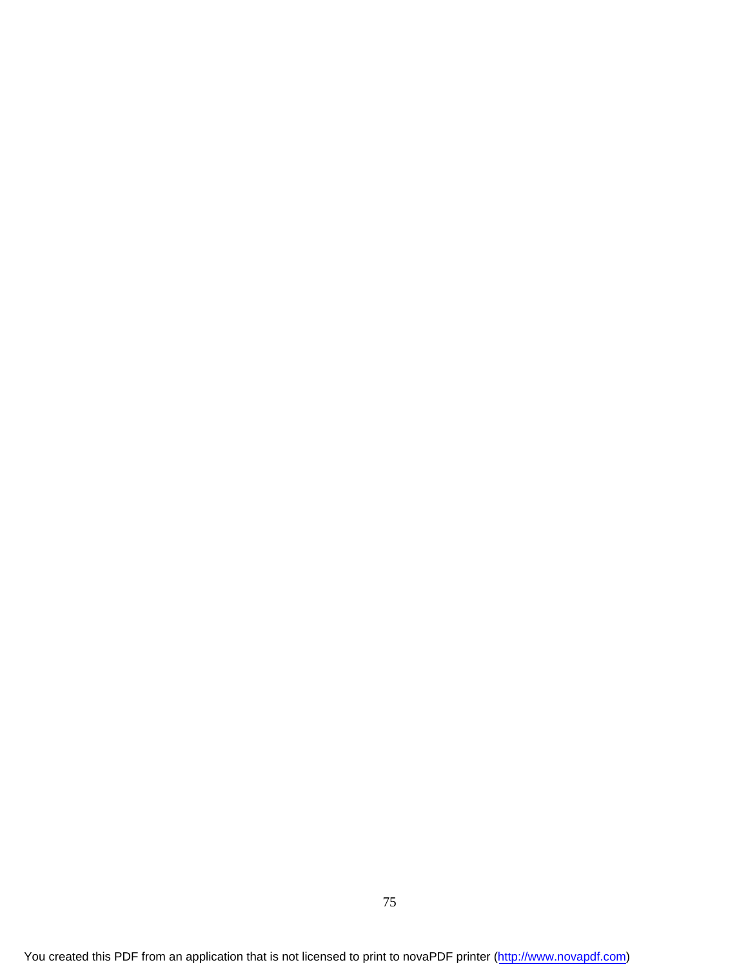You created this PDF from an application that is not licensed to print to novaPDF printer ([http://www.novapdf.com\)](http://www.novapdf.com)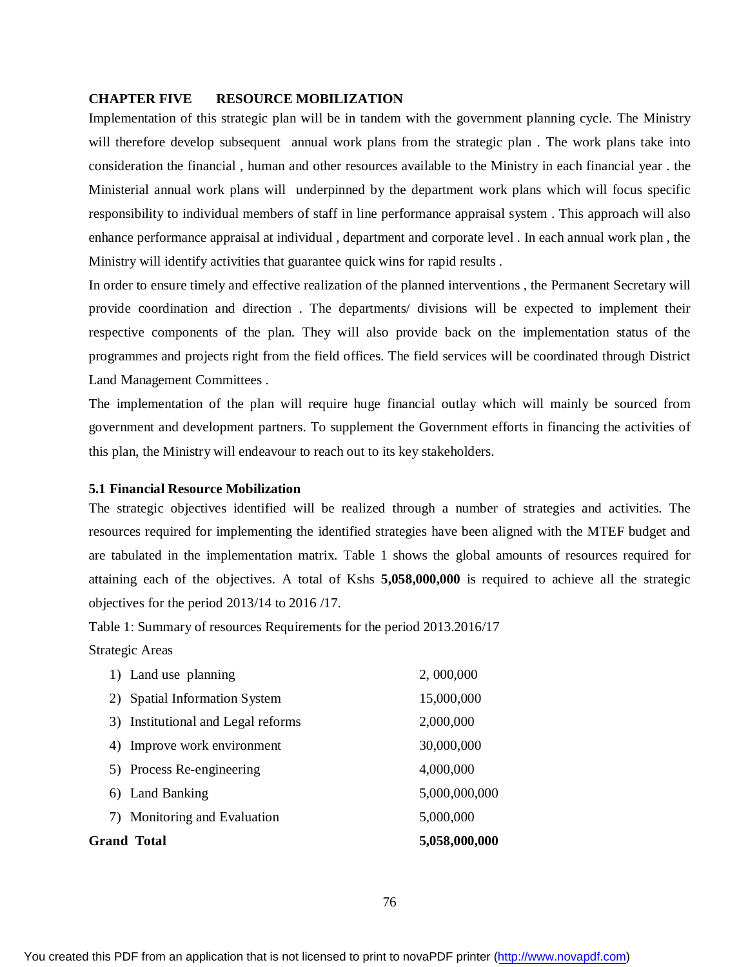#### **CHAPTER FIVE RESOURCE MOBILIZATION**

Implementation of this strategic plan will be in tandem with the government planning cycle. The Ministry will therefore develop subsequent annual work plans from the strategic plan. The work plans take into consideration the financial , human and other resources available to the Ministry in each financial year . the Ministerial annual work plans will underpinned by the department work plans which will focus specific responsibility to individual members of staff in line performance appraisal system . This approach will also enhance performance appraisal at individual , department and corporate level . In each annual work plan , the Ministry will identify activities that guarantee quick wins for rapid results .

In order to ensure timely and effective realization of the planned interventions , the Permanent Secretary will provide coordination and direction . The departments/ divisions will be expected to implement their respective components of the plan. They will also provide back on the implementation status of the programmes and projects right from the field offices. The field services will be coordinated through District Land Management Committees .

The implementation of the plan will require huge financial outlay which will mainly be sourced from government and development partners. To supplement the Government efforts in financing the activities of this plan, the Ministry will endeavour to reach out to its key stakeholders.

#### **5.1 Financial Resource Mobilization**

The strategic objectives identified will be realized through a number of strategies and activities. The resources required for implementing the identified strategies have been aligned with the MTEF budget and are tabulated in the implementation matrix. Table 1 shows the global amounts of resources required for attaining each of the objectives. A total of Kshs **5,058,000,000** is required to achieve all the strategic objectives for the period 2013/14 to 2016 /17.

Table 1: Summary of resources Requirements for the period 2013.2016/17

Strategic Areas

| Grand Total                        | 5,058,000,000 |
|------------------------------------|---------------|
| 7) Monitoring and Evaluation       | 5,000,000     |
| 6) Land Banking                    | 5,000,000,000 |
| 5) Process Re-engineering          | 4,000,000     |
| 4) Improve work environment        | 30,000,000    |
| 3) Institutional and Legal reforms | 2,000,000     |
| 2) Spatial Information System      | 15,000,000    |
| 1) Land use planning               | 2,000,000     |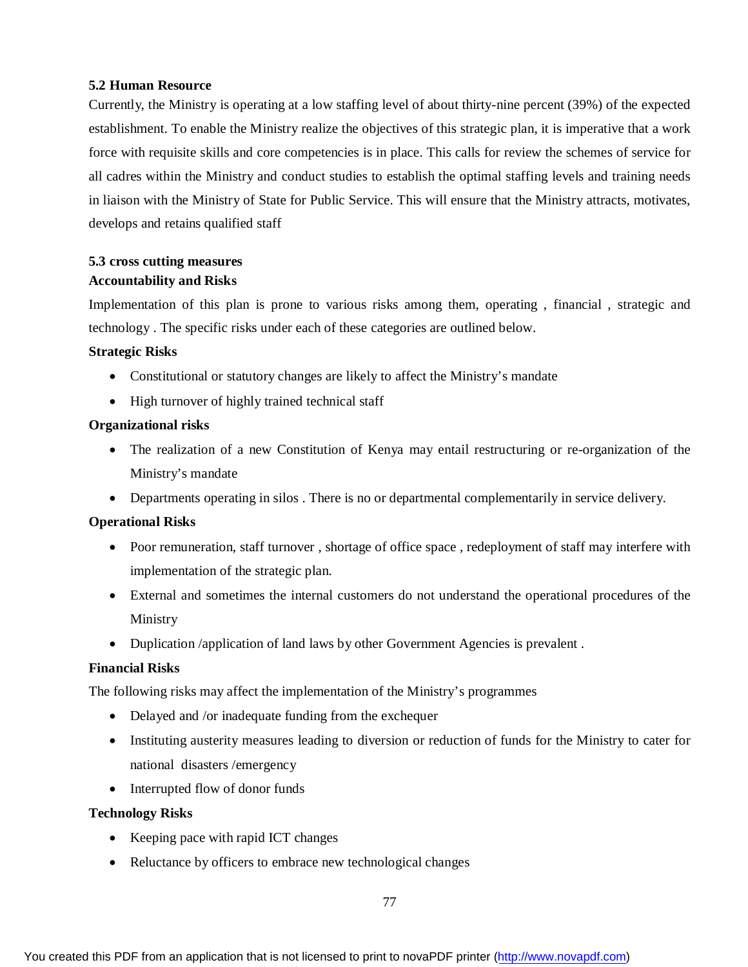#### **5.2 Human Resource**

Currently, the Ministry is operating at a low staffing level of about thirty-nine percent (39%) of the expected establishment. To enable the Ministry realize the objectives of this strategic plan, it is imperative that a work force with requisite skills and core competencies is in place. This calls for review the schemes of service for all cadres within the Ministry and conduct studies to establish the optimal staffing levels and training needs in liaison with the Ministry of State for Public Service. This will ensure that the Ministry attracts, motivates, develops and retains qualified staff

# **5.3 cross cutting measures**

**Accountability and Risks** 

Implementation of this plan is prone to various risks among them, operating , financial , strategic and technology . The specific risks under each of these categories are outlined below.

#### **Strategic Risks**

- Constitutional or statutory changes are likely to affect the Ministry's mandate
- High turnover of highly trained technical staff

#### **Organizational risks**

- The realization of a new Constitution of Kenya may entail restructuring or re-organization of the Ministry's mandate
- Departments operating in silos . There is no or departmental complementarily in service delivery.

## **Operational Risks**

- Poor remuneration, staff turnover, shortage of office space, redeployment of staff may interfere with implementation of the strategic plan.
- External and sometimes the internal customers do not understand the operational procedures of the Ministry
- Duplication /application of land laws by other Government Agencies is prevalent .

## **Financial Risks**

The following risks may affect the implementation of the Ministry's programmes

- Delayed and /or inadequate funding from the exchequer
- Instituting austerity measures leading to diversion or reduction of funds for the Ministry to cater for national disasters /emergency
- Interrupted flow of donor funds

## **Technology Risks**

- Keeping pace with rapid ICT changes
- Reluctance by officers to embrace new technological changes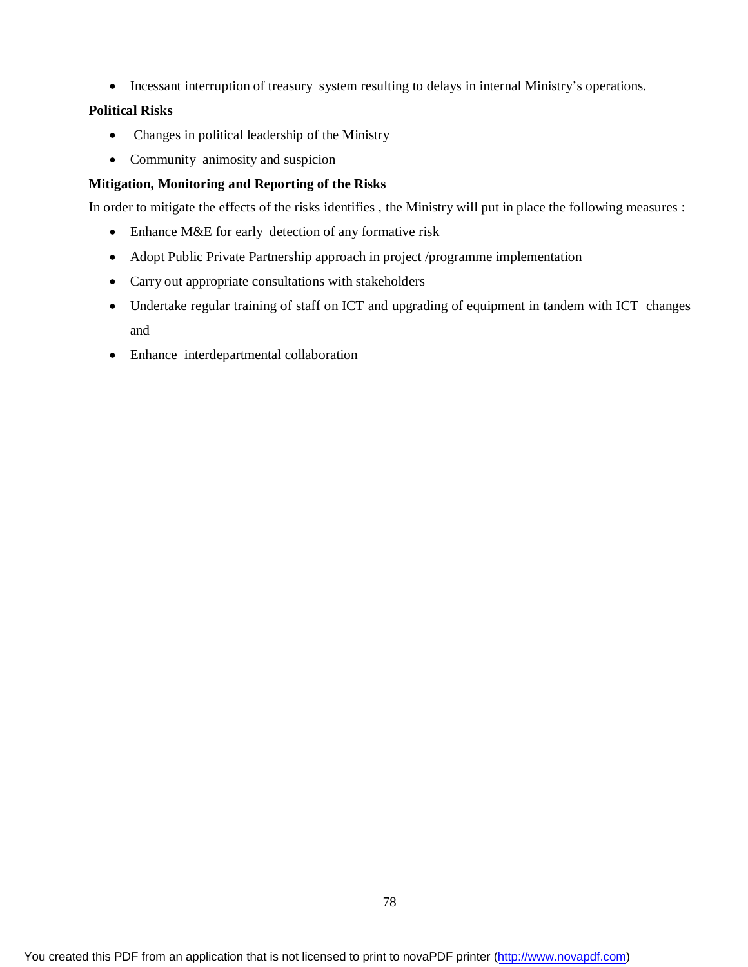• Incessant interruption of treasury system resulting to delays in internal Ministry's operations.

#### **Political Risks**

- Changes in political leadership of the Ministry
- Community animosity and suspicion

## **Mitigation, Monitoring and Reporting of the Risks**

In order to mitigate the effects of the risks identifies , the Ministry will put in place the following measures :

- Enhance M&E for early detection of any formative risk
- Adopt Public Private Partnership approach in project /programme implementation
- Carry out appropriate consultations with stakeholders
- Undertake regular training of staff on ICT and upgrading of equipment in tandem with ICT changes and
- Enhance interdepartmental collaboration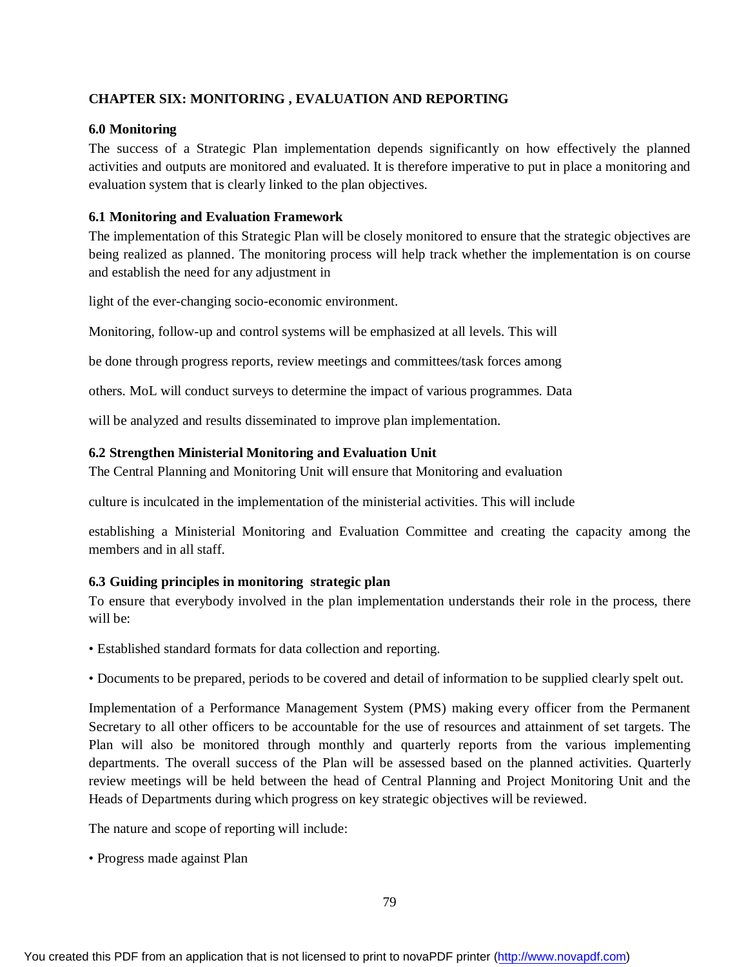# **CHAPTER SIX: MONITORING , EVALUATION AND REPORTING**

#### **6.0 Monitoring**

The success of a Strategic Plan implementation depends significantly on how effectively the planned activities and outputs are monitored and evaluated. It is therefore imperative to put in place a monitoring and evaluation system that is clearly linked to the plan objectives.

#### **6.1 Monitoring and Evaluation Framework**

The implementation of this Strategic Plan will be closely monitored to ensure that the strategic objectives are being realized as planned. The monitoring process will help track whether the implementation is on course and establish the need for any adjustment in

light of the ever-changing socio-economic environment.

Monitoring, follow-up and control systems will be emphasized at all levels. This will

be done through progress reports, review meetings and committees/task forces among

others. MoL will conduct surveys to determine the impact of various programmes. Data

will be analyzed and results disseminated to improve plan implementation.

#### **6.2 Strengthen Ministerial Monitoring and Evaluation Unit**

The Central Planning and Monitoring Unit will ensure that Monitoring and evaluation

culture is inculcated in the implementation of the ministerial activities. This will include

establishing a Ministerial Monitoring and Evaluation Committee and creating the capacity among the members and in all staff.

## **6.3 Guiding principles in monitoring strategic plan**

To ensure that everybody involved in the plan implementation understands their role in the process, there will be:

• Established standard formats for data collection and reporting.

• Documents to be prepared, periods to be covered and detail of information to be supplied clearly spelt out.

Implementation of a Performance Management System (PMS) making every officer from the Permanent Secretary to all other officers to be accountable for the use of resources and attainment of set targets. The Plan will also be monitored through monthly and quarterly reports from the various implementing departments. The overall success of the Plan will be assessed based on the planned activities. Quarterly review meetings will be held between the head of Central Planning and Project Monitoring Unit and the Heads of Departments during which progress on key strategic objectives will be reviewed.

The nature and scope of reporting will include:

• Progress made against Plan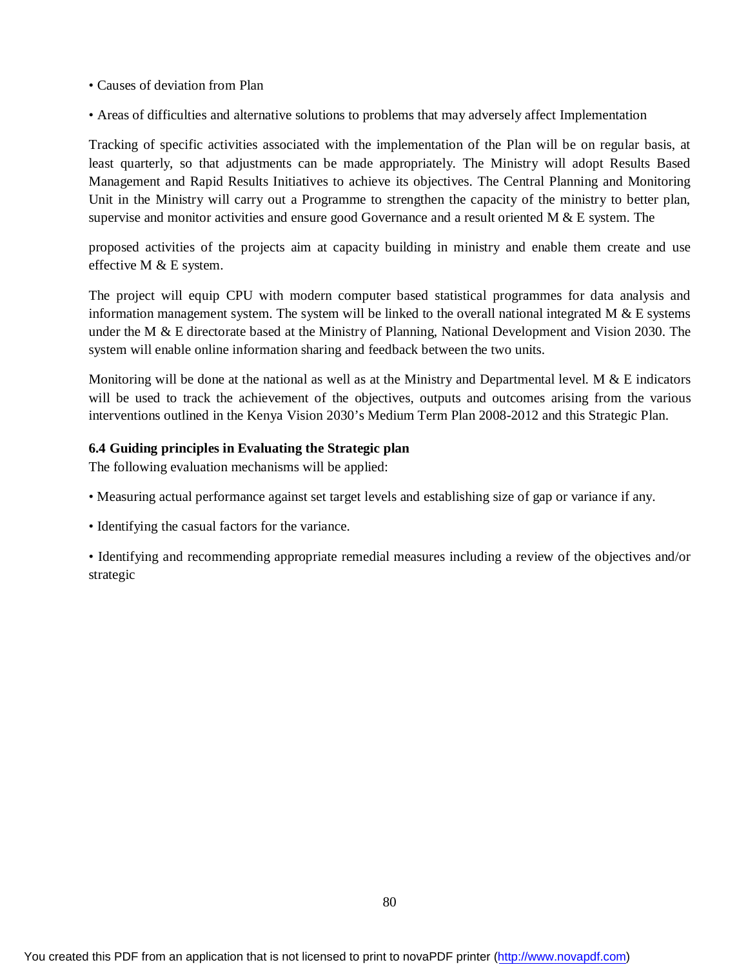- Causes of deviation from Plan
- Areas of difficulties and alternative solutions to problems that may adversely affect Implementation

Tracking of specific activities associated with the implementation of the Plan will be on regular basis, at least quarterly, so that adjustments can be made appropriately. The Ministry will adopt Results Based Management and Rapid Results Initiatives to achieve its objectives. The Central Planning and Monitoring Unit in the Ministry will carry out a Programme to strengthen the capacity of the ministry to better plan, supervise and monitor activities and ensure good Governance and a result oriented  $M & E$  system. The

proposed activities of the projects aim at capacity building in ministry and enable them create and use effective M & E system.

The project will equip CPU with modern computer based statistical programmes for data analysis and information management system. The system will be linked to the overall national integrated M  $\&$  E systems under the M & E directorate based at the Ministry of Planning, National Development and Vision 2030. The system will enable online information sharing and feedback between the two units.

Monitoring will be done at the national as well as at the Ministry and Departmental level. M  $\&$  E indicators will be used to track the achievement of the objectives, outputs and outcomes arising from the various interventions outlined in the Kenya Vision 2030's Medium Term Plan 2008-2012 and this Strategic Plan.

#### **6.4 Guiding principles in Evaluating the Strategic plan**

The following evaluation mechanisms will be applied:

- Measuring actual performance against set target levels and establishing size of gap or variance if any.
- Identifying the casual factors for the variance.
- Identifying and recommending appropriate remedial measures including a review of the objectives and/or strategic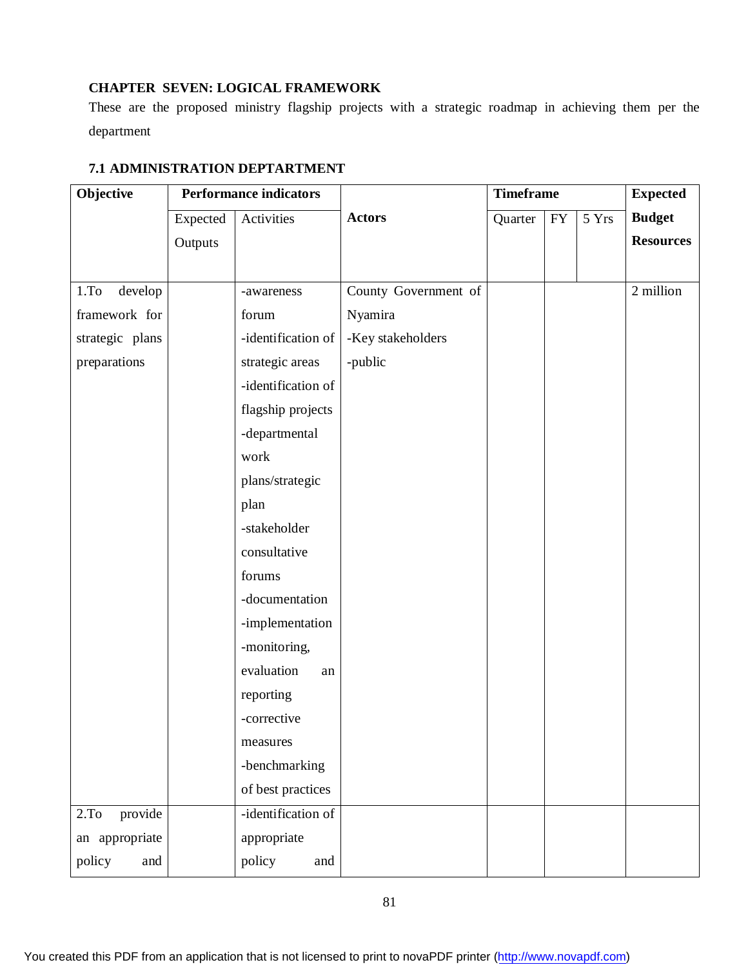## **CHAPTER SEVEN: LOGICAL FRAMEWORK**

These are the proposed ministry flagship projects with a strategic roadmap in achieving them per the department

| Objective                   |          | <b>Performance indicators</b> |                      |         | <b>Timeframe</b> |       | <b>Expected</b>  |
|-----------------------------|----------|-------------------------------|----------------------|---------|------------------|-------|------------------|
|                             | Expected | Activities                    | <b>Actors</b>        | Quarter | <b>FY</b>        | 5 Yrs | <b>Budget</b>    |
|                             | Outputs  |                               |                      |         |                  |       | <b>Resources</b> |
|                             |          |                               |                      |         |                  |       |                  |
| 1.T <sub>0</sub><br>develop |          | -awareness                    | County Government of |         |                  |       | 2 million        |
| framework for               |          | forum                         | Nyamira              |         |                  |       |                  |
| strategic plans             |          | -identification of            | -Key stakeholders    |         |                  |       |                  |
| preparations                |          | strategic areas               | -public              |         |                  |       |                  |
|                             |          | -identification of            |                      |         |                  |       |                  |
|                             |          | flagship projects             |                      |         |                  |       |                  |
|                             |          | -departmental                 |                      |         |                  |       |                  |
|                             |          | work                          |                      |         |                  |       |                  |
|                             |          | plans/strategic               |                      |         |                  |       |                  |
|                             |          | plan                          |                      |         |                  |       |                  |
|                             |          | -stakeholder                  |                      |         |                  |       |                  |
|                             |          | consultative                  |                      |         |                  |       |                  |
|                             |          | forums                        |                      |         |                  |       |                  |
|                             |          | -documentation                |                      |         |                  |       |                  |
|                             |          | -implementation               |                      |         |                  |       |                  |
|                             |          | -monitoring,                  |                      |         |                  |       |                  |
|                             |          | evaluation<br>an              |                      |         |                  |       |                  |
|                             |          | reporting                     |                      |         |                  |       |                  |
|                             |          | -corrective                   |                      |         |                  |       |                  |
|                             |          | measures                      |                      |         |                  |       |                  |
|                             |          | -benchmarking                 |                      |         |                  |       |                  |
|                             |          | of best practices             |                      |         |                  |       |                  |
| provide<br>2.To             |          | -identification of            |                      |         |                  |       |                  |
| an appropriate              |          | appropriate                   |                      |         |                  |       |                  |
| and<br>policy               |          | policy<br>and                 |                      |         |                  |       |                  |

# **7.1 ADMINISTRATION DEPTARTMENT**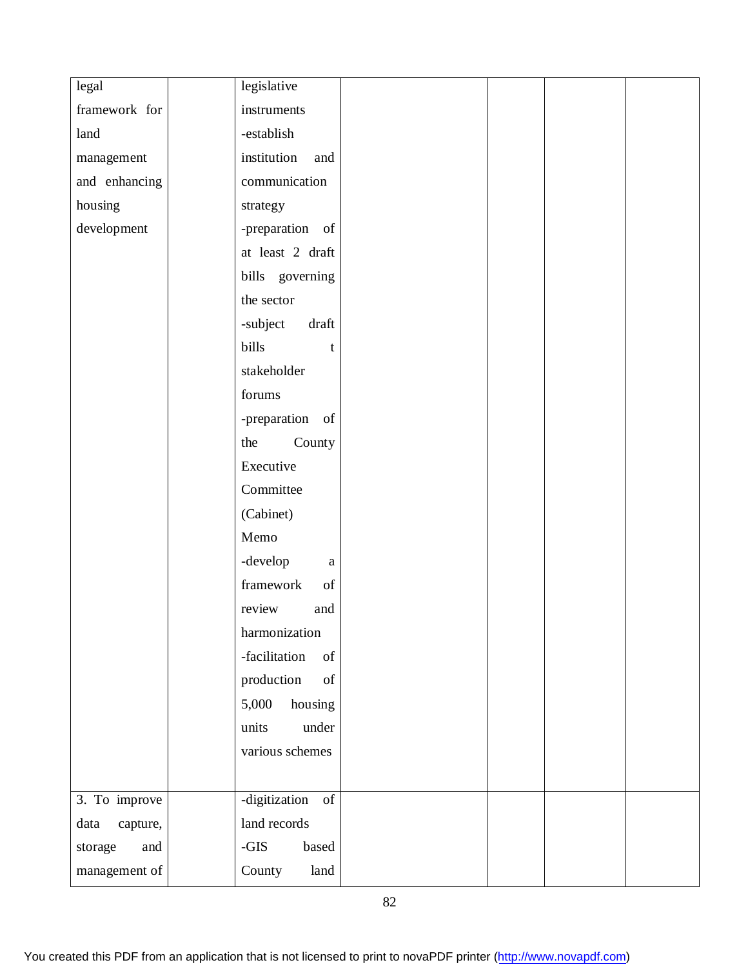| legal            | legislative                                                                                                         |  |  |
|------------------|---------------------------------------------------------------------------------------------------------------------|--|--|
| framework for    | instruments                                                                                                         |  |  |
| land             | -establish                                                                                                          |  |  |
| management       | institution<br>and                                                                                                  |  |  |
| and enhancing    | communication                                                                                                       |  |  |
| housing          | strategy                                                                                                            |  |  |
| development      | -preparation of                                                                                                     |  |  |
|                  | at least 2 draft                                                                                                    |  |  |
|                  | bills governing                                                                                                     |  |  |
|                  | the sector                                                                                                          |  |  |
|                  | draft<br>-subject                                                                                                   |  |  |
|                  | bills<br>$\mathbf t$                                                                                                |  |  |
|                  | stakeholder                                                                                                         |  |  |
|                  | forums                                                                                                              |  |  |
|                  | -preparation of                                                                                                     |  |  |
|                  | County<br>the                                                                                                       |  |  |
|                  | Executive                                                                                                           |  |  |
|                  | Committee                                                                                                           |  |  |
|                  | (Cabinet)                                                                                                           |  |  |
|                  | Memo                                                                                                                |  |  |
|                  | -develop<br>$\rm{a}$                                                                                                |  |  |
|                  | framework<br>of                                                                                                     |  |  |
|                  | review<br>and                                                                                                       |  |  |
|                  | harmonization                                                                                                       |  |  |
|                  | -facilitation<br>$% \left( \left( \mathcal{A},\mathcal{A}\right) \right) =\left( \mathcal{A},\mathcal{A}\right)$ of |  |  |
|                  | production<br>$% \left( \left( \mathcal{A},\mathcal{A}\right) \right) =\left( \mathcal{A},\mathcal{A}\right)$ of    |  |  |
|                  | 5,000<br>housing                                                                                                    |  |  |
|                  | units<br>under                                                                                                      |  |  |
|                  | various schemes                                                                                                     |  |  |
|                  |                                                                                                                     |  |  |
| 3. To improve    | -digitization<br>of                                                                                                 |  |  |
| data<br>capture, | land records                                                                                                        |  |  |
| and<br>storage   | $-GIS$<br>based                                                                                                     |  |  |
| management of    | County<br>land                                                                                                      |  |  |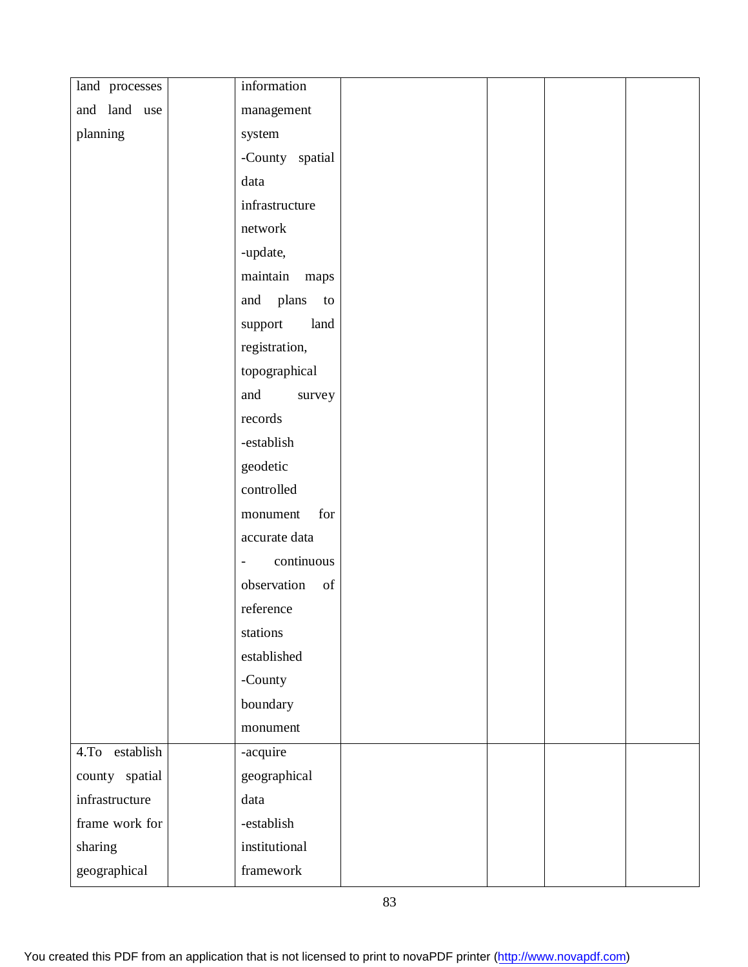| land processes | information                                                                                                       |
|----------------|-------------------------------------------------------------------------------------------------------------------|
| and land use   | management                                                                                                        |
| planning       | system                                                                                                            |
|                | -County spatial                                                                                                   |
|                | data                                                                                                              |
|                | infrastructure                                                                                                    |
|                | network                                                                                                           |
|                | -update,                                                                                                          |
|                | maintain<br>maps                                                                                                  |
|                | plans<br>and<br>$\mathop{\mathrm{to}}$                                                                            |
|                | support<br>land                                                                                                   |
|                | registration,                                                                                                     |
|                | topographical                                                                                                     |
|                | and<br>survey                                                                                                     |
|                | records                                                                                                           |
|                | -establish                                                                                                        |
|                | geodetic                                                                                                          |
|                | controlled                                                                                                        |
|                | for<br>monument                                                                                                   |
|                | accurate data                                                                                                     |
|                | continuous<br>$\overline{\phantom{0}}$                                                                            |
|                | observation<br>$% \left( \left( \mathcal{A},\mathcal{A}\right) \right) =\left( \mathcal{A},\mathcal{A}\right)$ of |
|                | reference                                                                                                         |
|                | stations                                                                                                          |
|                | established                                                                                                       |
|                | -County                                                                                                           |
|                | boundary                                                                                                          |
|                | monument                                                                                                          |
| 4.To establish | -acquire                                                                                                          |
| county spatial | geographical                                                                                                      |
| infrastructure | data                                                                                                              |
| frame work for | -establish                                                                                                        |
| sharing        | institutional                                                                                                     |
| geographical   | framework                                                                                                         |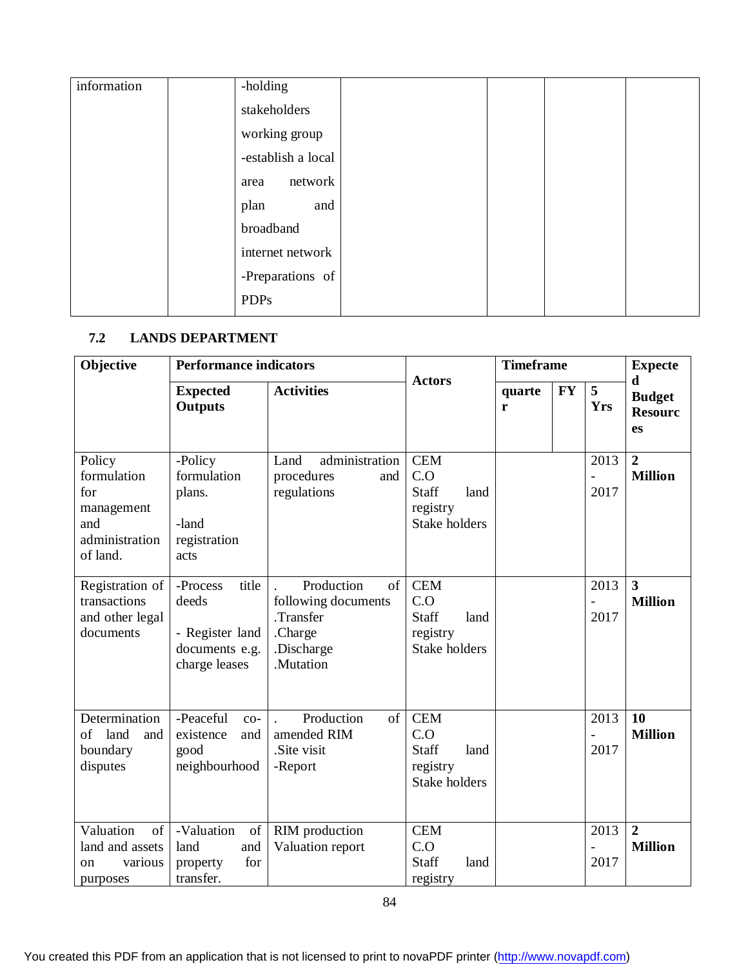| information | -holding           |  |  |
|-------------|--------------------|--|--|
|             | stakeholders       |  |  |
|             | working group      |  |  |
|             | -establish a local |  |  |
|             | network<br>area    |  |  |
|             | and<br>plan        |  |  |
|             | broadband          |  |  |
|             | internet network   |  |  |
|             | -Preparations of   |  |  |
|             | <b>PDPs</b>        |  |  |

## **7.2 LANDS DEPARTMENT**

| Objective                                                                       | <b>Performance indicators</b>                                                    |                                                                                            |                                                                                          | <b>Timeframe</b> |           |                                          | <b>Expecte</b>                             |
|---------------------------------------------------------------------------------|----------------------------------------------------------------------------------|--------------------------------------------------------------------------------------------|------------------------------------------------------------------------------------------|------------------|-----------|------------------------------------------|--------------------------------------------|
|                                                                                 | <b>Expected</b><br><b>Outputs</b>                                                | <b>Activities</b>                                                                          | <b>Actors</b>                                                                            | quarte<br>r      | <b>FY</b> | 5<br><b>Yrs</b>                          | d<br><b>Budget</b><br><b>Resourc</b><br>es |
| Policy<br>formulation<br>for<br>management<br>and<br>administration<br>of land. | -Policy<br>formulation<br>plans.<br>-land<br>registration<br>acts                | administration<br>Land<br>procedures<br>and<br>regulations                                 | <b>CEM</b><br>C.0<br>Staff<br>land<br>registry<br><b>Stake holders</b>                   |                  |           | 2013<br>$\overline{\phantom{a}}$<br>2017 | $\overline{2}$<br><b>Million</b>           |
| Registration of<br>transactions<br>and other legal<br>documents                 | title<br>-Process<br>deeds<br>- Register land<br>documents e.g.<br>charge leases | Production<br>of<br>following documents<br>.Transfer<br>.Charge<br>.Discharge<br>.Mutation | <b>CEM</b><br>C.0<br>Staff<br>land<br>registry<br><b>Stake holders</b>                   |                  |           | 2013<br>2017                             | 3<br><b>Million</b>                        |
| Determination<br>of land<br>and<br>boundary<br>disputes                         | -Peaceful<br>$CO-$<br>existence<br>and<br>good<br>neighbourhood                  | Production<br>of<br>amended RIM<br>.Site visit<br>-Report                                  | <b>CEM</b><br>C <sub>0</sub><br><b>Staff</b><br>land<br>registry<br><b>Stake holders</b> |                  |           | 2013<br>$\frac{1}{2}$<br>2017            | 10<br><b>Million</b>                       |
| Valuation<br>of<br>land and assets<br>various<br>on<br>purposes                 | -Valuation<br>of<br>and<br>land<br>for<br>property<br>transfer.                  | RIM production<br>Valuation report                                                         | <b>CEM</b><br>C.0<br>Staff<br>land<br>registry                                           |                  |           | 2013<br>2017                             | $\overline{2}$<br><b>Million</b>           |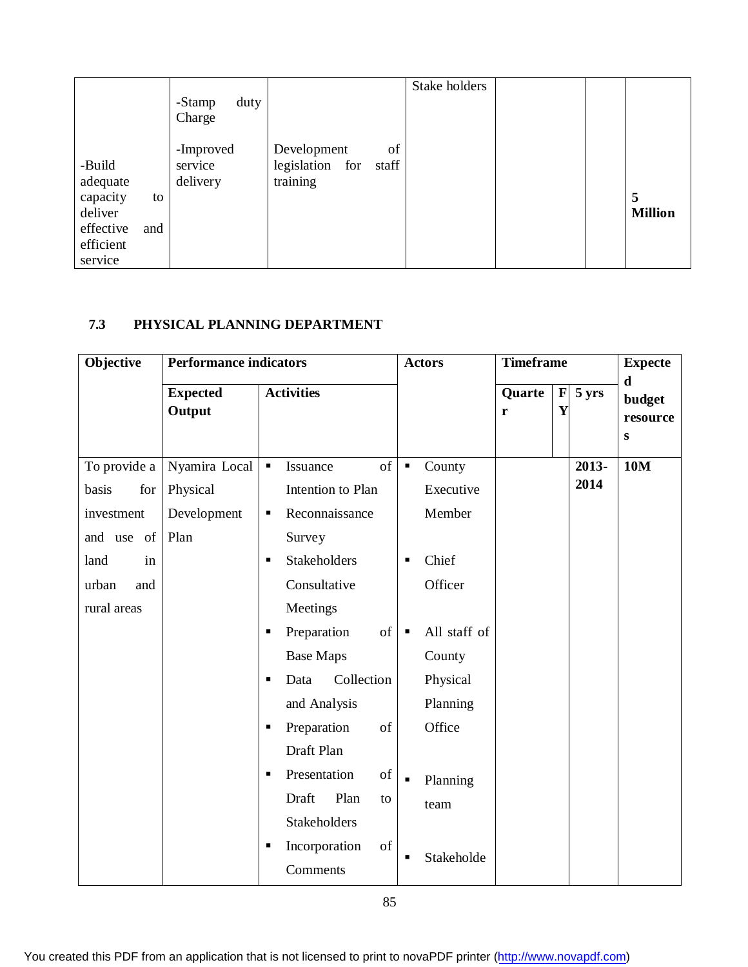|                                                                                             | duty<br>-Stamp<br>Charge         |                                                           | Stake holders |  |                     |
|---------------------------------------------------------------------------------------------|----------------------------------|-----------------------------------------------------------|---------------|--|---------------------|
| -Build<br>adequate<br>capacity<br>to<br>deliver<br>effective<br>and<br>efficient<br>service | -Improved<br>service<br>delivery | of<br>Development<br>legislation for<br>staff<br>training |               |  | 5<br><b>Million</b> |

# **7.3 PHYSICAL PLANNING DEPARTMENT**

| <b>Objective</b> | <b>Performance indicators</b> |                                     | <b>Actors</b>              | <b>Timeframe</b> |                  | <b>Expecte</b><br>$\mathbf d$ |                         |
|------------------|-------------------------------|-------------------------------------|----------------------------|------------------|------------------|-------------------------------|-------------------------|
|                  | <b>Expected</b><br>Output     | <b>Activities</b>                   |                            | Quarte<br>r      | $\mathbf F$<br>Y | $5 \text{ yrs}$               | budget<br>resource<br>S |
| To provide a     | Nyamira Local                 | of<br>Issuance<br>٠                 | County<br>٠                |                  |                  | 2013-                         | <b>10M</b>              |
| for<br>basis     | Physical                      | Intention to Plan                   | Executive                  |                  |                  | 2014                          |                         |
| investment       | Development                   | Reconnaissance<br>٠                 | Member                     |                  |                  |                               |                         |
| and use of       | Plan                          | Survey                              |                            |                  |                  |                               |                         |
| land<br>in       |                               | Stakeholders<br>п                   | Chief<br>п                 |                  |                  |                               |                         |
| urban<br>and     |                               | Consultative                        | Officer                    |                  |                  |                               |                         |
| rural areas      |                               | Meetings                            |                            |                  |                  |                               |                         |
|                  |                               | Preparation<br>of<br>п              | All staff of               |                  |                  |                               |                         |
|                  |                               | <b>Base Maps</b>                    | County                     |                  |                  |                               |                         |
|                  |                               | Collection<br>Data<br>П             | Physical                   |                  |                  |                               |                         |
|                  |                               | and Analysis                        | Planning                   |                  |                  |                               |                         |
|                  |                               | Preparation<br>of<br>$\blacksquare$ | Office                     |                  |                  |                               |                         |
|                  |                               | Draft Plan                          |                            |                  |                  |                               |                         |
|                  |                               | Presentation<br>of<br>٠             | $\blacksquare$<br>Planning |                  |                  |                               |                         |
|                  |                               | Draft<br>Plan<br>to                 | team                       |                  |                  |                               |                         |
|                  |                               | Stakeholders                        |                            |                  |                  |                               |                         |
|                  |                               | Incorporation<br>of<br>٠            | Stakeholde                 |                  |                  |                               |                         |
|                  |                               | Comments                            |                            |                  |                  |                               |                         |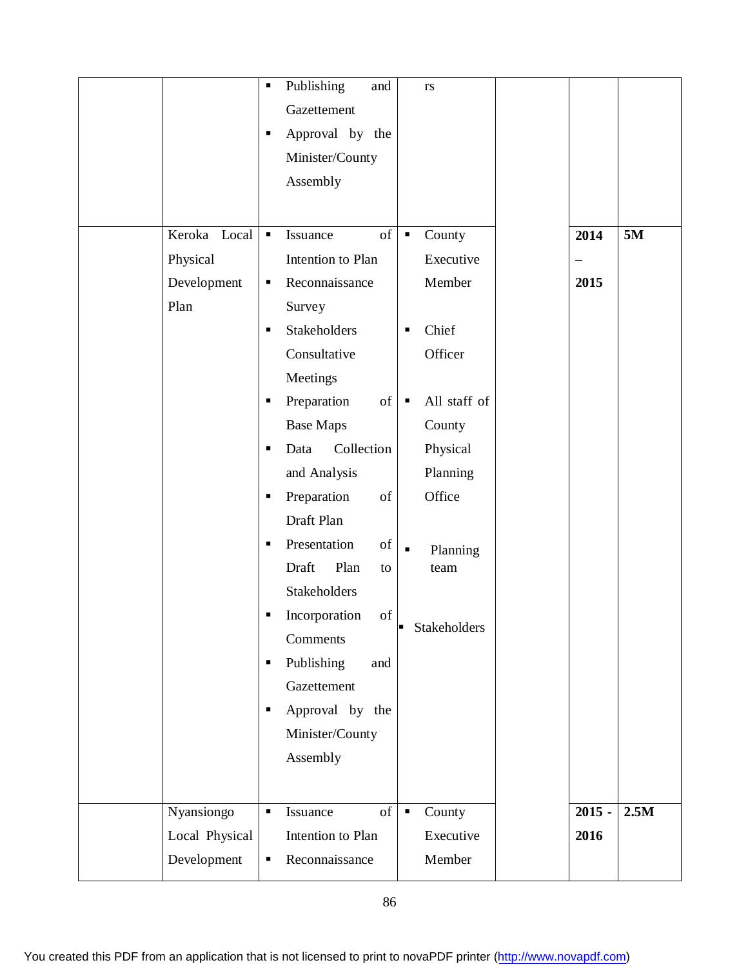|                | ٠<br>٠ | Publishing<br>and<br>Gazettement<br>Approval by the<br>Minister/County<br>Assembly           |                     | rs                               |          |      |
|----------------|--------|----------------------------------------------------------------------------------------------|---------------------|----------------------------------|----------|------|
| Keroka Local   | ٠      | of<br>Issuance                                                                               | ٠                   | County                           | 2014     | 5M   |
| Physical       |        | Intention to Plan                                                                            |                     | Executive                        | —        |      |
| Development    | ٠      | Reconnaissance                                                                               |                     | Member                           | 2015     |      |
| Plan           |        | Survey                                                                                       |                     |                                  |          |      |
|                | ٠      | Stakeholders                                                                                 | ٠                   | Chief                            |          |      |
|                |        | Consultative                                                                                 |                     | Officer                          |          |      |
|                |        | Meetings                                                                                     |                     |                                  |          |      |
|                | ٠      | Preparation<br>of<br><b>Base Maps</b>                                                        | ٠                   | All staff of                     |          |      |
|                | п      | Collection<br>Data                                                                           |                     | County<br>Physical               |          |      |
|                |        | and Analysis                                                                                 |                     | Planning                         |          |      |
|                | ٠      | Preparation<br>of                                                                            |                     | Office                           |          |      |
|                |        | Draft Plan                                                                                   |                     |                                  |          |      |
|                | ٠<br>٠ | Presentation<br>of<br>Draft<br>Plan<br>to<br>Stakeholders<br>of<br>Incorporation<br>Comments | $\blacksquare$<br>Е | Planning<br>team<br>Stakeholders |          |      |
|                | ٠      | Publishing<br>and                                                                            |                     |                                  |          |      |
|                |        | Gazettement                                                                                  |                     |                                  |          |      |
|                | ٠      | Approval by the                                                                              |                     |                                  |          |      |
|                |        | Minister/County                                                                              |                     |                                  |          |      |
|                |        | Assembly                                                                                     |                     |                                  |          |      |
| Nyansiongo     | ٠      | Issuance<br>of                                                                               | $\blacksquare$      | County                           | $2015 -$ | 2.5M |
| Local Physical |        | Intention to Plan                                                                            |                     | Executive                        | 2016     |      |
| Development    | ٠      | Reconnaissance                                                                               |                     | Member                           |          |      |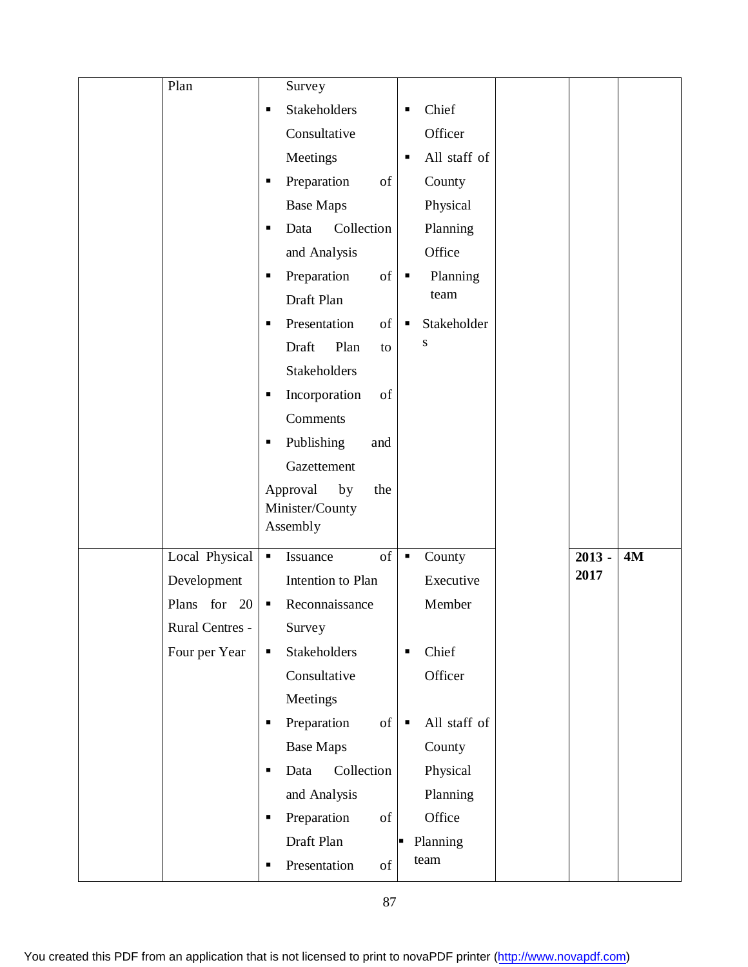| Plan            | Survey                                               |                                |          |    |
|-----------------|------------------------------------------------------|--------------------------------|----------|----|
|                 | Stakeholders<br>٠                                    | Chief<br>٠                     |          |    |
|                 | Consultative                                         | Officer                        |          |    |
|                 | Meetings                                             | All staff of<br>$\blacksquare$ |          |    |
|                 | Preparation<br>of<br>٠                               | County                         |          |    |
|                 | <b>Base Maps</b>                                     | Physical                       |          |    |
|                 | Collection<br>Data                                   | Planning                       |          |    |
|                 | and Analysis                                         | Office                         |          |    |
|                 | Preparation<br>of<br>٠                               | Planning<br>П                  |          |    |
|                 | Draft Plan                                           | team                           |          |    |
|                 | Presentation<br>of<br>п                              | Stakeholder                    |          |    |
|                 | Draft<br>Plan<br>to                                  | S                              |          |    |
|                 | Stakeholders                                         |                                |          |    |
|                 | Incorporation<br>of<br>٠                             |                                |          |    |
|                 | Comments                                             |                                |          |    |
|                 | Publishing<br>and<br>٠                               |                                |          |    |
|                 | Gazettement                                          |                                |          |    |
|                 |                                                      |                                |          |    |
|                 | Approval<br>by<br>the<br>Minister/County<br>Assembly |                                |          |    |
| Local Physical  | Issuance<br>of<br>٠                                  | County<br>٠                    | $2013 -$ | 4M |
| Development     | Intention to Plan                                    | Executive                      | 2017     |    |
| Plans for 20    | Reconnaissance<br>٠                                  | Member                         |          |    |
| Rural Centres - | Survey                                               |                                |          |    |
| Four per Year   | Stakeholders<br>٠                                    | Chief<br>٠                     |          |    |
|                 | Consultative                                         | Officer                        |          |    |
|                 | Meetings                                             |                                |          |    |
|                 | Preparation<br>of<br>٠                               | All staff of                   |          |    |
|                 | <b>Base Maps</b>                                     | County                         |          |    |
|                 | Collection<br>Data<br>п                              | Physical                       |          |    |
|                 | and Analysis                                         | Planning                       |          |    |
|                 | Preparation<br>of<br>٠                               | Office                         |          |    |
|                 | Draft Plan                                           | Planning<br>team               |          |    |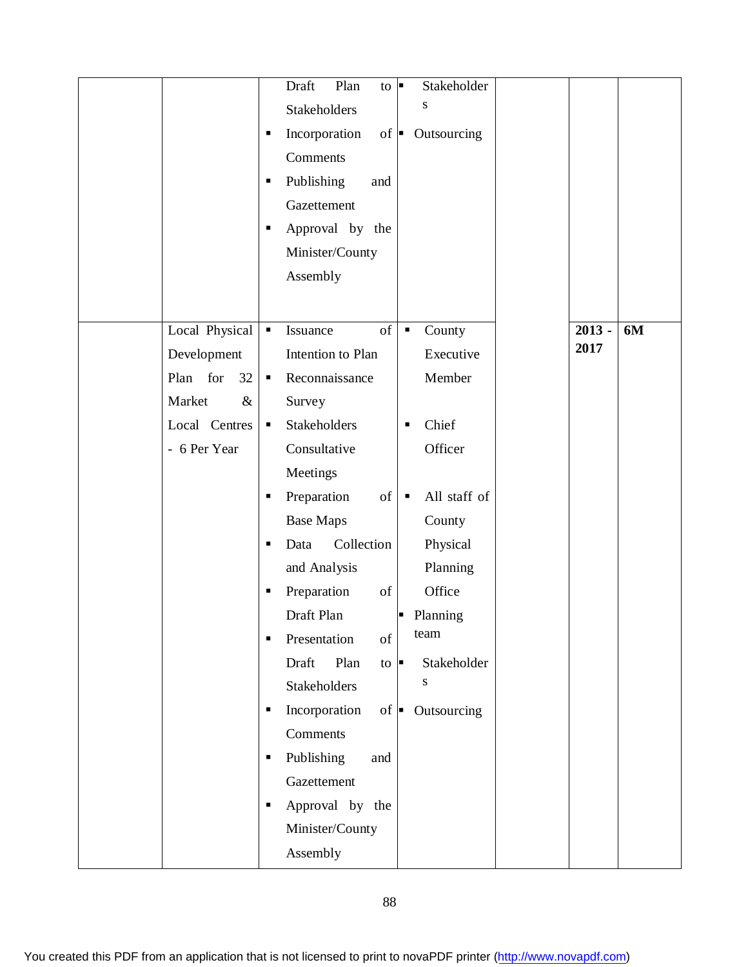|                | Draft<br>Plan<br>Stakeholder<br>to<br>þш                 |                |
|----------------|----------------------------------------------------------|----------------|
|                | S<br>Stakeholders                                        |                |
|                | Outsourcing<br>Incorporation<br>$of \n\blacksquare$<br>٠ |                |
|                | Comments                                                 |                |
|                | Publishing<br>and<br>٠                                   |                |
|                | Gazettement                                              |                |
|                | Approval by the<br>٠                                     |                |
|                | Minister/County                                          |                |
|                | Assembly                                                 |                |
|                |                                                          |                |
| Local Physical | of<br>County<br>Issuance<br>٠<br>٠                       | $2013 -$<br>6M |
| Development    | Intention to Plan<br>Executive                           | 2017           |
| Plan for<br>32 | Reconnaissance<br>Member<br>П                            |                |
| Market<br>$\&$ | Survey                                                   |                |
| Local Centres  | Stakeholders<br>Chief<br>٠<br>٠                          |                |
| - 6 Per Year   | Officer<br>Consultative                                  |                |
|                | Meetings                                                 |                |
|                | Preparation<br>All staff of<br>of<br>٠<br>٠              |                |
|                | <b>Base Maps</b><br>County                               |                |
|                | Collection<br>Data<br>Physical<br>٠                      |                |
|                | and Analysis<br>Planning                                 |                |
|                | Office<br>Preparation<br>of<br>٠                         |                |
|                | Draft Plan<br>Planning<br>п                              |                |
|                | team<br>Presentation<br>of<br>٠                          |                |
|                | Draft<br>Plan<br>Stakeholder<br>to $\blacksquare$        |                |
|                | S<br>Stakeholders                                        |                |
|                | Incorporation<br>$of \blacksquare$<br>Outsourcing<br>п   |                |
|                | Comments                                                 |                |
|                | Publishing<br>and<br>٠                                   |                |
|                | Gazettement                                              |                |
|                | Approval by the<br>٠                                     |                |
|                | Minister/County                                          |                |
|                | Assembly                                                 |                |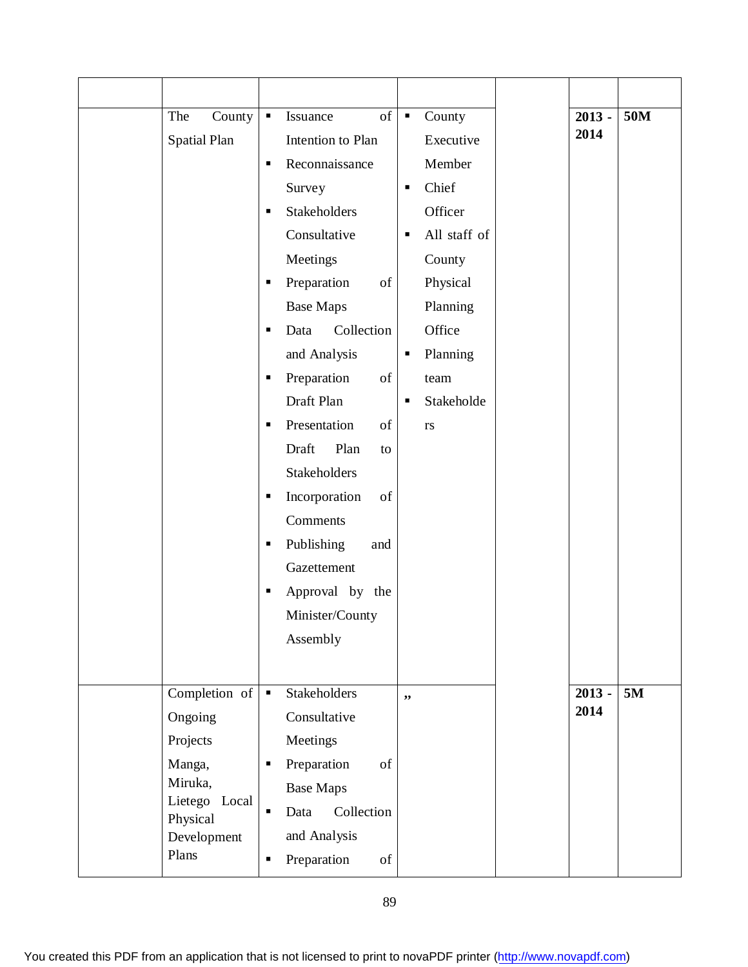| County<br>The             | of<br>Issuance<br>$\blacksquare$     | County<br>$\blacksquare$       | $2013 -$<br>50M       |
|---------------------------|--------------------------------------|--------------------------------|-----------------------|
| <b>Spatial Plan</b>       | Intention to Plan                    | Executive                      | 2014                  |
|                           | Reconnaissance<br>٠                  | Member                         |                       |
|                           | Survey                               | Chief<br>٠                     |                       |
|                           | <b>Stakeholders</b><br>٠             | Officer                        |                       |
|                           | Consultative                         | All staff of<br>$\blacksquare$ |                       |
|                           | Meetings                             | County                         |                       |
|                           | Preparation<br>of<br>٠               | Physical                       |                       |
|                           | <b>Base Maps</b>                     | Planning                       |                       |
|                           | Collection<br>Data<br>٠              | Office                         |                       |
|                           | and Analysis                         | Planning<br>٠                  |                       |
|                           | Preparation<br>of<br>٠               | team                           |                       |
|                           | Draft Plan                           | Stakeholde<br>٠                |                       |
|                           | Presentation<br>of<br>٠              | $\mathbf{r}\mathbf{s}$         |                       |
|                           | Draft<br>Plan<br>to                  |                                |                       |
|                           | Stakeholders                         |                                |                       |
|                           | Incorporation<br>of<br>٠             |                                |                       |
|                           | Comments                             |                                |                       |
|                           | Publishing<br>and<br>٠               |                                |                       |
|                           | Gazettement                          |                                |                       |
|                           | Approval by the<br>٠                 |                                |                       |
|                           | Minister/County                      |                                |                       |
|                           | Assembly                             |                                |                       |
|                           |                                      |                                |                       |
| Completion of             | Stakeholders<br>$\blacksquare$       | ,,                             | $2013 -$<br><b>5M</b> |
| Ongoing                   | Consultative                         |                                | 2014                  |
| Projects                  | Meetings                             |                                |                       |
| Manga,                    | Preparation<br>of<br>٠               |                                |                       |
| Miruka,                   | <b>Base Maps</b>                     |                                |                       |
| Lietego Local<br>Physical | Collection<br>Data<br>$\blacksquare$ |                                |                       |
| Development               | and Analysis                         |                                |                       |
| Plans                     | Preparation<br>of<br>٠               |                                |                       |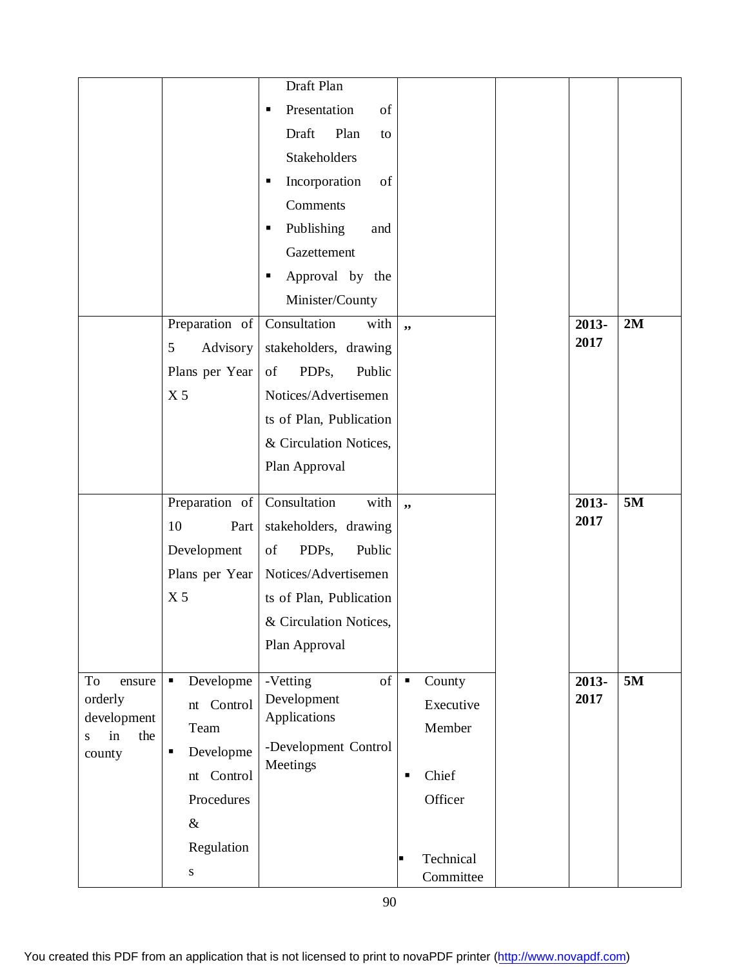|                        |                             | Draft Plan                       |                          |       |           |
|------------------------|-----------------------------|----------------------------------|--------------------------|-------|-----------|
|                        |                             | Presentation<br>of<br>٠          |                          |       |           |
|                        |                             | Draft<br>Plan<br>to              |                          |       |           |
|                        |                             | Stakeholders                     |                          |       |           |
|                        |                             | Incorporation<br>of<br>٠         |                          |       |           |
|                        |                             | Comments                         |                          |       |           |
|                        |                             | Publishing<br>and<br>п           |                          |       |           |
|                        |                             | Gazettement                      |                          |       |           |
|                        |                             | Approval by the<br>٠             |                          |       |           |
|                        |                             | Minister/County                  |                          |       |           |
|                        | Preparation of              | Consultation<br>with             | , ,                      | 2013- | 2M        |
|                        | 5<br>Advisory               | stakeholders, drawing            |                          | 2017  |           |
|                        | Plans per Year              | PDPs,<br>Public<br>of            |                          |       |           |
|                        | X <sub>5</sub>              | Notices/Advertisemen             |                          |       |           |
|                        |                             | ts of Plan, Publication          |                          |       |           |
|                        |                             | & Circulation Notices,           |                          |       |           |
|                        |                             | Plan Approval                    |                          |       |           |
|                        | Preparation of              | Consultation<br>with             |                          | 2013- | 5M        |
|                        | 10<br>Part                  | stakeholders, drawing            | , ,                      | 2017  |           |
|                        | Development                 | PDPs,<br>Public<br>of            |                          |       |           |
|                        | Plans per Year              | Notices/Advertisemen             |                          |       |           |
|                        | X <sub>5</sub>              | ts of Plan, Publication          |                          |       |           |
|                        |                             | & Circulation Notices,           |                          |       |           |
|                        |                             | Plan Approval                    |                          |       |           |
|                        |                             |                                  |                          |       |           |
| To<br>ensure           | Developme<br>٠              | of<br>-Vetting                   | County<br>$\blacksquare$ | 2013- | <b>5M</b> |
| orderly<br>development | nt Control                  | Development<br>Applications      | Executive                | 2017  |           |
| the<br>in<br>S         | Team                        |                                  | Member                   |       |           |
| county                 | Developme<br>$\blacksquare$ | -Development Control<br>Meetings |                          |       |           |
|                        | Control<br>nt               |                                  | Chief<br>$\blacksquare$  |       |           |
|                        | Procedures                  |                                  | Officer                  |       |           |
|                        | $\&$                        |                                  |                          |       |           |
|                        | Regulation                  |                                  | Technical<br>٠           |       |           |
|                        | S                           |                                  | Committee                |       |           |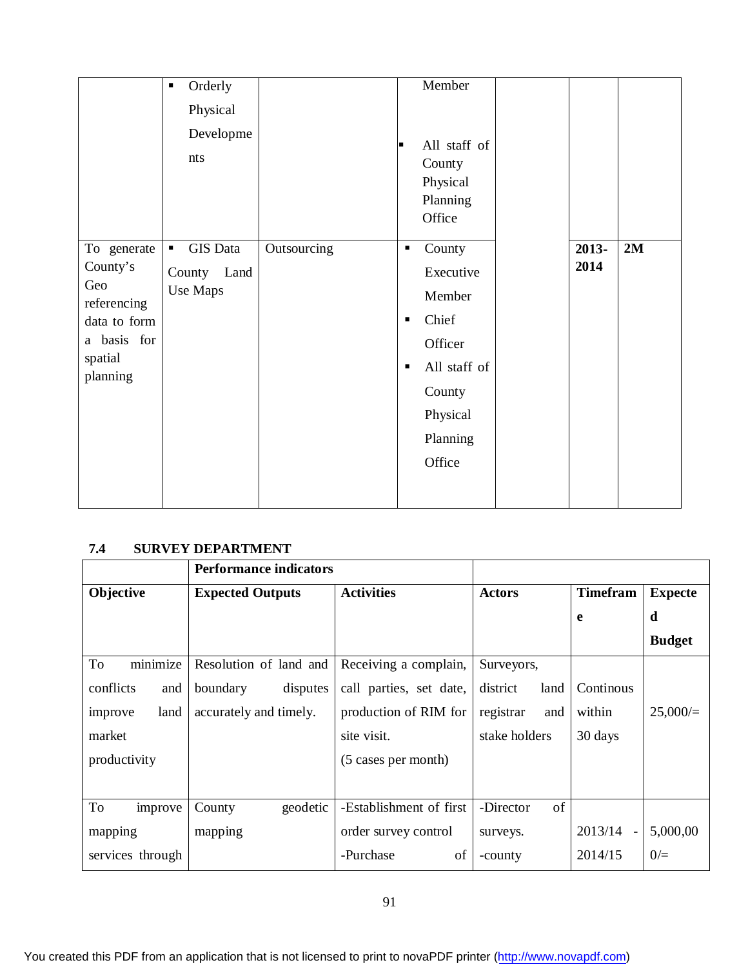|                     | Orderly<br>$\blacksquare$         |             | Member                         |       |    |
|---------------------|-----------------------------------|-------------|--------------------------------|-------|----|
|                     | Physical                          |             |                                |       |    |
|                     | Developme                         |             |                                |       |    |
|                     | nts                               |             | All staff of<br>ш              |       |    |
|                     |                                   |             | County                         |       |    |
|                     |                                   |             | Physical                       |       |    |
|                     |                                   |             | Planning<br>Office             |       |    |
|                     |                                   |             |                                |       |    |
| To generate         | <b>GIS</b> Data<br>$\blacksquare$ | Outsourcing | County<br>$\blacksquare$       | 2013- | 2M |
| County's            | County Land                       |             | Executive                      | 2014  |    |
| Geo<br>referencing  | Use Maps                          |             | Member                         |       |    |
| data to form        |                                   |             | Chief<br>٠                     |       |    |
| a basis for         |                                   |             | Officer                        |       |    |
| spatial<br>planning |                                   |             | All staff of<br>$\blacksquare$ |       |    |
|                     |                                   |             | County                         |       |    |
|                     |                                   |             | Physical                       |       |    |
|                     |                                   |             | Planning                       |       |    |
|                     |                                   |             | Office                         |       |    |
|                     |                                   |             |                                |       |    |
|                     |                                   |             |                                |       |    |

# **7.4 SURVEY DEPARTMENT**

|                  | <b>Performance indicators</b> |                         |                  |                 |                  |
|------------------|-------------------------------|-------------------------|------------------|-----------------|------------------|
| Objective        | <b>Expected Outputs</b>       | <b>Activities</b>       | <b>Actors</b>    | <b>Timefram</b> | <b>Expecte</b>   |
|                  |                               |                         |                  | e               | d                |
|                  |                               |                         |                  |                 | <b>Budget</b>    |
| minimize<br>To   | Resolution of land and        | Receiving a complain,   | Surveyors,       |                 |                  |
| conflicts<br>and | disputes<br>boundary          | call parties, set date, | district<br>land | Continous       |                  |
| improve<br>land  | accurately and timely.        | production of RIM for   | registrar<br>and | within          | 25,000/          |
| market           |                               | site visit.             | stake holders    | 30 days         |                  |
| productivity     |                               | (5 cases per month)     |                  |                 |                  |
|                  |                               |                         |                  |                 |                  |
| To<br>improve    | geodetic<br>County            | -Establishment of first | of<br>-Director  |                 |                  |
| mapping          | mapping                       | order survey control    | surveys.         | $2013/14 -$     | 5,000,00         |
| services through |                               | -Purchase<br>of         | -county          | 2014/15         | $0/=\frac{1}{2}$ |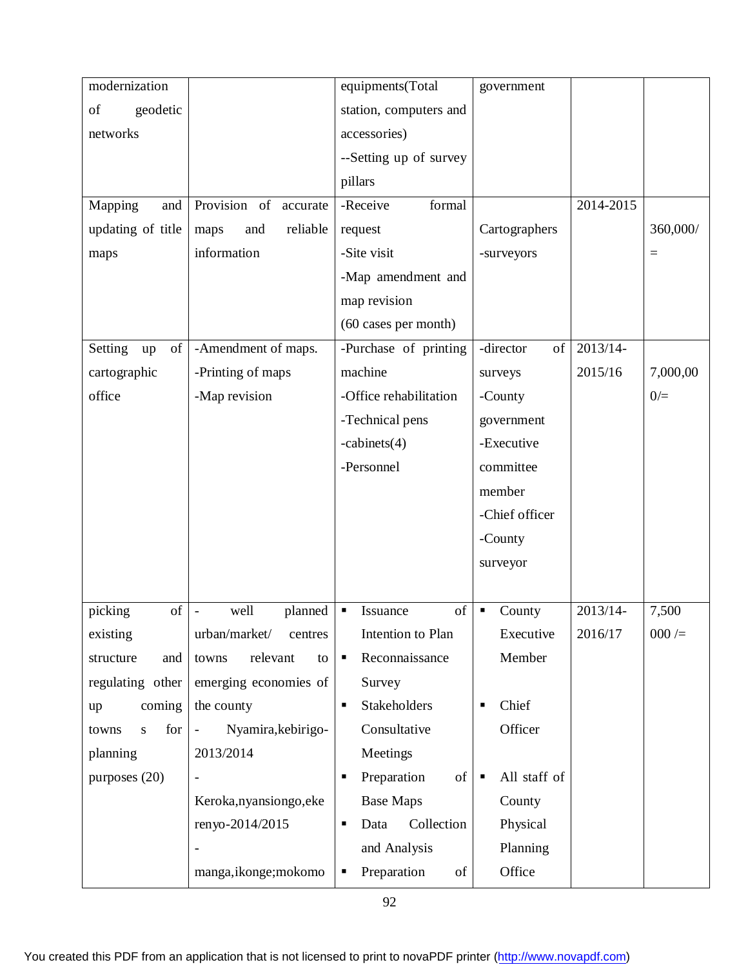| modernization             |                                                | equipments(Total        | government        |           |                  |
|---------------------------|------------------------------------------------|-------------------------|-------------------|-----------|------------------|
| of<br>geodetic            |                                                | station, computers and  |                   |           |                  |
| networks                  |                                                | accessories)            |                   |           |                  |
|                           |                                                | --Setting up of survey  |                   |           |                  |
|                           |                                                | pillars                 |                   |           |                  |
| Mapping<br>and            | Provision of<br>accurate                       | -Receive<br>formal      |                   | 2014-2015 |                  |
| updating of title         | reliable<br>and<br>maps                        | request                 | Cartographers     |           | 360,000/         |
| maps                      | information                                    | -Site visit             | -surveyors        |           | $=$              |
|                           |                                                | -Map amendment and      |                   |           |                  |
|                           |                                                | map revision            |                   |           |                  |
|                           |                                                | (60 cases per month)    |                   |           |                  |
| Setting<br>of<br>up       | -Amendment of maps.                            | -Purchase of printing   | -director<br>of   | 2013/14-  |                  |
| cartographic              | -Printing of maps                              | machine                 | surveys           | 2015/16   | 7,000,00         |
| office                    | -Map revision                                  | -Office rehabilitation  | -County           |           | $0/=\frac{1}{2}$ |
|                           |                                                | -Technical pens         | government        |           |                  |
|                           |                                                | $-cabinets(4)$          | -Executive        |           |                  |
|                           |                                                | -Personnel              | committee         |           |                  |
|                           |                                                |                         | member            |           |                  |
|                           |                                                |                         | -Chief officer    |           |                  |
|                           |                                                |                         | -County           |           |                  |
|                           |                                                |                         | surveyor          |           |                  |
|                           |                                                |                         |                   |           |                  |
| picking<br>of             | well<br>planned<br>$\overline{\phantom{a}}$    | of<br>Issuance<br>٠     | County            | 2013/14-  | 7,500            |
| existing                  | urban/market/<br>centres                       | Intention to Plan       | Executive         | 2016/17   | $000 =$          |
| structure<br>and          | relevant<br>towns<br>to                        | Reconnaissance<br>٠     | Member            |           |                  |
| regulating other          | emerging economies of                          | Survey                  |                   |           |                  |
| coming<br>up              | the county                                     | Stakeholders            | Chief<br>٠        |           |                  |
| for<br>towns<br>${\bf S}$ | Nyamira, kebirigo-<br>$\overline{\phantom{a}}$ | Consultative            | Officer           |           |                  |
| planning                  | 2013/2014                                      | Meetings                |                   |           |                  |
| purposes (20)             |                                                | Preparation<br>of<br>٠  | All staff of<br>٠ |           |                  |
|                           | Keroka, nyansiongo, eke                        | <b>Base Maps</b>        | County            |           |                  |
|                           | renyo-2014/2015                                | Collection<br>Data<br>٠ | Physical          |           |                  |
|                           | $\overline{\phantom{0}}$                       | and Analysis            | Planning          |           |                  |
|                           | manga, ikonge; mokomo                          | Preparation<br>of<br>٠  | Office            |           |                  |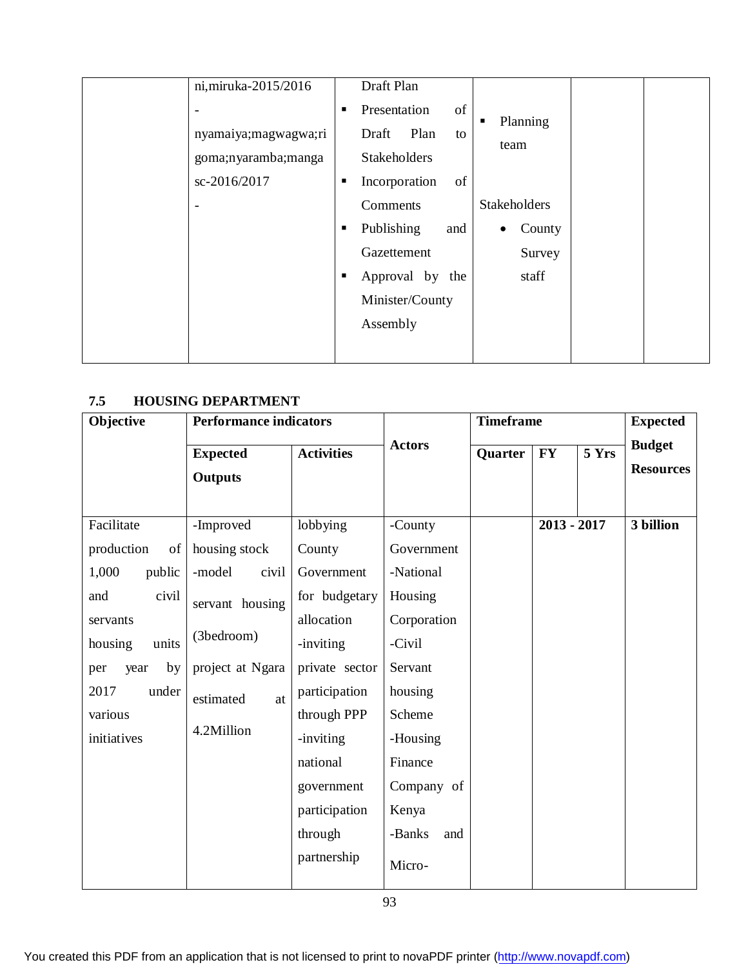| ni, miruka-2015/2016 |   | Draft Plan          |               |  |
|----------------------|---|---------------------|---------------|--|
|                      | ٠ | Presentation<br>of  | Planning<br>п |  |
| nyamaiya;magwagwa;ri |   | Plan<br>Draft<br>to | team          |  |
| goma;nyaramba;manga  |   | <b>Stakeholders</b> |               |  |
| sc-2016/2017         | ٠ | Incorporation<br>of |               |  |
| ۰                    |   | Comments            | Stakeholders  |  |
|                      | ٠ | Publishing<br>and   | County        |  |
|                      |   | Gazettement         | Survey        |  |
|                      | ٠ | Approval by the     | staff         |  |
|                      |   | Minister/County     |               |  |
|                      |   | Assembly            |               |  |
|                      |   |                     |               |  |

# **7.5 HOUSING DEPARTMENT**

| Objective         | <b>Performance indicators</b> |                   |               | <b>Timeframe</b> |               |       | <b>Expected</b>  |
|-------------------|-------------------------------|-------------------|---------------|------------------|---------------|-------|------------------|
|                   | <b>Expected</b>               | <b>Activities</b> | <b>Actors</b> | Quarter          | <b>FY</b>     | 5 Yrs | <b>Budget</b>    |
|                   | <b>Outputs</b>                |                   |               |                  |               |       | <b>Resources</b> |
|                   |                               |                   |               |                  |               |       |                  |
| Facilitate        | -Improved                     | lobbying          | -County       |                  | $2013 - 2017$ |       | 3 billion        |
| production<br>of  | housing stock                 | County            | Government    |                  |               |       |                  |
| 1,000<br>public   | -model<br>civil               | Government        | -National     |                  |               |       |                  |
| civil<br>and      | servant housing               | for budgetary     | Housing       |                  |               |       |                  |
| servants          |                               | allocation        | Corporation   |                  |               |       |                  |
| units<br>housing  | (3bedroom)                    | -inviting         | -Civil        |                  |               |       |                  |
| by<br>year<br>per | project at Ngara              | private sector    | Servant       |                  |               |       |                  |
| 2017<br>under     | estimated<br>at               | participation     | housing       |                  |               |       |                  |
| various           |                               | through PPP       | Scheme        |                  |               |       |                  |
| initiatives       | 4.2Million                    | -inviting         | -Housing      |                  |               |       |                  |
|                   |                               | national          | Finance       |                  |               |       |                  |
|                   |                               | government        | Company of    |                  |               |       |                  |
|                   |                               | participation     | Kenya         |                  |               |       |                  |
|                   |                               | through           | -Banks<br>and |                  |               |       |                  |
|                   |                               | partnership       | Micro-        |                  |               |       |                  |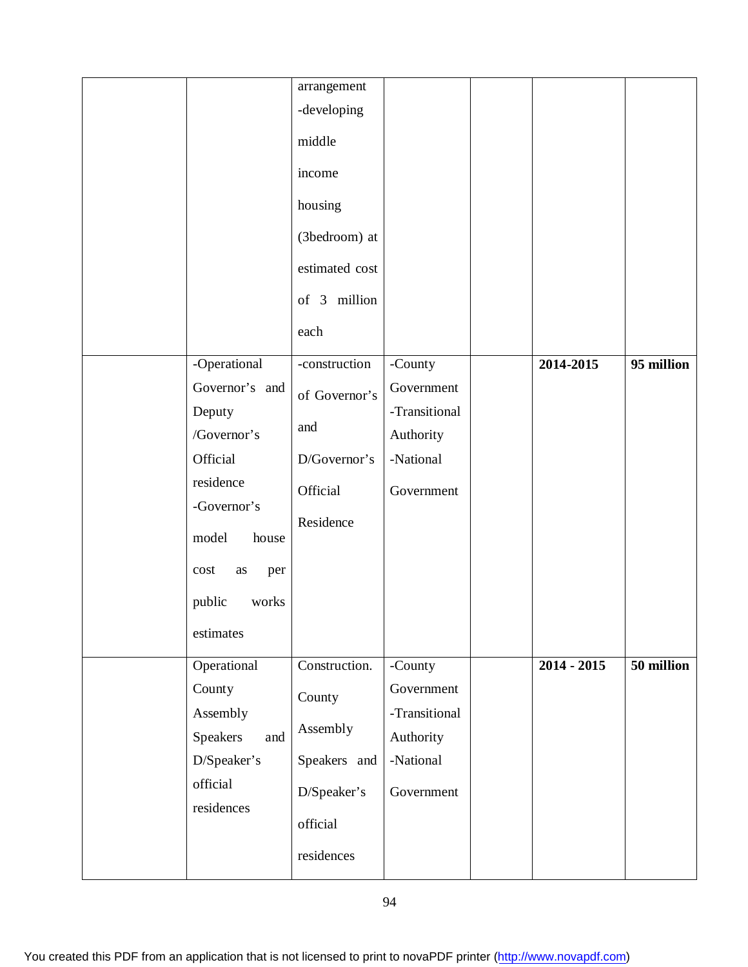|                                                                                                                                                                              | arrangement<br>-developing<br>middle<br>income<br>housing<br>(3bedroom) at<br>estimated cost<br>of 3 million<br>each |                                                                                |               |            |
|------------------------------------------------------------------------------------------------------------------------------------------------------------------------------|----------------------------------------------------------------------------------------------------------------------|--------------------------------------------------------------------------------|---------------|------------|
| -Operational<br>Governor's and<br>Deputy<br>/Governor's<br>Official<br>residence<br>-Governor's<br>model<br>house<br>cost<br>$\rm as$<br>per<br>public<br>works<br>estimates | -construction<br>of Governor's<br>and<br>D/Governor's<br>Official<br>Residence                                       | -County<br>Government<br>-Transitional<br>Authority<br>-National<br>Government | 2014-2015     | 95 million |
| Operational<br>County<br>Assembly<br><b>Speakers</b><br>and<br>D/Speaker's<br>official<br>residences                                                                         | Construction.<br>County<br>Assembly<br>Speakers and<br>D/Speaker's<br>official<br>residences                         | -County<br>Government<br>-Transitional<br>Authority<br>-National<br>Government | $2014 - 2015$ | 50 million |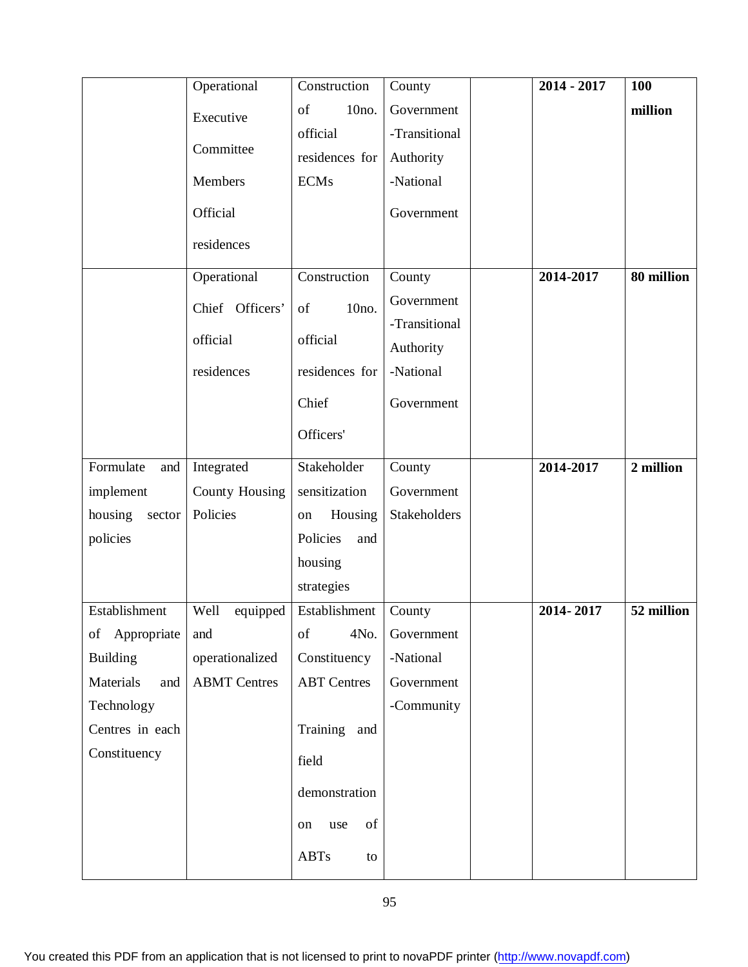|                   | Operational           | Construction             | County        | $2014 - 2017$ | 100        |
|-------------------|-----------------------|--------------------------|---------------|---------------|------------|
|                   | Executive             | of<br>10no.              | Government    |               | million    |
|                   |                       | official                 | -Transitional |               |            |
|                   | Committee             | residences for           | Authority     |               |            |
|                   | Members               | <b>ECMs</b>              | -National     |               |            |
|                   | Official              |                          | Government    |               |            |
|                   | residences            |                          |               |               |            |
|                   | Operational           | Construction             | County        | 2014-2017     | 80 million |
|                   | Chief Officers'       | of<br>10 <sub>no</sub> . | Government    |               |            |
|                   | official              | official                 | -Transitional |               |            |
|                   |                       |                          | Authority     |               |            |
|                   | residences            | residences for           | -National     |               |            |
|                   |                       | Chief                    | Government    |               |            |
|                   |                       | Officers'                |               |               |            |
| Formulate<br>and  | Integrated            | Stakeholder              | County        | 2014-2017     | 2 million  |
| implement         | <b>County Housing</b> | sensitization            | Government    |               |            |
| housing<br>sector | Policies              | Housing<br>on            | Stakeholders  |               |            |
| policies          |                       | Policies<br>and          |               |               |            |
|                   |                       | housing                  |               |               |            |
|                   |                       | strategies               |               |               |            |
| Establishment     | Well<br>equipped      | Establishment            | County        | 2014-2017     | 52 million |
| of Appropriate    | and                   | of<br>4No.               | Government    |               |            |
| <b>Building</b>   | operationalized       | Constituency             | -National     |               |            |
| Materials<br>and  | <b>ABMT</b> Centres   | <b>ABT</b> Centres       | Government    |               |            |
| Technology        |                       |                          | -Community    |               |            |
| Centres in each   |                       | Training and             |               |               |            |
| Constituency      |                       | field                    |               |               |            |
|                   |                       | demonstration            |               |               |            |
|                   |                       | of<br>use<br>on          |               |               |            |
|                   |                       | ABTs<br>to               |               |               |            |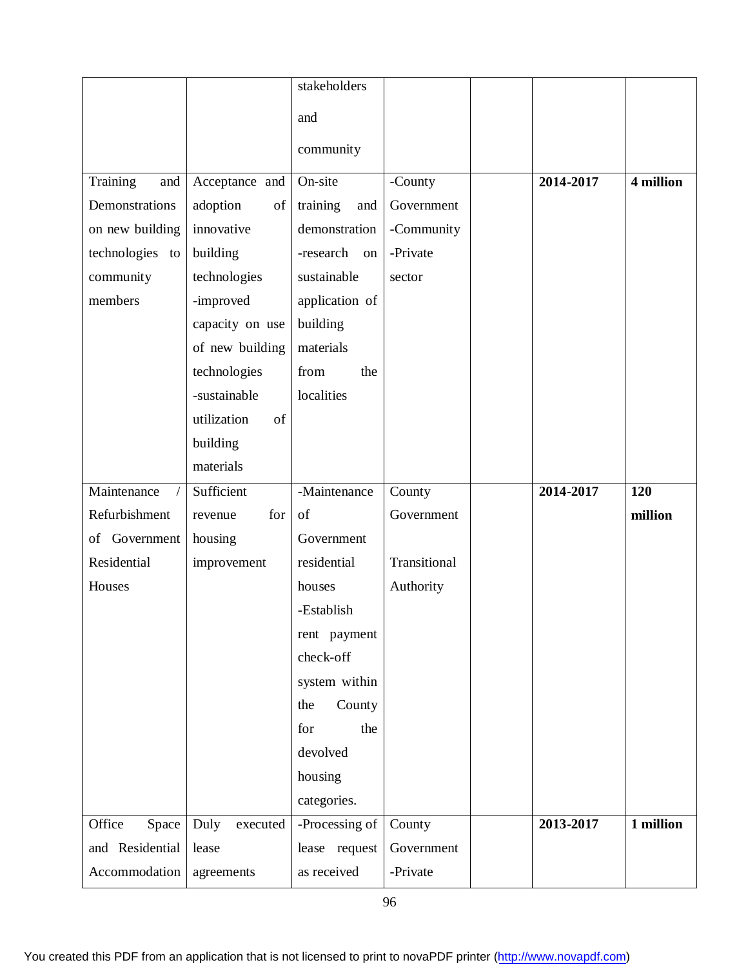|                    |                   | stakeholders    |              |           |           |
|--------------------|-------------------|-----------------|--------------|-----------|-----------|
|                    |                   | and             |              |           |           |
|                    |                   |                 |              |           |           |
|                    |                   | community       |              |           |           |
| Training<br>and    | Acceptance and    | On-site         | -County      | 2014-2017 | 4 million |
| Demonstrations     | adoption<br>of    | training<br>and | Government   |           |           |
| on new building    | innovative        | demonstration   | -Community   |           |           |
| technologies<br>to | building          | -research<br>on | -Private     |           |           |
| community          | technologies      | sustainable     | sector       |           |           |
| members            | -improved         | application of  |              |           |           |
|                    | capacity on use   | building        |              |           |           |
|                    | of new building   | materials       |              |           |           |
|                    | technologies      | from<br>the     |              |           |           |
|                    | -sustainable      | localities      |              |           |           |
|                    | utilization<br>of |                 |              |           |           |
|                    | building          |                 |              |           |           |
|                    | materials         |                 |              |           |           |
|                    |                   |                 |              |           |           |
| Maintenance        | Sufficient        | -Maintenance    | County       | 2014-2017 | 120       |
| Refurbishment      | for<br>revenue    | of              | Government   |           | million   |
| Government<br>οf   | housing           | Government      |              |           |           |
| Residential        | improvement       | residential     | Transitional |           |           |
| Houses             |                   | houses          | Authority    |           |           |
|                    |                   | -Establish      |              |           |           |
|                    |                   | rent payment    |              |           |           |
|                    |                   | check-off       |              |           |           |
|                    |                   | system within   |              |           |           |
|                    |                   | County<br>the   |              |           |           |
|                    |                   | for<br>the      |              |           |           |
|                    |                   | devolved        |              |           |           |
|                    |                   | housing         |              |           |           |
|                    |                   | categories.     |              |           |           |
| Office<br>Space    | Duly<br>executed  | -Processing of  | County       | 2013-2017 | 1 million |
| and Residential    | lease             | lease request   | Government   |           |           |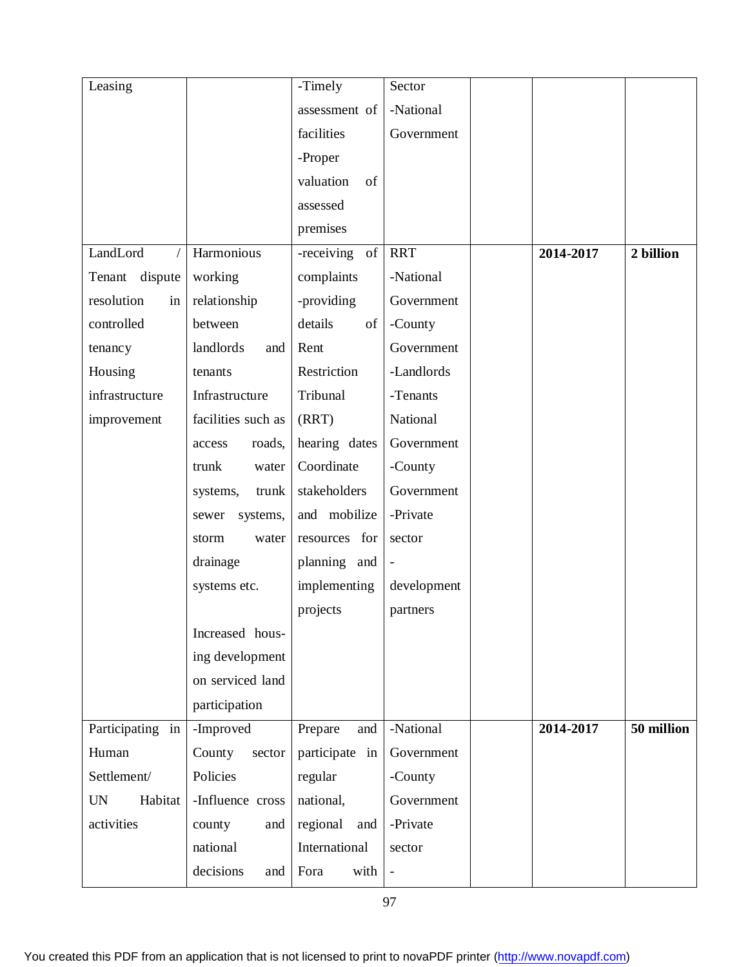| Leasing                             |                    | -Timely         | Sector      |           |            |
|-------------------------------------|--------------------|-----------------|-------------|-----------|------------|
|                                     |                    | assessment of   | -National   |           |            |
|                                     |                    | facilities      | Government  |           |            |
|                                     |                    | -Proper         |             |           |            |
|                                     |                    | valuation<br>of |             |           |            |
|                                     |                    | assessed        |             |           |            |
|                                     |                    | premises        |             |           |            |
| LandLord                            | Harmonious         | -receiving of   | <b>RRT</b>  | 2014-2017 | 2 billion  |
| Tenant dispute                      | working            | complaints      | -National   |           |            |
| resolution<br>in                    | relationship       | -providing      | Government  |           |            |
| controlled                          | between            | details<br>of   | -County     |           |            |
| tenancy                             | landlords<br>and   | Rent            | Government  |           |            |
| Housing                             | tenants            | Restriction     | -Landlords  |           |            |
| infrastructure                      | Infrastructure     | Tribunal        | -Tenants    |           |            |
| improvement                         | facilities such as | (RRT)           | National    |           |            |
|                                     | roads,<br>access   | hearing dates   | Government  |           |            |
|                                     | trunk<br>water     | Coordinate      | -County     |           |            |
|                                     | trunk<br>systems,  | stakeholders    | Government  |           |            |
|                                     | systems,<br>sewer  | and mobilize    | -Private    |           |            |
|                                     | storm<br>water     | resources for   | sector      |           |            |
|                                     | drainage           | planning and    |             |           |            |
|                                     | systems etc.       | implementing    | development |           |            |
|                                     |                    | projects        | partners    |           |            |
|                                     | Increased hous-    |                 |             |           |            |
|                                     | ing development    |                 |             |           |            |
|                                     | on serviced land   |                 |             |           |            |
|                                     | participation      |                 |             |           |            |
| Participating in                    | -Improved          | Prepare<br>and  | -National   | 2014-2017 | 50 million |
| Human                               | County<br>sector   | participate in  | Government  |           |            |
| Settlement/                         | Policies           | regular         | -County     |           |            |
| $\ensuremath{\text{UN}}$<br>Habitat | -Influence cross   | national,       | Government  |           |            |
| activities                          | county<br>and      | regional<br>and | -Private    |           |            |
|                                     | national           | International   | sector      |           |            |
|                                     | decisions<br>and   | Fora<br>with    |             |           |            |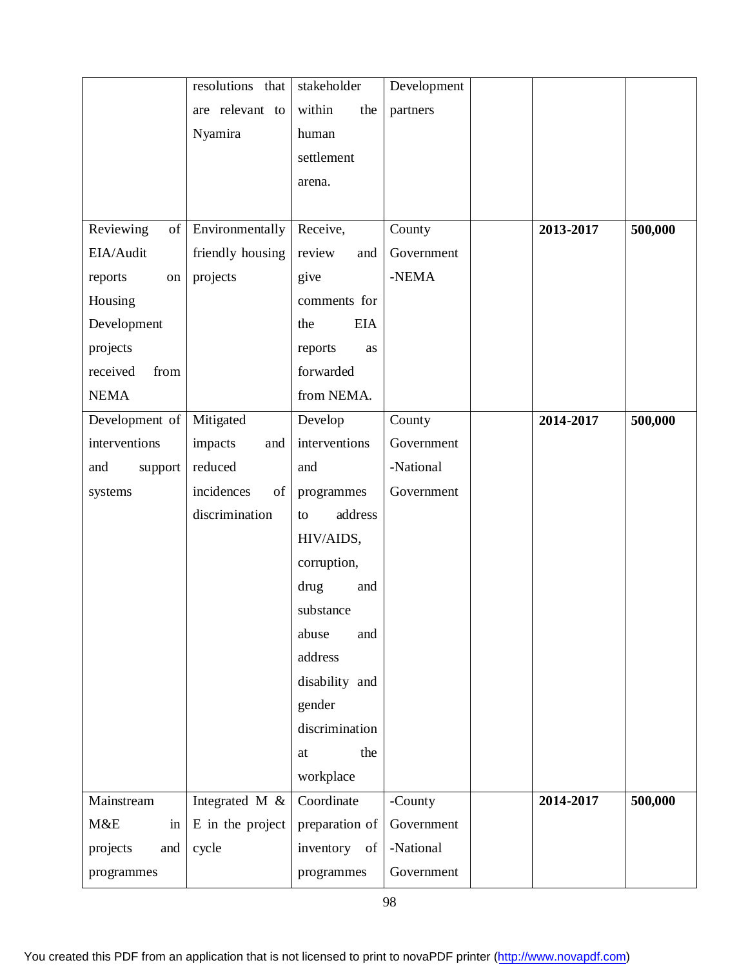|                  | resolutions that | stakeholder       | Development |           |         |
|------------------|------------------|-------------------|-------------|-----------|---------|
|                  | are relevant to  | within<br>the     | partners    |           |         |
|                  | Nyamira          | human             |             |           |         |
|                  |                  | settlement        |             |           |         |
|                  |                  | arena.            |             |           |         |
|                  |                  |                   |             |           |         |
| Reviewing<br>of  | Environmentally  | Receive,          | County      | 2013-2017 | 500,000 |
| EIA/Audit        | friendly housing | review<br>and     | Government  |           |         |
| reports<br>on    | projects         | give              | -NEMA       |           |         |
| Housing          |                  | comments for      |             |           |         |
| Development      |                  | <b>EIA</b><br>the |             |           |         |
| projects         |                  | reports<br>as     |             |           |         |
| from<br>received |                  | forwarded         |             |           |         |
| <b>NEMA</b>      |                  | from NEMA.        |             |           |         |
| Development of   | Mitigated        | Develop           | County      | 2014-2017 | 500,000 |
| interventions    | impacts<br>and   | interventions     | Government  |           |         |
| and<br>support   | reduced          | and               | -National   |           |         |
| systems          | incidences<br>of | programmes        | Government  |           |         |
|                  | discrimination   | address<br>to     |             |           |         |
|                  |                  | HIV/AIDS,         |             |           |         |
|                  |                  | corruption,       |             |           |         |
|                  |                  | drug<br>and       |             |           |         |
|                  |                  | substance         |             |           |         |
|                  |                  | abuse<br>and      |             |           |         |
|                  |                  | address           |             |           |         |
|                  |                  | disability and    |             |           |         |
|                  |                  | gender            |             |           |         |
|                  |                  | discrimination    |             |           |         |
|                  |                  | the<br>at         |             |           |         |
|                  |                  | workplace         |             |           |         |
| Mainstream       | Integrated M &   | Coordinate        | -County     | 2014-2017 | 500,000 |
| M&E<br>in        | E in the project | preparation of    | Government  |           |         |
| projects<br>and  | cycle            | inventory of      | -National   |           |         |
| programmes       |                  | programmes        | Government  |           |         |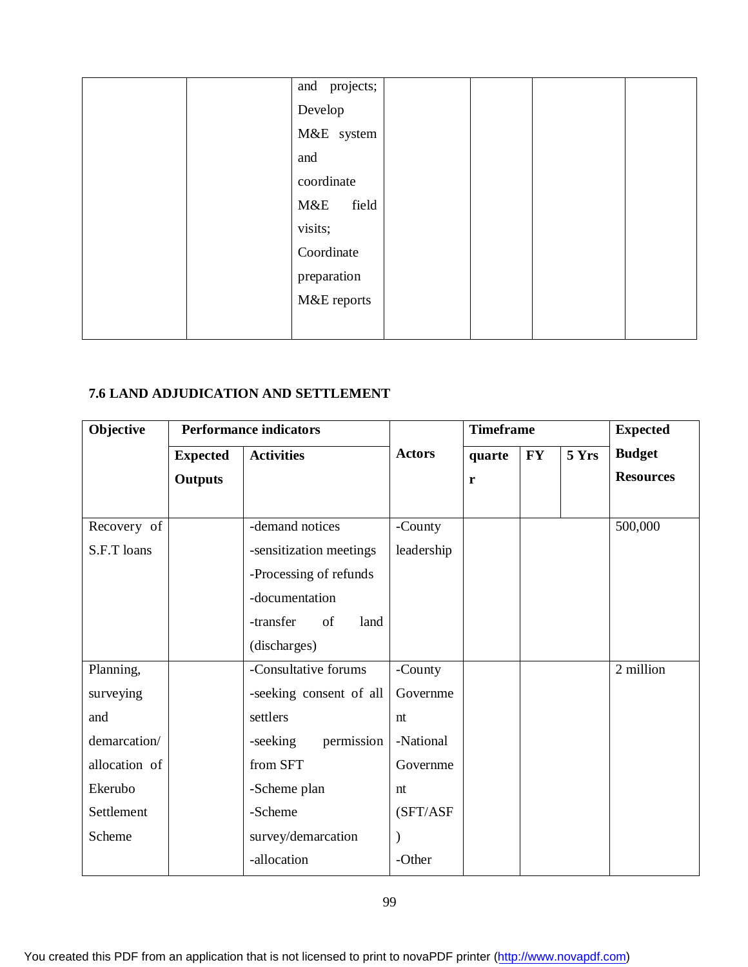|  | and projects; |  |  |
|--|---------------|--|--|
|  | Develop       |  |  |
|  | M&E system    |  |  |
|  | and           |  |  |
|  | coordinate    |  |  |
|  | field<br>M&E  |  |  |
|  | visits;       |  |  |
|  | Coordinate    |  |  |
|  | preparation   |  |  |
|  | M&E reports   |  |  |
|  |               |  |  |

# **7.6 LAND ADJUDICATION AND SETTLEMENT**

| Objective     | <b>Performance indicators</b> |                         |               | <b>Timeframe</b> |           |       | <b>Expected</b>  |
|---------------|-------------------------------|-------------------------|---------------|------------------|-----------|-------|------------------|
|               | <b>Expected</b>               | <b>Activities</b>       | <b>Actors</b> | quarte           | <b>FY</b> | 5 Yrs | <b>Budget</b>    |
|               | <b>Outputs</b>                |                         |               | r                |           |       | <b>Resources</b> |
|               |                               |                         |               |                  |           |       |                  |
| Recovery of   |                               | -demand notices         | -County       |                  |           |       | 500,000          |
| S.F.T loans   |                               | -sensitization meetings | leadership    |                  |           |       |                  |
|               |                               | -Processing of refunds  |               |                  |           |       |                  |
|               |                               | -documentation          |               |                  |           |       |                  |
|               |                               | -transfer<br>land<br>of |               |                  |           |       |                  |
|               |                               | (discharges)            |               |                  |           |       |                  |
| Planning,     |                               | -Consultative forums    | -County       |                  |           |       | 2 million        |
| surveying     |                               | -seeking consent of all | Governme      |                  |           |       |                  |
| and           |                               | settlers                | nt            |                  |           |       |                  |
| demarcation/  |                               | permission<br>-seeking  | -National     |                  |           |       |                  |
| allocation of |                               | from SFT                | Governme      |                  |           |       |                  |
| Ekerubo       |                               | -Scheme plan            | nt            |                  |           |       |                  |
| Settlement    |                               | -Scheme                 | (SFT/ASF      |                  |           |       |                  |
| Scheme        |                               | survey/demarcation      | $\mathcal{E}$ |                  |           |       |                  |
|               |                               | -allocation             | -Other        |                  |           |       |                  |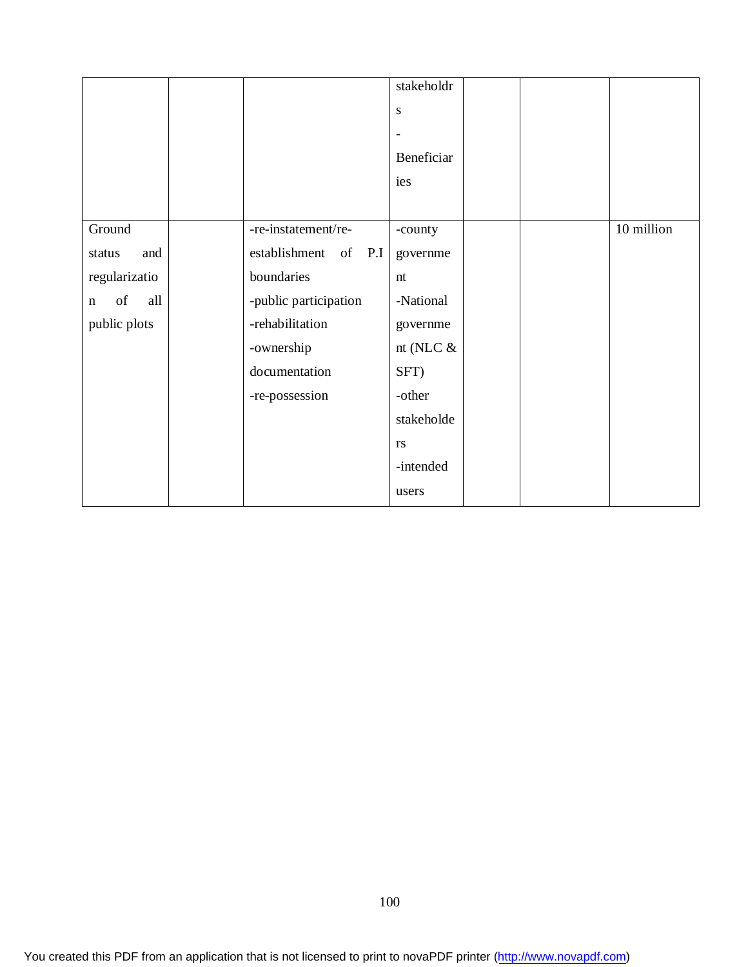|                                                                                                                          |                       | stakeholdr        |  |            |
|--------------------------------------------------------------------------------------------------------------------------|-----------------------|-------------------|--|------------|
|                                                                                                                          |                       | ${\bf S}$         |  |            |
|                                                                                                                          |                       | $\qquad \qquad -$ |  |            |
|                                                                                                                          |                       | Beneficiar        |  |            |
|                                                                                                                          |                       | ies               |  |            |
|                                                                                                                          |                       |                   |  |            |
| Ground                                                                                                                   | -re-instatement/re-   | -county           |  | 10 million |
| and<br>status                                                                                                            | establishment of P.I  | governme          |  |            |
| regularizatio                                                                                                            | boundaries            | nt                |  |            |
| all<br>$% \left( \left( \mathcal{A},\mathcal{A}\right) \right) =\left( \mathcal{A},\mathcal{A}\right)$ of<br>$\mathbf n$ | -public participation | -National         |  |            |
| public plots                                                                                                             | -rehabilitation       | governme          |  |            |
|                                                                                                                          | -ownership            | nt (NLC $\&$      |  |            |
|                                                                                                                          | documentation         | SFT)              |  |            |
|                                                                                                                          | -re-possession        | -other            |  |            |
|                                                                                                                          |                       | stakeholde        |  |            |
|                                                                                                                          |                       | rs                |  |            |
|                                                                                                                          |                       | -intended         |  |            |
|                                                                                                                          |                       | users             |  |            |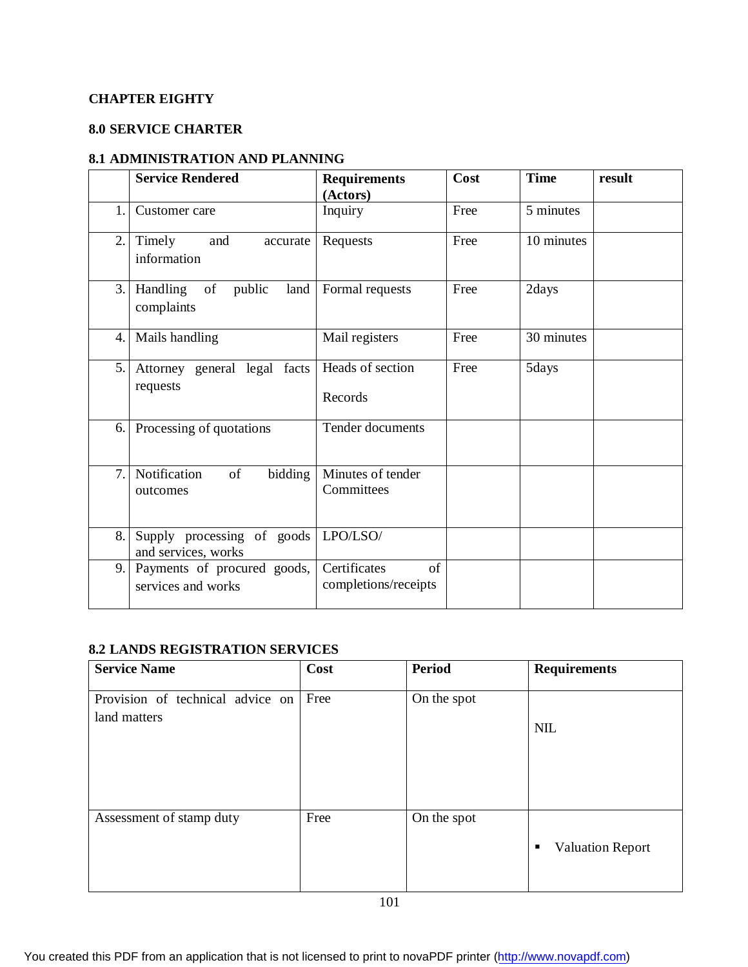#### **CHAPTER EIGHTY**

# **8.0 SERVICE CHARTER**

# **8.1 ADMINISTRATION AND PLANNING**

|    | <b>Service Rendered</b>                           | <b>Requirements</b><br>(Actors)            | Cost | <b>Time</b> | result |
|----|---------------------------------------------------|--------------------------------------------|------|-------------|--------|
|    |                                                   |                                            | Free | 5 minutes   |        |
| 1. | Customer care                                     | Inquiry                                    |      |             |        |
| 2. | Timely<br>and<br>accurate<br>information          | Requests                                   | Free | 10 minutes  |        |
| 3. | of<br>public<br>Handling<br>land<br>complaints    | Formal requests                            | Free | 2days       |        |
| 4. | Mails handling                                    | Mail registers                             | Free | 30 minutes  |        |
| 5. | Attorney general legal facts<br>requests          | Heads of section<br>Records                | Free | 5days       |        |
| 6. | Processing of quotations                          | Tender documents                           |      |             |        |
| 7. | Notification<br>of<br>bidding<br>outcomes         | Minutes of tender<br>Committees            |      |             |        |
| 8. | Supply processing of goods<br>and services, works | LPO/LSO/                                   |      |             |        |
| 9. | Payments of procured goods,<br>services and works | Certificates<br>of<br>completions/receipts |      |             |        |

#### **8.2 LANDS REGISTRATION SERVICES**

| <b>Service Name</b>                              | Cost | <b>Period</b> | <b>Requirements</b>          |
|--------------------------------------------------|------|---------------|------------------------------|
| Provision of technical advice on<br>land matters | Free | On the spot   | <b>NIL</b>                   |
| Assessment of stamp duty                         | Free | On the spot   | <b>Valuation Report</b><br>п |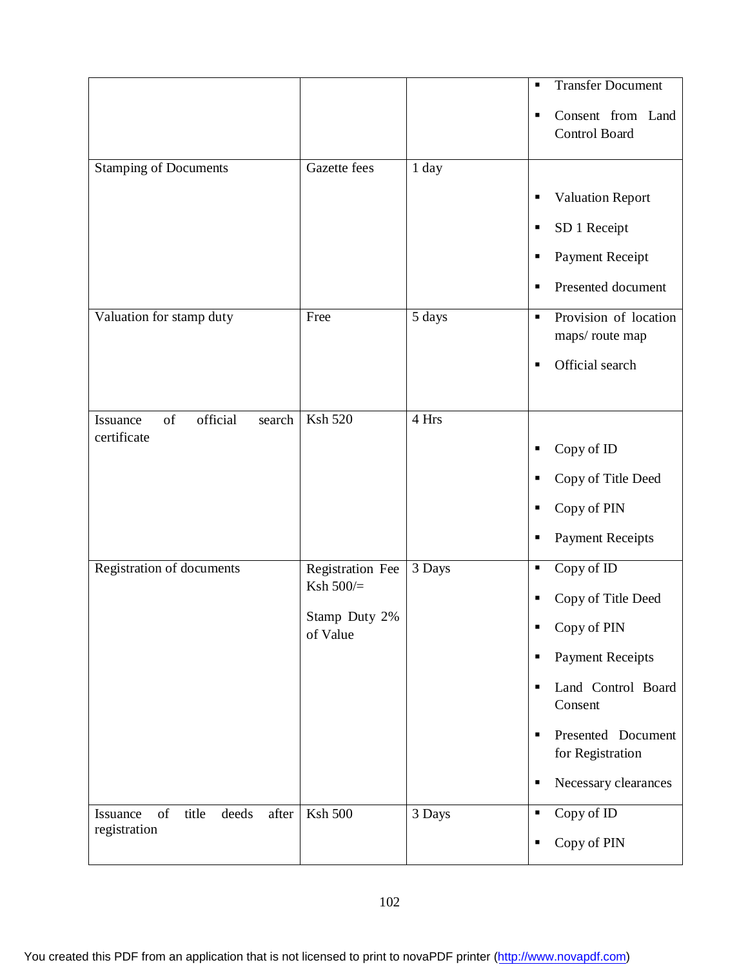|                                                           |                                                            |        | <b>Transfer Document</b><br>$\blacksquare$<br>Consent from Land<br>٠<br><b>Control Board</b>                                                                                                                                  |
|-----------------------------------------------------------|------------------------------------------------------------|--------|-------------------------------------------------------------------------------------------------------------------------------------------------------------------------------------------------------------------------------|
| <b>Stamping of Documents</b>                              | Gazette fees                                               | 1 day  | <b>Valuation Report</b><br>٠<br>SD 1 Receipt<br>٠<br>Payment Receipt<br>٠<br>Presented document<br>٠                                                                                                                          |
| Valuation for stamp duty                                  | Free                                                       | 5 days | Provision of location<br>$\blacksquare$<br>maps/route map<br>Official search<br>٠                                                                                                                                             |
| official<br>of<br>Issuance<br>search<br>certificate       | <b>Ksh 520</b>                                             | 4 Hrs  | Copy of ID<br>٠<br>Copy of Title Deed<br>٠<br>Copy of PIN<br>٠<br><b>Payment Receipts</b><br>٠                                                                                                                                |
| Registration of documents                                 | Registration Fee<br>Ksh 500/=<br>Stamp Duty 2%<br>of Value | 3 Days | Copy of ID<br>٠<br>Copy of Title Deed<br>٠<br>$\blacksquare$<br>Copy of PIN<br><b>Payment Receipts</b><br>٠<br>Land Control Board<br>٠<br>Consent<br>Presented Document<br>п<br>for Registration<br>Necessary clearances<br>٠ |
| of<br>title<br>deeds<br>after<br>Issuance<br>registration | <b>Ksh 500</b>                                             | 3 Days | Copy of ID<br>$\blacksquare$<br>Copy of PIN<br>٠                                                                                                                                                                              |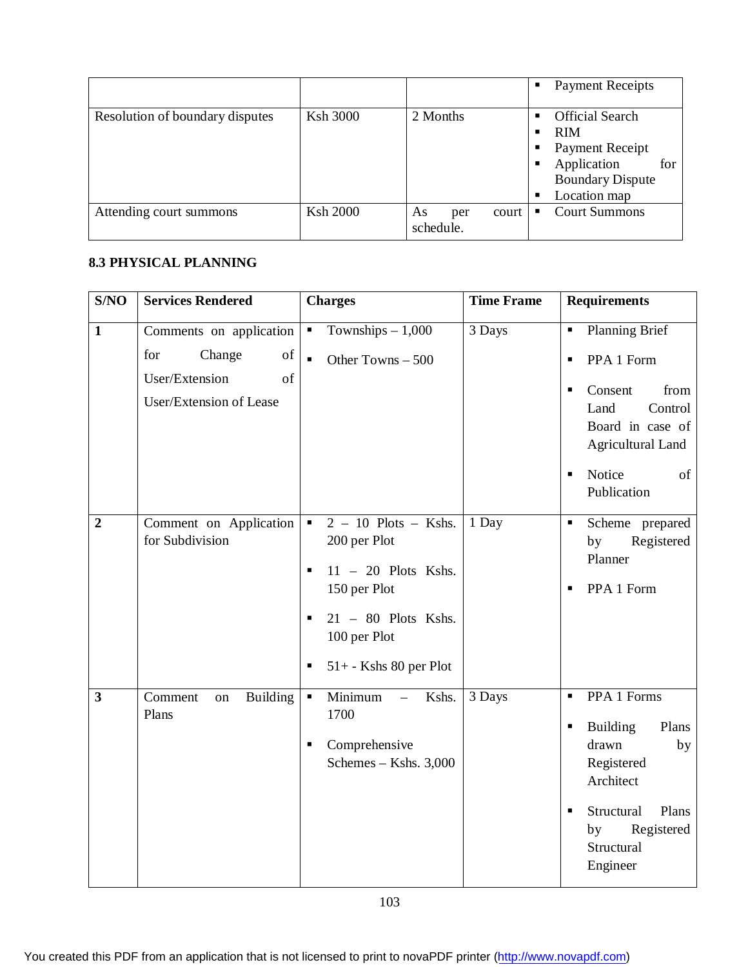|                                 |                 |                                 | <b>Payment Receipts</b><br>$\blacksquare$                                                                                                           |
|---------------------------------|-----------------|---------------------------------|-----------------------------------------------------------------------------------------------------------------------------------------------------|
| Resolution of boundary disputes | <b>Ksh 3000</b> | 2 Months                        | <b>Official Search</b><br><b>RIM</b><br>п<br><b>Payment Receipt</b><br>п<br>Application<br>for<br>п<br><b>Boundary Dispute</b><br>Location map<br>п |
| Attending court summons         | <b>Ksh 2000</b> | As<br>court<br>per<br>schedule. | <b>Court Summons</b><br>п                                                                                                                           |

## **8.3 PHYSICAL PLANNING**

| S/NO           | <b>Services Rendered</b>                                                                          | <b>Charges</b>                                                                                                                                                       | <b>Time Frame</b> | <b>Requirements</b>                                                                                                                                                                             |
|----------------|---------------------------------------------------------------------------------------------------|----------------------------------------------------------------------------------------------------------------------------------------------------------------------|-------------------|-------------------------------------------------------------------------------------------------------------------------------------------------------------------------------------------------|
| $\mathbf{1}$   | Comments on application<br>Change<br>for<br>of<br>User/Extension<br>of<br>User/Extension of Lease | Townships $-1,000$<br>٠<br>$\blacksquare$<br>Other Towns - 500                                                                                                       | 3 Days            | <b>Planning Brief</b><br>$\blacksquare$<br>PPA 1 Form<br>٠<br>from<br>Consent<br>٠<br>Land<br>Control<br>Board in case of<br>Agricultural Land<br>Notice<br>of<br>$\blacksquare$<br>Publication |
| $\overline{2}$ | Comment on Application<br>for Subdivision                                                         | $2 - 10$ Plots - Kshs.<br>٠<br>200 per Plot<br>11 - 20 Plots Kshs.<br>٠<br>150 per Plot<br>21 - 80 Plots Kshs.<br>٠<br>100 per Plot<br>$51+ -$ Kshs 80 per Plot<br>٠ | 1 Day             | Scheme prepared<br>$\blacksquare$<br>Registered<br>by<br>Planner<br>PPA 1 Form<br>٠                                                                                                             |
| 3              | <b>Building</b><br>Comment<br>on<br>Plans                                                         | Minimum<br>Kshs.<br>$\blacksquare$<br>$\equiv$<br>1700<br>Comprehensive<br>٠<br>Schemes $-$ Kshs. 3,000                                                              | 3 Days            | PPA 1 Forms<br>٠<br><b>Building</b><br>Plans<br>٠<br>drawn<br>by<br>Registered<br>Architect<br>Plans<br>Structural<br>٠<br>Registered<br>by<br>Structural<br>Engineer                           |

103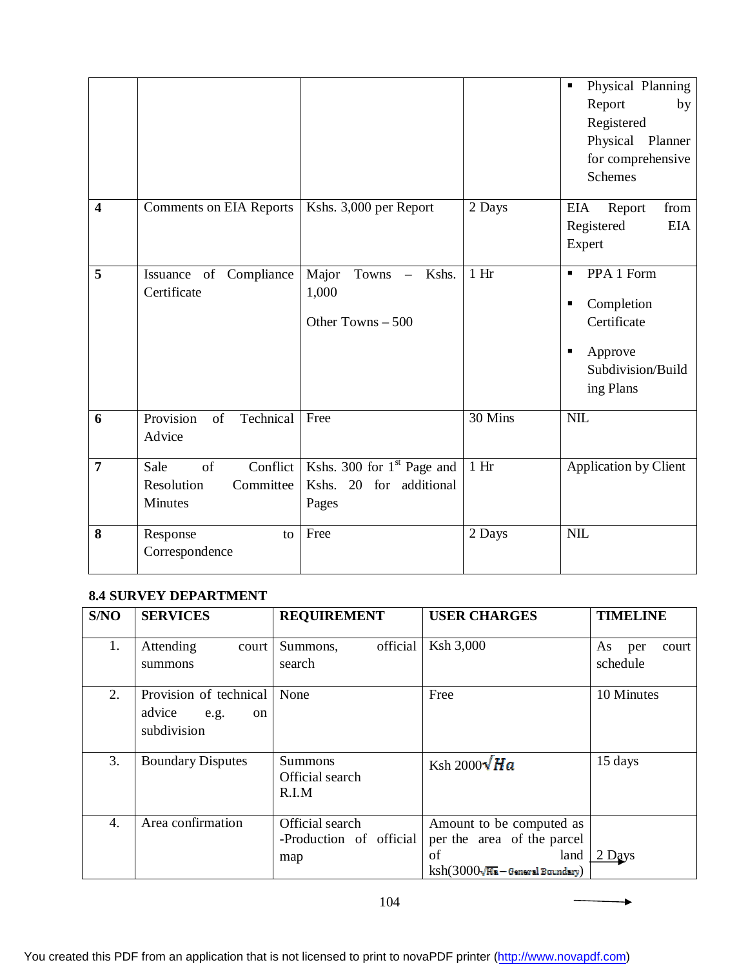|                         |                                                                     |                                                                                   |                 | Physical Planning<br>٠<br>Report<br>by<br>Registered<br>Physical Planner<br>for comprehensive<br><b>Schemes</b> |
|-------------------------|---------------------------------------------------------------------|-----------------------------------------------------------------------------------|-----------------|-----------------------------------------------------------------------------------------------------------------|
| $\overline{\mathbf{4}}$ | <b>Comments on EIA Reports</b>                                      | Kshs. 3,000 per Report                                                            | 2 Days          | EIA<br>Report<br>from<br>Registered<br><b>EIA</b><br>Expert                                                     |
| 5                       | of Compliance<br>Issuance<br>Certificate                            | Major<br>Towns<br>Kshs.<br>$\overline{\phantom{0}}$<br>1,000<br>Other Towns - 500 | 1 <sub>hr</sub> | PPA 1 Form<br>٠<br>Completion<br>٠<br>Certificate<br>Approve<br>٠<br>Subdivision/Build<br>ing Plans             |
| 6                       | Provision<br>Technical<br>of<br>Advice                              | Free                                                                              | 30 Mins         | <b>NIL</b>                                                                                                      |
| $\overline{7}$          | Conflict<br>Sale<br>of<br>Resolution<br>Committee<br><b>Minutes</b> | Kshs. 300 for $1st$ Page and<br>Kshs. 20 for additional<br>Pages                  | 1 <sub>hr</sub> | <b>Application by Client</b>                                                                                    |
| 8                       | Response<br>to<br>Correspondence                                    | Free                                                                              | 2 Days          | <b>NIL</b>                                                                                                      |

## **8.4 SURVEY DEPARTMENT**

| S/NO | <b>SERVICES</b>                                                          | <b>REQUIREMENT</b>                                | <b>USER CHARGES</b>                                                                                             | <b>TIMELINE</b>                |
|------|--------------------------------------------------------------------------|---------------------------------------------------|-----------------------------------------------------------------------------------------------------------------|--------------------------------|
| 1.   | Attending<br>court<br>summons                                            | official<br>Summons,<br>search                    | Ksh 3,000                                                                                                       | As<br>court<br>per<br>schedule |
| 2.   | Provision of technical<br>advice<br>e.g.<br><sub>on</sub><br>subdivision | None                                              | Free                                                                                                            | 10 Minutes                     |
| 3.   | <b>Boundary Disputes</b>                                                 | <b>Summons</b><br>Official search<br>R.I.M        | Ksh 2000 $\sqrt{Ha}$                                                                                            | 15 days                        |
| 4.   | Area confirmation                                                        | Official search<br>-Production of official<br>map | Amount to be computed as<br>per the area of the parcel<br>of<br>land<br>$ksh(3000\sqrt{Ha} -$ General Boundary) | 2 Days                         |

104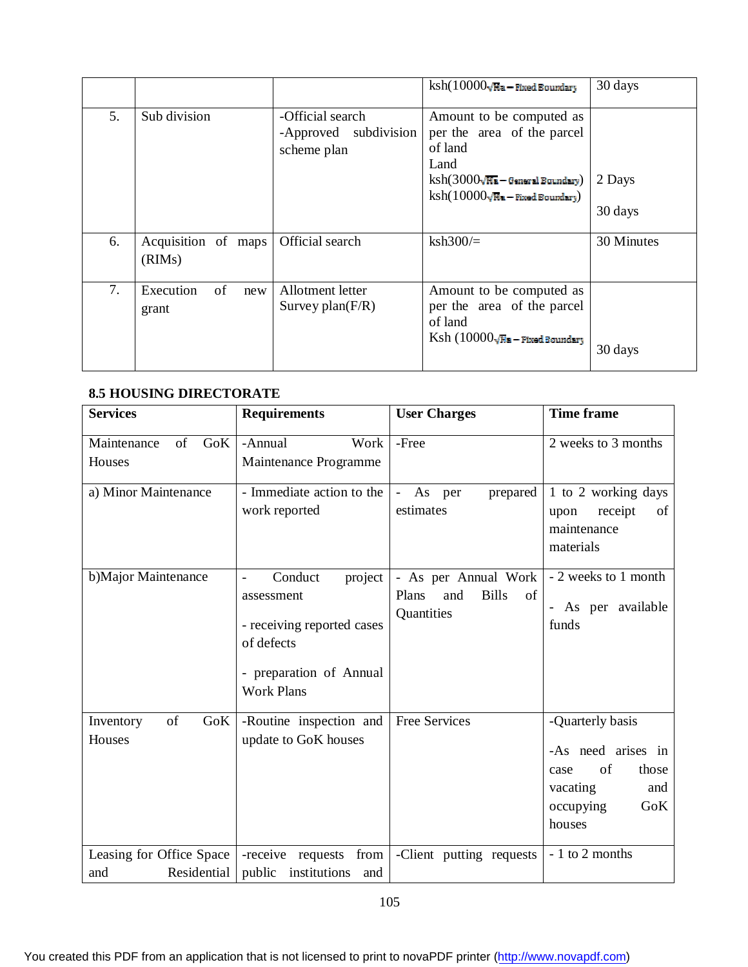|    |                                 |                                                          | $ksh(10000\sqrt{Ha}-Fixed Boundary)$                                                                                                                                         | 30 days           |
|----|---------------------------------|----------------------------------------------------------|------------------------------------------------------------------------------------------------------------------------------------------------------------------------------|-------------------|
| 5. | Sub division                    | -Official search<br>-Approved subdivision<br>scheme plan | Amount to be computed as<br>per the area of the parcel<br>of land<br>Land<br>$ksh(3000\sqrt{Ha} -$ General Boundary)<br>$ksh(10000\sqrt{\text{Hm}} - \text{Fixed Boundary})$ | 2 Days<br>30 days |
| 6. | Acquisition of maps<br>(RIMs)   | Official search                                          | $ksh300/\equiv$                                                                                                                                                              | 30 Minutes        |
| 7. | Execution<br>of<br>new<br>grant | Allotment letter<br>Survey $plan(F/R)$                   | Amount to be computed as<br>per the area of the parcel<br>of land<br>$Ksh(10000\sqrt{\text{Ra}}-\text{Fixed Boundary})$                                                      | 30 days           |

## **8.5 HOUSING DIRECTORATE**

| <b>Services</b>                                | <b>Requirements</b>                                                                                                          | <b>User Charges</b>                                                      | <b>Time frame</b>                                                                                                                        |
|------------------------------------------------|------------------------------------------------------------------------------------------------------------------------------|--------------------------------------------------------------------------|------------------------------------------------------------------------------------------------------------------------------------------|
| of<br><b>GoK</b><br>Maintenance<br>Houses      | -Annual<br>Work<br>Maintenance Programme                                                                                     | -Free                                                                    | 2 weeks to 3 months                                                                                                                      |
| a) Minor Maintenance                           | - Immediate action to the<br>work reported                                                                                   | As per<br>prepared<br>$\omega$ .<br>estimates                            | 1 to 2 working days<br>receipt<br>of<br>upon<br>maintenance<br>materials                                                                 |
| b)Major Maintenance                            | Conduct<br>project<br>assessment<br>- receiving reported cases<br>of defects<br>- preparation of Annual<br><b>Work Plans</b> | - As per Annual Work<br>Plans<br>and<br><b>Bills</b><br>of<br>Quantities | - 2 weeks to 1 month<br>- As per available<br>funds                                                                                      |
| of<br>Inventory<br>GoK<br>Houses               | -Routine inspection and<br>update to GoK houses<br>from                                                                      | Free Services                                                            | -Quarterly basis<br>-As need arises in<br>of<br>those<br>case<br>vacating<br>and<br><b>GoK</b><br>occupying<br>houses<br>- 1 to 2 months |
| Leasing for Office Space<br>Residential<br>and | -receive requests<br>public institutions<br>and                                                                              | -Client putting requests                                                 |                                                                                                                                          |